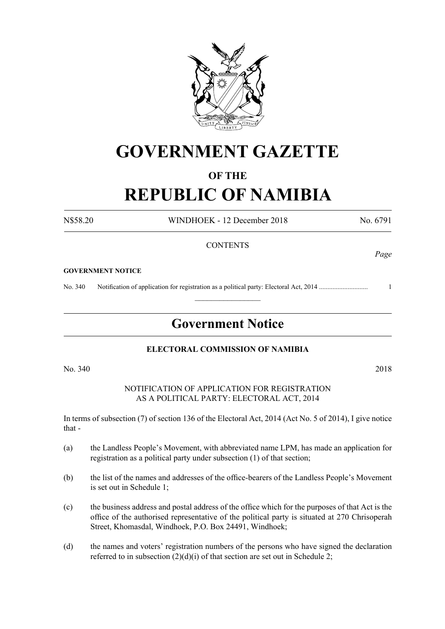

## **GOVERNMENT GAZETTE**

#### **OF THE**

# **REPUBLIC OF NAMIBIA**

N\$58.20 WINDHOEK - 12 December 2018 No. 6791

#### **CONTENTS**

#### **GOVERNMENT NOTICE**

No. 340 Notification of application for registration as a political party: Electoral Act, 2014 ............................. 1

### **Government Notice**

 $\frac{1}{2}$ 

#### **ELECTORAL COMMISSION OF NAMIBIA**

No. 340 2018

#### NOTIFICATION OF APPLICATION FOR REGISTRATION AS A POLITICAL PARTY: ELECTORAL ACT, 2014

In terms of subsection (7) of section 136 of the Electoral Act, 2014 (Act No. 5 of 2014), I give notice that -

- (a) the Landless People's Movement, with abbreviated name LPM, has made an application for registration as a political party under subsection (1) of that section;
- (b) the list of the names and addresses of the office-bearers of the Landless People's Movement is set out in Schedule 1;
- (c) the business address and postal address of the office which for the purposes of that Act is the office of the authorised representative of the political party is situated at 270 Chrisoperah Street, Khomasdal, Windhoek, P.O. Box 24491, Windhoek;
- (d) the names and voters' registration numbers of the persons who have signed the declaration referred to in subsection  $(2)(d)(i)$  of that section are set out in Schedule 2;

*Page*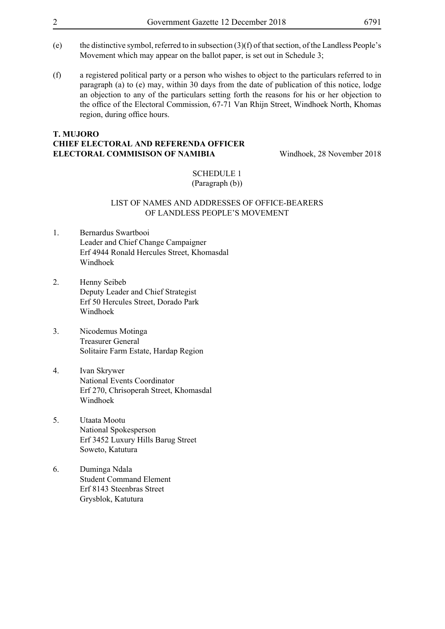- (e) the distinctive symbol, referred to in subsection (3)(f) of that section, of the Landless People's Movement which may appear on the ballot paper, is set out in Schedule 3:
- (f) a registered political party or a person who wishes to object to the particulars referred to in paragraph (a) to (e) may, within 30 days from the date of publication of this notice, lodge an objection to any of the particulars setting forth the reasons for his or her objection to the office of the Electoral Commission, 67-71 Van Rhijn Street, Windhoek North, Khomas region, during office hours.

#### **T. MUJORO CHIEF ELECTORAL AND REFERENDA OFFICER ELECTORAL COMMISISON OF NAMIBIA** Windhoek, 28 November 2018

SCHEDULE 1 (Paragraph (b))

#### LIST OF NAMES AND ADDRESSES OF OFFICE-BEARERS OF LANDLESS PEOPLE'S MOVEMENT

- 1. Bernardus Swartbooi Leader and Chief Change Campaigner Erf 4944 Ronald Hercules Street, Khomasdal Windhoek
- 2. Henny Seibeb Deputy Leader and Chief Strategist Erf 50 Hercules Street, Dorado Park Windhoek
- 3. Nicodemus Motinga Treasurer General Solitaire Farm Estate, Hardap Region
- 4. Ivan Skrywer National Events Coordinator Erf 270, Chrisoperah Street, Khomasdal Windhoek
- 5. Utaata Mootu National Spokesperson Erf 3452 Luxury Hills Barug Street Soweto, Katutura
- 6. Duminga Ndala Student Command Element Erf 8143 Steenbras Street Grysblok, Katutura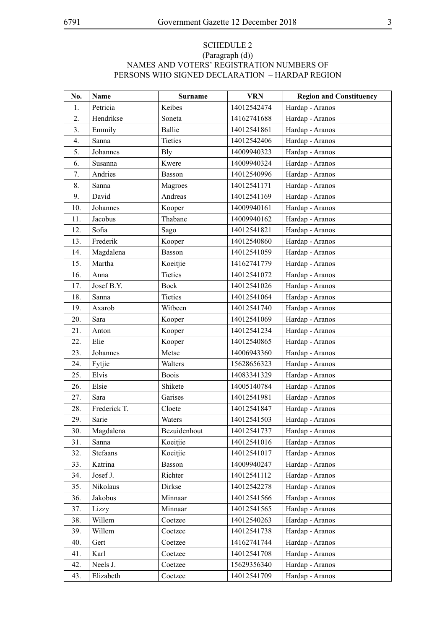#### SCHEDULE 2 (Paragraph (d)) NAMES AND VOTERS' REGISTRATION NUMBERS OF PERSONS WHO SIGNED DECLARATION – HARDAP REGION

| No. | <b>Name</b>  | <b>Surname</b> | <b>VRN</b>  | <b>Region and Constituency</b> |
|-----|--------------|----------------|-------------|--------------------------------|
| 1.  | Petricia     | Keibes         | 14012542474 | Hardap - Aranos                |
| 2.  | Hendrikse    | Soneta         | 14162741688 | Hardap - Aranos                |
| 3.  | Emmily       | <b>Ballie</b>  | 14012541861 | Hardap - Aranos                |
| 4.  | Sanna        | Tieties        | 14012542406 | Hardap - Aranos                |
| 5.  | Johannes     | <b>B</b> ly    | 14009940323 | Hardap - Aranos                |
| 6.  | Susanna      | Kwere          | 14009940324 | Hardap - Aranos                |
| 7.  | Andries      | <b>Basson</b>  | 14012540996 | Hardap - Aranos                |
| 8.  | Sanna        | Magroes        | 14012541171 | Hardap - Aranos                |
| 9.  | David        | Andreas        | 14012541169 | Hardap - Aranos                |
| 10. | Johannes     | Kooper         | 14009940161 | Hardap - Aranos                |
| 11. | Jacobus      | Thabane        | 14009940162 | Hardap - Aranos                |
| 12. | Sofia        | Sago           | 14012541821 | Hardap - Aranos                |
| 13. | Frederik     | Kooper         | 14012540860 | Hardap - Aranos                |
| 14. | Magdalena    | Basson         | 14012541059 | Hardap - Aranos                |
| 15. | Martha       | Koeitjie       | 14162741779 | Hardap - Aranos                |
| 16. | Anna         | Tieties        | 14012541072 | Hardap - Aranos                |
| 17. | Josef B.Y.   | Bock           | 14012541026 | Hardap - Aranos                |
| 18. | Sanna        | <b>Tieties</b> | 14012541064 | Hardap - Aranos                |
| 19. | Axarob       | Witbeen        | 14012541740 | Hardap - Aranos                |
| 20. | Sara         | Kooper         | 14012541069 | Hardap - Aranos                |
| 21. | Anton        | Kooper         | 14012541234 | Hardap - Aranos                |
| 22. | Elie         | Kooper         | 14012540865 | Hardap - Aranos                |
| 23. | Johannes     | Metse          | 14006943360 | Hardap - Aranos                |
| 24. | Fytjie       | Walters        | 15628656323 | Hardap - Aranos                |
| 25. | Elvis        | <b>Boois</b>   | 14083341329 | Hardap - Aranos                |
| 26. | Elsie        | Shikete        | 14005140784 | Hardap - Aranos                |
| 27. | Sara         | Garises        | 14012541981 | Hardap - Aranos                |
| 28. | Frederick T. | Cloete         | 14012541847 | Hardap - Aranos                |
| 29. | Sarie        | Waters         | 14012541503 | Hardap - Aranos                |
| 30. | Magdalena    | Bezuidenhout   | 14012541737 | Hardap - Aranos                |
| 31. | Sanna        | Koeitjie       | 14012541016 | Hardap - Aranos                |
| 32. | Stefaans     | Koeitjie       | 14012541017 | Hardap - Aranos                |
| 33. | Katrina      | Basson         | 14009940247 | Hardap - Aranos                |
| 34. | Josef J.     | Richter        | 14012541112 | Hardap - Aranos                |
| 35. | Nikolaus     | Dirkse         | 14012542278 | Hardap - Aranos                |
| 36. | Jakobus      | Minnaar        | 14012541566 | Hardap - Aranos                |
| 37. | Lizzy        | Minnaar        | 14012541565 | Hardap - Aranos                |
| 38. | Willem       | Coetzee        | 14012540263 | Hardap - Aranos                |
| 39. | Willem       | Coetzee        | 14012541738 | Hardap - Aranos                |
| 40. | Gert         | Coetzee        | 14162741744 | Hardap - Aranos                |
| 41. | Karl         | Coetzee        | 14012541708 | Hardap - Aranos                |
| 42. | Neels J.     | Coetzee        | 15629356340 | Hardap - Aranos                |
| 43. | Elizabeth    | Coetzee        | 14012541709 | Hardap - Aranos                |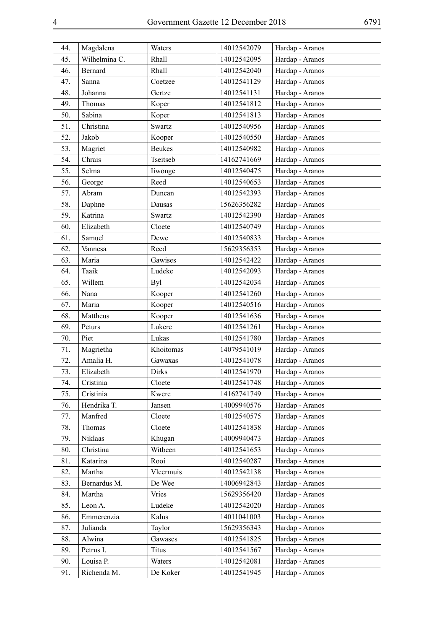| 44. | Magdalena      | Waters        | 14012542079 | Hardap - Aranos |
|-----|----------------|---------------|-------------|-----------------|
| 45. | Wilhelmina C.  | Rhall         | 14012542095 | Hardap - Aranos |
| 46. | <b>Bernard</b> | Rhall         | 14012542040 | Hardap - Aranos |
| 47. | Sanna          | Coetzee       | 14012541129 | Hardap - Aranos |
| 48. | Johanna        | Gertze        | 14012541131 | Hardap - Aranos |
| 49. | Thomas         | Koper         | 14012541812 | Hardap - Aranos |
| 50. | Sabina         | Koper         | 14012541813 | Hardap - Aranos |
| 51. | Christina      | Swartz        | 14012540956 | Hardap - Aranos |
| 52. | Jakob          | Kooper        | 14012540550 | Hardap - Aranos |
| 53. | Magriet        | <b>Beukes</b> | 14012540982 | Hardap - Aranos |
| 54. | Chrais         | Tseitseb      | 14162741669 | Hardap - Aranos |
| 55. | Selma          | liwonge       | 14012540475 | Hardap - Aranos |
| 56. | George         | Reed          | 14012540653 | Hardap - Aranos |
| 57. | Abram          | Duncan        | 14012542393 | Hardap - Aranos |
| 58. | Daphne         | Dausas        | 15626356282 | Hardap - Aranos |
| 59. | Katrina        | Swartz        | 14012542390 | Hardap - Aranos |
| 60. | Elizabeth      | Cloete        | 14012540749 | Hardap - Aranos |
| 61. | Samuel         | Dewe          | 14012540833 | Hardap - Aranos |
| 62. | Vannesa        | Reed          | 15629356353 | Hardap - Aranos |
| 63. | Maria          | Gawises       | 14012542422 | Hardap - Aranos |
| 64. | Taaik          | Ludeke        | 14012542093 | Hardap - Aranos |
| 65. | Willem         | Byl           | 14012542034 | Hardap - Aranos |
| 66. | Nana           | Kooper        | 14012541260 | Hardap - Aranos |
| 67. | Maria          | Kooper        | 14012540516 | Hardap - Aranos |
| 68. | Mattheus       | Kooper        | 14012541636 | Hardap - Aranos |
| 69. | Peturs         | Lukere        | 14012541261 | Hardap - Aranos |
| 70. | Piet           | Lukas         | 14012541780 | Hardap - Aranos |
| 71. | Magrietha      | Khoitomas     | 14079541019 | Hardap - Aranos |
| 72. | Amalia H.      | Gawaxas       | 14012541078 | Hardap - Aranos |
| 73. | Elizabeth      | Dirks         | 14012541970 | Hardap - Aranos |
| 74. | Cristinia      | Cloete        | 14012541748 | Hardap - Aranos |
| 75. | Cristinia      | Kwere         | 14162741749 | Hardap - Aranos |
| 76. | Hendrika T.    | Jansen        | 14009940576 | Hardap - Aranos |
| 77. | Manfred        | Cloete        | 14012540575 | Hardap - Aranos |
| 78. | Thomas         | Cloete        | 14012541838 | Hardap - Aranos |
| 79. | Niklaas        | Khugan        | 14009940473 | Hardap - Aranos |
| 80. | Christina      | Witbeen       | 14012541653 | Hardap - Aranos |
| 81. | Katarina       | Rooi          | 14012540287 | Hardap - Aranos |
| 82. | Martha         | Vleermuis     | 14012542138 | Hardap - Aranos |
| 83. | Bernardus M.   | De Wee        | 14006942843 | Hardap - Aranos |
| 84. | Martha         | Vries         | 15629356420 | Hardap - Aranos |
| 85. | Leon A.        | Ludeke        | 14012542020 | Hardap - Aranos |
| 86. | Emmerenzia     | Kalus         | 14011041003 | Hardap - Aranos |
| 87. | Julianda       | Taylor        | 15629356343 | Hardap - Aranos |
| 88. | Alwina         | Gawases       | 14012541825 | Hardap - Aranos |
| 89. | Petrus I.      | <b>Titus</b>  | 14012541567 | Hardap - Aranos |
| 90. | Louisa P.      | Waters        | 14012542081 | Hardap - Aranos |
| 91. | Richenda M.    | De Koker      | 14012541945 | Hardap - Aranos |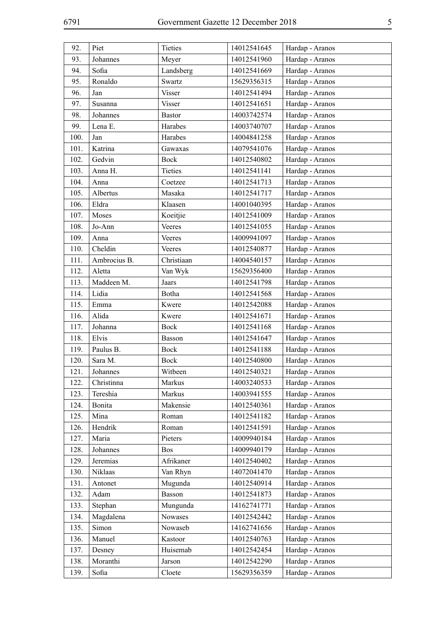| 92.  | Piet         | Tieties       | 14012541645 | Hardap - Aranos |
|------|--------------|---------------|-------------|-----------------|
| 93.  | Johannes     | Meyer         | 14012541960 | Hardap - Aranos |
| 94.  | Sofia        | Landsberg     | 14012541669 | Hardap - Aranos |
| 95.  | Ronaldo      | Swartz        | 15629356315 | Hardap - Aranos |
| 96.  | Jan          | <b>Visser</b> | 14012541494 | Hardap - Aranos |
| 97.  | Susanna      | Visser        | 14012541651 | Hardap - Aranos |
| 98.  | Johannes     | <b>Bastor</b> | 14003742574 | Hardap - Aranos |
| 99.  | Lena E.      | Harabes       | 14003740707 | Hardap - Aranos |
| 100. | Jan          | Harabes       | 14004841258 | Hardap - Aranos |
| 101. | Katrina      | Gawaxas       | 14079541076 | Hardap - Aranos |
| 102. | Gedvin       | Bock          | 14012540802 | Hardap - Aranos |
| 103. | Anna H.      | Tieties       | 14012541141 | Hardap - Aranos |
| 104. | Anna         | Coetzee       | 14012541713 | Hardap - Aranos |
| 105. | Albertus     | Masaka        | 14012541717 | Hardap - Aranos |
| 106. | Eldra        | Klaasen       | 14001040395 | Hardap - Aranos |
| 107. | Moses        | Koeitjie      | 14012541009 | Hardap - Aranos |
| 108. | Jo-Ann       | Veeres        | 14012541055 | Hardap - Aranos |
| 109. | Anna         | Veeres        | 14009941097 | Hardap - Aranos |
| 110. | Cheldin      | Veeres        | 14012540877 | Hardap - Aranos |
| 111. | Ambrocius B. | Christiaan    | 14004540157 | Hardap - Aranos |
| 112. | Aletta       | Van Wyk       | 15629356400 | Hardap - Aranos |
| 113. | Maddeen M.   | Jaars         | 14012541798 | Hardap - Aranos |
| 114. | Lidia        | Botha         | 14012541568 | Hardap - Aranos |
| 115. | Emma         | Kwere         | 14012542088 | Hardap - Aranos |
| 116. | Alida        | Kwere         | 14012541671 | Hardap - Aranos |
| 117. | Johanna      | <b>Bock</b>   | 14012541168 | Hardap - Aranos |
| 118. | Elvis        | Basson        | 14012541647 | Hardap - Aranos |
| 119. | Paulus B.    | Bock          | 14012541188 | Hardap - Aranos |
| 120. | Sara M.      | Bock          | 14012540800 | Hardap - Aranos |
| 121. | Johannes     | Witbeen       | 14012540321 | Hardap - Aranos |
| 122. | Christinna   | Markus        | 14003240533 | Hardap - Aranos |
| 123. | Tereshia     | Markus        | 14003941555 | Hardap - Aranos |
| 124. | Bonita       | Makensie      | 14012540361 | Hardap - Aranos |
| 125. | Mina         | Roman         | 14012541182 | Hardap - Aranos |
| 126. | Hendrik      | Roman         | 14012541591 | Hardap - Aranos |
| 127. | Maria        | Pieters       | 14009940184 | Hardap - Aranos |
| 128. | Johannes     | <b>Bos</b>    | 14009940179 | Hardap - Aranos |
| 129. | Jeremias     | Afrikaner     | 14012540402 | Hardap - Aranos |
| 130. | Niklaas      | Van Rhyn      | 14072041470 | Hardap - Aranos |
| 131. | Antonet      | Mugunda       | 14012540914 | Hardap - Aranos |
| 132. | Adam         | Basson        | 14012541873 | Hardap - Aranos |
| 133. | Stephan      | Mungunda      | 14162741771 | Hardap - Aranos |
| 134. | Magdalena    | Nowases       | 14012542442 | Hardap - Aranos |
| 135. | Simon        | Nowaseb       | 14162741656 | Hardap - Aranos |
| 136. | Manuel       | Kastoor       | 14012540763 | Hardap - Aranos |
| 137. | Desney       | Huisemab      | 14012542454 | Hardap - Aranos |
| 138. | Moranthi     | Jarson        | 14012542290 | Hardap - Aranos |
| 139. | Sofia        | Cloete        | 15629356359 | Hardap - Aranos |
|      |              |               |             |                 |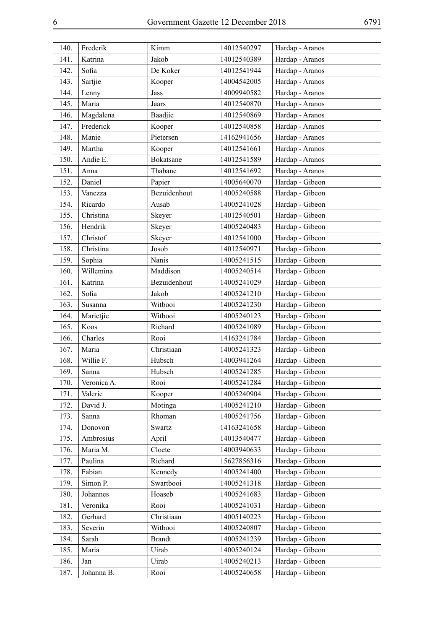| 140. | Frederik    | Kimm          | 14012540297 | Hardap - Aranos |
|------|-------------|---------------|-------------|-----------------|
| 141. | Katrina     | Jakob         | 14012540389 | Hardap - Aranos |
| 142. | Sofia       | De Koker      | 14012541944 | Hardap - Aranos |
| 143. | Sartjie     | Kooper        | 14004542005 | Hardap - Aranos |
| 144. | Lenny       | Jass          | 14009940582 | Hardap - Aranos |
| 145. | Maria       | Jaars         | 14012540870 | Hardap - Aranos |
| 146. | Magdalena   | Baadjie       | 14012540869 | Hardap - Aranos |
| 147. | Frederick   | Kooper        | 14012540858 | Hardap - Aranos |
| 148. | Manie       | Pietersen     | 14162941656 | Hardap - Aranos |
| 149. | Martha      | Kooper        | 14012541661 | Hardap - Aranos |
| 150. | Andie E.    | Bokatsane     | 14012541589 | Hardap - Aranos |
| 151. | Anna        | Thabane       | 14012541692 | Hardap - Aranos |
| 152. | Daniel      | Papier        | 14005640070 | Hardap - Gibeon |
| 153. | Vanezza     | Bezuidenhout  | 14005240588 | Hardap - Gibeon |
| 154. | Ricardo     | Ausab         | 14005241028 | Hardap - Gibeon |
| 155. | Christina   | Skeyer        | 14012540501 | Hardap - Gibeon |
| 156. | Hendrik     | Skeyer        | 14005240483 | Hardap - Gibeon |
| 157. | Christof    | Skeyer        | 14012541000 | Hardap - Gibeon |
| 158. | Christina   | Josob         | 14012540971 | Hardap - Gibeon |
| 159. | Sophia      | Nanis         | 14005241515 | Hardap - Gibeon |
| 160. | Willemina   | Maddison      | 14005240514 | Hardap - Gibeon |
| 161. | Katrina     | Bezuidenhout  | 14005241029 | Hardap - Gibeon |
| 162. | Sofia       | Jakob         | 14005241210 | Hardap - Gibeon |
| 163. | Susanna     | Witbooi       | 14005241230 | Hardap - Gibeon |
| 164. | Marietjie   | Witbooi       | 14005240123 | Hardap - Gibeon |
| 165. | Koos        | Richard       | 14005241089 | Hardap - Gibeon |
| 166. | Charles     | Rooi          | 14163241784 | Hardap - Gibeon |
| 167. | Maria       | Christiaan    | 14005241323 | Hardap - Gibeon |
| 168. | Willie F.   | Hubsch        | 14003941264 | Hardap - Gibeon |
| 169. | Sanna       | Hubsch        | 14005241285 | Hardap - Gibeon |
| 170. | Veronica A. | Rooi          | 14005241284 | Hardap - Gibeon |
| 171. | Valerie     | Kooper        | 14005240904 | Hardap - Gibeon |
| 172. | David J.    | Motinga       | 14005241210 | Hardap - Gibeon |
| 173. | Sanna       | Rhoman        | 14005241756 | Hardap - Gibeon |
| 174. | Donovon     | Swartz        | 14163241658 | Hardap - Gibeon |
| 175. | Ambrosius   | April         | 14013540477 | Hardap - Gibeon |
| 176. | Maria M.    | Cloete        | 14003940633 | Hardap - Gibeon |
| 177. | Paulina     | Richard       | 15627856316 | Hardap - Gibeon |
| 178. | Fabian      | Kennedy       | 14005241400 | Hardap - Gibeon |
| 179. | Simon P.    | Swartbooi     | 14005241318 | Hardap - Gibeon |
| 180. | Johannes    | Hoaseb        | 14005241683 | Hardap - Gibeon |
| 181. | Veronika    | Rooi          | 14005241031 | Hardap - Gibeon |
| 182. | Gerhard     | Christiaan    | 14005140223 | Hardap - Gibeon |
| 183. | Severin     | Witbooi       | 14005240807 | Hardap - Gibeon |
| 184. | Sarah       | <b>Brandt</b> | 14005241239 | Hardap - Gibeon |
| 185. | Maria       | Uirab         | 14005240124 | Hardap - Gibeon |
| 186. | Jan         | Uirab         | 14005240213 | Hardap - Gibeon |
| 187. | Johanna B.  | Rooi          | 14005240658 | Hardap - Gibeon |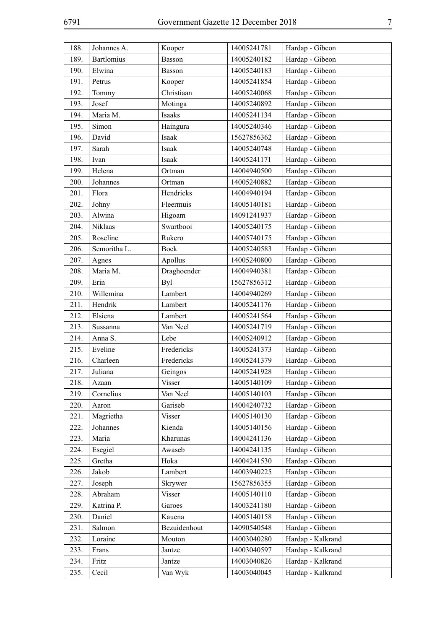| 188. | Johannes A.       | Kooper        | 14005241781 | Hardap - Gibeon   |
|------|-------------------|---------------|-------------|-------------------|
| 189. | <b>Bartlomius</b> | Basson        | 14005240182 | Hardap - Gibeon   |
| 190. | Elwina            | Basson        | 14005240183 | Hardap - Gibeon   |
| 191. | Petrus            | Kooper        | 14005241854 | Hardap - Gibeon   |
| 192. | Tommy             | Christiaan    | 14005240068 | Hardap - Gibeon   |
| 193. | Josef             | Motinga       | 14005240892 | Hardap - Gibeon   |
| 194. | Maria M.          | Isaaks        | 14005241134 | Hardap - Gibeon   |
| 195. | Simon             | Haingura      | 14005240346 | Hardap - Gibeon   |
| 196. | David             | Isaak         | 15627856362 | Hardap - Gibeon   |
| 197. | Sarah             | Isaak         | 14005240748 | Hardap - Gibeon   |
| 198. | Ivan              | Isaak         | 14005241171 | Hardap - Gibeon   |
| 199. | Helena            | Ortman        | 14004940500 | Hardap - Gibeon   |
| 200. | Johannes          | Ortman        | 14005240882 | Hardap - Gibeon   |
| 201. | Flora             | Hendricks     | 14004940194 | Hardap - Gibeon   |
| 202. | Johny             | Fleermuis     | 14005140181 | Hardap - Gibeon   |
| 203. | Alwina            | Higoam        | 14091241937 | Hardap - Gibeon   |
| 204. | Niklaas           | Swartbooi     | 14005240175 | Hardap - Gibeon   |
| 205. | Roseline          | Rukero        | 14005740175 | Hardap - Gibeon   |
| 206. | Semoritha L.      | <b>Bock</b>   | 14005240583 | Hardap - Gibeon   |
| 207. | Agnes             | Apollus       | 14005240800 | Hardap - Gibeon   |
| 208. | Maria M.          | Draghoender   | 14004940381 | Hardap - Gibeon   |
| 209. | Erin              | <b>Byl</b>    | 15627856312 | Hardap - Gibeon   |
| 210. | Willemina         | Lambert       | 14004940269 | Hardap - Gibeon   |
| 211. | Hendrik           | Lambert       | 14005241176 | Hardap - Gibeon   |
| 212. | Elsiena           | Lambert       | 14005241564 | Hardap - Gibeon   |
| 213. | Sussanna          | Van Neel      | 14005241719 | Hardap - Gibeon   |
| 214. | Anna S.           | Lebe          | 14005240912 | Hardap - Gibeon   |
| 215. | Eveline           | Fredericks    | 14005241373 | Hardap - Gibeon   |
| 216. | Charleen          | Fredericks    | 14005241379 | Hardap - Gibeon   |
| 217. | Juliana           | Geingos       | 14005241928 | Hardap - Gibeon   |
| 218. | Azaan             | <b>Visser</b> | 14005140109 | Hardap - Gibeon   |
| 219. | Cornelius         | Van Neel      | 14005140103 | Hardap - Gibeon   |
| 220. | Aaron             | Gariseb       | 14004240732 | Hardap - Gibeon   |
| 221. | Magrietha         | Visser        | 14005140130 | Hardap - Gibeon   |
| 222. | Johannes          | Kienda        | 14005140156 | Hardap - Gibeon   |
| 223. | Maria             | Kharunas      | 14004241136 | Hardap - Gibeon   |
| 224. | Esegiel           | Awaseb        | 14004241135 | Hardap - Gibeon   |
| 225. | Gretha            | Hoka          | 14004241530 | Hardap - Gibeon   |
| 226. | Jakob             | Lambert       | 14003940225 | Hardap - Gibeon   |
| 227. | Joseph            | Skrywer       | 15627856355 | Hardap - Gibeon   |
| 228. | Abraham           | <b>Visser</b> | 14005140110 | Hardap - Gibeon   |
| 229. | Katrina P.        | Garoes        | 14003241180 | Hardap - Gibeon   |
| 230. | Daniel            | Kauena        | 14005140158 | Hardap - Gibeon   |
| 231. | Salmon            | Bezuidenhout  | 14090540548 | Hardap - Gibeon   |
| 232. | Loraine           | Mouton        | 14003040280 | Hardap - Kalkrand |
| 233. | Frans             | Jantze        | 14003040597 | Hardap - Kalkrand |
| 234. | Fritz             | Jantze        | 14003040826 | Hardap - Kalkrand |
| 235. | Cecil             | Van Wyk       | 14003040045 | Hardap - Kalkrand |
|      |                   |               |             |                   |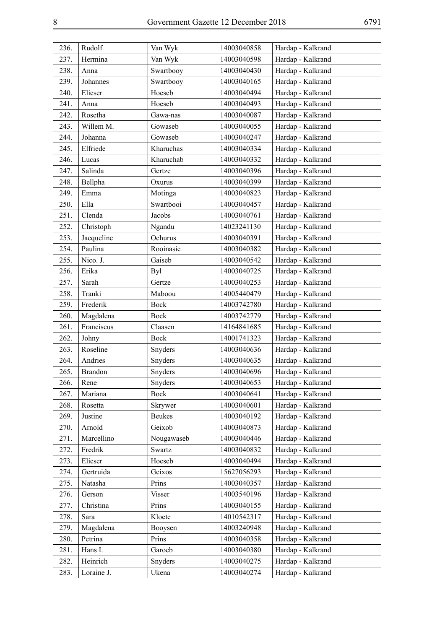| 236. | Rudolf         | Van Wyk       | 14003040858 | Hardap - Kalkrand |
|------|----------------|---------------|-------------|-------------------|
| 237. | Hermina        | Van Wyk       | 14003040598 | Hardap - Kalkrand |
| 238. | Anna           | Swartbooy     | 14003040430 | Hardap - Kalkrand |
| 239. | Johannes       | Swartbooy     | 14003040165 | Hardap - Kalkrand |
| 240. | Elieser        | Hoeseb        | 14003040494 | Hardap - Kalkrand |
| 241. | Anna           | Hoeseb        | 14003040493 | Hardap - Kalkrand |
| 242. | Rosetha        | Gawa-nas      | 14003040087 | Hardap - Kalkrand |
| 243. | Willem M.      | Gowaseb       | 14003040055 | Hardap - Kalkrand |
| 244. | Johanna        | Gowaseb       | 14003040247 | Hardap - Kalkrand |
| 245. | Elfriede       | Kharuchas     | 14003040334 | Hardap - Kalkrand |
| 246. | Lucas          | Kharuchab     | 14003040332 | Hardap - Kalkrand |
| 247. | Salinda        | Gertze        | 14003040396 | Hardap - Kalkrand |
| 248. | Bellpha        | Oxurus        | 14003040399 | Hardap - Kalkrand |
| 249. | Emma           | Motinga       | 14003040823 | Hardap - Kalkrand |
| 250. | Ella           | Swartbooi     | 14003040457 | Hardap - Kalkrand |
| 251. | Clenda         | Jacobs        | 14003040761 | Hardap - Kalkrand |
| 252. | Christoph      | Ngandu        | 14023241130 | Hardap - Kalkrand |
| 253. | Jacqueline     | Ochurus       | 14003040391 | Hardap - Kalkrand |
| 254. | Paulina        | Rooinasie     | 14003040382 | Hardap - Kalkrand |
| 255. | Nico. J.       | Gaiseb        | 14003040542 | Hardap - Kalkrand |
| 256. | Erika          | <b>Byl</b>    | 14003040725 | Hardap - Kalkrand |
| 257. | Sarah          | Gertze        | 14003040253 | Hardap - Kalkrand |
| 258. | Tranki         | Maboou        | 14005440479 | Hardap - Kalkrand |
| 259. | Frederik       | Bock          | 14003742780 | Hardap - Kalkrand |
| 260. | Magdalena      | Bock          | 14003742779 | Hardap - Kalkrand |
| 261. | Franciscus     | Claasen       | 14164841685 | Hardap - Kalkrand |
| 262. | Johny          | <b>Bock</b>   | 14001741323 | Hardap - Kalkrand |
| 263. | Roseline       | Snyders       | 14003040636 | Hardap - Kalkrand |
| 264. | Andries        | Snyders       | 14003040635 | Hardap - Kalkrand |
| 265. | <b>Brandon</b> | Snyders       | 14003040696 | Hardap - Kalkrand |
| 266. | Rene           | Snyders       | 14003040653 | Hardap - Kalkrand |
| 267. | Mariana        | <b>Bock</b>   | 14003040641 | Hardap - Kalkrand |
| 268. | Rosetta        | Skrywer       | 14003040601 | Hardap - Kalkrand |
| 269. | Justine        | <b>Beukes</b> | 14003040192 | Hardap - Kalkrand |
| 270. | Arnold         | Geixob        | 14003040873 | Hardap - Kalkrand |
| 271. | Marcellino     | Nougawaseb    | 14003040446 | Hardap - Kalkrand |
| 272. | Fredrik        | Swartz        | 14003040832 | Hardap - Kalkrand |
| 273. | Elieser        | Hoeseb        | 14003040494 | Hardap - Kalkrand |
| 274. | Gertruida      | Geixos        | 15627056293 | Hardap - Kalkrand |
| 275. | Natasha        | Prins         | 14003040357 | Hardap - Kalkrand |
| 276. | Gerson         | Visser        | 14003540196 | Hardap - Kalkrand |
| 277. | Christina      | Prins         | 14003040155 | Hardap - Kalkrand |
| 278. | Sara           | Kloete        | 14010542317 | Hardap - Kalkrand |
| 279. | Magdalena      | Booysen       | 14003240948 | Hardap - Kalkrand |
| 280. | Petrina        | Prins         | 14003040358 | Hardap - Kalkrand |
| 281. | Hans I.        | Garoeb        | 14003040380 | Hardap - Kalkrand |
| 282. | Heinrich       | Snyders       | 14003040275 | Hardap - Kalkrand |
| 283. | Loraine J.     | Ukena         | 14003040274 | Hardap - Kalkrand |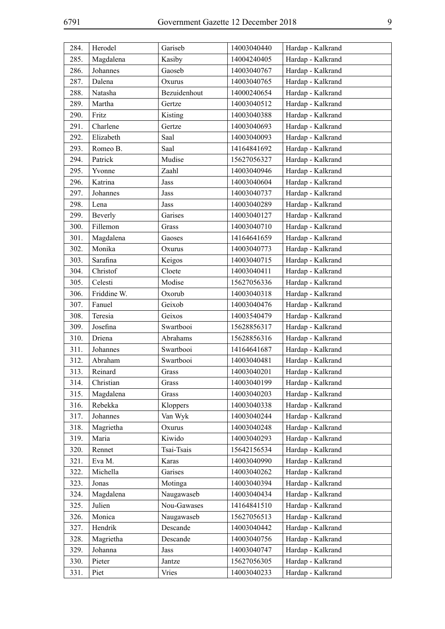| Kasiby<br>Hardap - Kalkrand<br>285.<br>Magdalena<br>14004240405<br>286.<br>Johannes<br>Gaoseb<br>Hardap - Kalkrand<br>14003040767<br>Dalena<br>Hardap - Kalkrand<br>287.<br>Oxurus<br>14003040765<br>288.<br>Natasha<br>Bezuidenhout<br>Hardap - Kalkrand<br>14000240654<br>Hardap - Kalkrand<br>289.<br>Martha<br>Gertze<br>14003040512<br>Fritz<br>Hardap - Kalkrand<br>290.<br>Kisting<br>14003040388<br>Charlene<br>Hardap - Kalkrand<br>291.<br>Gertze<br>14003040693<br>Elizabeth<br>Saal<br>Hardap - Kalkrand<br>292.<br>14003040093<br>Saal<br>Hardap - Kalkrand<br>293.<br>Romeo B.<br>14164841692<br>Patrick<br>Mudise<br>Hardap - Kalkrand<br>294.<br>15627056327<br>295.<br>Hardap - Kalkrand<br>Zaahl<br>Yvonne<br>14003040946<br>Katrina<br>Hardap - Kalkrand<br>296.<br>Jass<br>14003040604<br>Hardap - Kalkrand<br>297.<br>Johannes<br>Jass<br>14003040737<br>Hardap - Kalkrand<br>298.<br>Lena<br>14003040289<br>Jass<br>299.<br>Hardap - Kalkrand<br>Garises<br>14003040127<br>Beverly<br>300.<br>Fillemon<br>Hardap - Kalkrand<br>14003040710<br>Grass<br>Magdalena<br>Hardap - Kalkrand<br>301.<br>Gaoses<br>14164641659<br>Monika<br>302.<br>Hardap - Kalkrand<br>Oxurus<br>14003040773<br>Sarafina<br>Hardap - Kalkrand<br>303.<br>Keigos<br>14003040715<br>Christof<br>Hardap - Kalkrand<br>304.<br>Cloete<br>14003040411<br>Celesti<br>Modise<br>Hardap - Kalkrand<br>305.<br>15627056336<br>Friddine W.<br>306.<br>Hardap - Kalkrand<br>Oxorub<br>14003040318<br>Fanuel<br>Geixob<br>307.<br>Hardap - Kalkrand<br>14003040476<br>308.<br>Teresia<br>Geixos<br>Hardap - Kalkrand<br>14003540479<br>Josefina<br>Swartbooi<br>309.<br>Hardap - Kalkrand<br>15628856317<br>310.<br>Driena<br>Abrahams<br>Hardap - Kalkrand<br>15628856316<br>Swartbooi<br>Johannes<br>Hardap - Kalkrand<br>311.<br>14164641687<br>Hardap - Kalkrand<br>312.<br>Abraham<br>Swartbooi<br>14003040481<br>Hardap - Kalkrand<br>313.<br>Reinard<br>Grass<br>14003040201<br>Hardap - Kalkrand<br>314.<br>Christian<br>14003040199<br>Grass<br>Magdalena<br>Hardap - Kalkrand<br>315.<br>Grass<br>14003040203<br>Rebekka<br>Hardap - Kalkrand<br>316.<br>Kloppers<br>14003040338<br>317.<br>Johannes<br>14003040244<br>Hardap - Kalkrand<br>Van Wyk<br>Hardap - Kalkrand<br>318.<br>Magrietha<br>Oxurus<br>14003040248<br>319.<br>Kiwido<br>Hardap - Kalkrand<br>Maria<br>14003040293<br>Hardap - Kalkrand<br>Tsai-Tsais<br>320.<br>Rennet<br>15642156534<br>321.<br>Eva M.<br>14003040990<br>Hardap - Kalkrand<br>Karas<br>Hardap - Kalkrand<br>322.<br>Michella<br>Garises<br>14003040262<br>323.<br>Hardap - Kalkrand<br>Jonas<br>Motinga<br>14003040394<br>Hardap - Kalkrand<br>324.<br>Magdalena<br>Naugawaseb<br>14003040434<br>Julien<br>Nou-Gawases<br>14164841510<br>Hardap - Kalkrand<br>325.<br>Hardap - Kalkrand<br>326.<br>Monica<br>Naugawaseb<br>15627056513<br>Descande<br>Hardap - Kalkrand<br>327.<br>Hendrik<br>14003040442<br>Descande<br>Hardap - Kalkrand<br>328.<br>Magrietha<br>14003040756<br>329.<br>Johanna<br>Hardap - Kalkrand<br>Jass<br>14003040747<br>Hardap - Kalkrand<br>330.<br>Pieter<br>Jantze<br>15627056305<br>Vries<br>Hardap - Kalkrand<br>331.<br>Piet<br>14003040233 | 284. | Herodel | Gariseb | 14003040440 | Hardap - Kalkrand |
|---------------------------------------------------------------------------------------------------------------------------------------------------------------------------------------------------------------------------------------------------------------------------------------------------------------------------------------------------------------------------------------------------------------------------------------------------------------------------------------------------------------------------------------------------------------------------------------------------------------------------------------------------------------------------------------------------------------------------------------------------------------------------------------------------------------------------------------------------------------------------------------------------------------------------------------------------------------------------------------------------------------------------------------------------------------------------------------------------------------------------------------------------------------------------------------------------------------------------------------------------------------------------------------------------------------------------------------------------------------------------------------------------------------------------------------------------------------------------------------------------------------------------------------------------------------------------------------------------------------------------------------------------------------------------------------------------------------------------------------------------------------------------------------------------------------------------------------------------------------------------------------------------------------------------------------------------------------------------------------------------------------------------------------------------------------------------------------------------------------------------------------------------------------------------------------------------------------------------------------------------------------------------------------------------------------------------------------------------------------------------------------------------------------------------------------------------------------------------------------------------------------------------------------------------------------------------------------------------------------------------------------------------------------------------------------------------------------------------------------------------------------------------------------------------------------------------------------------------------------------------------------------------------------------------------------------------------------------------------------------------------------------------------------------------------------------------------------------------------------------------------------------------------------------------------------------------------------|------|---------|---------|-------------|-------------------|
|                                                                                                                                                                                                                                                                                                                                                                                                                                                                                                                                                                                                                                                                                                                                                                                                                                                                                                                                                                                                                                                                                                                                                                                                                                                                                                                                                                                                                                                                                                                                                                                                                                                                                                                                                                                                                                                                                                                                                                                                                                                                                                                                                                                                                                                                                                                                                                                                                                                                                                                                                                                                                                                                                                                                                                                                                                                                                                                                                                                                                                                                                                                                                                                                               |      |         |         |             |                   |
|                                                                                                                                                                                                                                                                                                                                                                                                                                                                                                                                                                                                                                                                                                                                                                                                                                                                                                                                                                                                                                                                                                                                                                                                                                                                                                                                                                                                                                                                                                                                                                                                                                                                                                                                                                                                                                                                                                                                                                                                                                                                                                                                                                                                                                                                                                                                                                                                                                                                                                                                                                                                                                                                                                                                                                                                                                                                                                                                                                                                                                                                                                                                                                                                               |      |         |         |             |                   |
|                                                                                                                                                                                                                                                                                                                                                                                                                                                                                                                                                                                                                                                                                                                                                                                                                                                                                                                                                                                                                                                                                                                                                                                                                                                                                                                                                                                                                                                                                                                                                                                                                                                                                                                                                                                                                                                                                                                                                                                                                                                                                                                                                                                                                                                                                                                                                                                                                                                                                                                                                                                                                                                                                                                                                                                                                                                                                                                                                                                                                                                                                                                                                                                                               |      |         |         |             |                   |
|                                                                                                                                                                                                                                                                                                                                                                                                                                                                                                                                                                                                                                                                                                                                                                                                                                                                                                                                                                                                                                                                                                                                                                                                                                                                                                                                                                                                                                                                                                                                                                                                                                                                                                                                                                                                                                                                                                                                                                                                                                                                                                                                                                                                                                                                                                                                                                                                                                                                                                                                                                                                                                                                                                                                                                                                                                                                                                                                                                                                                                                                                                                                                                                                               |      |         |         |             |                   |
|                                                                                                                                                                                                                                                                                                                                                                                                                                                                                                                                                                                                                                                                                                                                                                                                                                                                                                                                                                                                                                                                                                                                                                                                                                                                                                                                                                                                                                                                                                                                                                                                                                                                                                                                                                                                                                                                                                                                                                                                                                                                                                                                                                                                                                                                                                                                                                                                                                                                                                                                                                                                                                                                                                                                                                                                                                                                                                                                                                                                                                                                                                                                                                                                               |      |         |         |             |                   |
|                                                                                                                                                                                                                                                                                                                                                                                                                                                                                                                                                                                                                                                                                                                                                                                                                                                                                                                                                                                                                                                                                                                                                                                                                                                                                                                                                                                                                                                                                                                                                                                                                                                                                                                                                                                                                                                                                                                                                                                                                                                                                                                                                                                                                                                                                                                                                                                                                                                                                                                                                                                                                                                                                                                                                                                                                                                                                                                                                                                                                                                                                                                                                                                                               |      |         |         |             |                   |
|                                                                                                                                                                                                                                                                                                                                                                                                                                                                                                                                                                                                                                                                                                                                                                                                                                                                                                                                                                                                                                                                                                                                                                                                                                                                                                                                                                                                                                                                                                                                                                                                                                                                                                                                                                                                                                                                                                                                                                                                                                                                                                                                                                                                                                                                                                                                                                                                                                                                                                                                                                                                                                                                                                                                                                                                                                                                                                                                                                                                                                                                                                                                                                                                               |      |         |         |             |                   |
|                                                                                                                                                                                                                                                                                                                                                                                                                                                                                                                                                                                                                                                                                                                                                                                                                                                                                                                                                                                                                                                                                                                                                                                                                                                                                                                                                                                                                                                                                                                                                                                                                                                                                                                                                                                                                                                                                                                                                                                                                                                                                                                                                                                                                                                                                                                                                                                                                                                                                                                                                                                                                                                                                                                                                                                                                                                                                                                                                                                                                                                                                                                                                                                                               |      |         |         |             |                   |
|                                                                                                                                                                                                                                                                                                                                                                                                                                                                                                                                                                                                                                                                                                                                                                                                                                                                                                                                                                                                                                                                                                                                                                                                                                                                                                                                                                                                                                                                                                                                                                                                                                                                                                                                                                                                                                                                                                                                                                                                                                                                                                                                                                                                                                                                                                                                                                                                                                                                                                                                                                                                                                                                                                                                                                                                                                                                                                                                                                                                                                                                                                                                                                                                               |      |         |         |             |                   |
|                                                                                                                                                                                                                                                                                                                                                                                                                                                                                                                                                                                                                                                                                                                                                                                                                                                                                                                                                                                                                                                                                                                                                                                                                                                                                                                                                                                                                                                                                                                                                                                                                                                                                                                                                                                                                                                                                                                                                                                                                                                                                                                                                                                                                                                                                                                                                                                                                                                                                                                                                                                                                                                                                                                                                                                                                                                                                                                                                                                                                                                                                                                                                                                                               |      |         |         |             |                   |
|                                                                                                                                                                                                                                                                                                                                                                                                                                                                                                                                                                                                                                                                                                                                                                                                                                                                                                                                                                                                                                                                                                                                                                                                                                                                                                                                                                                                                                                                                                                                                                                                                                                                                                                                                                                                                                                                                                                                                                                                                                                                                                                                                                                                                                                                                                                                                                                                                                                                                                                                                                                                                                                                                                                                                                                                                                                                                                                                                                                                                                                                                                                                                                                                               |      |         |         |             |                   |
|                                                                                                                                                                                                                                                                                                                                                                                                                                                                                                                                                                                                                                                                                                                                                                                                                                                                                                                                                                                                                                                                                                                                                                                                                                                                                                                                                                                                                                                                                                                                                                                                                                                                                                                                                                                                                                                                                                                                                                                                                                                                                                                                                                                                                                                                                                                                                                                                                                                                                                                                                                                                                                                                                                                                                                                                                                                                                                                                                                                                                                                                                                                                                                                                               |      |         |         |             |                   |
|                                                                                                                                                                                                                                                                                                                                                                                                                                                                                                                                                                                                                                                                                                                                                                                                                                                                                                                                                                                                                                                                                                                                                                                                                                                                                                                                                                                                                                                                                                                                                                                                                                                                                                                                                                                                                                                                                                                                                                                                                                                                                                                                                                                                                                                                                                                                                                                                                                                                                                                                                                                                                                                                                                                                                                                                                                                                                                                                                                                                                                                                                                                                                                                                               |      |         |         |             |                   |
|                                                                                                                                                                                                                                                                                                                                                                                                                                                                                                                                                                                                                                                                                                                                                                                                                                                                                                                                                                                                                                                                                                                                                                                                                                                                                                                                                                                                                                                                                                                                                                                                                                                                                                                                                                                                                                                                                                                                                                                                                                                                                                                                                                                                                                                                                                                                                                                                                                                                                                                                                                                                                                                                                                                                                                                                                                                                                                                                                                                                                                                                                                                                                                                                               |      |         |         |             |                   |
|                                                                                                                                                                                                                                                                                                                                                                                                                                                                                                                                                                                                                                                                                                                                                                                                                                                                                                                                                                                                                                                                                                                                                                                                                                                                                                                                                                                                                                                                                                                                                                                                                                                                                                                                                                                                                                                                                                                                                                                                                                                                                                                                                                                                                                                                                                                                                                                                                                                                                                                                                                                                                                                                                                                                                                                                                                                                                                                                                                                                                                                                                                                                                                                                               |      |         |         |             |                   |
|                                                                                                                                                                                                                                                                                                                                                                                                                                                                                                                                                                                                                                                                                                                                                                                                                                                                                                                                                                                                                                                                                                                                                                                                                                                                                                                                                                                                                                                                                                                                                                                                                                                                                                                                                                                                                                                                                                                                                                                                                                                                                                                                                                                                                                                                                                                                                                                                                                                                                                                                                                                                                                                                                                                                                                                                                                                                                                                                                                                                                                                                                                                                                                                                               |      |         |         |             |                   |
|                                                                                                                                                                                                                                                                                                                                                                                                                                                                                                                                                                                                                                                                                                                                                                                                                                                                                                                                                                                                                                                                                                                                                                                                                                                                                                                                                                                                                                                                                                                                                                                                                                                                                                                                                                                                                                                                                                                                                                                                                                                                                                                                                                                                                                                                                                                                                                                                                                                                                                                                                                                                                                                                                                                                                                                                                                                                                                                                                                                                                                                                                                                                                                                                               |      |         |         |             |                   |
|                                                                                                                                                                                                                                                                                                                                                                                                                                                                                                                                                                                                                                                                                                                                                                                                                                                                                                                                                                                                                                                                                                                                                                                                                                                                                                                                                                                                                                                                                                                                                                                                                                                                                                                                                                                                                                                                                                                                                                                                                                                                                                                                                                                                                                                                                                                                                                                                                                                                                                                                                                                                                                                                                                                                                                                                                                                                                                                                                                                                                                                                                                                                                                                                               |      |         |         |             |                   |
|                                                                                                                                                                                                                                                                                                                                                                                                                                                                                                                                                                                                                                                                                                                                                                                                                                                                                                                                                                                                                                                                                                                                                                                                                                                                                                                                                                                                                                                                                                                                                                                                                                                                                                                                                                                                                                                                                                                                                                                                                                                                                                                                                                                                                                                                                                                                                                                                                                                                                                                                                                                                                                                                                                                                                                                                                                                                                                                                                                                                                                                                                                                                                                                                               |      |         |         |             |                   |
|                                                                                                                                                                                                                                                                                                                                                                                                                                                                                                                                                                                                                                                                                                                                                                                                                                                                                                                                                                                                                                                                                                                                                                                                                                                                                                                                                                                                                                                                                                                                                                                                                                                                                                                                                                                                                                                                                                                                                                                                                                                                                                                                                                                                                                                                                                                                                                                                                                                                                                                                                                                                                                                                                                                                                                                                                                                                                                                                                                                                                                                                                                                                                                                                               |      |         |         |             |                   |
|                                                                                                                                                                                                                                                                                                                                                                                                                                                                                                                                                                                                                                                                                                                                                                                                                                                                                                                                                                                                                                                                                                                                                                                                                                                                                                                                                                                                                                                                                                                                                                                                                                                                                                                                                                                                                                                                                                                                                                                                                                                                                                                                                                                                                                                                                                                                                                                                                                                                                                                                                                                                                                                                                                                                                                                                                                                                                                                                                                                                                                                                                                                                                                                                               |      |         |         |             |                   |
|                                                                                                                                                                                                                                                                                                                                                                                                                                                                                                                                                                                                                                                                                                                                                                                                                                                                                                                                                                                                                                                                                                                                                                                                                                                                                                                                                                                                                                                                                                                                                                                                                                                                                                                                                                                                                                                                                                                                                                                                                                                                                                                                                                                                                                                                                                                                                                                                                                                                                                                                                                                                                                                                                                                                                                                                                                                                                                                                                                                                                                                                                                                                                                                                               |      |         |         |             |                   |
|                                                                                                                                                                                                                                                                                                                                                                                                                                                                                                                                                                                                                                                                                                                                                                                                                                                                                                                                                                                                                                                                                                                                                                                                                                                                                                                                                                                                                                                                                                                                                                                                                                                                                                                                                                                                                                                                                                                                                                                                                                                                                                                                                                                                                                                                                                                                                                                                                                                                                                                                                                                                                                                                                                                                                                                                                                                                                                                                                                                                                                                                                                                                                                                                               |      |         |         |             |                   |
|                                                                                                                                                                                                                                                                                                                                                                                                                                                                                                                                                                                                                                                                                                                                                                                                                                                                                                                                                                                                                                                                                                                                                                                                                                                                                                                                                                                                                                                                                                                                                                                                                                                                                                                                                                                                                                                                                                                                                                                                                                                                                                                                                                                                                                                                                                                                                                                                                                                                                                                                                                                                                                                                                                                                                                                                                                                                                                                                                                                                                                                                                                                                                                                                               |      |         |         |             |                   |
|                                                                                                                                                                                                                                                                                                                                                                                                                                                                                                                                                                                                                                                                                                                                                                                                                                                                                                                                                                                                                                                                                                                                                                                                                                                                                                                                                                                                                                                                                                                                                                                                                                                                                                                                                                                                                                                                                                                                                                                                                                                                                                                                                                                                                                                                                                                                                                                                                                                                                                                                                                                                                                                                                                                                                                                                                                                                                                                                                                                                                                                                                                                                                                                                               |      |         |         |             |                   |
|                                                                                                                                                                                                                                                                                                                                                                                                                                                                                                                                                                                                                                                                                                                                                                                                                                                                                                                                                                                                                                                                                                                                                                                                                                                                                                                                                                                                                                                                                                                                                                                                                                                                                                                                                                                                                                                                                                                                                                                                                                                                                                                                                                                                                                                                                                                                                                                                                                                                                                                                                                                                                                                                                                                                                                                                                                                                                                                                                                                                                                                                                                                                                                                                               |      |         |         |             |                   |
|                                                                                                                                                                                                                                                                                                                                                                                                                                                                                                                                                                                                                                                                                                                                                                                                                                                                                                                                                                                                                                                                                                                                                                                                                                                                                                                                                                                                                                                                                                                                                                                                                                                                                                                                                                                                                                                                                                                                                                                                                                                                                                                                                                                                                                                                                                                                                                                                                                                                                                                                                                                                                                                                                                                                                                                                                                                                                                                                                                                                                                                                                                                                                                                                               |      |         |         |             |                   |
|                                                                                                                                                                                                                                                                                                                                                                                                                                                                                                                                                                                                                                                                                                                                                                                                                                                                                                                                                                                                                                                                                                                                                                                                                                                                                                                                                                                                                                                                                                                                                                                                                                                                                                                                                                                                                                                                                                                                                                                                                                                                                                                                                                                                                                                                                                                                                                                                                                                                                                                                                                                                                                                                                                                                                                                                                                                                                                                                                                                                                                                                                                                                                                                                               |      |         |         |             |                   |
|                                                                                                                                                                                                                                                                                                                                                                                                                                                                                                                                                                                                                                                                                                                                                                                                                                                                                                                                                                                                                                                                                                                                                                                                                                                                                                                                                                                                                                                                                                                                                                                                                                                                                                                                                                                                                                                                                                                                                                                                                                                                                                                                                                                                                                                                                                                                                                                                                                                                                                                                                                                                                                                                                                                                                                                                                                                                                                                                                                                                                                                                                                                                                                                                               |      |         |         |             |                   |
|                                                                                                                                                                                                                                                                                                                                                                                                                                                                                                                                                                                                                                                                                                                                                                                                                                                                                                                                                                                                                                                                                                                                                                                                                                                                                                                                                                                                                                                                                                                                                                                                                                                                                                                                                                                                                                                                                                                                                                                                                                                                                                                                                                                                                                                                                                                                                                                                                                                                                                                                                                                                                                                                                                                                                                                                                                                                                                                                                                                                                                                                                                                                                                                                               |      |         |         |             |                   |
|                                                                                                                                                                                                                                                                                                                                                                                                                                                                                                                                                                                                                                                                                                                                                                                                                                                                                                                                                                                                                                                                                                                                                                                                                                                                                                                                                                                                                                                                                                                                                                                                                                                                                                                                                                                                                                                                                                                                                                                                                                                                                                                                                                                                                                                                                                                                                                                                                                                                                                                                                                                                                                                                                                                                                                                                                                                                                                                                                                                                                                                                                                                                                                                                               |      |         |         |             |                   |
|                                                                                                                                                                                                                                                                                                                                                                                                                                                                                                                                                                                                                                                                                                                                                                                                                                                                                                                                                                                                                                                                                                                                                                                                                                                                                                                                                                                                                                                                                                                                                                                                                                                                                                                                                                                                                                                                                                                                                                                                                                                                                                                                                                                                                                                                                                                                                                                                                                                                                                                                                                                                                                                                                                                                                                                                                                                                                                                                                                                                                                                                                                                                                                                                               |      |         |         |             |                   |
|                                                                                                                                                                                                                                                                                                                                                                                                                                                                                                                                                                                                                                                                                                                                                                                                                                                                                                                                                                                                                                                                                                                                                                                                                                                                                                                                                                                                                                                                                                                                                                                                                                                                                                                                                                                                                                                                                                                                                                                                                                                                                                                                                                                                                                                                                                                                                                                                                                                                                                                                                                                                                                                                                                                                                                                                                                                                                                                                                                                                                                                                                                                                                                                                               |      |         |         |             |                   |
|                                                                                                                                                                                                                                                                                                                                                                                                                                                                                                                                                                                                                                                                                                                                                                                                                                                                                                                                                                                                                                                                                                                                                                                                                                                                                                                                                                                                                                                                                                                                                                                                                                                                                                                                                                                                                                                                                                                                                                                                                                                                                                                                                                                                                                                                                                                                                                                                                                                                                                                                                                                                                                                                                                                                                                                                                                                                                                                                                                                                                                                                                                                                                                                                               |      |         |         |             |                   |
|                                                                                                                                                                                                                                                                                                                                                                                                                                                                                                                                                                                                                                                                                                                                                                                                                                                                                                                                                                                                                                                                                                                                                                                                                                                                                                                                                                                                                                                                                                                                                                                                                                                                                                                                                                                                                                                                                                                                                                                                                                                                                                                                                                                                                                                                                                                                                                                                                                                                                                                                                                                                                                                                                                                                                                                                                                                                                                                                                                                                                                                                                                                                                                                                               |      |         |         |             |                   |
|                                                                                                                                                                                                                                                                                                                                                                                                                                                                                                                                                                                                                                                                                                                                                                                                                                                                                                                                                                                                                                                                                                                                                                                                                                                                                                                                                                                                                                                                                                                                                                                                                                                                                                                                                                                                                                                                                                                                                                                                                                                                                                                                                                                                                                                                                                                                                                                                                                                                                                                                                                                                                                                                                                                                                                                                                                                                                                                                                                                                                                                                                                                                                                                                               |      |         |         |             |                   |
|                                                                                                                                                                                                                                                                                                                                                                                                                                                                                                                                                                                                                                                                                                                                                                                                                                                                                                                                                                                                                                                                                                                                                                                                                                                                                                                                                                                                                                                                                                                                                                                                                                                                                                                                                                                                                                                                                                                                                                                                                                                                                                                                                                                                                                                                                                                                                                                                                                                                                                                                                                                                                                                                                                                                                                                                                                                                                                                                                                                                                                                                                                                                                                                                               |      |         |         |             |                   |
|                                                                                                                                                                                                                                                                                                                                                                                                                                                                                                                                                                                                                                                                                                                                                                                                                                                                                                                                                                                                                                                                                                                                                                                                                                                                                                                                                                                                                                                                                                                                                                                                                                                                                                                                                                                                                                                                                                                                                                                                                                                                                                                                                                                                                                                                                                                                                                                                                                                                                                                                                                                                                                                                                                                                                                                                                                                                                                                                                                                                                                                                                                                                                                                                               |      |         |         |             |                   |
|                                                                                                                                                                                                                                                                                                                                                                                                                                                                                                                                                                                                                                                                                                                                                                                                                                                                                                                                                                                                                                                                                                                                                                                                                                                                                                                                                                                                                                                                                                                                                                                                                                                                                                                                                                                                                                                                                                                                                                                                                                                                                                                                                                                                                                                                                                                                                                                                                                                                                                                                                                                                                                                                                                                                                                                                                                                                                                                                                                                                                                                                                                                                                                                                               |      |         |         |             |                   |
|                                                                                                                                                                                                                                                                                                                                                                                                                                                                                                                                                                                                                                                                                                                                                                                                                                                                                                                                                                                                                                                                                                                                                                                                                                                                                                                                                                                                                                                                                                                                                                                                                                                                                                                                                                                                                                                                                                                                                                                                                                                                                                                                                                                                                                                                                                                                                                                                                                                                                                                                                                                                                                                                                                                                                                                                                                                                                                                                                                                                                                                                                                                                                                                                               |      |         |         |             |                   |
|                                                                                                                                                                                                                                                                                                                                                                                                                                                                                                                                                                                                                                                                                                                                                                                                                                                                                                                                                                                                                                                                                                                                                                                                                                                                                                                                                                                                                                                                                                                                                                                                                                                                                                                                                                                                                                                                                                                                                                                                                                                                                                                                                                                                                                                                                                                                                                                                                                                                                                                                                                                                                                                                                                                                                                                                                                                                                                                                                                                                                                                                                                                                                                                                               |      |         |         |             |                   |
|                                                                                                                                                                                                                                                                                                                                                                                                                                                                                                                                                                                                                                                                                                                                                                                                                                                                                                                                                                                                                                                                                                                                                                                                                                                                                                                                                                                                                                                                                                                                                                                                                                                                                                                                                                                                                                                                                                                                                                                                                                                                                                                                                                                                                                                                                                                                                                                                                                                                                                                                                                                                                                                                                                                                                                                                                                                                                                                                                                                                                                                                                                                                                                                                               |      |         |         |             |                   |
|                                                                                                                                                                                                                                                                                                                                                                                                                                                                                                                                                                                                                                                                                                                                                                                                                                                                                                                                                                                                                                                                                                                                                                                                                                                                                                                                                                                                                                                                                                                                                                                                                                                                                                                                                                                                                                                                                                                                                                                                                                                                                                                                                                                                                                                                                                                                                                                                                                                                                                                                                                                                                                                                                                                                                                                                                                                                                                                                                                                                                                                                                                                                                                                                               |      |         |         |             |                   |
|                                                                                                                                                                                                                                                                                                                                                                                                                                                                                                                                                                                                                                                                                                                                                                                                                                                                                                                                                                                                                                                                                                                                                                                                                                                                                                                                                                                                                                                                                                                                                                                                                                                                                                                                                                                                                                                                                                                                                                                                                                                                                                                                                                                                                                                                                                                                                                                                                                                                                                                                                                                                                                                                                                                                                                                                                                                                                                                                                                                                                                                                                                                                                                                                               |      |         |         |             |                   |
|                                                                                                                                                                                                                                                                                                                                                                                                                                                                                                                                                                                                                                                                                                                                                                                                                                                                                                                                                                                                                                                                                                                                                                                                                                                                                                                                                                                                                                                                                                                                                                                                                                                                                                                                                                                                                                                                                                                                                                                                                                                                                                                                                                                                                                                                                                                                                                                                                                                                                                                                                                                                                                                                                                                                                                                                                                                                                                                                                                                                                                                                                                                                                                                                               |      |         |         |             |                   |
|                                                                                                                                                                                                                                                                                                                                                                                                                                                                                                                                                                                                                                                                                                                                                                                                                                                                                                                                                                                                                                                                                                                                                                                                                                                                                                                                                                                                                                                                                                                                                                                                                                                                                                                                                                                                                                                                                                                                                                                                                                                                                                                                                                                                                                                                                                                                                                                                                                                                                                                                                                                                                                                                                                                                                                                                                                                                                                                                                                                                                                                                                                                                                                                                               |      |         |         |             |                   |
|                                                                                                                                                                                                                                                                                                                                                                                                                                                                                                                                                                                                                                                                                                                                                                                                                                                                                                                                                                                                                                                                                                                                                                                                                                                                                                                                                                                                                                                                                                                                                                                                                                                                                                                                                                                                                                                                                                                                                                                                                                                                                                                                                                                                                                                                                                                                                                                                                                                                                                                                                                                                                                                                                                                                                                                                                                                                                                                                                                                                                                                                                                                                                                                                               |      |         |         |             |                   |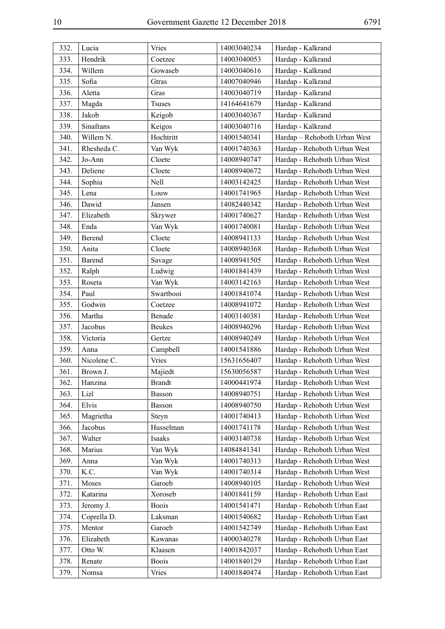| 332. | Lucia       | Vries         | 14003040234 | Hardap - Kalkrand            |
|------|-------------|---------------|-------------|------------------------------|
| 333. | Hendrik     | Coetzee       | 14003040053 | Hardap - Kalkrand            |
| 334. | Willem      | Gowaseb       | 14003040616 | Hardap - Kalkrand            |
| 335. | Sofia       | Gtras         | 14007040946 | Hardap - Kalkrand            |
| 336. | Aletta      | Gras          | 14003040719 | Hardap - Kalkrand            |
| 337. | Magda       | <b>Tsuses</b> | 14164641679 | Hardap - Kalkrand            |
| 338. | Jakob       | Keigob        | 14003040367 | Hardap - Kalkrand            |
| 339. | Sinafrans   | Keigos        | 14003040716 | Hardap - Kalkrand            |
| 340. | Willem N.   | Hochtritt     | 14001540341 | Hardap - Rehoboth Urban West |
| 341. | Rhesheda C. | Van Wyk       | 14001740363 | Hardap - Rehoboth Urban West |
| 342. | Jo-Ann      | Cloete        | 14008940747 | Hardap - Rehoboth Urban West |
| 343. | Deliene     | Cloete        | 14008940672 | Hardap - Rehoboth Urban West |
| 344. | Sophia      | Nell          | 14003142425 | Hardap - Rehoboth Urban West |
| 345. | Lena        | Louw          | 14001741965 | Hardap - Rehoboth Urban West |
| 346. | Dawid       | Jansen        | 14082440342 | Hardap - Rehoboth Urban West |
| 347. | Elizabeth   | Skrywer       | 14001740627 | Hardap - Rehoboth Urban West |
| 348. | Enda        | Van Wyk       | 14001740081 | Hardap - Rehoboth Urban West |
| 349. | Berend      | Cloete        | 14008941133 | Hardap - Rehoboth Urban West |
| 350. | Anita       | Cloete        | 14008940368 | Hardap - Rehoboth Urban West |
| 351. | Barend      | Savage        | 14008941505 | Hardap - Rehoboth Urban West |
| 352. | Ralph       | Ludwig        | 14001841439 | Hardap - Rehoboth Urban West |
| 353. | Roseta      | Van Wyk       | 14003142163 | Hardap - Rehoboth Urban West |
| 354. | Paul        | Swartbooi     | 14001841074 | Hardap - Rehoboth Urban West |
| 355. | Godwin      | Coetzee       | 14008941072 | Hardap - Rehoboth Urban West |
| 356. | Martha      | Benade        | 14003140381 | Hardap - Rehoboth Urban West |
| 357. | Jacobus     | <b>Beukes</b> | 14008940296 | Hardap - Rehoboth Urban West |
| 358. | Victoria    | Gertze        | 14008940249 | Hardap - Rehoboth Urban West |
| 359. | Anna        | Campbell      | 14001541886 | Hardap - Rehoboth Urban West |
| 360. | Nicolene C. | <b>Vries</b>  | 15631656407 | Hardap - Rehoboth Urban West |
| 361. | Brown J.    | Majiedt       | 15630056587 | Hardap - Rehoboth Urban West |
| 362. | Hanzina     | <b>Brandt</b> | 14000441974 | Hardap - Rehoboth Urban West |
| 363. | Lizl        | Basson        | 14008940751 | Hardap - Rehoboth Urban West |
| 364. | Elvis       | Basson        | 14008940750 | Hardap - Rehoboth Urban West |
| 365. | Magrietha   | Steyn         | 14001740413 | Hardap - Rehoboth Urban West |
| 366. | Jacobus     | Husselman     | 14001741178 | Hardap - Rehoboth Urban West |
| 367. | Walter      | Isaaks        | 14003140738 | Hardap - Rehoboth Urban West |
| 368. | Marius      | Van Wyk       | 14084841341 | Hardap - Rehoboth Urban West |
| 369. | Anna        | Van Wyk       | 14001740313 | Hardap - Rehoboth Urban West |
| 370. | K.C.        | Van Wyk       | 14001740314 | Hardap - Rehoboth Urban West |
| 371. | Moses       | Garoeb        | 14008940105 | Hardap - Rehoboth Urban West |
| 372. | Katarina    | Xoroseb       | 14001841159 | Hardap - Rehoboth Urban East |
| 373. | Jeromy J.   | <b>Boois</b>  | 14001541471 | Hardap - Rehoboth Urban East |
| 374. | Coprella D. | Laksman       | 14001540682 | Hardap - Rehoboth Urban East |
| 375. | Mentor      | Garoeb        | 14001542749 | Hardap - Rehoboth Urban East |
| 376. | Elizabeth   | Kawanas       | 14000340278 | Hardap - Rehoboth Urban East |
| 377. | Otto W.     | Klaasen       | 14001842037 | Hardap - Rehoboth Urban East |
| 378. | Renate      | <b>Boois</b>  | 14001840129 | Hardap - Rehoboth Urban East |
| 379. | Nomsa       | Vries         | 14001840474 | Hardap - Rehoboth Urban East |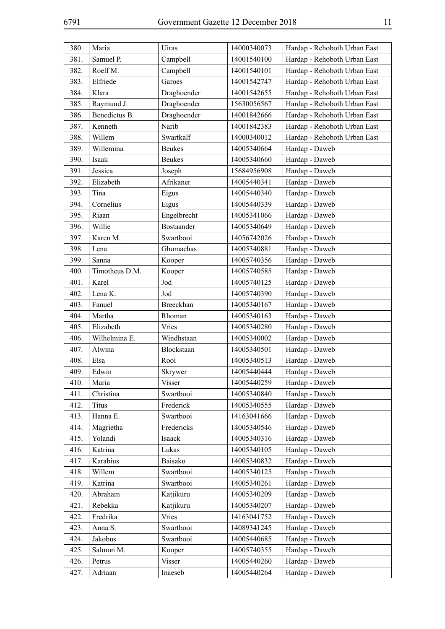| 380. | Maria          | Uiras             | 14000340073 | Hardap - Rehoboth Urban East |
|------|----------------|-------------------|-------------|------------------------------|
| 381. | Samuel P.      | Campbell          | 14001540100 | Hardap - Rehoboth Urban East |
| 382. | Roelf M.       | Campbell          | 14001540101 | Hardap - Rehoboth Urban East |
| 383. | Elfriede       | Garoes            | 14001542747 | Hardap - Rehoboth Urban East |
| 384. | Klara          | Draghoender       | 14001542655 | Hardap - Rehoboth Urban East |
| 385. | Raymund J.     | Draghoender       | 15630056567 | Hardap - Rehoboth Urban East |
| 386. | Benedictus B.  | Draghoender       | 14001842666 | Hardap - Rehoboth Urban East |
| 387. | Kenneth        | Narib             | 14001842383 | Hardap - Rehoboth Urban East |
| 388. | Willem         | Swartkalf         | 14000340012 | Hardap - Rehoboth Urban East |
| 389. | Willemina      | <b>Beukes</b>     | 14005340664 | Hardap - Daweb               |
| 390. | Isaak          | <b>Beukes</b>     | 14005340660 | Hardap - Daweb               |
| 391. | Jessica        | Joseph            | 15684956908 | Hardap - Daweb               |
| 392. | Elizabeth      | Afrikaner         | 14005440341 | Hardap - Daweb               |
| 393. | Tina           | Eigus             | 14005440340 | Hardap - Daweb               |
| 394. | Cornelius      | Eigus             | 14005440339 | Hardap - Daweb               |
| 395. | Riaan          | Engelbrecht       | 14005341066 | Hardap - Daweb               |
| 396. | Willie         | <b>Bostaander</b> | 14005340649 | Hardap - Daweb               |
| 397. | Karen M.       | Swartbooi         | 14056742026 | Hardap - Daweb               |
| 398. | Lena           | Ghomachas         | 14005340881 | Hardap - Daweb               |
| 399. | Sanna          | Kooper            | 14005740356 | Hardap - Daweb               |
| 400. | Timotheus D.M. | Kooper            | 14005740585 | Hardap - Daweb               |
| 401. | Karel          | Jod               | 14005740125 | Hardap - Daweb               |
| 402. | Lena K.        | Jod               | 14005740390 | Hardap - Daweb               |
| 403. | Fanuel         | Breeckhan         | 14005340167 | Hardap - Daweb               |
| 404. | Martha         | Rhoman            | 14005340163 | Hardap - Daweb               |
| 405. | Elizabeth      | Vries             | 14005340280 | Hardap - Daweb               |
| 406. | Wilhelmina E.  | Windhstaan        | 14005340002 | Hardap - Daweb               |
| 407. | Alwina         | Blockstaan        | 14005340501 | Hardap - Daweb               |
| 408. | Elsa           | Rooi              | 14005340513 | Hardap - Daweb               |
| 409. | Edwin          | Skrywer           | 14005440444 | Hardap - Daweb               |
| 410. | Maria          | <b>Visser</b>     | 14005440259 | Hardap - Daweb               |
| 411. | Christina      | Swartbooi         | 14005340840 | Hardap - Daweb               |
| 412. | <b>Titus</b>   | Frederick         | 14005340555 | Hardap - Daweb               |
| 413. | Hanna E.       | Swartbooi         | 14163041666 | Hardap - Daweb               |
| 414. | Magrietha      | Fredericks        | 14005340546 | Hardap - Daweb               |
| 415. | Yolandi        | Isaack            | 14005340316 | Hardap - Daweb               |
| 416. | Katrina        | Lukas             | 14005340105 | Hardap - Daweb               |
| 417. | Karabius       | Baisako           | 14005340832 | Hardap - Daweb               |
| 418. | Willem         | Swartbooi         | 14005340125 | Hardap - Daweb               |
| 419. | Katrina        | Swartbooi         | 14005340261 | Hardap - Daweb               |
| 420. | Abraham        | Katjikuru         | 14005340209 | Hardap - Daweb               |
| 421. | Rebekka        | Katjikuru         | 14005340207 | Hardap - Daweb               |
| 422. | Fredrika       | Vries             | 14163041752 | Hardap - Daweb               |
| 423. | Anna S.        | Swartbooi         | 14089341245 | Hardap - Daweb               |
| 424. | Jakobus        | Swartbooi         | 14005440685 | Hardap - Daweb               |
| 425. | Salmon M.      | Kooper            | 14005740355 | Hardap - Daweb               |
| 426. | Petrus         | Visser            | 14005440260 | Hardap - Daweb               |
| 427. | Adriaan        | Inaeseb           | 14005440264 | Hardap - Daweb               |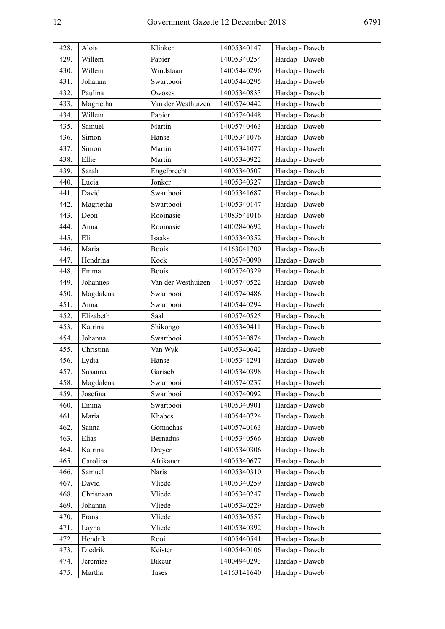| 428. | Alois      | Klinker            | 14005340147 | Hardap - Daweb |
|------|------------|--------------------|-------------|----------------|
| 429. | Willem     | Papier             | 14005340254 | Hardap - Daweb |
| 430. | Willem     | Windstaan          | 14005440296 | Hardap - Daweb |
| 431. | Johanna    | Swartbooi          | 14005440295 | Hardap - Daweb |
| 432. | Paulina    | Owoses             | 14005340833 | Hardap - Daweb |
| 433. | Magrietha  | Van der Westhuizen | 14005740442 | Hardap - Daweb |
| 434. | Willem     | Papier             | 14005740448 | Hardap - Daweb |
| 435. | Samuel     | Martin             | 14005740463 | Hardap - Daweb |
| 436. | Simon      | Hanse              | 14005341076 | Hardap - Daweb |
| 437. | Simon      | Martin             | 14005341077 | Hardap - Daweb |
| 438. | Ellie      | Martin             | 14005340922 | Hardap - Daweb |
| 439. | Sarah      | Engelbrecht        | 14005340507 | Hardap - Daweb |
| 440. | Lucia      | Jonker             | 14005340327 | Hardap - Daweb |
| 441. | David      | Swartbooi          | 14005341687 | Hardap - Daweb |
| 442. | Magrietha  | Swartbooi          | 14005340147 | Hardap - Daweb |
| 443. | Deon       | Rooinasie          | 14083541016 | Hardap - Daweb |
| 444. | Anna       | Rooinasie          | 14002840692 | Hardap - Daweb |
| 445. | Eli        | Isaaks             | 14005340352 | Hardap - Daweb |
| 446. | Maria      | <b>Boois</b>       | 14163041700 | Hardap - Daweb |
| 447. | Hendrina   | Kock               | 14005740090 | Hardap - Daweb |
| 448. | Emma       | <b>Boois</b>       | 14005740329 | Hardap - Daweb |
| 449. | Johannes   | Van der Westhuizen | 14005740522 | Hardap - Daweb |
| 450. | Magdalena  | Swartbooi          | 14005740486 | Hardap - Daweb |
| 451. | Anna       | Swartbooi          | 14005440294 | Hardap - Daweb |
| 452. | Elizabeth  | Saal               | 14005740525 | Hardap - Daweb |
| 453. | Katrina    | Shikongo           | 14005340411 | Hardap - Daweb |
| 454. | Johanna    | Swartbooi          | 14005340874 | Hardap - Daweb |
| 455. | Christina  | Van Wyk            | 14005340642 | Hardap - Daweb |
| 456. | Lydia      | Hanse              | 14005341291 | Hardap - Daweb |
| 457. | Susanna    | Gariseb            | 14005340398 | Hardap - Daweb |
| 458. | Magdalena  | Swartbooi          | 14005740237 | Hardap - Daweb |
| 459. | Josefina   | Swartbooi          | 14005740092 | Hardap - Daweb |
| 460. | Emma       | Swartbooi          | 14005340901 | Hardap - Daweb |
| 461. | Maria      | Khabes             | 14005440724 | Hardap - Daweb |
| 462. | Sanna      | Gomachas           | 14005740163 | Hardap - Daweb |
| 463. | Elias      | <b>Bernadus</b>    | 14005340566 | Hardap - Daweb |
| 464. | Katrina    | Dreyer             | 14005340306 | Hardap - Daweb |
| 465. | Carolina   | Afrikaner          | 14005340677 | Hardap - Daweb |
| 466. | Samuel     | <b>Naris</b>       | 14005340310 | Hardap - Daweb |
| 467. | David      | Vliede             | 14005340259 | Hardap - Daweb |
| 468. | Christiaan | Vliede             | 14005340247 | Hardap - Daweb |
| 469. | Johanna    | Vliede             | 14005340229 | Hardap - Daweb |
| 470. | Frans      | Vliede             | 14005340557 | Hardap - Daweb |
| 471. | Layha      | Vliede             | 14005340392 | Hardap - Daweb |
| 472. | Hendrik    | Rooi               | 14005440541 | Hardap - Daweb |
| 473. | Diedrik    | Keister            | 14005440106 | Hardap - Daweb |
| 474. | Jeremias   | Bikeur             | 14004940293 | Hardap - Daweb |
| 475. | Martha     | Tases              | 14163141640 | Hardap - Daweb |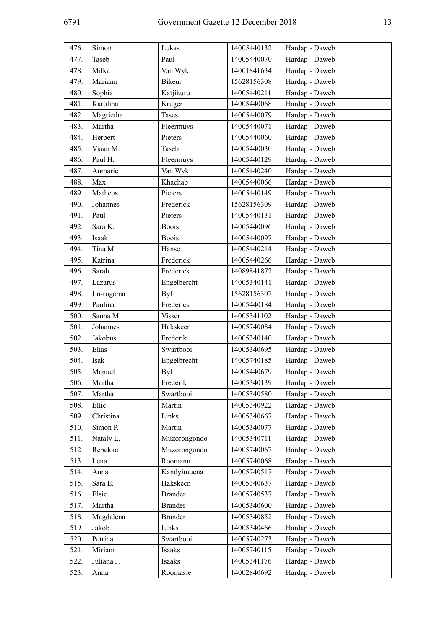| 476. | Simon      | Lukas          | 14005440132 | Hardap - Daweb |
|------|------------|----------------|-------------|----------------|
| 477. | Taseb      | Paul           | 14005440070 | Hardap - Daweb |
| 478. | Milka      | Van Wyk        | 14001841634 | Hardap - Daweb |
| 479. | Mariana    | <b>Bikeur</b>  | 15628156308 | Hardap - Daweb |
| 480. | Sophia     | Katjikuru      | 14005440211 | Hardap - Daweb |
| 481. | Karolina   | Kruger         | 14005440068 | Hardap - Daweb |
| 482. | Magrietha  | <b>Tases</b>   | 14005440079 | Hardap - Daweb |
| 483. | Martha     | Fleermuys      | 14005440071 | Hardap - Daweb |
| 484. | Herbert    | Pieters        | 14005440060 | Hardap - Daweb |
| 485. | Viaan M.   | Taseb          | 14005440030 | Hardap - Daweb |
| 486. | Paul H.    | Fleermuys      | 14005440129 | Hardap - Daweb |
| 487. | Anmarie    | Van Wyk        | 14005440240 | Hardap - Daweb |
| 488. | Max        | Khachab        | 14005440066 | Hardap - Daweb |
| 489. | Matheus    | Pieters        | 14005440149 | Hardap - Daweb |
| 490. | Johannes   | Frederick      | 15628156309 | Hardap - Daweb |
| 491. | Paul       | Pieters        | 14005440131 | Hardap - Daweb |
| 492. | Sara K.    | <b>Boois</b>   | 14005440096 | Hardap - Daweb |
| 493. | Isaak      | <b>Boois</b>   | 14005440097 | Hardap - Daweb |
| 494. | Tina M.    | Hanse          | 14005440214 | Hardap - Daweb |
| 495. | Katrina    | Frederick      | 14005440266 | Hardap - Daweb |
| 496. | Sarah      | Frederick      | 14089841872 | Hardap - Daweb |
| 497. | Lazarus    | Engelbercht    | 14005340141 | Hardap - Daweb |
| 498. | Lo-rogama  | <b>Byl</b>     | 15628156307 | Hardap - Daweb |
| 499. | Paulina    | Frederick      | 14005440184 | Hardap - Daweb |
| 500. | Sanna M.   | <b>Visser</b>  | 14005341102 | Hardap - Daweb |
| 501. | Johannes   | Hakskeen       | 14005740084 | Hardap - Daweb |
| 502. | Jakobus    | Frederik       | 14005340140 | Hardap - Daweb |
| 503. | Elias      | Swartbooi      | 14005340695 | Hardap - Daweb |
| 504. | Isak       | Engelbrecht    | 14005740185 | Hardap - Daweb |
| 505. | Manuel     | <b>Byl</b>     | 14005440679 | Hardap - Daweb |
| 506. | Martha     | Frederik       | 14005340139 | Hardap - Daweb |
| 507. | Martha     | Swartbooi      | 14005340580 | Hardap - Daweb |
| 508. | Ellie      | Martin         | 14005340922 | Hardap - Daweb |
| 509. | Christina  | Links          | 14005340667 | Hardap - Daweb |
| 510. | Simon P.   | Martin         | 14005340077 | Hardap - Daweb |
| 511. | Nataly L.  | Muzorongondo   | 14005340711 | Hardap - Daweb |
| 512. | Rebekka    | Muzorongondo   | 14005740067 | Hardap - Daweb |
| 513. | Lena       | Roomann        | 14005740068 | Hardap - Daweb |
| 514. | Anna       | Kandyimuena    | 14005740517 | Hardap - Daweb |
| 515. | Sara E.    | Hakskeen       | 14005340637 | Hardap - Daweb |
| 516. | Elsie      | <b>Brander</b> | 14005740537 | Hardap - Daweb |
| 517. | Martha     | <b>Brander</b> | 14005340600 | Hardap - Daweb |
| 518. | Magdalena  | <b>Brander</b> | 14005340852 | Hardap - Daweb |
| 519. | Jakob      | Links          | 14005340466 | Hardap - Daweb |
| 520. | Petrina    | Swartbooi      | 14005740273 | Hardap - Daweb |
| 521. | Miriam     | Isaaks         | 14005740115 | Hardap - Daweb |
| 522. | Juliana J. | Isaaks         | 14005341176 | Hardap - Daweb |
| 523. | Anna       | Rooinasie      | 14002840692 | Hardap - Daweb |
|      |            |                |             |                |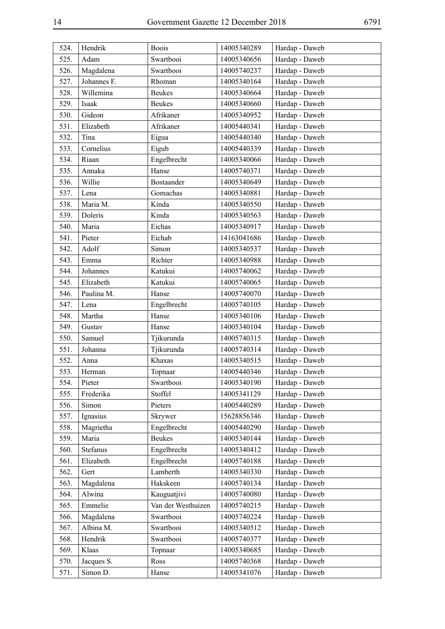| 524. | Hendrik     | <b>Boois</b>       | 14005340289 | Hardap - Daweb |
|------|-------------|--------------------|-------------|----------------|
| 525. | Adam        | Swartbooi          | 14005340656 | Hardap - Daweb |
| 526. | Magdalena   | Swartbooi          | 14005740237 | Hardap - Daweb |
| 527. | Johannes F. | Rhoman             | 14005340164 | Hardap - Daweb |
| 528. | Willemina   | <b>Beukes</b>      | 14005340664 | Hardap - Daweb |
| 529. | Isaak       | <b>Beukes</b>      | 14005340660 | Hardap - Daweb |
| 530. | Gideon      | Afrikaner          | 14005340952 | Hardap - Daweb |
| 531. | Elizabeth   | Afrikaner          | 14005440341 | Hardap - Daweb |
| 532. | Tina        | Eigua              | 14005440340 | Hardap - Daweb |
| 533. | Cornelius   | Eigub              | 14005440339 | Hardap - Daweb |
| 534. | Riaan       | Engelbrecht        | 14005340066 | Hardap - Daweb |
| 535. | Annaka      | Hanse              | 14005740371 | Hardap - Daweb |
| 536. | Willie      | Bostaander         | 14005340649 | Hardap - Daweb |
| 537. | Lena        | Gomachas           | 14005340881 | Hardap - Daweb |
| 538. | Maria M.    | Kinda              | 14005340550 | Hardap - Daweb |
| 539. | Doleris     | Kinda              | 14005340563 | Hardap - Daweb |
| 540. | Maria       | Eichas             | 14005340917 | Hardap - Daweb |
| 541. | Pieter      | Eichab             | 14163041686 | Hardap - Daweb |
| 542. | Adolf       | Simon              | 14005340537 | Hardap - Daweb |
| 543. | Emma        | Richter            | 14005340988 | Hardap - Daweb |
| 544. | Johannes    | Katukui            | 14005740062 | Hardap - Daweb |
| 545. | Elizabeth   | Katukui            | 14005740065 | Hardap - Daweb |
| 546. | Paulina M.  | Hanse              | 14005740070 | Hardap - Daweb |
| 547. | Lena        | Engelbrecht        | 14005740105 | Hardap - Daweb |
| 548. | Martha      | Hanse              | 14005340106 | Hardap - Daweb |
| 549. | Gustav      | Hanse              | 14005340104 | Hardap - Daweb |
| 550. | Samuel      | Tjikurunda         | 14005740315 | Hardap - Daweb |
| 551. | Johanna     | Tjikurunda         | 14005740314 | Hardap - Daweb |
| 552. | Anna        | Khaxas             | 14005340515 | Hardap - Daweb |
| 553. | Herman      | Topnaar            | 14005440346 | Hardap - Daweb |
| 554. | Pieter      | Swartbooi          | 14005340190 | Hardap - Daweb |
| 555. | Frederika   | Stoffel            | 14005341129 | Hardap - Daweb |
| 556. | Simon       | Pieters            | 14005440289 | Hardap - Daweb |
| 557. | Ignasius    | Skrywer            | 15628856346 | Hardap - Daweb |
| 558. | Magrietha   | Engelbrecht        | 14005440290 | Hardap - Daweb |
| 559. | Maria       | <b>Beukes</b>      | 14005340144 | Hardap - Daweb |
| 560. | Stefanus    | Engelbrecht        | 14005340412 | Hardap - Daweb |
| 561. | Elizabeth   | Engelbrecht        | 14005740188 | Hardap - Daweb |
| 562. | Gert        | Lamberth           | 14005340330 | Hardap - Daweb |
| 563. | Magdalena   | Hakskeen           | 14005740134 | Hardap - Daweb |
| 564. | Alwina      | Kauguatjivi        | 14005740080 | Hardap - Daweb |
| 565. | Emmelie     | Van der Westhuizen | 14005740215 | Hardap - Daweb |
| 566. | Magdalena   | Swartbooi          | 14005740224 | Hardap - Daweb |
| 567. | Albina M.   | Swartbooi          | 14005340512 | Hardap - Daweb |
| 568. | Hendrik     | Swartbooi          | 14005740377 | Hardap - Daweb |
| 569. | Klaas       | Topnaar            | 14005340685 | Hardap - Daweb |
| 570. | Jacques S.  | Ross               | 14005740368 | Hardap - Daweb |
| 571. | Simon D.    | Hanse              | 14005341076 | Hardap - Daweb |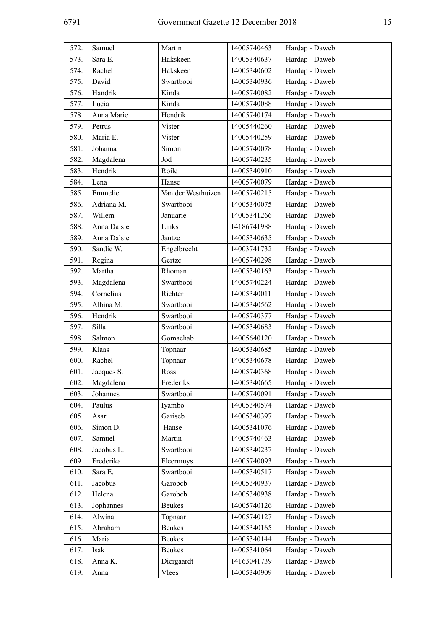| 572. | Samuel      | Martin             | 14005740463 | Hardap - Daweb |
|------|-------------|--------------------|-------------|----------------|
| 573. | Sara E.     | Hakskeen           | 14005340637 | Hardap - Daweb |
| 574. | Rachel      | Hakskeen           | 14005340602 | Hardap - Daweb |
| 575. | David       | Swartbooi          | 14005340936 | Hardap - Daweb |
| 576. | Handrik     | Kinda              | 14005740082 | Hardap - Daweb |
| 577. | Lucia       | Kinda              | 14005740088 | Hardap - Daweb |
| 578. | Anna Marie  | Hendrik            | 14005740174 | Hardap - Daweb |
| 579. | Petrus      | Vister             | 14005440260 | Hardap - Daweb |
| 580. | Maria E.    | Vister             | 14005440259 | Hardap - Daweb |
| 581. | Johanna     | Simon              | 14005740078 | Hardap - Daweb |
| 582. | Magdalena   | Jod                | 14005740235 | Hardap - Daweb |
| 583. | Hendrik     | Roile              | 14005340910 | Hardap - Daweb |
| 584. | Lena        | Hanse              | 14005740079 | Hardap - Daweb |
| 585. | Emmelie     | Van der Westhuizen | 14005740215 | Hardap - Daweb |
| 586. | Adriana M.  | Swartbooi          | 14005340075 | Hardap - Daweb |
| 587. | Willem      | Januarie           | 14005341266 | Hardap - Daweb |
| 588. | Anna Dalsie | Links              | 14186741988 | Hardap - Daweb |
| 589. | Anna Dalsie | Jantze             | 14005340635 | Hardap - Daweb |
| 590. | Sandie W.   | Engelbrecht        | 14003741732 | Hardap - Daweb |
| 591. | Regina      | Gertze             | 14005740298 | Hardap - Daweb |
| 592. | Martha      | Rhoman             | 14005340163 | Hardap - Daweb |
| 593. | Magdalena   | Swartbooi          | 14005740224 | Hardap - Daweb |
| 594. | Cornelius   | Richter            | 14005340011 | Hardap - Daweb |
| 595. | Albina M.   | Swartbooi          | 14005340562 | Hardap - Daweb |
| 596. | Hendrik     | Swartbooi          | 14005740377 | Hardap - Daweb |
| 597. | Silla       | Swartbooi          | 14005340683 | Hardap - Daweb |
| 598. | Salmon      | Gomachab           | 14005640120 | Hardap - Daweb |
| 599. | Klaas       | Topnaar            | 14005340685 | Hardap - Daweb |
| 600. | Rachel      | Topnaar            | 14005340678 | Hardap - Daweb |
| 601. | Jacques S.  | Ross               | 14005740368 | Hardap - Daweb |
| 602. | Magdalena   | Frederiks          | 14005340665 | Hardap - Daweb |
| 603. | Johannes    | Swartbooi          | 14005740091 | Hardap - Daweb |
| 604. | Paulus      | Iyambo             | 14005340574 | Hardap - Daweb |
| 605. | Asar        | Gariseb            | 14005340397 | Hardap - Daweb |
| 606. | Simon D.    | Hanse              | 14005341076 | Hardap - Daweb |
| 607. | Samuel      | Martin             | 14005740463 | Hardap - Daweb |
| 608. | Jacobus L.  | Swartbooi          | 14005340237 | Hardap - Daweb |
| 609. | Frederika   | Fleermuys          | 14005740093 | Hardap - Daweb |
| 610. | Sara E.     | Swartbooi          | 14005340517 | Hardap - Daweb |
| 611. | Jacobus     | Garobeb            | 14005340937 | Hardap - Daweb |
| 612. | Helena      | Garobeb            | 14005340938 | Hardap - Daweb |
| 613. | Jophannes   | <b>Beukes</b>      | 14005740126 | Hardap - Daweb |
| 614. | Alwina      | Topnaar            | 14005740127 | Hardap - Daweb |
| 615. | Abraham     | <b>Beukes</b>      | 14005340165 | Hardap - Daweb |
| 616. | Maria       | <b>Beukes</b>      | 14005340144 | Hardap - Daweb |
| 617. | Isak        | <b>Beukes</b>      | 14005341064 | Hardap - Daweb |
| 618. | Anna K.     | Diergaardt         | 14163041739 | Hardap - Daweb |
| 619. | Anna        | Vlees              | 14005340909 | Hardap - Daweb |
|      |             |                    |             |                |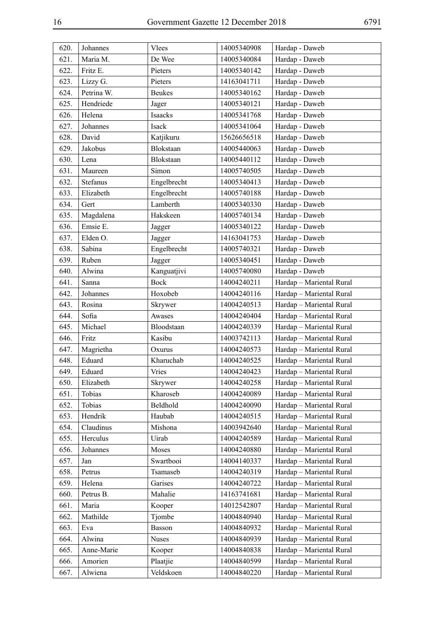| 620. | Johannes   | Vlees         | 14005340908 | Hardap - Daweb           |
|------|------------|---------------|-------------|--------------------------|
| 621. | Maria M.   | De Wee        | 14005340084 | Hardap - Daweb           |
| 622. | Fritz E.   | Pieters       | 14005340142 | Hardap - Daweb           |
| 623. | Lizzy G.   | Pieters       | 14163041711 | Hardap - Daweb           |
| 624. | Petrina W. | <b>Beukes</b> | 14005340162 | Hardap - Daweb           |
| 625. | Hendriede  | Jager         | 14005340121 | Hardap - Daweb           |
| 626. | Helena     | Isaacks       | 14005341768 | Hardap - Daweb           |
| 627. | Johannes   | Isack         | 14005341064 | Hardap - Daweb           |
| 628. | David      | Katjikuru     | 15626656518 | Hardap - Daweb           |
| 629. | Jakobus    | Blokstaan     | 14005440063 | Hardap - Daweb           |
| 630. | Lena       | Blokstaan     | 14005440112 | Hardap - Daweb           |
| 631. | Maureen    | Simon         | 14005740505 | Hardap - Daweb           |
| 632. | Stefanus   | Engelbrecht   | 14005340413 | Hardap - Daweb           |
| 633. | Elizabeth  | Engelbrecht   | 14005740188 | Hardap - Daweb           |
| 634. | Gert       | Lamberth      | 14005340330 | Hardap - Daweb           |
| 635. | Magdalena  | Hakskeen      | 14005740134 | Hardap - Daweb           |
| 636. | Emsie E.   | Jagger        | 14005340122 | Hardap - Daweb           |
| 637. | Elden O.   | Jagger        | 14163041753 | Hardap - Daweb           |
| 638. | Sabina     | Engelbrecht   | 14005740321 | Hardap - Daweb           |
| 639. | Ruben      | Jagger        | 14005340451 | Hardap - Daweb           |
| 640. | Alwina     | Kanguatjivi   | 14005740080 | Hardap - Daweb           |
| 641. | Sanna      | <b>Bock</b>   | 14004240211 | Hardap - Mariental Rural |
| 642. | Johannes   | Hoxobeb       | 14004240116 | Hardap - Mariental Rural |
| 643. | Rosina     | Skrywer       | 14004240513 | Hardap - Mariental Rural |
| 644. | Sofia      | Awases        | 14004240404 | Hardap - Mariental Rural |
| 645. | Michael    | Bloodstaan    | 14004240339 | Hardap - Mariental Rural |
| 646. | Fritz      | Kasibu        | 14003742113 | Hardap - Mariental Rural |
| 647. | Magrietha  | Oxurus        | 14004240573 | Hardap - Mariental Rural |
| 648. | Eduard     | Kharuchab     | 14004240525 | Hardap - Mariental Rural |
| 649. | Eduard     | Vries         | 14004240423 | Hardap - Mariental Rural |
| 650. | Elizabeth  | Skrywer       | 14004240258 | Hardap - Mariental Rural |
| 651. | Tobias     | Kharoseb      | 14004240089 | Hardap - Mariental Rural |
| 652. | Tobias     | Beldhold      | 14004240090 | Hardap - Mariental Rural |
| 653. | Hendrik    | Haubab        | 14004240515 | Hardap - Mariental Rural |
| 654. | Claudinus  | Mishona       | 14003942640 | Hardap - Mariental Rural |
| 655. | Herculus   | Uirab         | 14004240589 | Hardap - Mariental Rural |
| 656. | Johannes   | Moses         | 14004240880 | Hardap - Mariental Rural |
| 657. | Jan        | Swartbooi     | 14004140337 | Hardap - Mariental Rural |
| 658. | Petrus     | Tsamaseb      | 14004240319 | Hardap - Mariental Rural |
| 659. | Helena     | Garises       | 14004240722 | Hardap - Mariental Rural |
| 660. | Petrus B.  | Mahalie       | 14163741681 | Hardap - Mariental Rural |
| 661. | Maria      | Kooper        | 14012542807 | Hardap - Mariental Rural |
| 662. | Mathilde   | Tjombe        | 14004840940 | Hardap - Mariental Rural |
| 663. | Eva        | Basson        | 14004840932 | Hardap - Mariental Rural |
| 664. | Alwina     | <b>Nuses</b>  | 14004840939 | Hardap - Mariental Rural |
| 665. | Anne-Marie | Kooper        | 14004840838 | Hardap - Mariental Rural |
| 666. | Amorien    | Plaatjie      | 14004840599 | Hardap - Mariental Rural |
| 667. | Alwiena    | Veldskoen     | 14004840220 | Hardap - Mariental Rural |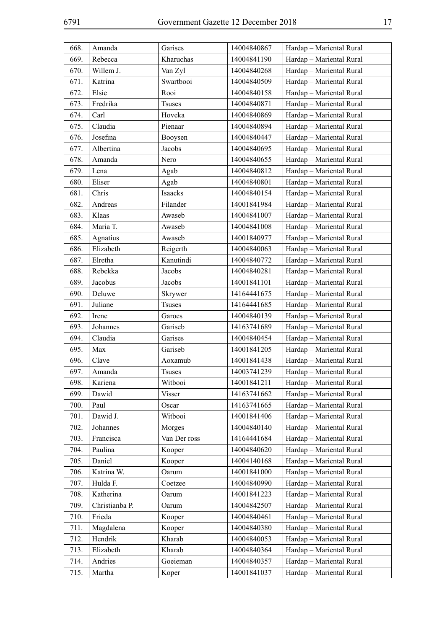| 668. | Amanda         | Garises       | 14004840867 | Hardap - Mariental Rural |
|------|----------------|---------------|-------------|--------------------------|
| 669. | Rebecca        | Kharuchas     | 14004841190 | Hardap - Mariental Rural |
| 670. | Willem J.      | Van Zyl       | 14004840268 | Hardap - Mariental Rural |
| 671. | Katrina        | Swartbooi     | 14004840509 | Hardap - Mariental Rural |
| 672. | Elsie          | Rooi          | 14004840158 | Hardap - Mariental Rural |
| 673. | Fredrika       | <b>Tsuses</b> | 14004840871 | Hardap - Mariental Rural |
| 674. | Carl           | Hoveka        | 14004840869 | Hardap - Mariental Rural |
| 675. | Claudia        | Pienaar       | 14004840894 | Hardap - Mariental Rural |
| 676. | Josefina       | Booysen       | 14004840447 | Hardap - Mariental Rural |
| 677. | Albertina      | Jacobs        | 14004840695 | Hardap - Mariental Rural |
| 678. | Amanda         | Nero          | 14004840655 | Hardap - Mariental Rural |
| 679. | Lena           | Agab          | 14004840812 | Hardap - Mariental Rural |
| 680. | Eliser         | Agab          | 14004840801 | Hardap - Mariental Rural |
| 681. | Chris          | Isaacks       | 14004840154 | Hardap - Mariental Rural |
| 682. | Andreas        | Filander      | 14001841984 | Hardap - Mariental Rural |
| 683. | Klaas          | Awaseb        | 14004841007 | Hardap - Mariental Rural |
| 684. | Maria T.       | Awaseb        | 14004841008 | Hardap - Mariental Rural |
| 685. | Agnatius       | Awaseb        | 14001840977 | Hardap - Mariental Rural |
| 686. | Elizabeth      | Reigerth      | 14004840063 | Hardap - Mariental Rural |
| 687. | Elretha        | Kanutindi     | 14004840772 | Hardap - Mariental Rural |
| 688. | Rebekka        | Jacobs        | 14004840281 | Hardap - Mariental Rural |
| 689. | Jacobus        | Jacobs        | 14001841101 | Hardap - Mariental Rural |
| 690. | Deluwe         | Skrywer       | 14164441675 | Hardap - Mariental Rural |
| 691. | Juliane        | <b>Tsuses</b> | 14164441685 | Hardap - Mariental Rural |
| 692. | Irene          | Garoes        | 14004840139 | Hardap - Mariental Rural |
| 693. | Johannes       | Gariseb       | 14163741689 | Hardap - Mariental Rural |
| 694. | Claudia        | Garises       | 14004840454 | Hardap - Mariental Rural |
| 695. | Max            | Gariseb       | 14001841205 | Hardap - Mariental Rural |
| 696. | Clave          | Aoxamub       | 14001841438 | Hardap - Mariental Rural |
| 697. | Amanda         | <b>Tsuses</b> | 14003741239 | Hardap - Mariental Rural |
| 698. | Kariena        | Witbooi       | 14001841211 | Hardap - Mariental Rural |
| 699. | Dawid          | <b>Visser</b> | 14163741662 | Hardap - Mariental Rural |
| 700. | Paul           | Oscar         | 14163741665 | Hardap - Mariental Rural |
| 701. | Dawid J.       | Witbooi       | 14001841406 | Hardap - Mariental Rural |
| 702. | Johannes       | Morges        | 14004840140 | Hardap - Mariental Rural |
| 703. | Francisca      | Van Der ross  | 14164441684 | Hardap - Mariental Rural |
| 704. | Paulina        | Kooper        | 14004840620 | Hardap - Mariental Rural |
| 705. | Daniel         | Kooper        | 14004140168 | Hardap - Mariental Rural |
| 706. | Katrina W.     | Oarum         | 14001841000 | Hardap - Mariental Rural |
| 707. | Hulda F.       | Coetzee       | 14004840990 | Hardap - Mariental Rural |
| 708. | Katherina      | Oarum         | 14001841223 | Hardap - Mariental Rural |
| 709. | Christianba P. | Oarum         | 14004842507 | Hardap - Mariental Rural |
| 710. | Frieda         | Kooper        | 14004840461 | Hardap - Mariental Rural |
| 711. | Magdalena      | Kooper        | 14004840380 | Hardap - Mariental Rural |
| 712. | Hendrik        | Kharab        | 14004840053 | Hardap - Mariental Rural |
| 713. | Elizabeth      | Kharab        | 14004840364 | Hardap - Mariental Rural |
| 714. | Andries        | Goeieman      | 14004840357 | Hardap - Mariental Rural |
| 715. | Martha         | Koper         | 14001841037 | Hardap - Mariental Rural |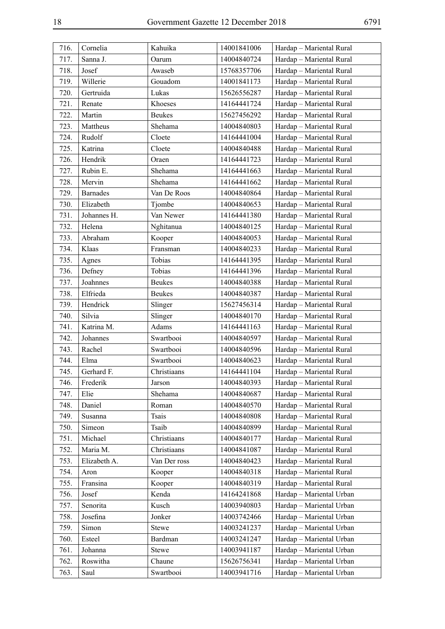| 716. | Cornelia        | Kahuika       | 14001841006 | Hardap - Mariental Rural |
|------|-----------------|---------------|-------------|--------------------------|
| 717. | Sanna J.        | Oarum         | 14004840724 | Hardap - Mariental Rural |
| 718. | Josef           | Awaseb        | 15768357706 | Hardap - Mariental Rural |
| 719. | Willerie        | Gouadom       | 14001841173 | Hardap - Mariental Rural |
| 720. | Gertruida       | Lukas         | 15626556287 | Hardap - Mariental Rural |
| 721. | Renate          | Khoeses       | 14164441724 | Hardap - Mariental Rural |
| 722. | Martin          | <b>Beukes</b> | 15627456292 | Hardap - Mariental Rural |
| 723. | Mattheus        | Shehama       | 14004840803 | Hardap - Mariental Rural |
| 724. | Rudolf          | Cloete        | 14164441004 | Hardap - Mariental Rural |
| 725. | Katrina         | Cloete        | 14004840488 | Hardap - Mariental Rural |
| 726. | Hendrik         | Oraen         | 14164441723 | Hardap - Mariental Rural |
| 727. | Rubin E.        | Shehama       | 14164441663 | Hardap - Mariental Rural |
| 728. | Mervin          | Shehama       | 14164441662 | Hardap - Mariental Rural |
| 729. | <b>Barnades</b> | Van De Roos   | 14004840864 | Hardap - Mariental Rural |
| 730. | Elizabeth       | Tjombe        | 14004840653 | Hardap - Mariental Rural |
| 731. | Johannes H.     | Van Newer     | 14164441380 | Hardap - Mariental Rural |
| 732. | Helena          | Nghitanua     | 14004840125 | Hardap - Mariental Rural |
| 733. | Abraham         | Kooper        | 14004840053 | Hardap - Mariental Rural |
| 734. | Klaas           | Fransman      | 14004840233 | Hardap - Mariental Rural |
| 735. | Agnes           | Tobias        | 14164441395 | Hardap - Mariental Rural |
| 736. | Defney          | Tobias        | 14164441396 | Hardap - Mariental Rural |
| 737. | Joahnnes        | <b>Beukes</b> | 14004840388 | Hardap - Mariental Rural |
| 738. | Elfrieda        | <b>Beukes</b> | 14004840387 | Hardap - Mariental Rural |
| 739. | Hendrick        | Slinger       | 15627456314 | Hardap - Mariental Rural |
| 740. | Silvia          | Slinger       | 14004840170 | Hardap - Mariental Rural |
| 741. | Katrina M.      | Adams         | 14164441163 | Hardap - Mariental Rural |
| 742. | Johannes        | Swartbooi     | 14004840597 | Hardap - Mariental Rural |
| 743. | Rachel          | Swartbooi     | 14004840596 | Hardap - Mariental Rural |
| 744. | Elma            | Swartbooi     | 14004840623 | Hardap - Mariental Rural |
| 745. | Gerhard F.      | Christiaans   | 14164441104 | Hardap - Mariental Rural |
| 746. | Frederik        | Jarson        | 14004840393 | Hardap - Mariental Rural |
| 747. | Elie            | Shehama       | 14004840687 | Hardap - Mariental Rural |
| 748. | Daniel          | Roman         | 14004840570 | Hardap - Mariental Rural |
| 749. | Susanna         | <b>Tsais</b>  | 14004840808 | Hardap - Mariental Rural |
| 750. | Simeon          | Tsaib         | 14004840899 | Hardap - Mariental Rural |
| 751. | Michael         | Christiaans   | 14004840177 | Hardap - Mariental Rural |
| 752. | Maria M.        | Christiaans   | 14004841087 | Hardap - Mariental Rural |
| 753. | Elizabeth A.    | Van Der ross  | 14004840423 | Hardap - Mariental Rural |
| 754. | Aron            | Kooper        | 14004840318 | Hardap - Mariental Rural |
| 755. | Fransina        | Kooper        | 14004840319 | Hardap - Mariental Rural |
| 756. | Josef           | Kenda         | 14164241868 | Hardap - Mariental Urban |
| 757. | Senorita        | Kusch         | 14003940803 | Hardap - Mariental Urban |
| 758. | Josefina        | Jonker        | 14003742466 | Hardap - Mariental Urban |
| 759. | Simon           | <b>Stewe</b>  | 14003241237 | Hardap - Mariental Urban |
| 760. | Esteel          | Bardman       | 14003241247 | Hardap - Mariental Urban |
| 761. | Johanna         | <b>Stewe</b>  | 14003941187 | Hardap - Mariental Urban |
| 762. | Roswitha        | Chaune        | 15626756341 | Hardap - Mariental Urban |
| 763. | Saul            | Swartbooi     | 14003941716 | Hardap - Mariental Urban |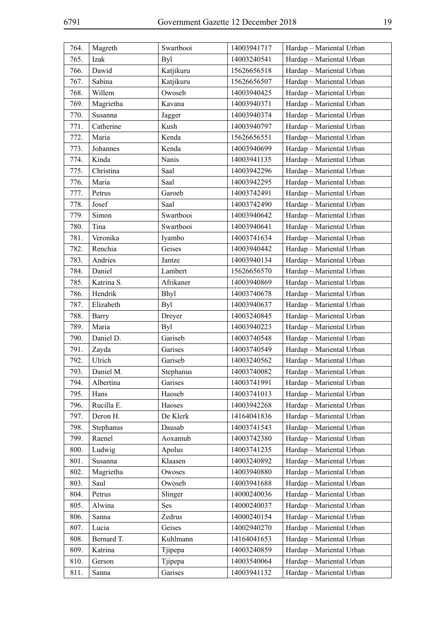| 764. | Magreth      | Swartbooi   | 14003941717 | Hardap - Mariental Urban |
|------|--------------|-------------|-------------|--------------------------|
| 765. | Izak         | Byl         | 14003240541 | Hardap - Mariental Urban |
| 766. | Dawid        | Katjikuru   | 15626656518 | Hardap - Mariental Urban |
| 767. | Sabina       | Katjikuru   | 15626656507 | Hardap - Mariental Urban |
| 768. | Willem       | Owoseb      | 14003940425 | Hardap - Mariental Urban |
| 769. | Magrietha    | Kavana      | 14003940371 | Hardap - Mariental Urban |
| 770. | Susanna      | Jagger      | 14003940374 | Hardap - Mariental Urban |
| 771. | Catherine    | Kush        | 14003940797 | Hardap - Mariental Urban |
| 772. | Maria        | Kenda       | 15626656551 | Hardap - Mariental Urban |
| 773. | Johannes     | Kenda       | 14003940699 | Hardap - Mariental Urban |
| 774. | Kinda        | Nanis       | 14003941135 | Hardap - Mariental Urban |
| 775. | Christina    | Saal        | 14003942296 | Hardap - Mariental Urban |
| 776. | Maria        | Saal        | 14003942295 | Hardap - Mariental Urban |
| 777. | Petrus       | Garoeb      | 14003742491 | Hardap - Mariental Urban |
| 778. | Josef        | Saal        | 14003742490 | Hardap - Mariental Urban |
| 779. | Simon        | Swartbooi   | 14003940642 | Hardap - Mariental Urban |
| 780. | Tina         | Swartbooi   | 14003940641 | Hardap - Mariental Urban |
| 781. | Veronika     | Iyambo      | 14003741634 | Hardap - Mariental Urban |
| 782. | Renchia      | Geises      | 14003940442 | Hardap - Mariental Urban |
| 783. | Andries      | Jantze      | 14003940134 | Hardap - Mariental Urban |
| 784. | Daniel       | Lambert     | 15626656570 | Hardap - Mariental Urban |
| 785. | Katrina S.   | Afrikaner   | 14003940869 | Hardap - Mariental Urban |
| 786. | Hendrik      | <b>Bhyl</b> | 14003740678 | Hardap - Mariental Urban |
| 787. | Elizabeth    | Byl         | 14003940637 | Hardap - Mariental Urban |
| 788. | <b>Barry</b> | Dreyer      | 14003240845 | Hardap - Mariental Urban |
| 789. | Maria        | Byl         | 14003940223 | Hardap - Mariental Urban |
| 790. | Daniel D.    | Gariseb     | 14003740548 | Hardap - Mariental Urban |
| 791. | Zayda        | Garises     | 14003740549 | Hardap - Mariental Urban |
| 792. | Ulrich       | Gariseb     | 14003240562 | Hardap - Mariental Urban |
| 793. | Daniel M.    | Stephanus   | 14003740082 | Hardap - Mariental Urban |
| 794. | Albertina    | Garises     | 14003741991 | Hardap - Mariental Urban |
| 795. | Hans         | Haoseb      | 14003741013 | Hardap - Mariental Urban |
| 796. | Rucilla E.   | Haoses      | 14003942268 | Hardap - Mariental Urban |
| 797. | Deron H.     | De Klerk    | 14164041836 | Hardap - Mariental Urban |
| 798. | Stephanus    | Dausab      | 14003741543 | Hardap - Mariental Urban |
| 799. | Raenel       | Aoxamub     | 14003742380 | Hardap - Mariental Urban |
| 800. | Ludwig       | Apolus      | 14003741235 | Hardap - Mariental Urban |
| 801. | Susanna      | Klaasen     | 14003240892 | Hardap - Mariental Urban |
| 802. | Magrietha    | Owoses      | 14003940880 | Hardap - Mariental Urban |
| 803. | Saul         | Owoseb      | 14003941688 | Hardap - Mariental Urban |
| 804. | Petrus       | Slinger     | 14000240036 | Hardap - Mariental Urban |
| 805. | Alwina       | Ses         | 14000240037 | Hardap - Mariental Urban |
| 806. | Sanna        | Zedrus      | 14000240154 | Hardap - Mariental Urban |
| 807. | Lucia        | Geises      | 14002940270 | Hardap - Mariental Urban |
| 808. | Bernard T.   | Kuhlmann    | 14164041653 | Hardap - Mariental Urban |
| 809. | Katrina      | Tjipepa     | 14003240859 | Hardap - Mariental Urban |
| 810. | Gerson       | Tjipepa     | 14003540064 | Hardap - Mariental Urban |
| 811. | Sanna        | Garises     | 14003941132 | Hardap - Mariental Urban |
|      |              |             |             |                          |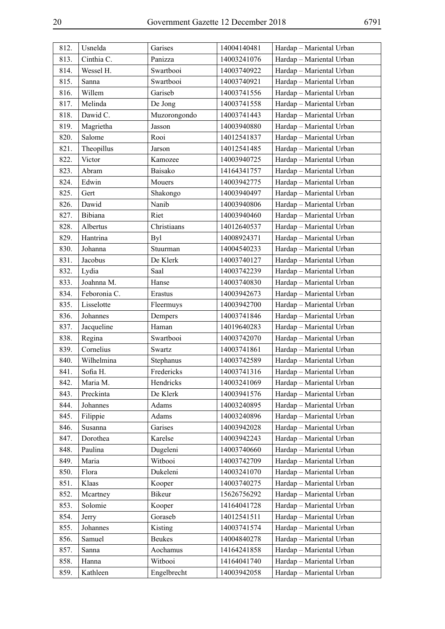| 812. | Usnelda      | Garises       | 14004140481 | Hardap - Mariental Urban |
|------|--------------|---------------|-------------|--------------------------|
| 813. | Cinthia C.   | Panizza       | 14003241076 | Hardap - Mariental Urban |
| 814. | Wessel H.    | Swartbooi     | 14003740922 | Hardap - Mariental Urban |
| 815. | Sanna        | Swartbooi     | 14003740921 | Hardap - Mariental Urban |
| 816. | Willem       | Gariseb       | 14003741556 | Hardap - Mariental Urban |
| 817. | Melinda      | De Jong       | 14003741558 | Hardap - Mariental Urban |
| 818. | Dawid C.     | Muzorongondo  | 14003741443 | Hardap - Mariental Urban |
| 819. | Magrietha    | Jasson        | 14003940880 | Hardap - Mariental Urban |
| 820. | Salome       | Rooi          | 14012541837 | Hardap - Mariental Urban |
| 821. | Theopillus   | Jarson        | 14012541485 | Hardap - Mariental Urban |
| 822. | Victor       | Kamozee       | 14003940725 | Hardap - Mariental Urban |
| 823. | Abram        | Baisako       | 14164341757 | Hardap - Mariental Urban |
| 824. | Edwin        | Mouers        | 14003942775 | Hardap - Mariental Urban |
| 825. | Gert         | Shakongo      | 14003940497 | Hardap - Mariental Urban |
| 826. | Dawid        | Nanib         | 14003940806 | Hardap - Mariental Urban |
| 827. | Bibiana      | Riet          | 14003940460 | Hardap - Mariental Urban |
| 828. | Albertus     | Christiaans   | 14012640537 | Hardap - Mariental Urban |
| 829. | Hantrina     | <b>Byl</b>    | 14008924371 | Hardap - Mariental Urban |
| 830. | Johanna      | Stuurman      | 14004540233 | Hardap - Mariental Urban |
| 831. | Jacobus      | De Klerk      | 14003740127 | Hardap - Mariental Urban |
| 832. | Lydia        | Saal          | 14003742239 | Hardap - Mariental Urban |
| 833. | Joahnna M.   | Hanse         | 14003740830 | Hardap - Mariental Urban |
| 834. | Feboronia C. | Erastus       | 14003942673 | Hardap - Mariental Urban |
| 835. | Lisselotte   | Fleermuys     | 14003942700 | Hardap - Mariental Urban |
| 836. | Johannes     | Dempers       | 14003741846 | Hardap - Mariental Urban |
| 837. | Jacqueline   | Haman         | 14019640283 | Hardap - Mariental Urban |
| 838. | Regina       | Swartbooi     | 14003742070 | Hardap - Mariental Urban |
| 839. | Cornelius    | Swartz        | 14003741861 | Hardap - Mariental Urban |
| 840. | Wilhelmina   | Stephanus     | 14003742589 | Hardap - Mariental Urban |
| 841. | Sofia H.     | Fredericks    | 14003741316 | Hardap - Mariental Urban |
| 842. | Maria M.     | Hendricks     | 14003241069 | Hardap - Mariental Urban |
| 843. | Preckinta    | De Klerk      | 14003941576 | Hardap - Mariental Urban |
| 844. | Johannes     | Adams         | 14003240895 | Hardap - Mariental Urban |
| 845. | Filippie     | Adams         | 14003240896 | Hardap - Mariental Urban |
| 846. | Susanna      | Garises       | 14003942028 | Hardap - Mariental Urban |
| 847. | Dorothea     | Karelse       | 14003942243 | Hardap - Mariental Urban |
| 848. | Paulina      | Dugeleni      | 14003740660 | Hardap - Mariental Urban |
| 849. | Maria        | Witbooi       | 14003742709 | Hardap - Mariental Urban |
| 850. | Flora        | Dukeleni      | 14003241070 | Hardap - Mariental Urban |
| 851. | Klaas        | Kooper        | 14003740275 | Hardap - Mariental Urban |
| 852. | Mcartney     | Bikeur        | 15626756292 | Hardap - Mariental Urban |
| 853. | Solomie      | Kooper        | 14164041728 | Hardap - Mariental Urban |
| 854. | Jerry        | Goraseb       | 14012541511 | Hardap - Mariental Urban |
| 855. | Johannes     | Kisting       | 14003741574 | Hardap - Mariental Urban |
| 856. | Samuel       | <b>Beukes</b> | 14004840278 | Hardap - Mariental Urban |
| 857. | Sanna        | Aochamus      | 14164241858 | Hardap - Mariental Urban |
| 858. | Hanna        | Witbooi       | 14164041740 | Hardap - Mariental Urban |
| 859. | Kathleen     | Engelbrecht   | 14003942058 | Hardap - Mariental Urban |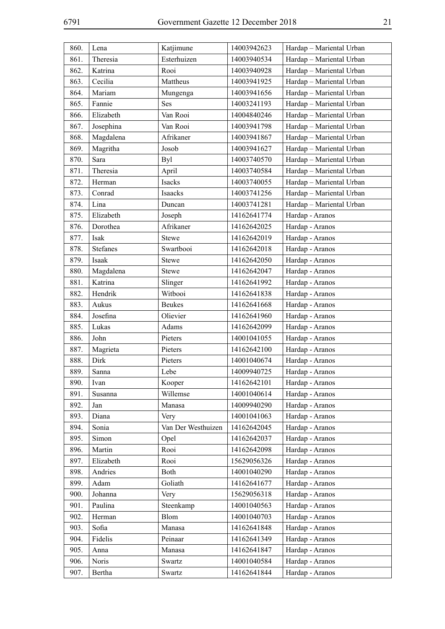| 860. | Lena            | Katjimune          | 14003942623 | Hardap - Mariental Urban |
|------|-----------------|--------------------|-------------|--------------------------|
| 861. | Theresia        | Esterhuizen        | 14003940534 | Hardap - Mariental Urban |
| 862. | Katrina         | Rooi               | 14003940928 | Hardap - Mariental Urban |
| 863. | Cecilia         | Mattheus           | 14003941925 | Hardap - Mariental Urban |
| 864. | Mariam          | Mungenga           | 14003941656 | Hardap - Mariental Urban |
| 865. | Fannie          | Ses                | 14003241193 | Hardap - Mariental Urban |
| 866. | Elizabeth       | Van Rooi           | 14004840246 | Hardap - Mariental Urban |
| 867. | Josephina       | Van Rooi           | 14003941798 | Hardap - Mariental Urban |
| 868. | Magdalena       | Afrikaner          | 14003941867 | Hardap - Mariental Urban |
| 869. | Magritha        | Josob              | 14003941627 | Hardap - Mariental Urban |
| 870. | Sara            | Byl                | 14003740570 | Hardap - Mariental Urban |
| 871. | Theresia        | April              | 14003740584 | Hardap - Mariental Urban |
| 872. | Herman          | Isacks             | 14003740055 | Hardap - Mariental Urban |
| 873. | Conrad          | Isaacks            | 14003741256 | Hardap - Mariental Urban |
| 874. | Lina            | Duncan             | 14003741281 | Hardap - Mariental Urban |
| 875. | Elizabeth       | Joseph             | 14162641774 | Hardap - Aranos          |
| 876. | Dorothea        | Afrikaner          | 14162642025 | Hardap - Aranos          |
| 877. | Isak            | <b>Stewe</b>       | 14162642019 | Hardap - Aranos          |
| 878. | <b>Stefanes</b> | Swartbooi          | 14162642018 | Hardap - Aranos          |
| 879. | Isaak           | <b>Stewe</b>       | 14162642050 | Hardap - Aranos          |
| 880. | Magdalena       | <b>Stewe</b>       | 14162642047 | Hardap - Aranos          |
| 881. | Katrina         | Slinger            | 14162641992 | Hardap - Aranos          |
| 882. | Hendrik         | Witbooi            | 14162641838 | Hardap - Aranos          |
| 883. | Aukus           | <b>Beukes</b>      | 14162641668 | Hardap - Aranos          |
| 884. | Josefina        | Olievier           | 14162641960 | Hardap - Aranos          |
| 885. | Lukas           | Adams              | 14162642099 | Hardap - Aranos          |
| 886. | John            | Pieters            | 14001041055 | Hardap - Aranos          |
| 887. | Magrieta        | Pieters            | 14162642100 | Hardap - Aranos          |
| 888. | Dirk            | Pieters            | 14001040674 | Hardap - Aranos          |
| 889. | Sanna           | Lebe               | 14009940725 | Hardap - Aranos          |
| 890. | Ivan            | Kooper             | 14162642101 | Hardap - Aranos          |
| 891. | Susanna         | Willemse           | 14001040614 | Hardap - Aranos          |
| 892. | Jan             | Manasa             | 14009940290 | Hardap - Aranos          |
| 893. | Diana           | Very               | 14001041063 | Hardap - Aranos          |
| 894. | Sonia           | Van Der Westhuizen | 14162642045 | Hardap - Aranos          |
| 895. | Simon           | Opel               | 14162642037 | Hardap - Aranos          |
| 896. | Martin          | Rooi               | 14162642098 | Hardap - Aranos          |
| 897. | Elizabeth       | Rooi               | 15629056326 | Hardap - Aranos          |
| 898. | Andries         | Both               | 14001040290 | Hardap - Aranos          |
| 899. | Adam            | Goliath            | 14162641677 | Hardap - Aranos          |
| 900. | Johanna         | Very               | 15629056318 | Hardap - Aranos          |
| 901. | Paulina         | Steenkamp          | 14001040563 | Hardap - Aranos          |
| 902. | Herman          | Blom               | 14001040703 | Hardap - Aranos          |
| 903. | Sofia           | Manasa             | 14162641848 | Hardap - Aranos          |
| 904. | Fidelis         | Peinaar            | 14162641349 | Hardap - Aranos          |
| 905. | Anna            | Manasa             | 14162641847 | Hardap - Aranos          |
| 906. | Noris           | Swartz             | 14001040584 | Hardap - Aranos          |
| 907. | Bertha          | Swartz             | 14162641844 | Hardap - Aranos          |
|      |                 |                    |             |                          |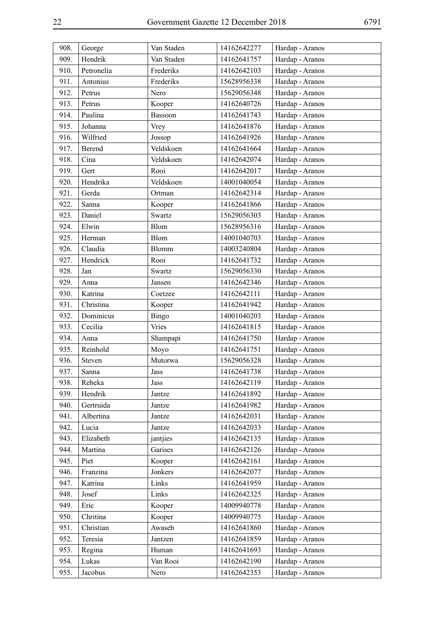| 908. | George     | Van Staden   | 14162642277 | Hardap - Aranos |
|------|------------|--------------|-------------|-----------------|
| 909. | Hendrik    | Van Staden   | 14162641757 | Hardap - Aranos |
| 910. | Petronelia | Frederiks    | 14162642103 | Hardap - Aranos |
| 911. | Antonius   | Frederiks    | 15628956338 | Hardap - Aranos |
| 912. | Petrus     | Nero         | 15629056348 | Hardap - Aranos |
| 913. | Petrus     | Kooper       | 14162640726 | Hardap - Aranos |
| 914. | Paulina    | Bassoon      | 14162641743 | Hardap - Aranos |
| 915. | Johanna    | Vrey         | 14162641876 | Hardap - Aranos |
| 916. | Wilfried   | Jossop       | 14162641926 | Hardap - Aranos |
| 917. | Berend     | Veldskoen    | 14162641664 | Hardap - Aranos |
| 918. | Cina       | Veldskoen    | 14162642074 | Hardap - Aranos |
| 919. | Gert       | Rooi         | 14162642017 | Hardap - Aranos |
| 920. | Hendrika   | Veldskoen    | 14001040054 | Hardap - Aranos |
| 921. | Gerda      | Ortman       | 14162642314 | Hardap - Aranos |
| 922. | Sanna      | Kooper       | 14162641866 | Hardap - Aranos |
| 923. | Daniel     | Swartz       | 15629056303 | Hardap - Aranos |
| 924. | Elwin      | <b>Blom</b>  | 15628956316 | Hardap - Aranos |
| 925. | Herman     | Blom         | 14001040703 | Hardap - Aranos |
| 926. | Claudia    | <b>Blomm</b> | 14003240804 | Hardap - Aranos |
| 927. | Hendrick   | Rooi         | 14162641732 | Hardap - Aranos |
| 928. | Jan        | Swartz       | 15629056330 | Hardap - Aranos |
| 929. | Anna       | Jansen       | 14162642346 | Hardap - Aranos |
| 930. | Katrina    | Coetzee      | 14162642111 | Hardap - Aranos |
| 931. | Christina  | Kooper       | 14162641942 | Hardap - Aranos |
| 932. | Dominicus  | <b>Bingo</b> | 14001040203 | Hardap - Aranos |
| 933. | Cecilia    | Vries        | 14162641815 | Hardap - Aranos |
| 934. | Anna       | Shampapi     | 14162641750 | Hardap - Aranos |
| 935. | Reinhold   | Moyo         | 14162641751 | Hardap - Aranos |
| 936. | Steven     | Mutorwa      | 15629056328 | Hardap - Aranos |
| 937. | Sanna      | Jass         | 14162641738 | Hardap - Aranos |
| 938. | Rebeka     | Jass         | 14162642119 | Hardap - Aranos |
| 939. | Hendrik    | Jantze       | 14162641892 | Hardap - Aranos |
| 940. | Gertruida  | Jantze       | 14162641982 | Hardap - Aranos |
| 941. | Albertina  | Jantze       | 14162642031 | Hardap - Aranos |
| 942. | Lucia      | Jantze       | 14162642033 | Hardap - Aranos |
| 943. | Elizabeth  | jantjies     | 14162642135 | Hardap - Aranos |
| 944. | Martina    | Garises      | 14162642126 | Hardap - Aranos |
| 945. | Piet       | Kooper       | 14162642161 | Hardap - Aranos |
| 946. | Franzina   | Jonkers      | 14162642077 | Hardap - Aranos |
| 947. | Katrina    | Links        | 14162641959 | Hardap - Aranos |
| 948. | Josef      | Links        | 14162642325 | Hardap - Aranos |
| 949. | Eric       | Kooper       | 14009940778 | Hardap - Aranos |
| 950. | Chritina   | Kooper       | 14009940775 | Hardap - Aranos |
| 951. | Christian  | Awaseb       | 14162641860 | Hardap - Aranos |
| 952. | Teresia    | Jantzen      | 14162641859 | Hardap - Aranos |
| 953. | Regina     | Human        | 14162641693 | Hardap - Aranos |
| 954. | Lukas      | Van Rooi     | 14162642190 | Hardap - Aranos |
| 955. | Jacobus    | Nero         | 14162642353 | Hardap - Aranos |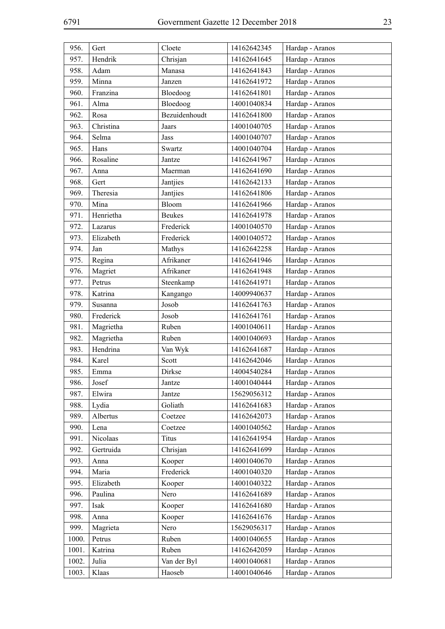| 956.  | Gert      | Cloete        | 14162642345 | Hardap - Aranos |
|-------|-----------|---------------|-------------|-----------------|
| 957.  | Hendrik   | Chrisjan      | 14162641645 | Hardap - Aranos |
| 958.  | Adam      | Manasa        | 14162641843 | Hardap - Aranos |
| 959.  | Minna     | Janzen        | 14162641972 | Hardap - Aranos |
| 960.  | Franzina  | Bloedoog      | 14162641801 | Hardap - Aranos |
| 961.  | Alma      | Bloedoog      | 14001040834 | Hardap - Aranos |
| 962.  | Rosa      | Bezuidenhoudt | 14162641800 | Hardap - Aranos |
| 963.  | Christina | Jaars         | 14001040705 | Hardap - Aranos |
| 964.  | Selma     | Jass          | 14001040707 | Hardap - Aranos |
| 965.  | Hans      | Swartz        | 14001040704 | Hardap - Aranos |
| 966.  | Rosaline  | Jantze        | 14162641967 | Hardap - Aranos |
| 967.  | Anna      | Maerman       | 14162641690 | Hardap - Aranos |
| 968.  | Gert      | Jantjies      | 14162642133 | Hardap - Aranos |
| 969.  | Theresia  | Jantjies      | 14162641806 | Hardap - Aranos |
| 970.  | Mina      | Bloom         | 14162641966 | Hardap - Aranos |
| 971.  | Henrietha | <b>Beukes</b> | 14162641978 | Hardap - Aranos |
| 972.  | Lazarus   | Frederick     | 14001040570 | Hardap - Aranos |
| 973.  | Elizabeth | Frederick     | 14001040572 | Hardap - Aranos |
| 974.  | Jan       | Mathys        | 14162642258 | Hardap - Aranos |
| 975.  | Regina    | Afrikaner     | 14162641946 | Hardap - Aranos |
| 976.  | Magriet   | Afrikaner     | 14162641948 | Hardap - Aranos |
| 977.  | Petrus    | Steenkamp     | 14162641971 | Hardap - Aranos |
| 978.  | Katrina   | Kangango      | 14009940637 | Hardap - Aranos |
| 979.  | Susanna   | Josob         | 14162641763 | Hardap - Aranos |
| 980.  | Frederick | Josob         | 14162641761 | Hardap - Aranos |
| 981.  | Magrietha | Ruben         | 14001040611 | Hardap - Aranos |
| 982.  | Magrietha | Ruben         | 14001040693 | Hardap - Aranos |
| 983.  | Hendrina  | Van Wyk       | 14162641687 | Hardap - Aranos |
| 984.  | Karel     | Scott         | 14162642046 | Hardap - Aranos |
| 985.  | Emma      | Dirkse        | 14004540284 | Hardap - Aranos |
| 986.  | Josef     | Jantze        | 14001040444 | Hardap - Aranos |
| 987.  | Elwira    | Jantze        | 15629056312 | Hardap - Aranos |
| 988.  | Lydia     | Goliath       | 14162641683 | Hardap - Aranos |
| 989.  | Albertus  | Coetzee       | 14162642073 | Hardap - Aranos |
| 990.  | Lena      | Coetzee       | 14001040562 | Hardap - Aranos |
| 991.  | Nicolaas  | <b>Titus</b>  | 14162641954 | Hardap - Aranos |
| 992.  | Gertruida | Chrisjan      | 14162641699 | Hardap - Aranos |
| 993.  | Anna      | Kooper        | 14001040670 | Hardap - Aranos |
| 994.  | Maria     | Frederick     | 14001040320 | Hardap - Aranos |
| 995.  | Elizabeth | Kooper        | 14001040322 | Hardap - Aranos |
| 996.  | Paulina   | Nero          | 14162641689 | Hardap - Aranos |
| 997.  | Isak      | Kooper        | 14162641680 | Hardap - Aranos |
| 998.  | Anna      | Kooper        | 14162641676 | Hardap - Aranos |
| 999.  | Magrieta  | Nero          | 15629056317 | Hardap - Aranos |
| 1000. | Petrus    | Ruben         | 14001040655 | Hardap - Aranos |
| 1001. | Katrina   | Ruben         | 14162642059 | Hardap - Aranos |
| 1002. | Julia     | Van der Byl   | 14001040681 | Hardap - Aranos |
| 1003. | Klaas     | Haoseb        | 14001040646 | Hardap - Aranos |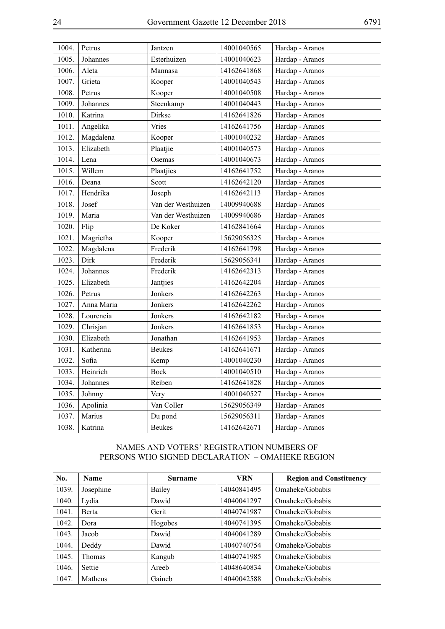| 1004. | Petrus     | Jantzen            | 14001040565 | Hardap - Aranos |
|-------|------------|--------------------|-------------|-----------------|
| 1005. | Johannes   | Esterhuizen        | 14001040623 | Hardap - Aranos |
| 1006. | Aleta      | Mannasa            | 14162641868 | Hardap - Aranos |
| 1007. | Grieta     | Kooper             | 14001040543 | Hardap - Aranos |
| 1008. | Petrus     | Kooper             | 14001040508 | Hardap - Aranos |
| 1009. | Johannes   | Steenkamp          | 14001040443 | Hardap - Aranos |
| 1010. | Katrina    | Dirkse             | 14162641826 | Hardap - Aranos |
| 1011. | Angelika   | Vries              | 14162641756 | Hardap - Aranos |
| 1012. | Magdalena  | Kooper             | 14001040232 | Hardap - Aranos |
| 1013. | Elizabeth  | Plaatjie           | 14001040573 | Hardap - Aranos |
| 1014. | Lena       | Osemas             | 14001040673 | Hardap - Aranos |
| 1015. | Willem     | Plaatjies          | 14162641752 | Hardap - Aranos |
| 1016. | Deana      | Scott              | 14162642120 | Hardap - Aranos |
| 1017. | Hendrika   | Joseph             | 14162642113 | Hardap - Aranos |
| 1018. | Josef      | Van der Westhuizen | 14009940688 | Hardap - Aranos |
| 1019. | Maria      | Van der Westhuizen | 14009940686 | Hardap - Aranos |
| 1020. | Flip       | De Koker           | 14162841664 | Hardap - Aranos |
| 1021. | Magrietha  | Kooper             | 15629056325 | Hardap - Aranos |
| 1022. | Magdalena  | Frederik           | 14162641798 | Hardap - Aranos |
| 1023. | Dirk       | Frederik           | 15629056341 | Hardap - Aranos |
| 1024. | Johannes   | Frederik           | 14162642313 | Hardap - Aranos |
| 1025. | Elizabeth  | Jantjies           | 14162642204 | Hardap - Aranos |
| 1026. | Petrus     | Jonkers            | 14162642263 | Hardap - Aranos |
| 1027. | Anna Maria | Jonkers            | 14162642262 | Hardap - Aranos |
| 1028. | Lourencia  | Jonkers            | 14162642182 | Hardap - Aranos |
| 1029. | Chrisjan   | Jonkers            | 14162641853 | Hardap - Aranos |
| 1030. | Elizabeth  | Jonathan           | 14162641953 | Hardap - Aranos |
| 1031. | Katherina  | <b>Beukes</b>      | 14162641671 | Hardap - Aranos |
| 1032. | Sofia      | Kemp               | 14001040230 | Hardap - Aranos |
| 1033. | Heinrich   | Bock               | 14001040510 | Hardap - Aranos |
| 1034. | Johannes   | Reiben             | 14162641828 | Hardap - Aranos |
| 1035. | Johnny     | Very               | 14001040527 | Hardap - Aranos |
| 1036. | Apolinia   | Van Coller         | 15629056349 | Hardap - Aranos |
| 1037. | Marius     | Du pond            | 15629056311 | Hardap - Aranos |
| 1038. | Katrina    | <b>Beukes</b>      | 14162642671 | Hardap - Aranos |

#### NAMES AND VOTERS' REGISTRATION NUMBERS OF PERSONS WHO SIGNED DECLARATION – OMAHEKE REGION

| No.   | <b>Name</b>   | <b>Surname</b> | VRN         | <b>Region and Constituency</b> |
|-------|---------------|----------------|-------------|--------------------------------|
| 1039. | Josephine     | Bailey         | 14040841495 | Omaheke/Gobabis                |
| 1040. | Lydia         | Dawid          | 14040041297 | Omaheke/Gobabis                |
| 1041. | <b>Berta</b>  | Gerit          | 14040741987 | Omaheke/Gobabis                |
| 1042. | Dora          | Hogobes        | 14040741395 | Omaheke/Gobabis                |
| 1043. | Jacob         | Dawid          | 14040041289 | Omaheke/Gobabis                |
| 1044. | Deddy         | Dawid          | 14040740754 | Omaheke/Gobabis                |
| 1045. | <b>Thomas</b> | Kangub         | 14040741985 | Omaheke/Gobabis                |
| 1046. | Settie        | Areeb          | 14048640834 | Omaheke/Gobabis                |
| 1047. | Matheus       | Gaineb         | 14040042588 | Omaheke/Gobabis                |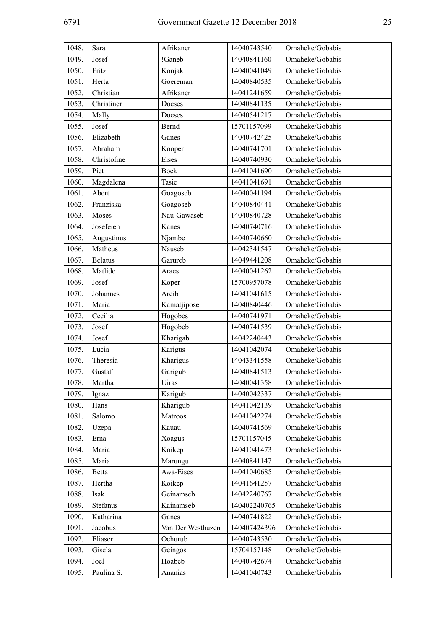| 1048. | Sara           | Afrikaner         | 14040743540  | Omaheke/Gobabis |
|-------|----------------|-------------------|--------------|-----------------|
| 1049. | Josef          | !Ganeb            | 14040841160  | Omaheke/Gobabis |
| 1050. | Fritz          | Konjak            | 14040041049  | Omaheke/Gobabis |
| 1051. | Herta          | Goereman          | 14040840535  | Omaheke/Gobabis |
| 1052. | Christian      | Afrikaner         | 14041241659  | Omaheke/Gobabis |
| 1053. | Christiner     | Doeses            | 14040841135  | Omaheke/Gobabis |
| 1054. | Mally          | Doeses            | 14040541217  | Omaheke/Gobabis |
| 1055. | Josef          | Bernd             | 15701157099  | Omaheke/Gobabis |
| 1056. | Elizabeth      | Ganes             | 14040742425  | Omaheke/Gobabis |
| 1057. | Abraham        | Kooper            | 14040741701  | Omaheke/Gobabis |
| 1058. | Christofine    | Eises             | 14040740930  | Omaheke/Gobabis |
| 1059. | Piet           | <b>Bock</b>       | 14041041690  | Omaheke/Gobabis |
| 1060. | Magdalena      | Tasie             | 14041041691  | Omaheke/Gobabis |
| 1061. | Abert          | Goagoseb          | 14040041194  | Omaheke/Gobabis |
| 1062. | Franziska      | Goagoseb          | 14040840441  | Omaheke/Gobabis |
| 1063. | Moses          | Nau-Gawaseb       | 14040840728  | Omaheke/Gobabis |
| 1064. | Josefeien      | Kanes             | 14040740716  | Omaheke/Gobabis |
| 1065. | Augustinus     | Njambe            | 14040740660  | Omaheke/Gobabis |
| 1066. | Matheus        | Nauseb            | 14042341547  | Omaheke/Gobabis |
| 1067. | <b>Belatus</b> | Garureb           | 14049441208  | Omaheke/Gobabis |
| 1068. | Matlide        | Araes             | 14040041262  | Omaheke/Gobabis |
| 1069. | Josef          | Koper             | 15700957078  | Omaheke/Gobabis |
| 1070. | Johannes       | Areib             | 14041041615  | Omaheke/Gobabis |
| 1071. | Maria          | Kamatjipose       | 14040840446  | Omaheke/Gobabis |
| 1072. | Cecilia        | Hogobes           | 14040741971  | Omaheke/Gobabis |
| 1073. | Josef          | Hogobeb           | 14040741539  | Omaheke/Gobabis |
| 1074. | Josef          | Kharigab          | 14042240443  | Omaheke/Gobabis |
| 1075. | Lucia          | Karigus           | 14041042074  | Omaheke/Gobabis |
| 1076. | Theresia       | Kharigus          | 14043341558  | Omaheke/Gobabis |
| 1077. | Gustaf         | Garigub           | 14040841513  | Omaheke/Gobabis |
| 1078. | Martha         | Uiras             | 14040041358  | Omaheke/Gobabis |
| 1079. | Ignaz          | Karigub           | 14040042337  | Omaheke/Gobabis |
| 1080. | Hans           | Kharigub          | 14041042139  | Omaheke/Gobabis |
| 1081. | Salomo         | Matroos           | 14041042274  | Omaheke/Gobabis |
| 1082. | Uzepa          | Kauau             | 14040741569  | Omaheke/Gobabis |
| 1083. | Erna           | Xoagus            | 15701157045  | Omaheke/Gobabis |
| 1084. | Maria          | Koikep            | 14041041473  | Omaheke/Gobabis |
| 1085. | Maria          | Marungu           | 14040841147  | Omaheke/Gobabis |
| 1086. | Betta          | Awa-Eises         | 14041040685  | Omaheke/Gobabis |
| 1087. | Hertha         | Koikep            | 14041641257  | Omaheke/Gobabis |
| 1088. | Isak           | Geinamseb         | 14042240767  | Omaheke/Gobabis |
| 1089. | Stefanus       | Kainamseb         | 140402240765 | Omaheke/Gobabis |
| 1090. | Katharina      | Ganes             | 14040741822  | Omaheke/Gobabis |
| 1091. | Jacobus        | Van Der Westhuzen | 140407424396 | Omaheke/Gobabis |
| 1092. | Eliaser        | Ochurub           | 14040743530  | Omaheke/Gobabis |
| 1093. | Gisela         | Geingos           | 15704157148  | Omaheke/Gobabis |
| 1094. | Joel           | Hoabeb            | 14040742674  | Omaheke/Gobabis |
| 1095. | Paulina S.     | Ananias           | 14041040743  | Omaheke/Gobabis |
|       |                |                   |              |                 |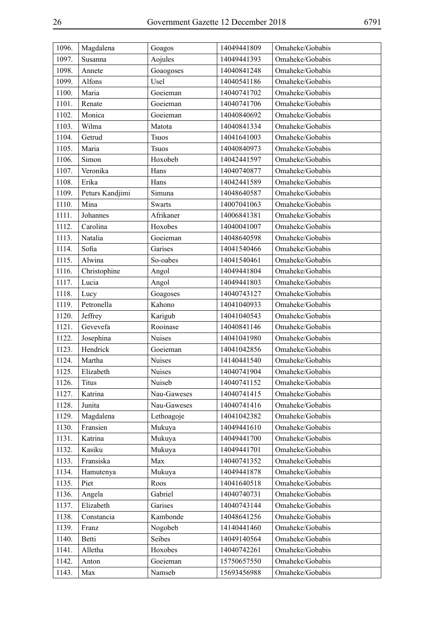| 1096. | Magdalena       | Goagos        | 14049441809 | Omaheke/Gobabis |
|-------|-----------------|---------------|-------------|-----------------|
| 1097. | Susanna         | Aojules       | 14049441393 | Omaheke/Gobabis |
| 1098. | Annete          | Goaogoses     | 14040841248 | Omaheke/Gobabis |
| 1099. | Alfons          | Usel          | 14040541186 | Omaheke/Gobabis |
| 1100. | Maria           | Goeieman      | 14040741702 | Omaheke/Gobabis |
| 1101. | Renate          | Goeieman      | 14040741706 | Omaheke/Gobabis |
| 1102. | Monica          | Goeieman      | 14040840692 | Omaheke/Gobabis |
| 1103. | Wilma           | Matota        | 14040841334 | Omaheke/Gobabis |
| 1104. | Getrud          | <b>Tsuos</b>  | 14041641003 | Omaheke/Gobabis |
| 1105. | Maria           | <b>Tsuos</b>  | 14040840973 | Omaheke/Gobabis |
| 1106. | Simon           | Hoxobeb       | 14042441597 | Omaheke/Gobabis |
| 1107. | Veronika        | Hans          | 14040740877 | Omaheke/Gobabis |
| 1108. | Erika           | Hans          | 14042441589 | Omaheke/Gobabis |
| 1109. | Peturs Kandjimi | Simuna        | 14048640587 | Omaheke/Gobabis |
| 1110. | Mina            | <b>Swarts</b> | 14007041063 | Omaheke/Gobabis |
| 1111. | Johannes        | Afrikaner     | 14006841381 | Omaheke/Gobabis |
| 1112. | Carolina        | Hoxobes       | 14040041007 | Omaheke/Gobabis |
| 1113. | Natalia         | Goeieman      | 14048640598 | Omaheke/Gobabis |
| 1114. | Sofia           | Garises       | 14041540466 | Omaheke/Gobabis |
| 1115. | Alwina          | So-oabes      | 14041540461 | Omaheke/Gobabis |
| 1116. | Christophine    | Angol         | 14049441804 | Omaheke/Gobabis |
| 1117. | Lucia           | Angol         | 14049441803 | Omaheke/Gobabis |
| 1118. | Lucy            | Goagoses      | 14040743127 | Omaheke/Gobabis |
| 1119. | Petronella      | Kahono        | 14041040933 | Omaheke/Gobabis |
| 1120. | Jeffrey         | Karigub       | 14041040543 | Omaheke/Gobabis |
| 1121. | Gevevefa        | Rooinase      | 14040841146 | Omaheke/Gobabis |
| 1122. | Josephina       | <b>Nuises</b> | 14041041980 | Omaheke/Gobabis |
| 1123. | Hendrick        | Goeieman      | 14041042856 | Omaheke/Gobabis |
| 1124. | Martha          | Nuises        | 14140441540 | Omaheke/Gobabis |
| 1125. | Elizabeth       | <b>Nuises</b> | 14040741904 | Omaheke/Gobabis |
| 1126. | Titus           | Nuiseb        | 14040741152 | Omaheke/Gobabis |
| 1127. | Katrina         | Nau-Gaweses   | 14040741415 | Omaheke/Gobabis |
| 1128. | Junita          | Nau-Gaweses   | 14040741416 | Omaheke/Gobabis |
| 1129. | Magdalena       | Lethoagoje    | 14041042382 | Omaheke/Gobabis |
| 1130. | Fransien        | Mukuya        | 14049441610 | Omaheke/Gobabis |
| 1131. | Katrina         | Mukuya        | 14049441700 | Omaheke/Gobabis |
| 1132. | Kasiku          | Mukuya        | 14049441701 | Omaheke/Gobabis |
| 1133. | Fransiska       | Max           | 14040741352 | Omaheke/Gobabis |
| 1134. | Hamutenya       | Mukuya        | 14049441878 | Omaheke/Gobabis |
| 1135. | Piet            | Roos          | 14041640518 | Omaheke/Gobabis |
| 1136. | Angela          | Gabriel       | 14040740731 | Omaheke/Gobabis |
| 1137. | Elizabeth       | Garises       | 14040743144 | Omaheke/Gobabis |
| 1138. | Constancia      | Kambonde      | 14048641256 | Omaheke/Gobabis |
| 1139. | Franz           | Nogobeb       | 14140441460 | Omaheke/Gobabis |
| 1140. | Betti           | Seibes        | 14049140564 | Omaheke/Gobabis |
| 1141. | Alletha         | Hoxobes       | 14040742261 | Omaheke/Gobabis |
| 1142. | Anton           | Goeieman      | 15750657550 | Omaheke/Gobabis |
| 1143. | Max             | Namseb        | 15693456988 | Omaheke/Gobabis |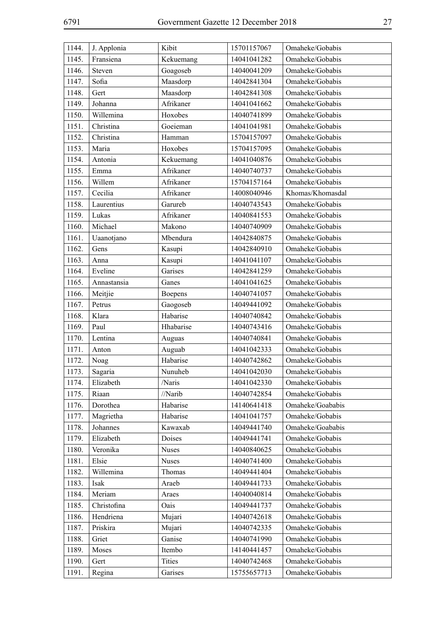| 1144. | J. Applonia | Kibit         | 15701157067 | Omaheke/Gobabis  |
|-------|-------------|---------------|-------------|------------------|
| 1145. | Fransiena   | Kekuemang     | 14041041282 | Omaheke/Gobabis  |
| 1146. | Steven      | Goagoseb      | 14040041209 | Omaheke/Gobabis  |
| 1147. | Sofia       | Maasdorp      | 14042841304 | Omaheke/Gobabis  |
| 1148. | Gert        | Maasdorp      | 14042841308 | Omaheke/Gobabis  |
| 1149. | Johanna     | Afrikaner     | 14041041662 | Omaheke/Gobabis  |
| 1150. | Willemina   | Hoxobes       | 14040741899 | Omaheke/Gobabis  |
| 1151. | Christina   | Goeieman      | 14041041981 | Omaheke/Gobabis  |
| 1152. | Christina   | Hamman        | 15704157097 | Omaheke/Gobabis  |
| 1153. | Maria       | Hoxobes       | 15704157095 | Omaheke/Gobabis  |
| 1154. | Antonia     | Kekuemang     | 14041040876 | Omaheke/Gobabis  |
| 1155. | Emma        | Afrikaner     | 14040740737 | Omaheke/Gobabis  |
| 1156. | Willem      | Afrikaner     | 15704157164 | Omaheke/Gobabis  |
| 1157. | Cecilia     | Afrikaner     | 14008040946 | Khomas/Khomasdal |
| 1158. | Laurentius  | Garureb       | 14040743543 | Omaheke/Gobabis  |
| 1159. | Lukas       | Afrikaner     | 14040841553 | Omaheke/Gobabis  |
| 1160. | Michael     | Makono        | 14040740909 | Omaheke/Gobabis  |
| 1161. | Uaanotjano  | Mbendura      | 14042840875 | Omaheke/Gobabis  |
| 1162. | Gens        | Kasupi        | 14042840910 | Omaheke/Gobabis  |
| 1163. | Anna        | Kasupi        | 14041041107 | Omaheke/Gobabis  |
| 1164. | Eveline     | Garises       | 14042841259 | Omaheke/Gobabis  |
| 1165. | Annastansia | Ganes         | 14041041625 | Omaheke/Gobabis  |
| 1166. | Meitjie     | Boepens       | 14040741057 | Omaheke/Gobabis  |
| 1167. | Petrus      | Gaogoseb      | 14049441092 | Omaheke/Gobabis  |
| 1168. | Klara       | Habarise      | 14040740842 | Omaheke/Gobabis  |
| 1169. | Paul        | Hhabarise     | 14040743416 | Omaheke/Gobabis  |
| 1170. | Lentina     | Auguas        | 14040740841 | Omaheke/Gobabis  |
| 1171. | Anton       | Auguab        | 14041042333 | Omaheke/Gobabis  |
| 1172. | Noag        | Habarise      | 14040742862 | Omaheke/Gobabis  |
| 1173. | Sagaria     | Nunuheb       | 14041042030 | Omaheke/Gobabis  |
| 1174. | Elizabeth   | /Naris        | 14041042330 | Omaheke/Gobabis  |
| 1175. | Riaan       | //Narib       | 14040742854 | Omaheke/Gobabis  |
| 1176. | Dorothea    | Habarise      | 14140641418 | Omaheke/Goababis |
| 1177. | Magrietha   | Habarise      | 14041041757 | Omaheke/Gobabis  |
| 1178. | Johannes    | Kawaxab       | 14049441740 | Omaheke/Goababis |
| 1179. | Elizabeth   | Doises        | 14049441741 | Omaheke/Gobabis  |
| 1180. | Veronika    | Nuses         | 14040840625 | Omaheke/Gobabis  |
| 1181. | Elsie       | <b>Nuses</b>  | 14040741400 | Omaheke/Gobabis  |
| 1182. | Willemina   | Thomas        | 14049441404 | Omaheke/Gobabis  |
| 1183. | Isak        | Araeb         | 14049441733 | Omaheke/Gobabis  |
| 1184. | Meriam      | Araes         | 14040040814 | Omaheke/Gobabis  |
| 1185. | Christofina | Oais          | 14049441737 | Omaheke/Gobabis  |
| 1186. | Hendriena   | Mujari        | 14040742618 | Omaheke/Gobabis  |
| 1187. | Priskira    | Mujari        | 14040742335 | Omaheke/Gobabis  |
| 1188. | Griet       | Ganise        | 14040741990 | Omaheke/Gobabis  |
| 1189. | Moses       | Itembo        | 14140441457 | Omaheke/Gobabis  |
| 1190. | Gert        | <b>Tities</b> | 14040742468 | Omaheke/Gobabis  |
| 1191. | Regina      | Garises       | 15755657713 | Omaheke/Gobabis  |
|       |             |               |             |                  |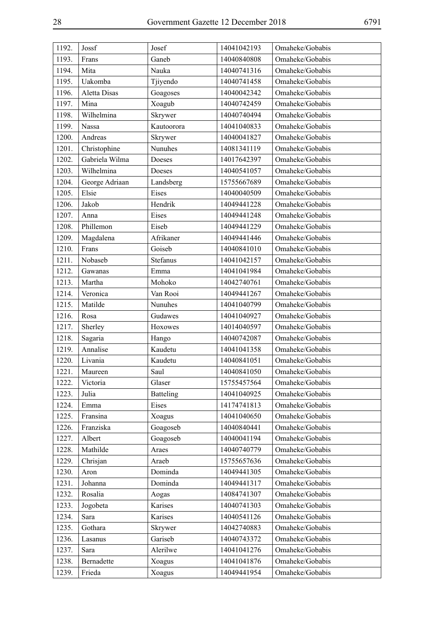| 1192. | Jossf               | Josef            | 14041042193 | Omaheke/Gobabis |
|-------|---------------------|------------------|-------------|-----------------|
| 1193. | Frans               | Ganeb            | 14040840808 | Omaheke/Gobabis |
| 1194. | Mita                | Nauka            | 14040741316 | Omaheke/Gobabis |
| 1195. | Uakomba             | Tjiyendo         | 14040741458 | Omaheke/Gobabis |
| 1196. | <b>Aletta Disas</b> | Goagoses         | 14040042342 | Omaheke/Gobabis |
| 1197. | Mina                | Xoagub           | 14040742459 | Omaheke/Gobabis |
| 1198. | Wilhelmina          | Skrywer          | 14040740494 | Omaheke/Gobabis |
| 1199. | Nassa               | Kautoorora       | 14041040833 | Omaheke/Gobabis |
| 1200. | Andreas             | Skrywer          | 14040041827 | Omaheke/Gobabis |
| 1201. | Christophine        | Nunuhes          | 14081341119 | Omaheke/Gobabis |
| 1202. | Gabriela Wilma      | Doeses           | 14017642397 | Omaheke/Gobabis |
| 1203. | Wilhelmina          | Doeses           | 14040541057 | Omaheke/Gobabis |
| 1204. | George Adriaan      | Landsberg        | 15755667689 | Omaheke/Gobabis |
| 1205. | Elsie               | Eises            | 14040040509 | Omaheke/Gobabis |
| 1206. | Jakob               | Hendrik          | 14049441228 | Omaheke/Gobabis |
| 1207. | Anna                | Eises            | 14049441248 | Omaheke/Gobabis |
| 1208. | Phillemon           | Eiseb            | 14049441229 | Omaheke/Gobabis |
| 1209. | Magdalena           | Afrikaner        | 14049441446 | Omaheke/Gobabis |
| 1210. | Frans               | Goiseb           | 14040841010 | Omaheke/Gobabis |
| 1211. | Nobaseb             | Stefanus         | 14041042157 | Omaheke/Gobabis |
| 1212. | Gawanas             | Emma             | 14041041984 | Omaheke/Gobabis |
| 1213. | Martha              | Mohoko           | 14042740761 | Omaheke/Gobabis |
| 1214. | Veronica            | Van Rooi         | 14049441267 | Omaheke/Gobabis |
| 1215. | Matilde             | Nunuhes          | 14041040799 | Omaheke/Gobabis |
| 1216. | Rosa                | Gudawes          | 14041040927 | Omaheke/Gobabis |
| 1217. | Sherley             | Hoxowes          | 14014040597 | Omaheke/Gobabis |
| 1218. | Sagaria             | Hango            | 14040742087 | Omaheke/Gobabis |
| 1219. | Annalise            | Kaudetu          | 14041041358 | Omaheke/Gobabis |
| 1220. | Livania             | Kaudetu          | 14040841051 | Omaheke/Gobabis |
| 1221. | Maureen             | Saul             | 14040841050 | Omaheke/Gobabis |
| 1222. | Victoria            | Glaser           | 15755457564 | Omaheke/Gobabis |
| 1223. | Julia               | <b>Batteling</b> | 14041040925 | Omaheke/Gobabis |
| 1224. | Emma                | Eises            | 14174741813 | Omaheke/Gobabis |
| 1225. | Fransina            | Xoagus           | 14041040650 | Omaheke/Gobabis |
| 1226. | Franziska           | Goagoseb         | 14040840441 | Omaheke/Gobabis |
| 1227. | Albert              | Goagoseb         | 14040041194 | Omaheke/Gobabis |
| 1228. | Mathilde            | Araes            | 14040740779 | Omaheke/Gobabis |
| 1229. | Chrisjan            | Araeb            | 15755657636 | Omaheke/Gobabis |
| 1230. | Aron                | Dominda          | 14049441305 | Omaheke/Gobabis |
| 1231. | Johanna             | Dominda          | 14049441317 | Omaheke/Gobabis |
| 1232. | Rosalia             | Aogas            | 14084741307 | Omaheke/Gobabis |
| 1233. | Jogobeta            | Karises          | 14040741303 | Omaheke/Gobabis |
| 1234. | Sara                | Karises          | 14040541126 | Omaheke/Gobabis |
| 1235. | Gothara             | Skrywer          | 14042740883 | Omaheke/Gobabis |
| 1236. | Lasanus             | Gariseb          | 14040743372 | Omaheke/Gobabis |
| 1237. | Sara                | Alerilwe         | 14041041276 | Omaheke/Gobabis |
| 1238. | Bernadette          | Xoagus           | 14041041876 | Omaheke/Gobabis |
| 1239. | Frieda              | Xoagus           | 14049441954 | Omaheke/Gobabis |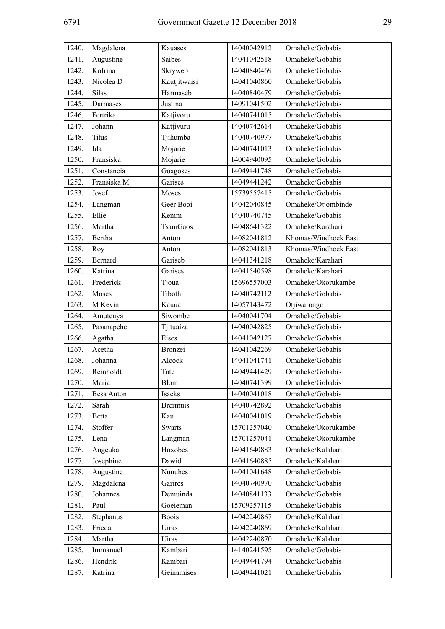| 1240. | Magdalena    | Kauases         | 14040042912 | Omaheke/Gobabis      |
|-------|--------------|-----------------|-------------|----------------------|
| 1241. | Augustine    | Saibes          | 14041042518 | Omaheke/Gobabis      |
| 1242. | Kofrina      | Skryweb         | 14040840469 | Omaheke/Gobabis      |
| 1243. | Nicolea D    | Kautjitwaisi    | 14041040860 | Omaheke/Gobabis      |
| 1244. | <b>Silas</b> | Harmaseb        | 14040840479 | Omaheke/Gobabis      |
| 1245. | Darmases     | Justina         | 14091041502 | Omaheke/Gobabis      |
| 1246. | Fertrika     | Katjivoru       | 14040741015 | Omaheke/Gobabis      |
| 1247. | Johann       | Katjivuru       | 14040742614 | Omaheke/Gobabis      |
| 1248. | Titus        | Tjihumba        | 14040740977 | Omaheke/Gobabis      |
| 1249. | Ida          | Mojarie         | 14040741013 | Omaheke/Gobabis      |
| 1250. | Fransiska    | Mojarie         | 14004940095 | Omaheke/Gobabis      |
| 1251. | Constancia   | Goagoses        | 14049441748 | Omaheke/Gobabis      |
| 1252. | Fransiska M  | Garises         | 14049441242 | Omaheke/Gobabis      |
| 1253. | Josef        | Moses           | 15739557415 | Omaheke/Gobabis      |
| 1254. | Langman      | Geer Booi       | 14042040845 | Omaheke/Otjombinde   |
| 1255. | Ellie        | Kemm            | 14040740745 | Omaheke/Gobabis      |
| 1256. | Martha       | <b>TsamGaos</b> | 14048641322 | Omaheke/Karahari     |
| 1257. | Bertha       | Anton           | 14082041812 | Khomas/Windhoek East |
| 1258. | Roy          | Anton           | 14082041813 | Khomas/Windhoek East |
| 1259. | Bernard      | Gariseb         | 14041341218 | Omaheke/Karahari     |
| 1260. | Katrina      | Garises         | 14041540598 | Omaheke/Karahari     |
| 1261. | Frederick    | Tjoua           | 15696557003 | Omaheke/Okorukambe   |
| 1262. | Moses        | Tiboth          | 14040742112 | Omaheke/Gobabis      |
| 1263. | M Kevin      | Kauua           | 14057143472 | Otjiwarongo          |
| 1264. | Amutenya     | Siwombe         | 14040041704 | Omaheke/Gobabis      |
| 1265. | Pasanapehe   | Tjituaiza       | 14040042825 | Omaheke/Gobabis      |
| 1266. | Agatha       | Eises           | 14041042127 | Omaheke/Gobabis      |
| 1267. | Acetha       | Bronzei         | 14041042269 | Omaheke/Gobabis      |
| 1268. | Johanna      | Alcock          | 14041041741 | Omaheke/Gobabis      |
| 1269. | Reinholdt    | Tote            | 14049441429 | Omaheke/Gobabis      |
| 1270. | Maria        | Blom            | 14040741399 | Omaheke/Gobabis      |
| 1271. | Besa Anton   | Isacks          | 14040041018 | Omaheke/Gobabis      |
| 1272. | Sarah        | <b>Brermuis</b> | 14040742892 | Omaheke/Gobabis      |
| 1273. | Betta        | Kau             | 14040041019 | Omaheke/Gobabis      |
| 1274. | Stoffer      | <b>Swarts</b>   | 15701257040 | Omaheke/Okorukambe   |
| 1275. | Lena         | Langman         | 15701257041 | Omaheke/Okorukambe   |
| 1276. | Angeuka      | Hoxobes         | 14041640883 | Omaheke/Kalahari     |
| 1277. | Josephine    | Dawid           | 14041640885 | Omaheke/Kalahari     |
| 1278. | Augustine    | Nunuhes         | 14041041648 | Omaheke/Gobabis      |
| 1279. | Magdalena    | Garires         | 14040740970 | Omaheke/Gobabis      |
| 1280. | Johannes     | Demuinda        | 14040841133 | Omaheke/Gobabis      |
| 1281. | Paul         | Goeieman        | 15709257115 | Omaheke/Gobabis      |
| 1282. | Stephanus    | <b>Boois</b>    | 14042240867 | Omaheke/Kalahari     |
| 1283. | Frieda       | Uiras           | 14042240869 | Omaheke/Kalahari     |
| 1284. | Martha       | Uiras           | 14042240870 | Omaheke/Kalahari     |
| 1285. | Immanuel     | Kambari         | 14140241595 | Omaheke/Gobabis      |
| 1286. | Hendrik      | Kambari         | 14049441794 | Omaheke/Gobabis      |
| 1287. | Katrina      | Geinamises      | 14049441021 | Omaheke/Gobabis      |
|       |              |                 |             |                      |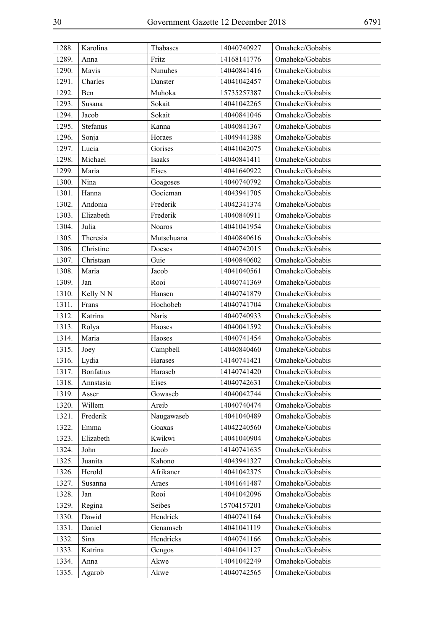| 1288. | Karolina         | Thabases   | 14040740927 | Omaheke/Gobabis |
|-------|------------------|------------|-------------|-----------------|
| 1289. | Anna             | Fritz      | 14168141776 | Omaheke/Gobabis |
| 1290. | Mavis            | Nunuhes    | 14040841416 | Omaheke/Gobabis |
| 1291. | Charles          | Danster    | 14041042457 | Omaheke/Gobabis |
| 1292. | Ben              | Muhoka     | 15735257387 | Omaheke/Gobabis |
| 1293. | Susana           | Sokait     | 14041042265 | Omaheke/Gobabis |
| 1294. | Jacob            | Sokait     | 14040841046 | Omaheke/Gobabis |
| 1295. | Stefanus         | Kanna      | 14040841367 | Omaheke/Gobabis |
| 1296. | Sonja            | Horaes     | 14049441388 | Omaheke/Gobabis |
| 1297. | Lucia            | Gorises    | 14041042075 | Omaheke/Gobabis |
| 1298. | Michael          | Isaaks     | 14040841411 | Omaheke/Gobabis |
| 1299. | Maria            | Eises      | 14041640922 | Omaheke/Gobabis |
| 1300. | Nina             | Goagoses   | 14040740792 | Omaheke/Gobabis |
| 1301. | Hanna            | Goeieman   | 14043941705 | Omaheke/Gobabis |
| 1302. | Andonia          | Frederik   | 14042341374 | Omaheke/Gobabis |
| 1303. | Elizabeth        | Frederik   | 14040840911 | Omaheke/Gobabis |
| 1304. | Julia            | Noaros     | 14041041954 | Omaheke/Gobabis |
| 1305. | Theresia         | Mutschuana | 14040840616 | Omaheke/Gobabis |
| 1306. | Christine        | Doeses     | 14040742015 | Omaheke/Gobabis |
| 1307. | Christaan        | Guie       | 14040840602 | Omaheke/Gobabis |
| 1308. | Maria            | Jacob      | 14041040561 | Omaheke/Gobabis |
| 1309. | Jan              | Rooi       | 14040741369 | Omaheke/Gobabis |
| 1310. | Kelly N N        | Hansen     | 14040741879 | Omaheke/Gobabis |
| 1311. | Frans            | Hochobeb   | 14040741704 | Omaheke/Gobabis |
| 1312. | Katrina          | Naris      | 14040740933 | Omaheke/Gobabis |
| 1313. | Rolya            | Haoses     | 14040041592 | Omaheke/Gobabis |
| 1314. | Maria            | Haoses     | 14040741454 | Omaheke/Gobabis |
| 1315. | Joey             | Campbell   | 14040840460 | Omaheke/Gobabis |
| 1316. | Lydia            | Harases    | 14140741421 | Omaheke/Gobabis |
| 1317. | <b>Bonfatius</b> | Haraseb    | 14140741420 | Omaheke/Gobabis |
| 1318. | Annstasia        | Eises      | 14040742631 | Omaheke/Gobabis |
| 1319. | Asser            | Gowaseb    | 14040042744 | Omaheke/Gobabis |
| 1320. | Willem           | Areib      | 14040740474 | Omaheke/Gobabis |
| 1321. | Frederik         | Naugawaseb | 14041040489 | Omaheke/Gobabis |
| 1322. | Emma             | Goaxas     | 14042240560 | Omaheke/Gobabis |
| 1323. | Elizabeth        | Kwikwi     | 14041040904 | Omaheke/Gobabis |
| 1324. | John             | Jacob      | 14140741635 | Omaheke/Gobabis |
| 1325. | Juanita          | Kahono     | 14043941327 | Omaheke/Gobabis |
| 1326. | Herold           | Afrikaner  | 14041042375 | Omaheke/Gobabis |
| 1327. | Susanna          | Araes      | 14041641487 | Omaheke/Gobabis |
| 1328. | Jan              | Rooi       | 14041042096 | Omaheke/Gobabis |
| 1329. | Regina           | Seibes     | 15704157201 | Omaheke/Gobabis |
| 1330. | Dawid            | Hendrick   | 14040741164 | Omaheke/Gobabis |
| 1331. | Daniel           | Genamseb   | 14041041119 | Omaheke/Gobabis |
| 1332. | Sina             | Hendricks  | 14040741166 | Omaheke/Gobabis |
| 1333. | Katrina          | Gengos     | 14041041127 | Omaheke/Gobabis |
| 1334. | Anna             | Akwe       | 14041042249 | Omaheke/Gobabis |
| 1335. | Agarob           | Akwe       | 14040742565 | Omaheke/Gobabis |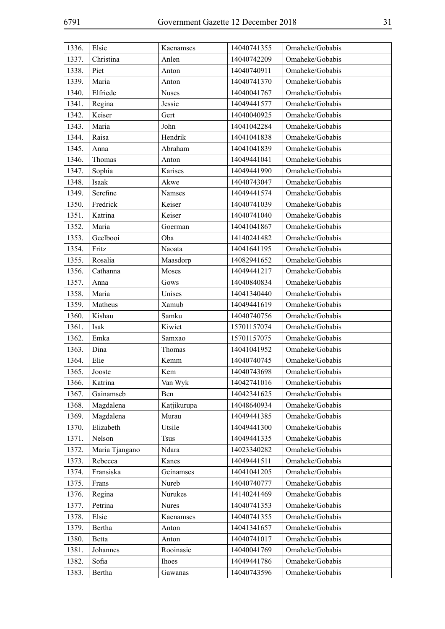| 1336. | Elsie          | Kaenamses    | 14040741355 | Omaheke/Gobabis |
|-------|----------------|--------------|-------------|-----------------|
| 1337. | Christina      | Anlen        | 14040742209 | Omaheke/Gobabis |
| 1338. | Piet           | Anton        | 14040740911 | Omaheke/Gobabis |
| 1339. | Maria          | Anton        | 14040741370 | Omaheke/Gobabis |
| 1340. | Elfriede       | Nuses        | 14040041767 | Omaheke/Gobabis |
| 1341. | Regina         | Jessie       | 14049441577 | Omaheke/Gobabis |
| 1342. | Keiser         | Gert         | 14040040925 | Omaheke/Gobabis |
| 1343. | Maria          | John         | 14041042284 | Omaheke/Gobabis |
| 1344. | Raisa          | Hendrik      | 14041041838 | Omaheke/Gobabis |
| 1345. | Anna           | Abraham      | 14041041839 | Omaheke/Gobabis |
| 1346. | Thomas         | Anton        | 14049441041 | Omaheke/Gobabis |
| 1347. | Sophia         | Karises      | 14049441990 | Omaheke/Gobabis |
| 1348. | Isaak          | Akwe         | 14040743047 | Omaheke/Gobabis |
| 1349. | Serefine       | Namses       | 14049441574 | Omaheke/Gobabis |
| 1350. | Fredrick       | Keiser       | 14040741039 | Omaheke/Gobabis |
| 1351. | Katrina        | Keiser       | 14040741040 | Omaheke/Gobabis |
| 1352. | Maria          | Goerman      | 14041041867 | Omaheke/Gobabis |
| 1353. | Geelbooi       | Oba          | 14140241482 | Omaheke/Gobabis |
| 1354. | Fritz          | Naoata       | 14041641195 | Omaheke/Gobabis |
| 1355. | Rosalia        | Maasdorp     | 14082941652 | Omaheke/Gobabis |
| 1356. | Cathanna       | Moses        | 14049441217 | Omaheke/Gobabis |
| 1357. | Anna           | Gows         | 14040840834 | Omaheke/Gobabis |
| 1358. | Maria          | Unises       | 14041340440 | Omaheke/Gobabis |
| 1359. | Matheus        | Xamub        | 14049441619 | Omaheke/Gobabis |
| 1360. | Kishau         | Samku        | 14040740756 | Omaheke/Gobabis |
| 1361. | Isak           | Kiwiet       | 15701157074 | Omaheke/Gobabis |
| 1362. | Emka           | Samxao       | 15701157075 | Omaheke/Gobabis |
| 1363. | Dina           | Thomas       | 14041041952 | Omaheke/Gobabis |
| 1364. | Elie           | Kemm         | 14040740745 | Omaheke/Gobabis |
| 1365. | Jooste         | Kem          | 14040743698 | Omaheke/Gobabis |
| 1366. | Katrina        | Van Wyk      | 14042741016 | Omaheke/Gobabis |
| 1367. | Gainamseb      | Ben          | 14042341625 | Omaheke/Gobabis |
| 1368. | Magdalena      | Katjikurupa  | 14048640934 | Omaheke/Gobabis |
| 1369. | Magdalena      | Murau        | 14049441385 | Omaheke/Gobabis |
| 1370. | Elizabeth      | Utsile       | 14049441300 | Omaheke/Gobabis |
| 1371. | Nelson         | <b>Tsus</b>  | 14049441335 | Omaheke/Gobabis |
| 1372. | Maria Tjangano | Ndara        | 14023340282 | Omaheke/Gobabis |
| 1373. | Rebecca        | Kanes        | 14049441511 | Omaheke/Gobabis |
| 1374. | Fransiska      | Geinamses    | 14041041205 | Omaheke/Gobabis |
| 1375. | Frans          | Nureb        | 14040740777 | Omaheke/Gobabis |
| 1376. | Regina         | Nurukes      | 14140241469 | Omaheke/Gobabis |
| 1377. | Petrina        | <b>Nures</b> | 14040741353 | Omaheke/Gobabis |
| 1378. | Elsie          | Kaenamses    | 14040741355 | Omaheke/Gobabis |
| 1379. | Bertha         | Anton        | 14041341657 | Omaheke/Gobabis |
| 1380. | Betta          | Anton        | 14040741017 | Omaheke/Gobabis |
| 1381. | Johannes       | Rooinasie    | 14040041769 | Omaheke/Gobabis |
| 1382. | Sofia          | <b>Ihoes</b> | 14049441786 | Omaheke/Gobabis |
| 1383. | Bertha         | Gawanas      | 14040743596 | Omaheke/Gobabis |
|       |                |              |             |                 |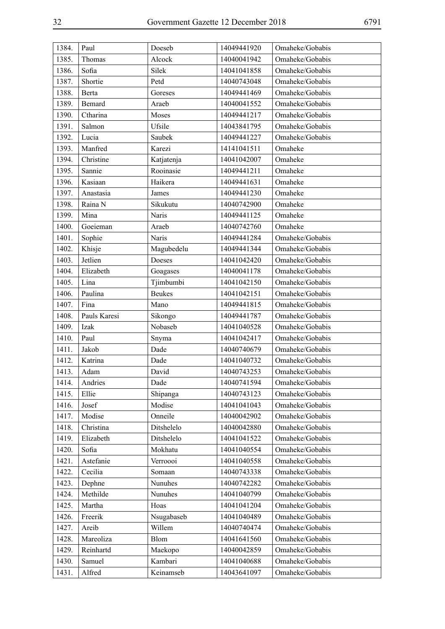| 1384. | Paul         | Doeseb        | 14049441920 | Omaheke/Gobabis |
|-------|--------------|---------------|-------------|-----------------|
| 1385. | Thomas       | Alcock        | 14040041942 | Omaheke/Gobabis |
| 1386. | Sofia        | Silek         | 14041041858 | Omaheke/Gobabis |
| 1387. | Shortie      | Petd          | 14040743048 | Omaheke/Gobabis |
| 1388. | Berta        | Goreses       | 14049441469 | Omaheke/Gobabis |
| 1389. | Bemard       | Araeb         | 14040041552 | Omaheke/Gobabis |
| 1390. | Ctharina     | Moses         | 14049441217 | Omaheke/Gobabis |
| 1391. | Salmon       | Ufsile        | 14043841795 | Omaheke/Gobabis |
| 1392. | Lucia        | Saubek        | 14049441227 | Omaheke/Gobabis |
| 1393. | Manfred      | Karezi        | 14141041511 | Omaheke         |
| 1394. | Christine    | Katjatenja    | 14041042007 | Omaheke         |
| 1395. | Sannie       | Rooinasie     | 14049441211 | Omaheke         |
| 1396. | Kasiaan      | Haikera       | 14049441631 | Omaheke         |
| 1397. | Anastasia    | James         | 14049441230 | Omaheke         |
| 1398. | Raina N      | Sikukutu      | 14040742900 | Omaheke         |
| 1399. | Mina         | <b>Naris</b>  | 14049441125 | Omaheke         |
| 1400. | Goeieman     | Araeb         | 14040742760 | Omaheke         |
| 1401. | Sophie       | <b>Naris</b>  | 14049441284 | Omaheke/Gobabis |
| 1402. | Khisje       | Magubedelu    | 14049441344 | Omaheke/Gobabis |
| 1403. | Jetlien      | Doeses        | 14041042420 | Omaheke/Gobabis |
| 1404. | Elizabeth    | Goagases      | 14040041178 | Omaheke/Gobabis |
| 1405. | Lina         | Tjimbumbi     | 14041042150 | Omaheke/Gobabis |
| 1406. | Paulina      | <b>Beukes</b> | 14041042151 | Omaheke/Gobabis |
| 1407. | Fina         | Mano          | 14049441815 | Omaheke/Gobabis |
| 1408. | Pauls Karesi | Sikongo       | 14049441787 | Omaheke/Gobabis |
| 1409. | Izak         | Nobaseb       | 14041040528 | Omaheke/Gobabis |
| 1410. | Paul         | Snyma         | 14041042417 | Omaheke/Gobabis |
| 1411. | Jakob        | Dade          | 14040740679 | Omaheke/Gobabis |
| 1412. | Katrina      | Dade          | 14041040732 | Omaheke/Gobabis |
| 1413. | Adam         | David         | 14040743253 | Omaheke/Gobabis |
| 1414. | Andries      | Dade          | 14040741594 | Omaheke/Gobabis |
| 1415. | Ellie        | Shipanga      | 14040743123 | Omaheke/Gobabis |
| 1416. | Josef        | Modise        | 14041041043 | Omaheke/Gobabis |
| 1417. | Modise       | Onneile       | 14040042902 | Omaheke/Gobabis |
| 1418. | Christina    | Ditshelelo    | 14040042880 | Omaheke/Gobabis |
| 1419. | Elizabeth    | Ditshelelo    | 14041041522 | Omaheke/Gobabis |
| 1420. | Sofia        | Mokhatu       | 14041040554 | Omaheke/Gobabis |
| 1421. | Astefanie    | Verroooi      | 14041040558 | Omaheke/Gobabis |
| 1422. | Cecilia      | Somaan        | 14040743338 | Omaheke/Gobabis |
| 1423. | Dephne       | Nunuhes       | 14040742282 | Omaheke/Gobabis |
| 1424. | Methilde     | Nunuhes       | 14041040799 | Omaheke/Gobabis |
| 1425. | Martha       | Hoas          | 14041041204 | Omaheke/Gobabis |
| 1426. | Freerik      | Nsugabaseb    | 14041040489 | Omaheke/Gobabis |
| 1427. | Areib        | Willem        | 14040740474 | Omaheke/Gobabis |
| 1428. | Mareoliza    | Blom          | 14041641560 | Omaheke/Gobabis |
| 1429. | Reinhartd    | Maekopo       | 14040042859 | Omaheke/Gobabis |
| 1430. | Samuel       | Kambari       | 14041040688 | Omaheke/Gobabis |
| 1431. | Alfred       | Keinamseb     | 14043641097 | Omaheke/Gobabis |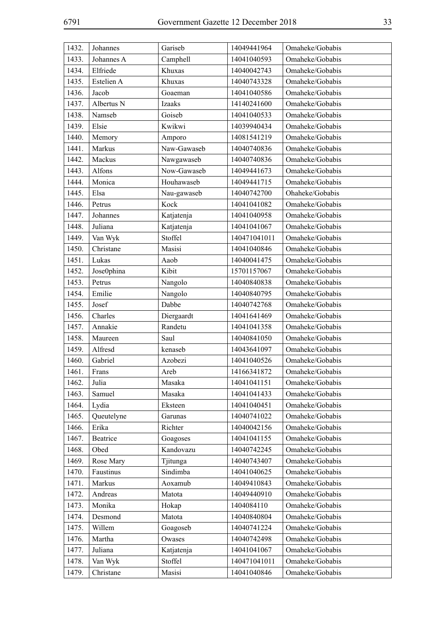| 1432. | Johannes   | Gariseb     | 14049441964  | Omaheke/Gobabis |
|-------|------------|-------------|--------------|-----------------|
| 1433. | Johannes A | Camphell    | 14041040593  | Omaheke/Gobabis |
| 1434. | Elfriede   | Khuxas      | 14040042743  | Omaheke/Gobabis |
| 1435. | Estelien A | Khuxas      | 14040743328  | Omaheke/Gobabis |
| 1436. | Jacob      | Goaeman     | 14041040586  | Omaheke/Gobabis |
| 1437. | Albertus N | Izaaks      | 14140241600  | Omaheke/Gobabis |
| 1438. | Namseb     | Goiseb      | 14041040533  | Omaheke/Gobabis |
| 1439. | Elsie      | Kwikwi      | 14039940434  | Omaheke/Gobabis |
| 1440. | Memory     | Amporo      | 14081541219  | Omaheke/Gobabis |
| 1441. | Markus     | Naw-Gawaseb | 14040740836  | Omaheke/Gobabis |
| 1442. | Mackus     | Nawgawaseb  | 14040740836  | Omaheke/Gobabis |
| 1443. | Alfons     | Now-Gawaseb | 14049441673  | Omaheke/Gobabis |
| 1444. | Monica     | Houhawaseb  | 14049441715  | Omaheke/Gobabis |
| 1445. | Elsa       | Nau-gawaseb | 14040742700  | Ohaheke/Gobabis |
| 1446. | Petrus     | Kock        | 14041041082  | Omaheke/Gobabis |
| 1447. | Johannes   | Katjatenja  | 14041040958  | Omaheke/Gobabis |
| 1448. | Juliana    | Katjatenja  | 14041041067  | Omaheke/Gobabis |
| 1449. | Van Wyk    | Stoffel     | 140471041011 | Omaheke/Gobabis |
| 1450. | Christane  | Masisi      | 14041040846  | Omaheke/Gobabis |
| 1451. | Lukas      | Aaob        | 14040041475  | Omaheke/Gobabis |
| 1452. | Jose0phina | Kibit       | 15701157067  | Omaheke/Gobabis |
| 1453. | Petrus     | Nangolo     | 14040840838  | Omaheke/Gobabis |
| 1454. | Emilie     | Nangolo     | 14040840795  | Omaheke/Gobabis |
| 1455. | Josef      | Dabbe       | 14040742768  | Omaheke/Gobabis |
| 1456. | Charles    | Diergaardt  | 14041641469  | Omaheke/Gobabis |
| 1457. | Annakie    | Randetu     | 14041041358  | Omaheke/Gobabis |
| 1458. | Maureen    | Saul        | 14040841050  | Omaheke/Gobabis |
| 1459. | Alfresd    | kenaseb     | 14043641097  | Omaheke/Gobabis |
| 1460. | Gabriel    | Azobezi     | 14041040526  | Omaheke/Gobabis |
| 1461. | Frans      | Areb        | 14166341872  | Omaheke/Gobabis |
| 1462. | Julia      | Masaka      | 14041041151  | Omaheke/Gobabis |
| 1463. | Samuel     | Masaka      | 14041041433  | Omaheke/Gobabis |
| 1464. | Lydia      | Eksteen     | 14041040451  | Omaheke/Gobabis |
| 1465. | Queutelyne | Garunas     | 14040741022  | Omaheke/Gobabis |
| 1466. | Erika      | Richter     | 14040042156  | Omaheke/Gobabis |
| 1467. | Beatrice   | Goagoses    | 14041041155  | Omaheke/Gobabis |
| 1468. | Obed       | Kandovazu   | 14040742245  | Omaheke/Gobabis |
| 1469. | Rose Mary  | Tjitunga    | 14040743407  | Omaheke/Gobabis |
| 1470. | Faustinus  | Sindimba    | 14041040625  | Omaheke/Gobabis |
| 1471. | Markus     | Aoxamub     | 14049410843  | Omaheke/Gobabis |
| 1472. | Andreas    | Matota      | 14049440910  | Omaheke/Gobabis |
| 1473. | Monika     | Hokap       | 1404084110   | Omaheke/Gobabis |
| 1474. | Desmond    | Matota      | 14040840804  | Omaheke/Gobabis |
| 1475. | Willem     | Goagoseb    | 14040741224  | Omaheke/Gobabis |
| 1476. | Martha     | Owases      | 14040742498  | Omaheke/Gobabis |
| 1477. | Juliana    | Katjatenja  | 14041041067  | Omaheke/Gobabis |
| 1478. | Van Wyk    | Stoffel     | 140471041011 | Omaheke/Gobabis |
| 1479. | Christane  | Masisi      | 14041040846  | Omaheke/Gobabis |
|       |            |             |              |                 |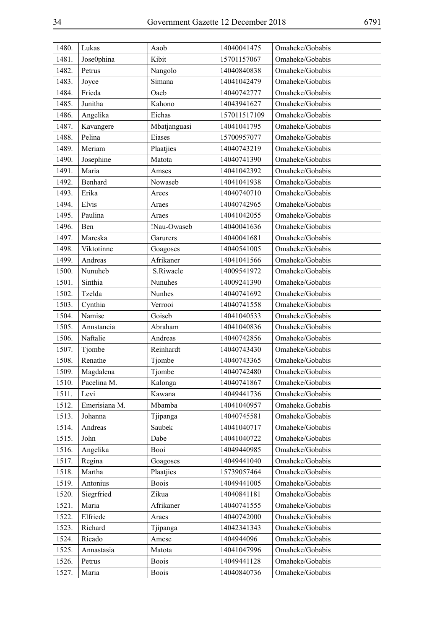| 1480. | Lukas         | Aaob         | 14040041475  | Omaheke/Gobabis |
|-------|---------------|--------------|--------------|-----------------|
| 1481. | Jose0phina    | Kibit        | 15701157067  | Omaheke/Gobabis |
| 1482. | Petrus        | Nangolo      | 14040840838  | Omaheke/Gobabis |
| 1483. | Joyce         | Simana       | 14041042479  | Omaheke/Gobabis |
| 1484. | Frieda        | Oaeb         | 14040742777  | Omaheke/Gobabis |
| 1485. | Junitha       | Kahono       | 14043941627  | Omaheke/Gobabis |
| 1486. | Angelika      | Eichas       | 157011517109 | Omaheke/Gobabis |
| 1487. | Kavangere     | Mbatjanguasi | 14041041795  | Omaheke/Gobabis |
| 1488. | Pelina        | Eiases       | 15700957077  | Omaheke/Gobabis |
| 1489. | Meriam        | Plaatjies    | 14040743219  | Omaheke/Gobabis |
| 1490. | Josephine     | Matota       | 14040741390  | Omaheke/Gobabis |
| 1491. | Maria         | Amses        | 14041042392  | Omaheke/Gobabis |
| 1492. | Benhard       | Nowaseb      | 14041041938  | Omaheke/Gobabis |
| 1493. | Erika         | Arees        | 14040740710  | Omaheke/Gobabis |
| 1494. | Elvis         | Araes        | 14040742965  | Omaheke/Gobabis |
| 1495. | Paulina       | Araes        | 14041042055  | Omaheke/Gobabis |
| 1496. | Ben           | !Nau-Owaseb  | 14040041636  | Omaheke/Gobabis |
| 1497. | Mareska       | Garurers     | 14040041681  | Omaheke/Gobabis |
| 1498. | Viktotinne    | Goagoses     | 14040541005  | Omaheke/Gobabis |
| 1499. | Andreas       | Afrikaner    | 14041041566  | Omaheke/Gobabis |
| 1500. | Nunuheb       | S.Riwacle    | 14009541972  | Omaheke/Gobabis |
| 1501. | Sinthia       | Nunuhes      | 14009241390  | Omaheke/Gobabis |
| 1502. | Tzelda        | Nunhes       | 14040741692  | Omaheke/Gobabis |
| 1503. | Cynthia       | Verrooi      | 14040741558  | Omaheke/Gobabis |
| 1504. | Namise        | Goiseb       | 14041040533  | Omaheke/Gobabis |
| 1505. | Annstancia    | Abraham      | 14041040836  | Omaheke/Gobabis |
| 1506. | Naftalie      | Andreas      | 14040742856  | Omaheke/Gobabis |
| 1507. | Tjombe        | Reinhardt    | 14040743430  | Omaheke/Gobabis |
| 1508. | Renathe       | Tjombe       | 14040743365  | Omaheke/Gobabis |
| 1509. | Magdalena     | Tjombe       | 14040742480  | Omaheke/Gobabis |
| 1510. | Pacelina M.   | Kalonga      | 14040741867  | Omaheke/Gobabis |
| 1511. | Levi          | Kawana       | 14049441736  | Omaheke/Gobabis |
| 1512. | Emerisiana M. | Mbamba       | 14041040957  | Omaheke.Gobabis |
| 1513. | Johanna       | Tjipanga     | 14040745581  | Omaheke/Gobabis |
| 1514. | Andreas       | Saubek       | 14041040717  | Omaheke/Gobabis |
| 1515. | John          | Dabe         | 14041040722  | Omaheke/Gobabis |
| 1516. | Angelika      | Booi         | 14049440985  | Omaheke/Gobabis |
| 1517. | Regina        | Goagoses     | 14049441040  | Omaheke/Gobabis |
| 1518. | Martha        | Plaatjies    | 15739057464  | Omaheke/Gobabis |
| 1519. | Antonius      | <b>Boois</b> | 14049441005  | Omaheke/Gobabis |
| 1520. | Siegrfried    | Zikua        | 14040841181  | Omaheke/Gobabis |
| 1521. | Maria         | Afrikaner    | 14040741555  | Omaheke/Gobabis |
| 1522. | Elfriede      | Araes        | 14040742000  | Omaheke/Gobabis |
| 1523. | Richard       | Tjipanga     | 14042341343  | Omaheke/Gobabis |
| 1524. | Ricado        | Amese        | 1404944096   | Omaheke/Gobabis |
| 1525. | Annastasia    | Matota       | 14041047996  | Omaheke/Gobabis |
| 1526. | Petrus        | <b>Boois</b> | 14049441128  | Omaheke/Gobabis |
| 1527. | Maria         | <b>Boois</b> | 14040840736  | Omaheke/Gobabis |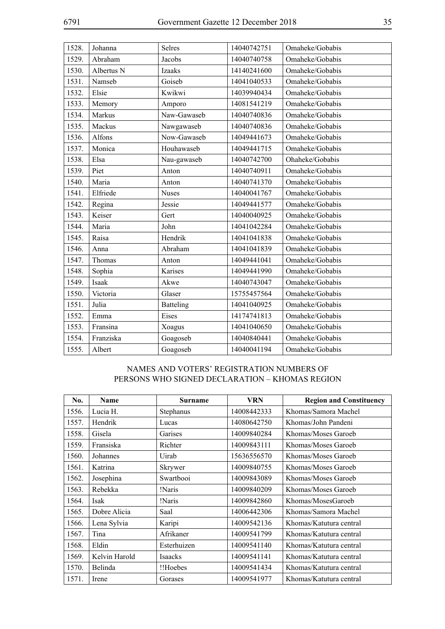| 1528. | Johanna    | Selres           | 14040742751 | Omaheke/Gobabis |
|-------|------------|------------------|-------------|-----------------|
| 1529. | Abraham    | Jacobs           | 14040740758 | Omaheke/Gobabis |
| 1530. | Albertus N | <b>Izaaks</b>    | 14140241600 | Omaheke/Gobabis |
| 1531. | Namseb     | Goiseb           | 14041040533 | Omaheke/Gobabis |
| 1532. | Elsie      | Kwikwi           | 14039940434 | Omaheke/Gobabis |
| 1533. | Memory     | Amporo           | 14081541219 | Omaheke/Gobabis |
| 1534. | Markus     | Naw-Gawaseb      | 14040740836 | Omaheke/Gobabis |
| 1535. | Mackus     | Nawgawaseb       | 14040740836 | Omaheke/Gobabis |
| 1536. | Alfons     | Now-Gawaseb      | 14049441673 | Omaheke/Gobabis |
| 1537. | Monica     | Houhawaseb       | 14049441715 | Omaheke/Gobabis |
| 1538. | Elsa       | Nau-gawaseb      | 14040742700 | Ohaheke/Gobabis |
| 1539. | Piet       | Anton            | 14040740911 | Omaheke/Gobabis |
| 1540. | Maria      | Anton            | 14040741370 | Omaheke/Gobabis |
| 1541. | Elfriede   | <b>Nuses</b>     | 14040041767 | Omaheke/Gobabis |
| 1542. | Regina     | Jessie           | 14049441577 | Omaheke/Gobabis |
| 1543. | Keiser     | Gert             | 14040040925 | Omaheke/Gobabis |
| 1544. | Maria      | John             | 14041042284 | Omaheke/Gobabis |
| 1545. | Raisa      | Hendrik          | 14041041838 | Omaheke/Gobabis |
| 1546. | Anna       | Abraham          | 14041041839 | Omaheke/Gobabis |
| 1547. | Thomas     | Anton            | 14049441041 | Omaheke/Gobabis |
| 1548. | Sophia     | Karises          | 14049441990 | Omaheke/Gobabis |
| 1549. | Isaak      | Akwe             | 14040743047 | Omaheke/Gobabis |
| 1550. | Victoria   | Glaser           | 15755457564 | Omaheke/Gobabis |
| 1551. | Julia      | <b>Batteling</b> | 14041040925 | Omaheke/Gobabis |
| 1552. | Emma       | Eises            | 14174741813 | Omaheke/Gobabis |
| 1553. | Fransina   | Xoagus           | 14041040650 | Omaheke/Gobabis |
| 1554. | Franziska  | Goagoseb         | 14040840441 | Omaheke/Gobabis |
| 1555. | Albert     | Goagoseb         | 14040041194 | Omaheke/Gobabis |
|       |            |                  |             |                 |

#### NAMES AND VOTERS' REGISTRATION NUMBERS OF PERSONS WHO SIGNED DECLARATION – KHOMAS REGION

| No.   | <b>Name</b>   | <b>Surname</b> | <b>VRN</b>  | <b>Region and Constituency</b> |
|-------|---------------|----------------|-------------|--------------------------------|
| 1556. | Lucia H.      | Stephanus      | 14008442333 | Khomas/Samora Machel           |
| 1557. | Hendrik       | Lucas          | 14080642750 | Khomas/John Pandeni            |
| 1558. | Gisela        | Garises        | 14009840284 | Khomas/Moses Garoeb            |
| 1559. | Fransiska     | Richter        | 14009843111 | Khomas/Moses Garoeb            |
| 1560. | Johannes      | Uirab          | 15636556570 | Khomas/Moses Garoeb            |
| 1561. | Katrina       | Skrywer        | 14009840755 | Khomas/Moses Garoeb            |
| 1562. | Josephina     | Swartbooi      | 14009843089 | Khomas/Moses Garoeb            |
| 1563. | Rebekka       | !Naris         | 14009840209 | Khomas/Moses Garoeb            |
| 1564. | Isak          | !Naris         | 14009842860 | Khomas/MosesGaroeb             |
| 1565. | Dobre Alicia  | Saal           | 14006442306 | Khomas/Samora Machel           |
| 1566. | Lena Sylvia   | Karipi         | 14009542136 | Khomas/Katutura central        |
| 1567. | Tina          | Afrikaner      | 14009541799 | Khomas/Katutura central        |
| 1568. | Eldin         | Esterhuizen    | 14009541140 | Khomas/Katutura central        |
| 1569. | Kelvin Harold | Isaacks        | 14009541141 | Khomas/Katutura central        |
| 1570. | Belinda       | !!Hoebes       | 14009541434 | Khomas/Katutura central        |
| 1571. | Irene         | Gorases        | 14009541977 | Khomas/Katutura central        |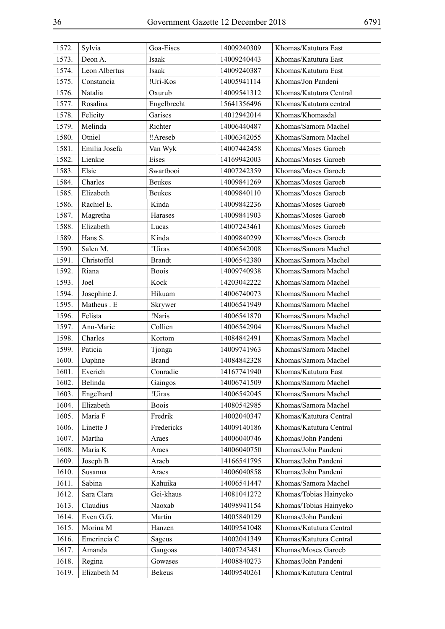| 1572. | Sylvia        | Goa-Eises     | 14009240309 | Khomas/Katutura East    |
|-------|---------------|---------------|-------------|-------------------------|
| 1573. | Deon A.       | Isaak         | 14009240443 | Khomas/Katutura East    |
| 1574. | Leon Albertus | Isaak         | 14009240387 | Khomas/Katutura East    |
| 1575. | Constancia    | !Uri-Kos      | 14005941114 | Khomas/Jon Pandeni      |
| 1576. | Natalia       | Oxurub        | 14009541312 | Khomas/Katutura Central |
| 1577. | Rosalina      | Engelbrecht   | 15641356496 | Khomas/Katutura central |
| 1578. | Felicity      | Garises       | 14012942014 | Khomas/Khomasdal        |
| 1579. | Melinda       | Richter       | 14006440487 | Khomas/Samora Machel    |
| 1580. | Otniel        | !!Areseb      | 14006342055 | Khomas/Samora Machel    |
| 1581. | Emilia Josefa | Van Wyk       | 14007442458 | Khomas/Moses Garoeb     |
| 1582. | Lienkie       | Eises         | 14169942003 | Khomas/Moses Garoeb     |
| 1583. | Elsie         | Swartbooi     | 14007242359 | Khomas/Moses Garoeb     |
| 1584. | Charles       | <b>Beukes</b> | 14009841269 | Khomas/Moses Garoeb     |
| 1585. | Elizabeth     | <b>Beukes</b> | 14009840110 | Khomas/Moses Garoeb     |
| 1586. | Rachiel E.    | Kinda         | 14009842236 | Khomas/Moses Garoeb     |
| 1587. | Magretha      | Harases       | 14009841903 | Khomas/Moses Garoeb     |
| 1588. | Elizabeth     | Lucas         | 14007243461 | Khomas/Moses Garoeb     |
| 1589. | Hans S.       | Kinda         | 14009840299 | Khomas/Moses Garoeb     |
| 1590. | Salen M.      | !Uiras        | 14006542008 | Khomas/Samora Machel    |
| 1591. | Christoffel   | <b>Brandt</b> | 14006542380 | Khomas/Samora Machel    |
| 1592. | Riana         | <b>Boois</b>  | 14009740938 | Khomas/Samora Machel    |
| 1593. | Joel          | Kock          | 14203042222 | Khomas/Samora Machel    |
| 1594. | Josephine J.  | Hikuam        | 14006740073 | Khomas/Samora Machel    |
| 1595. | Matheus . E   | Skrywer       | 14006541949 | Khomas/Samora Machel    |
| 1596. | Felista       | !Naris        | 14006541870 | Khomas/Samora Machel    |
| 1597. | Ann-Marie     | Collien       | 14006542904 | Khomas/Samora Machel    |
| 1598. | Charles       | Kortom        | 14084842491 | Khomas/Samora Machel    |
| 1599. | Paticia       | Tjonga        | 14009741963 | Khomas/Samora Machel    |
| 1600. | Daphne        | <b>Brand</b>  | 14084842328 | Khomas/Samora Machel    |
| 1601. | Everich       | Conradie      | 14167741940 | Khomas/Katutura East    |
| 1602. | Belinda       | Gaingos       | 14006741509 | Khomas/Samora Machel    |
| 1603. | Engelhard     | !Uiras        | 14006542045 | Khomas/Samora Machel    |
| 1604. | Elizabeth     | <b>Boois</b>  | 14080542985 | Khomas/Samora Machel    |
| 1605. | Maria F       | Fredrik       | 14002040347 | Khomas/Katutura Central |
| 1606. | Linette J     | Fredericks    | 14009140186 | Khomas/Katutura Central |
| 1607. | Martha        | Araes         | 14006040746 | Khomas/John Pandeni     |
| 1608. | Maria K       | Araes         | 14006040750 | Khomas/John Pandeni     |
| 1609. | Joseph B      | Araeb         | 14166541795 | Khomas/John Pandeni     |
| 1610. | Susanna       | Araes         | 14006040858 | Khomas/John Pandeni     |
| 1611. | Sabina        | Kahuika       | 14006541447 | Khomas/Samora Machel    |
| 1612. | Sara Clara    | Gei-khaus     | 14081041272 | Khomas/Tobias Hainyeko  |
| 1613. | Claudius      | Naoxab        | 14098941154 | Khomas/Tobias Hainyeko  |
| 1614. | Even G.G.     | Martin        | 14005840129 | Khomas/John Pandeni     |
| 1615. | Morina M      | Hanzen        | 14009541048 | Khomas/Katutura Central |
| 1616. | Emerincia C   | Sageus        | 14002041349 | Khomas/Katutura Central |
| 1617. | Amanda        | Gaugoas       | 14007243481 | Khomas/Moses Garoeb     |
| 1618. | Regina        | Gowases       | 14008840273 | Khomas/John Pandeni     |
| 1619. | Elizabeth M   | <b>Bekeus</b> | 14009540261 | Khomas/Katutura Central |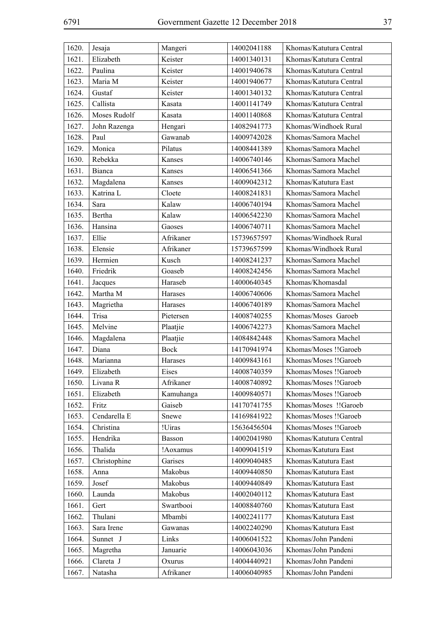| 1620. | Jesaja       | Mangeri     | 14002041188 | Khomas/Katutura Central |
|-------|--------------|-------------|-------------|-------------------------|
| 1621. | Elizabeth    | Keister     | 14001340131 | Khomas/Katutura Central |
| 1622. | Paulina      | Keister     | 14001940678 | Khomas/Katutura Central |
| 1623. | Maria M      | Keister     | 14001940677 | Khomas/Katutura Central |
| 1624. | Gustaf       | Keister     | 14001340132 | Khomas/Katutura Central |
| 1625. | Callista     | Kasata      | 14001141749 | Khomas/Katutura Central |
| 1626. | Moses Rudolf | Kasata      | 14001140868 | Khomas/Katutura Central |
| 1627. | John Razenga | Hengari     | 14082941773 | Khomas/Windhoek Rural   |
| 1628. | Paul         | Gawanab     | 14009742028 | Khomas/Samora Machel    |
| 1629. | Monica       | Pilatus     | 14008441389 | Khomas/Samora Machel    |
| 1630. | Rebekka      | Kanses      | 14006740146 | Khomas/Samora Machel    |
| 1631. | Bianca       | Kanses      | 14006541366 | Khomas/Samora Machel    |
| 1632. | Magdalena    | Kanses      | 14009042312 | Khomas/Katutura East    |
| 1633. | Katrina L    | Cloete      | 14008241831 | Khomas/Samora Machel    |
| 1634. | Sara         | Kalaw       | 14006740194 | Khomas/Samora Machel    |
| 1635. | Bertha       | Kalaw       | 14006542230 | Khomas/Samora Machel    |
| 1636. | Hansina      | Gaoses      | 14006740711 | Khomas/Samora Machel    |
| 1637. | Ellie        | Afrikaner   | 15739657597 | Khomas/Windhoek Rural   |
| 1638. | Elensie      | Afrikaner   | 15739657599 | Khomas/Windhoek Rural   |
| 1639. | Hermien      | Kusch       | 14008241237 | Khomas/Samora Machel    |
| 1640. | Friedrik     | Goaseb      | 14008242456 | Khomas/Samora Machel    |
| 1641. | Jacques      | Haraseb     | 14000640345 | Khomas/Khomasdal        |
| 1642. | Martha M     | Harases     | 14006740606 | Khomas/Samora Machel    |
| 1643. | Magrietha    | Harases     | 14006740189 | Khomas/Samora Machel    |
| 1644. | Trisa        | Pietersen   | 14008740255 | Khomas/Moses Garoeb     |
| 1645. | Melvine      | Plaatjie    | 14006742273 | Khomas/Samora Machel    |
| 1646. | Magdalena    | Plaatjie    | 14084842448 | Khomas/Samora Machel    |
| 1647. | Diana        | <b>Bock</b> | 14170941974 | Khomas/Moses !!Garoeb   |
| 1648. | Marianna     | Harases     | 14009843161 | Khomas/Moses !!Garoeb   |
| 1649. | Elizabeth    | Eises       | 14008740359 | Khomas/Moses !!Garoeb   |
| 1650. | Livana R     | Afrikaner   | 14008740892 | Khomas/Moses !!Garoeb   |
| 1651. | Elizabeth    | Kamuhanga   | 14009840571 | Khomas/Moses !!Garoeb   |
| 1652. | Fritz        | Gaiseb      | 14170741755 | Khomas/Moses !!Garoeb   |
| 1653. | Cendarella E | Snewe       | 14169841922 | Khomas/Moses !!Garoeb   |
| 1654. | Christina    | !Uiras      | 15636456504 | Khomas/Moses !!Garoeb   |
| 1655. | Hendrika     | Basson      | 14002041980 | Khomas/Katutura Central |
| 1656. | Thalida      | !Aoxamus    | 14009041519 | Khomas/Katutura East    |
| 1657. | Christophine | Garises     | 14009040485 | Khomas/Katutura East    |
| 1658. | Anna         | Makobus     | 14009440850 | Khomas/Katutura East    |
| 1659. | Josef        | Makobus     | 14009440849 | Khomas/Katutura East    |
| 1660. | Launda       | Makobus     | 14002040112 | Khomas/Katutura East    |
| 1661. | Gert         | Swartbooi   | 14008840760 | Khomas/Katutura East    |
| 1662. | Thulani      | Mbambi      | 14002241177 | Khomas/Katutura East    |
| 1663. | Sara Irene   | Gawanas     | 14002240290 | Khomas/Katutura East    |
| 1664. | Sunnet J     | Links       | 14006041522 | Khomas/John Pandeni     |
| 1665. | Magretha     | Januarie    | 14006043036 | Khomas/John Pandeni     |
| 1666. | Clareta J    | Oxurus      | 14004440921 | Khomas/John Pandeni     |
| 1667. | Natasha      | Afrikaner   | 14006040985 | Khomas/John Pandeni     |
|       |              |             |             |                         |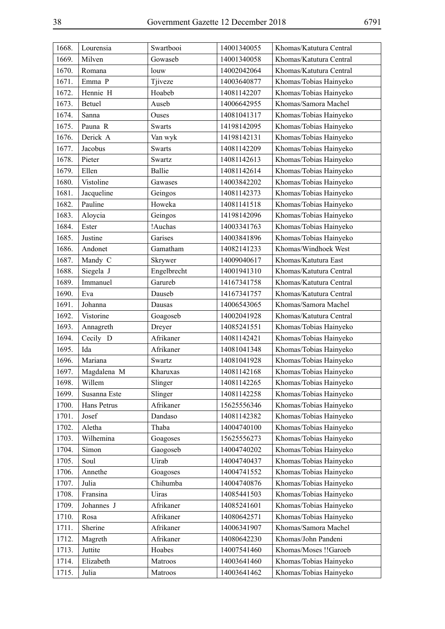| 1668. | Lourensia    | Swartbooi     | 14001340055 | Khomas/Katutura Central |
|-------|--------------|---------------|-------------|-------------------------|
| 1669. | Milven       | Gowaseb       | 14001340058 | Khomas/Katutura Central |
| 1670. | Romana       | louw          | 14002042064 | Khomas/Katutura Central |
| 1671. | Emma P       | Tjiveze       | 14003640877 | Khomas/Tobias Hainyeko  |
| 1672. | Hennie H     | Hoabeb        | 14081142207 | Khomas/Tobias Hainyeko  |
| 1673. | Betuel       | Auseb         | 14006642955 | Khomas/Samora Machel    |
| 1674. | Sanna        | Ouses         | 14081041317 | Khomas/Tobias Hainyeko  |
| 1675. | Pauna R      | <b>Swarts</b> | 14198142095 | Khomas/Tobias Hainyeko  |
| 1676. | Derick A     | Van wyk       | 14198142131 | Khomas/Tobias Hainyeko  |
| 1677. | Jacobus      | <b>Swarts</b> | 14081142209 | Khomas/Tobias Hainyeko  |
| 1678. | Pieter       | Swartz        | 14081142613 | Khomas/Tobias Hainyeko  |
| 1679. | Ellen        | <b>Ballie</b> | 14081142614 | Khomas/Tobias Hainyeko  |
| 1680. | Vistoline    | Gawases       | 14003842202 | Khomas/Tobias Hainyeko  |
| 1681. | Jacqueline   | Geingos       | 14081142373 | Khomas/Tobias Hainyeko  |
| 1682. | Pauline      | Howeka        | 14081141518 | Khomas/Tobias Hainyeko  |
| 1683. | Aloycia      | Geingos       | 14198142096 | Khomas/Tobias Hainyeko  |
| 1684. | Ester        | !Auchas       | 14003341763 | Khomas/Tobias Hainyeko  |
| 1685. | Justine      | Garises       | 14003841896 | Khomas/Tobias Hainyeko  |
| 1686. | Andonet      | Gamatham      | 14082141233 | Khomas/Windhoek West    |
| 1687. | Mandy C      | Skrywer       | 14009040617 | Khomas/Katutura East    |
| 1688. | Siegela J    | Engelbrecht   | 14001941310 | Khomas/Katutura Central |
| 1689. | Immanuel     | Garureb       | 14167341758 | Khomas/Katutura Central |
| 1690. | Eva          | Dauseb        | 14167341757 | Khomas/Katutura Central |
| 1691. | Johanna      | Dausas        | 14006543065 | Khomas/Samora Machel    |
| 1692. | Vistorine    | Goagoseb      | 14002041928 | Khomas/Katutura Central |
| 1693. | Annagreth    | Dreyer        | 14085241551 | Khomas/Tobias Hainyeko  |
| 1694. | Cecily D     | Afrikaner     | 14081142421 | Khomas/Tobias Hainyeko  |
| 1695. | Ida          | Afrikaner     | 14081041348 | Khomas/Tobias Hainyeko  |
| 1696. | Mariana      | Swartz        | 14081041928 | Khomas/Tobias Hainyeko  |
| 1697. | Magdalena M  | Kharuxas      | 14081142168 | Khomas/Tobias Hainyeko  |
| 1698. | Willem       | Slinger       | 14081142265 | Khomas/Tobias Hainyeko  |
| 1699. | Susanna Este | Slinger       | 14081142258 | Khomas/Tobias Hainyeko  |
| 1700. | Hans Petrus  | Afrikaner     | 15625556346 | Khomas/Tobias Hainyeko  |
| 1701. | Josef        | Dandaso       | 14081142382 | Khomas/Tobias Hainyeko  |
| 1702. | Aletha       | Thaba         | 14004740100 | Khomas/Tobias Hainyeko  |
| 1703. | Wilhemina    | Goagoses      | 15625556273 | Khomas/Tobias Hainyeko  |
| 1704. | Simon        | Gaogoseb      | 14004740202 | Khomas/Tobias Hainyeko  |
| 1705. | Soul         | Uirab         | 14004740437 | Khomas/Tobias Hainyeko  |
| 1706. | Annethe      | Goagoses      | 14004741552 | Khomas/Tobias Hainyeko  |
| 1707. | Julia        | Chihumba      | 14004740876 | Khomas/Tobias Hainyeko  |
| 1708. | Fransina     | Uiras         | 14085441503 | Khomas/Tobias Hainyeko  |
| 1709. | Johannes J   | Afrikaner     | 14085241601 | Khomas/Tobias Hainyeko  |
| 1710. | Rosa         | Afrikaner     | 14080642571 | Khomas/Tobias Hainyeko  |
| 1711. | Sherine      | Afrikaner     | 14006341907 | Khomas/Samora Machel    |
| 1712. | Magreth      | Afrikaner     | 14080642230 | Khomas/John Pandeni     |
| 1713. | Juttite      | Hoabes        | 14007541460 | Khomas/Moses !! Garoeb  |
| 1714. | Elizabeth    | Matroos       | 14003641460 | Khomas/Tobias Hainyeko  |
| 1715. | Julia        | Matroos       | 14003641462 | Khomas/Tobias Hainyeko  |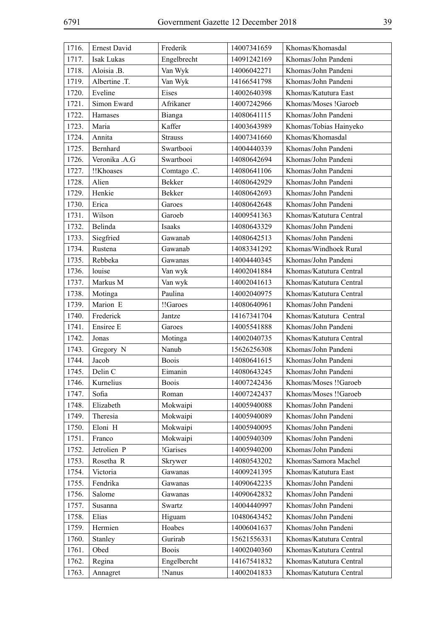| 1716. | Ernest David  | Frederik       | 14007341659 | Khomas/Khomasdal        |
|-------|---------------|----------------|-------------|-------------------------|
| 1717. | Isak Lukas    | Engelbrecht    | 14091242169 | Khomas/John Pandeni     |
| 1718. | Aloisia .B.   | Van Wyk        | 14006042271 | Khomas/John Pandeni     |
| 1719. | Albertine .T. | Van Wyk        | 14166541798 | Khomas/John Pandeni     |
| 1720. | Eveline       | Eises          | 14002640398 | Khomas/Katutura East    |
| 1721. | Simon Eward   | Afrikaner      | 14007242966 | Khomas/Moses !Garoeb    |
| 1722. | Hamases       | Bianga         | 14080641115 | Khomas/John Pandeni     |
| 1723. | Maria         | Kaffer         | 14003643989 | Khomas/Tobias Hainyeko  |
| 1724. | Annita        | <b>Strauss</b> | 14007341660 | Khomas/Khomasdal        |
| 1725. | Bernhard      | Swartbooi      | 14004440339 | Khomas/John Pandeni     |
| 1726. | Veronika .A.G | Swartbooi      | 14080642694 | Khomas/John Pandeni     |
| 1727. | !!Khoases     | Comtago .C.    | 14080641106 | Khomas/John Pandeni     |
| 1728. | Alien         | <b>Bekker</b>  | 14080642929 | Khomas/John Pandeni     |
| 1729. | Henkie        | <b>Bekker</b>  | 14080642693 | Khomas/John Pandeni     |
| 1730. | Erica         | Garoes         | 14080642648 | Khomas/John Pandeni     |
| 1731. | Wilson        | Garoeb         | 14009541363 | Khomas/Katutura Central |
| 1732. | Belinda       | Isaaks         | 14080643329 | Khomas/John Pandeni     |
| 1733. | Siegfried     | Gawanab        | 14080642513 | Khomas/John Pandeni     |
| 1734. | Rustena       | Gawanab        | 14083341292 | Khomas/Windhoek Rural   |
| 1735. | Rebbeka       | Gawanas        | 14004440345 | Khomas/John Pandeni     |
| 1736. | louise        | Van wyk        | 14002041884 | Khomas/Katutura Central |
| 1737. | Markus M      | Van wyk        | 14002041613 | Khomas/Katutura Central |
| 1738. | Motinga       | Paulina        | 14002040975 | Khomas/Katutura Central |
| 1739. | Marion E      | !!Garoes       | 14080640961 | Khomas/John Pandeni     |
| 1740. | Frederick     | Jantze         | 14167341704 | Khomas/Katutura Central |
| 1741. | Ensiree E     | Garoes         | 14005541888 | Khomas/John Pandeni     |
| 1742. | Jonas         | Motinga        | 14002040735 | Khomas/Katutura Central |
| 1743. | Gregory N     | Nanub          | 15626256308 | Khomas/John Pandeni     |
| 1744. | Jacob         | <b>Boois</b>   | 14080641615 | Khomas/John Pandeni     |
| 1745. | Delin C       | Eimanin        | 14080643245 | Khomas/John Pandeni     |
| 1746. | Kurnelius     | <b>Boois</b>   | 14007242436 | Khomas/Moses !!Garoeb   |
| 1747. | Sofia         | Roman          | 14007242437 | Khomas/Moses !!Garoeb   |
| 1748. | Elizabeth     | Mokwaipi       | 14005940088 | Khomas/John Pandeni     |
| 1749. | Theresia      | Mokwaipi       | 14005940089 | Khomas/John Pandeni     |
| 1750. | Eloni H       | Mokwaipi       | 14005940095 | Khomas/John Pandeni     |
| 1751. | Franco        | Mokwaipi       | 14005940309 | Khomas/John Pandeni     |
| 1752. | Jetrolien P   | !Garises       | 14005940200 | Khomas/John Pandeni     |
| 1753. | Rosetha R     | Skrywer        | 14080543202 | Khomas/Samora Machel    |
| 1754. | Victoria      | Gawanas        | 14009241395 | Khomas/Katutura East    |
| 1755. | Fendrika      | Gawanas        | 14090642235 | Khomas/John Pandeni     |
| 1756. | Salome        | Gawanas        | 14090642832 | Khomas/John Pandeni     |
| 1757. | Susanna       | Swartz         | 14004440997 | Khomas/John Pandeni     |
| 1758. | Elias         | Higuam         | 10480643452 | Khomas/John Pandeni     |
| 1759. | Hermien       | Hoabes         | 14006041637 | Khomas/John Pandeni     |
| 1760. | Stanley       | Gurirab        | 15621556331 | Khomas/Katutura Central |
| 1761. | Obed          | <b>Boois</b>   | 14002040360 | Khomas/Katutura Central |
| 1762. | Regina        | Engelbercht    | 14167541832 | Khomas/Katutura Central |
| 1763. | Annagret      | !Nanus         | 14002041833 | Khomas/Katutura Central |
|       |               |                |             |                         |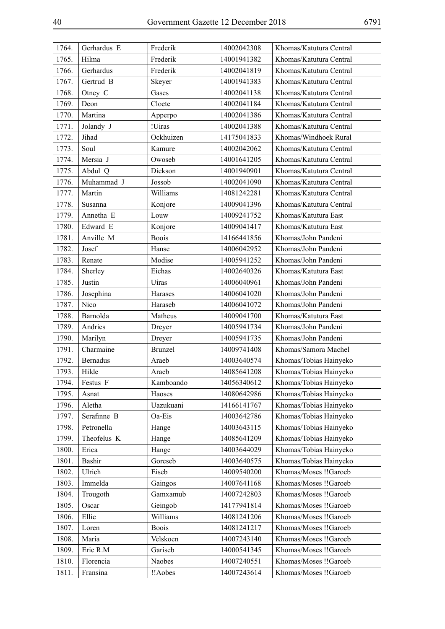| 1764. | Gerhardus E     | Frederik       | 14002042308 | Khomas/Katutura Central |
|-------|-----------------|----------------|-------------|-------------------------|
| 1765. | Hilma           | Frederik       | 14001941382 | Khomas/Katutura Central |
| 1766. | Gerhardus       | Frederik       | 14002041819 | Khomas/Katutura Central |
| 1767. | Gertrud B       | Skeyer         | 14001941383 | Khomas/Katutura Central |
| 1768. | Otney C         | Gases          | 14002041138 | Khomas/Katutura Central |
| 1769. | Deon            | Cloete         | 14002041184 | Khomas/Katutura Central |
| 1770. | Martina         | Apperpo        | 14002041386 | Khomas/Katutura Central |
| 1771. | Jolandy J       | !Uiras         | 14002041388 | Khomas/Katutura Central |
| 1772. | Jihad           | Ockhuizen      | 14175041833 | Khomas/Windhoek Rural   |
| 1773. | Soul            | Kamure         | 14002042062 | Khomas/Katutura Central |
| 1774. | Mersia J        | Owoseb         | 14001641205 | Khomas/Katutura Central |
| 1775. | Abdul Q         | Dickson        | 14001940901 | Khomas/Katutura Central |
| 1776. | Muhammad J      | Jossob         | 14002041090 | Khomas/Katutura Central |
| 1777. | Martin          | Williams       | 14081242281 | Khomas/Katutura Central |
| 1778. | Susanna         | Konjore        | 14009041396 | Khomas/Katutura Central |
| 1779. | Annetha E       | Louw           | 14009241752 | Khomas/Katutura East    |
| 1780. | Edward E        | Konjore        | 14009041417 | Khomas/Katutura East    |
| 1781. | Anville M       | <b>Boois</b>   | 14166441856 | Khomas/John Pandeni     |
| 1782. | Josef           | Hanse          | 14006042952 | Khomas/John Pandeni     |
| 1783. | Renate          | Modise         | 14005941252 | Khomas/John Pandeni     |
| 1784. | Sherley         | Eichas         | 14002640326 | Khomas/Katutura East    |
| 1785. | Justin          | Uiras          | 14006040961 | Khomas/John Pandeni     |
| 1786. | Josephina       | Harases        | 14006041020 | Khomas/John Pandeni     |
| 1787. | Nico            | Haraseb        | 14006041072 | Khomas/John Pandeni     |
| 1788. | Barnolda        | Matheus        | 14009041700 | Khomas/Katutura East    |
| 1789. | Andries         | Dreyer         | 14005941734 | Khomas/John Pandeni     |
| 1790. | Marilyn         | Dreyer         | 14005941735 | Khomas/John Pandeni     |
| 1791. | Charmaine       | <b>Brunzel</b> | 14009741408 | Khomas/Samora Machel    |
| 1792. | <b>Bernadus</b> | Araeb          | 14003640574 | Khomas/Tobias Hainyeko  |
| 1793. | Hilde           | Araeb          | 14085641208 | Khomas/Tobias Hainyeko  |
| 1794. | Festus F        | Kamboando      | 14056340612 | Khomas/Tobias Hainyeko  |
| 1795. | Asnat           | Haoses         | 14080642986 | Khomas/Tobias Hainyeko  |
| 1796. | Aletha          | Uazukuani      | 14166141767 | Khomas/Tobias Hainyeko  |
| 1797. | Serafinne B     | Oa-Eis         | 14003642786 | Khomas/Tobias Hainyeko  |
| 1798. | Petronella      | Hange          | 14003643115 | Khomas/Tobias Hainyeko  |
| 1799. | Theofelus K     | Hange          | 14085641209 | Khomas/Tobias Hainyeko  |
| 1800. | Erica           | Hange          | 14003644029 | Khomas/Tobias Hainyeko  |
| 1801. | Bashir          | Goreseb        | 14003640575 | Khomas/Tobias Hainyeko  |
| 1802. | Ulrich          | Eiseb          | 14009540200 | Khomas/Moses !!Garoeb   |
| 1803. | Immelda         | Gaingos        | 14007641168 | Khomas/Moses !!Garoeb   |
| 1804. | Trougoth        | Gamxamub       | 14007242803 | Khomas/Moses !!Garoeb   |
| 1805. | Oscar           | Geingob        | 14177941814 | Khomas/Moses !!Garoeb   |
| 1806. | Ellie           | Williams       | 14081241206 | Khomas/Moses !!Garoeb   |
| 1807. | Loren           | <b>Boois</b>   | 14081241217 | Khomas/Moses !!Garoeb   |
| 1808. | Maria           | Velskoen       | 14007243140 | Khomas/Moses !!Garoeb   |
| 1809. | Eric R.M        | Gariseb        | 14000541345 | Khomas/Moses !!Garoeb   |
| 1810. | Florencia       | Naobes         | 14007240551 | Khomas/Moses !!Garoeb   |
| 1811. | Fransina        | !!Aobes        | 14007243614 | Khomas/Moses !!Garoeb   |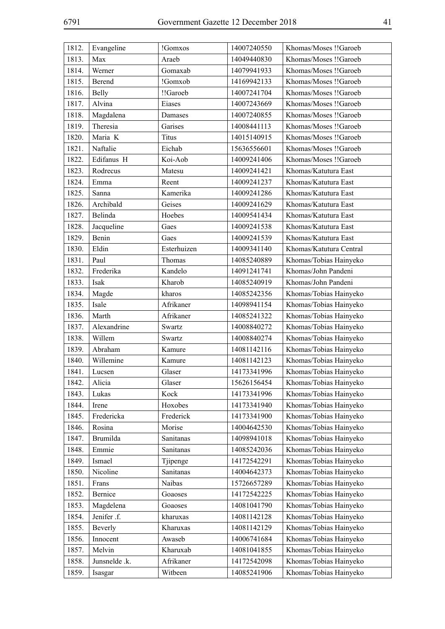| 1812. | Evangeline    | !Gomxos      | 14007240550 | Khomas/Moses !!Garoeb   |
|-------|---------------|--------------|-------------|-------------------------|
| 1813. | Max           | Araeb        | 14049440830 | Khomas/Moses !!Garoeb   |
| 1814. | Werner        | Gomaxab      | 14079941933 | Khomas/Moses !!Garoeb   |
| 1815. | Berend        | !Gomxob      | 14169942133 | Khomas/Moses !!Garoeb   |
| 1816. | <b>Belly</b>  | !!Garoeb     | 14007241704 | Khomas/Moses !!Garoeb   |
| 1817. | Alvina        | Eiases       | 14007243669 | Khomas/Moses !!Garoeb   |
| 1818. | Magdalena     | Damases      | 14007240855 | Khomas/Moses !!Garoeb   |
| 1819. | Theresia      | Garises      | 14008441113 | Khomas/Moses !!Garoeb   |
| 1820. | Maria K       | <b>Titus</b> | 14015140915 | Khomas/Moses !!Garoeb   |
| 1821. | Naftalie      | Eichab       | 15636556601 | Khomas/Moses !!Garoeb   |
| 1822. | Edifanus H    | Koi-Aob      | 14009241406 | Khomas/Moses !!Garoeb   |
| 1823. | Rodrecus      | Matesu       | 14009241421 | Khomas/Katutura East    |
| 1824. | Emma          | Reent        | 14009241237 | Khomas/Katutura East    |
| 1825. | Sanna         | Kamerika     | 14009241286 | Khomas/Katutura East    |
| 1826. | Archibald     | Geises       | 14009241629 | Khomas/Katutura East    |
| 1827. | Belinda       | Hoebes       | 14009541434 | Khomas/Katutura East    |
| 1828. | Jacqueline    | Gaes         | 14009241538 | Khomas/Katutura East    |
| 1829. | Benin         | Gaes         | 14009241539 | Khomas/Katutura East    |
| 1830. | Eldin         | Esterhuizen  | 14009341140 | Khomas/Katutura Central |
| 1831. | Paul          | Thomas       | 14085240889 | Khomas/Tobias Hainyeko  |
| 1832. | Frederika     | Kandelo      | 14091241741 | Khomas/John Pandeni     |
| 1833. | Isak          | Kharob       | 14085240919 | Khomas/John Pandeni     |
| 1834. | Magde         | kharos       | 14085242356 | Khomas/Tobias Hainyeko  |
| 1835. | Isale         | Afrikaner    | 14098941154 | Khomas/Tobias Hainyeko  |
| 1836. | Marth         | Afrikaner    | 14085241322 | Khomas/Tobias Hainyeko  |
| 1837. | Alexandrine   | Swartz       | 14008840272 | Khomas/Tobias Hainyeko  |
| 1838. | Willem        | Swartz       | 14008840274 | Khomas/Tobias Hainyeko  |
| 1839. | Abraham       | Kamure       | 14081142116 | Khomas/Tobias Hainyeko  |
| 1840. | Willemine     | Kamure       | 14081142123 | Khomas/Tobias Hainyeko  |
| 1841. | Lucsen        | Glaser       | 14173341996 | Khomas/Tobias Hainyeko  |
| 1842. | Alicia        | Glaser       | 15626156454 | Khomas/Tobias Hainyeko  |
| 1843. | Lukas         | Kock         | 14173341996 | Khomas/Tobias Hainyeko  |
| 1844. | Irene         | Hoxobes      | 14173341940 | Khomas/Tobias Hainyeko  |
| 1845. | Fredericka    | Frederick    | 14173341900 | Khomas/Tobias Hainyeko  |
| 1846. | Rosina        | Morise       | 14004642530 | Khomas/Tobias Hainyeko  |
| 1847. | Brumilda      | Sanitanas    | 14098941018 | Khomas/Tobias Hainyeko  |
| 1848. | Emmie         | Sanitanas    | 14085242036 | Khomas/Tobias Hainyeko  |
| 1849. | Ismael        | Tjipenge     | 14172542291 | Khomas/Tobias Hainyeko  |
| 1850. | Nicoline      | Sanitanas    | 14004642373 | Khomas/Tobias Hainyeko  |
| 1851. | Frans         | Naibas       | 15726657289 | Khomas/Tobias Hainyeko  |
| 1852. | Bernice       | Goaoses      | 14172542225 | Khomas/Tobias Hainyeko  |
| 1853. | Magdelena     | Goaoses      | 14081041790 | Khomas/Tobias Hainyeko  |
| 1854. | Jenifer .f.   | kharuxas     | 14081142128 | Khomas/Tobias Hainyeko  |
| 1855. | Beverly       | Kharuxas     | 14081142129 | Khomas/Tobias Hainyeko  |
| 1856. | Innocent      | Awaseb       | 14006741684 | Khomas/Tobias Hainyeko  |
| 1857. | Melvin        | Kharuxab     | 14081041855 | Khomas/Tobias Hainyeko  |
| 1858. | Junsnelde .k. | Afrikaner    | 14172542098 | Khomas/Tobias Hainyeko  |
| 1859. | Isasgar       | Witbeen      | 14085241906 | Khomas/Tobias Hainyeko  |
|       |               |              |             |                         |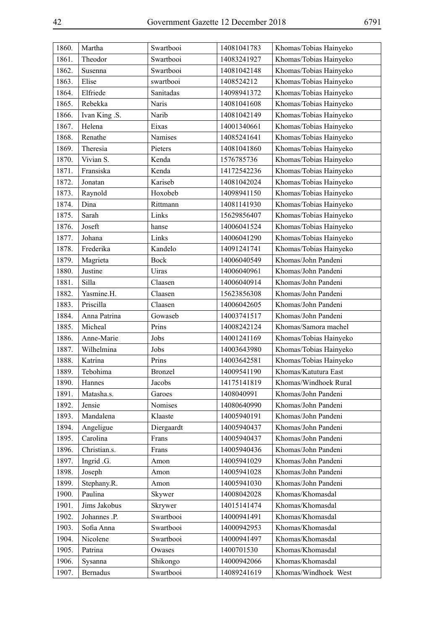| 1860. | Martha        | Swartbooi      | 14081041783 | Khomas/Tobias Hainyeko |
|-------|---------------|----------------|-------------|------------------------|
| 1861. | Theodor       | Swartbooi      | 14083241927 | Khomas/Tobias Hainyeko |
| 1862. | Susenna       | Swartbooi      | 14081042148 | Khomas/Tobias Hainyeko |
| 1863. | Elise         | swartbooi      | 1408524212  | Khomas/Tobias Hainyeko |
| 1864. | Elfriede      | Sanitadas      | 14098941372 | Khomas/Tobias Hainyeko |
| 1865. | Rebekka       | Naris          | 14081041608 | Khomas/Tobias Hainyeko |
| 1866. | Ivan King .S. | Narib          | 14081042149 | Khomas/Tobias Hainyeko |
| 1867. | Helena        | Eixas          | 14001340661 | Khomas/Tobias Hainyeko |
| 1868. | Renathe       | Namises        | 14085241641 | Khomas/Tobias Hainyeko |
| 1869. | Theresia      | Pieters        | 14081041860 | Khomas/Tobias Hainyeko |
| 1870. | Vivian S.     | Kenda          | 1576785736  | Khomas/Tobias Hainyeko |
| 1871. | Fransiska     | Kenda          | 14172542236 | Khomas/Tobias Hainyeko |
| 1872. | Jonatan       | Kariseb        | 14081042024 | Khomas/Tobias Hainyeko |
| 1873. | Raynold       | Hoxobeb        | 14098941150 | Khomas/Tobias Hainyeko |
| 1874. | Dina          | Rittmann       | 14081141930 | Khomas/Tobias Hainyeko |
| 1875. | Sarah         | Links          | 15629856407 | Khomas/Tobias Hainyeko |
| 1876. | Joseft        | hanse          | 14006041524 | Khomas/Tobias Hainyeko |
| 1877. | Johana        | Links          | 14006041290 | Khomas/Tobias Hainyeko |
| 1878. | Frederika     | Kandelo        | 14091241741 | Khomas/Tobias Hainyeko |
| 1879. | Magrieta      | <b>Bock</b>    | 14006040549 | Khomas/John Pandeni    |
| 1880. | Justine       | Uiras          | 14006040961 | Khomas/John Pandeni    |
| 1881. | Silla         | Claasen        | 14006040914 | Khomas/John Pandeni    |
| 1882. | Yasmine.H.    | Claasen        | 15623856308 | Khomas/John Pandeni    |
| 1883. | Priscilla     | Claasen        | 14006042605 | Khomas/John Pandeni    |
| 1884. | Anna Patrina  | Gowaseb        | 14003741517 | Khomas/John Pandeni    |
| 1885. | Micheal       | Prins          | 14008242124 | Khomas/Samora machel   |
| 1886. | Anne-Marie    | Jobs           | 14001241169 | Khomas/Tobias Hainyeko |
| 1887. | Wilhelmina    | Jobs           | 14003643980 | Khomas/Tobias Hainyeko |
| 1888. | Katrina       | Prins          | 14003642581 | Khomas/Tobias Hainyeko |
| 1889. | Tebohima      | <b>Bronzel</b> | 14009541190 | Khomas/Katutura East   |
| 1890. | Hannes        | Jacobs         | 14175141819 | Khomas/Windhoek Rural  |
| 1891. | Matasha.s.    | Garoes         | 1408040991  | Khomas/John Pandeni    |
| 1892. | Jensie        | Nomises        | 14080640990 | Khomas/John Pandeni    |
| 1893. | Mandalena     | Klaaste        | 14005940191 | Khomas/John Pandeni    |
| 1894. | Angeligue     | Diergaardt     | 14005940437 | Khomas/John Pandeni    |
| 1895. | Carolina      | Frans          | 14005940437 | Khomas/John Pandeni    |
| 1896. | Christian.s.  | Frans          | 14005940436 | Khomas/John Pandeni    |
| 1897. | Ingrid .G.    | Amon           | 14005941029 | Khomas/John Pandeni    |
| 1898. | Joseph        | Amon           | 14005941028 | Khomas/John Pandeni    |
| 1899. | Stephany.R.   | Amon           | 14005941030 | Khomas/John Pandeni    |
| 1900. | Paulina       | Skywer         | 14008042028 | Khomas/Khomasdal       |
| 1901. | Jims Jakobus  | Skrywer        | 14015141474 | Khomas/Khomasdal       |
| 1902. | Johannes .P.  | Swartbooi      | 14000941491 | Khomas/Khomasdal       |
| 1903. | Sofia Anna    | Swartbooi      | 14000942953 | Khomas/Khomasdal       |
| 1904. | Nicolene      | Swartbooi      | 14000941497 | Khomas/Khomasdal       |
| 1905. | Patrina       | Owases         | 1400701530  | Khomas/Khomasdal       |
| 1906. | Sysanna       | Shikongo       | 14000942066 | Khomas/Khomasdal       |
| 1907. | Bernadus      | Swartbooi      | 14089241619 | Khomas/Windhoek West   |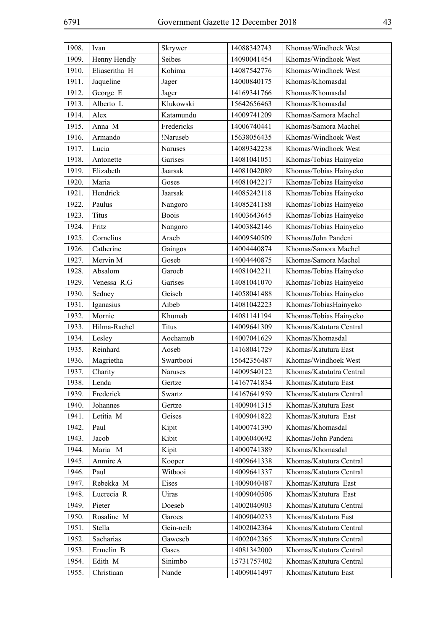| 1908. | Ivan          | Skrywer      | 14088342743 | Khomas/Windhoek West     |
|-------|---------------|--------------|-------------|--------------------------|
| 1909. | Henny Hendly  | Seibes       | 14090041454 | Khomas/Windhoek West     |
| 1910. | Eliaseritha H | Kohima       | 14087542776 | Khomas/Windhoek West     |
| 1911. | Jaqueline     | Jager        | 14000840175 | Khomas/Khomasdal         |
| 1912. | George E      | Jager        | 14169341766 | Khomas/Khomasdal         |
| 1913. | Alberto L     | Klukowski    | 15642656463 | Khomas/Khomasdal         |
| 1914. | Alex          | Katamundu    | 14009741209 | Khomas/Samora Machel     |
| 1915. | Anna M        | Fredericks   | 14006740441 | Khomas/Samora Machel     |
| 1916. | Armando       | !Naruseb     | 15638056435 | Khomas/Windhoek West     |
| 1917. | Lucia         | Naruses      | 14089342238 | Khomas/Windhoek West     |
| 1918. | Antonette     | Garises      | 14081041051 | Khomas/Tobias Hainyeko   |
| 1919. | Elizabeth     | Jaarsak      | 14081042089 | Khomas/Tobias Hainyeko   |
| 1920. | Maria         | Goses        | 14081042217 | Khomas/Tobias Hainyeko   |
| 1921. | Hendrick      | Jaarsak      | 14085242118 | Khomas/Tobias Hainyeko   |
| 1922. | Paulus        | Nangoro      | 14085241188 | Khomas/Tobias Hainyeko   |
| 1923. | <b>Titus</b>  | <b>Boois</b> | 14003643645 | Khomas/Tobias Hainyeko   |
| 1924. | Fritz         | Nangoro      | 14003842146 | Khomas/Tobias Hainyeko   |
| 1925. | Cornelius     | Araeb        | 14009540509 | Khomas/John Pandeni      |
| 1926. | Catherine     | Gaingos      | 14004440874 | Khomas/Samora Machel     |
| 1927. | Mervin M      | Goseb        | 14004440875 | Khomas/Samora Machel     |
| 1928. | Absalom       | Garoeb       | 14081042211 | Khomas/Tobias Hainyeko   |
| 1929. | Venessa R.G   | Garises      | 14081041070 | Khomas/Tobias Hainyeko   |
| 1930. | Sedney        | Geiseb       | 14058041488 | Khomas/Tobias Hainyeko   |
| 1931. | Iganasius     | Aibeb        | 14081042223 | Khomas/TobiasHainyeko    |
| 1932. | Mornie        | Khumab       | 14081141194 | Khomas/Tobias Hainyeko   |
| 1933. | Hilma-Rachel  | Titus        | 14009641309 | Khomas/Katutura Central  |
| 1934. | Lesley        | Aochamub     | 14007041629 | Khomas/Khomasdal         |
| 1935. | Reinhard      | Aoseb        | 14168041729 | Khomas/Katutura East     |
| 1936. | Magrietha     | Swartbooi    | 15642356487 | Khomas/Windhoek West     |
| 1937. | Charity       | Naruses      | 14009540122 | Khomas/Katututra Central |
| 1938. | Lenda         | Gertze       | 14167741834 | Khomas/Katutura East     |
| 1939. | Frederick     | Swartz       | 14167641959 | Khomas/Katutura Central  |
| 1940. | Johannes      | Gertze       | 14009041315 | Khomas/Katutura East     |
| 1941. | Letitia M     | Geises       | 14009041822 | Khomas/Katutura East     |
| 1942. | Paul          | Kipit        | 14000741390 | Khomas/Khomasdal         |
| 1943. | Jacob         | Kibit        | 14006040692 | Khomas/John Pandeni      |
| 1944. | Maria M       | Kipit        | 14000741389 | Khomas/Khomasdal         |
| 1945. | Anmire A      | Kooper       | 14009641338 | Khomas/Katutura Central  |
| 1946. | Paul          | Witbooi      | 14009641337 | Khomas/Katutura Central  |
| 1947. | Rebekka M     | Eises        | 14009040487 | Khomas/Katutura East     |
| 1948. | Lucrecia R    | Uiras        | 14009040506 | Khomas/Katutura East     |
| 1949. | Pieter        | Doeseb       | 14002040903 | Khomas/Katutura Central  |
| 1950. | Rosaline M    | Garoes       | 14009040233 | Khomas/Katutura East     |
| 1951. | Stella        | Gein-neib    | 14002042364 | Khomas/Katutura Central  |
| 1952. | Sacharias     | Gaweseb      | 14002042365 | Khomas/Katutura Central  |
| 1953. | Ermelin B     | Gases        | 14081342000 | Khomas/Katutura Central  |
| 1954. | Edith M       | Sinimbo      | 15731757402 | Khomas/Katutura Central  |
| 1955. | Christiaan    | Nande        | 14009041497 | Khomas/Katutura East     |
|       |               |              |             |                          |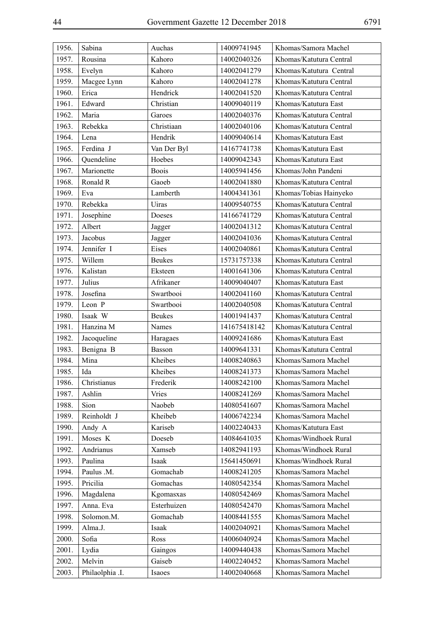| 1956. | Sabina          | Auchas        | 14009741945  | Khomas/Samora Machel    |
|-------|-----------------|---------------|--------------|-------------------------|
| 1957. | Rousina         | Kahoro        | 14002040326  | Khomas/Katutura Central |
| 1958. | Evelyn          | Kahoro        | 14002041279  | Khomas/Katutura Central |
| 1959. | Macgee Lynn     | Kahoro        | 14002041278  | Khomas/Katutura Central |
| 1960. | Erica           | Hendrick      | 14002041520  | Khomas/Katutura Central |
| 1961. | Edward          | Christian     | 14009040119  | Khomas/Katutura East    |
| 1962. | Maria           | Garoes        | 14002040376  | Khomas/Katutura Central |
| 1963. | Rebekka         | Christiaan    | 14002040106  | Khomas/Katutura Central |
| 1964. | Lena            | Hendrik       | 14009040614  | Khomas/Katutura East    |
| 1965. | Ferdina J       | Van Der Byl   | 14167741738  | Khomas/Katutura East    |
| 1966. | Quendeline      | Hoebes        | 14009042343  | Khomas/Katutura East    |
| 1967. | Marionette      | <b>Boois</b>  | 14005941456  | Khomas/John Pandeni     |
| 1968. | Ronald R        | Gaoeb         | 14002041880  | Khomas/Katutura Central |
| 1969. | Eva             | Lamberth      | 14004341361  | Khomas/Tobias Hainyeko  |
| 1970. | Rebekka         | Uiras         | 14009540755  | Khomas/Katutura Central |
| 1971. | Josephine       | Doeses        | 14166741729  | Khomas/Katutura Central |
| 1972. | Albert          | Jagger        | 14002041312  | Khomas/Katutura Central |
| 1973. | Jacobus         | Jagger        | 14002041036  | Khomas/Katutura Central |
| 1974. | Jennifer I      | Eises         | 14002040861  | Khomas/Katutura Central |
| 1975. | Willem          | <b>Beukes</b> | 15731757338  | Khomas/Katutura Central |
| 1976. | Kalistan        | Eksteen       | 14001641306  | Khomas/Katutura Central |
| 1977. | Julius          | Afrikaner     | 14009040407  | Khomas/Katutura East    |
| 1978. | Josefina        | Swartbooi     | 14002041160  | Khomas/Katutura Central |
| 1979. | Leon P          | Swartbooi     | 14002040508  | Khomas/Katutura Central |
| 1980. | Isaak W         | <b>Beukes</b> | 14001941437  | Khomas/Katutura Central |
| 1981. | Hanzina M       | Names         | 141675418142 | Khomas/Katutura Central |
| 1982. | Jacoqueline     | Haragaes      | 14009241686  | Khomas/Katutura East    |
| 1983. | Benigna B       | <b>Basson</b> | 14009641331  | Khomas/Katutura Central |
| 1984. | Mina            | Kheibes       | 14008240863  | Khomas/Samora Machel    |
| 1985. | Ida             | Kheibes       | 14008241373  | Khomas/Samora Machel    |
| 1986. | Christianus     | Frederik      | 14008242100  | Khomas/Samora Machel    |
| 1987. | Ashlin          | <b>Vries</b>  | 14008241269  | Khomas/Samora Machel    |
| 1988. | Sion            | Naobeb        | 14080541607  | Khomas/Samora Machel    |
| 1989. | Reinholdt J     | Kheibeb       | 14006742234  | Khomas/Samora Machel    |
| 1990. | Andy A          | Kariseb       | 14002240433  | Khomas/Katutura East    |
| 1991. | Moses K         | Doeseb        | 14084641035  | Khomas/Windhoek Rural   |
| 1992. | Andrianus       | Xamseb        | 14082941193  | Khomas/Windhoek Rural   |
| 1993. | Paulina         | Isaak         | 15641450691  | Khomas/Windhoek Rural   |
| 1994. | Paulus .M.      | Gomachab      | 14008241205  | Khomas/Samora Machel    |
| 1995. | Pricilia        | Gomachas      | 14080542354  | Khomas/Samora Machel    |
| 1996. | Magdalena       | Kgomasxas     | 14080542469  | Khomas/Samora Machel    |
| 1997. | Anna. Eva       | Esterhuizen   | 14080542470  | Khomas/Samora Machel    |
| 1998. | Solomon.M.      | Gomachab      | 14008441555  | Khomas/Samora Machel    |
| 1999. | Alma.J.         | Isaak         | 14002040921  | Khomas/Samora Machel    |
| 2000. | Sofia           | Ross          | 14006040924  | Khomas/Samora Machel    |
| 2001. | Lydia           | Gaingos       | 14009440438  | Khomas/Samora Machel    |
| 2002. | Melvin          | Gaiseb        | 14002240452  | Khomas/Samora Machel    |
| 2003. | Philaolphia .I. | Isaoes        | 14002040668  | Khomas/Samora Machel    |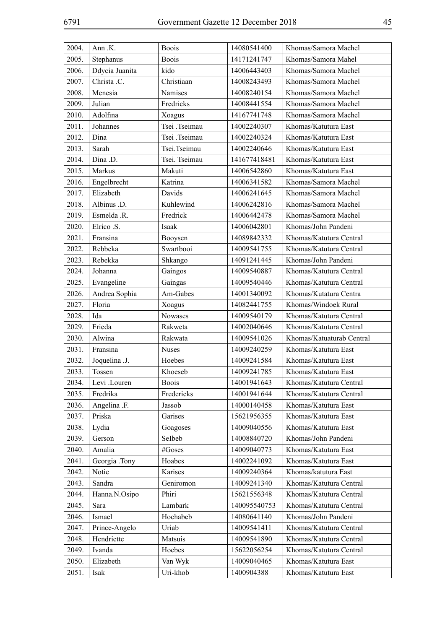| 2004. | Ann .K.        | <b>Boois</b>  | 14080541400  | Khomas/Samora Machel      |
|-------|----------------|---------------|--------------|---------------------------|
| 2005. | Stephanus      | <b>Boois</b>  | 14171241747  | Khomas/Samora Mahel       |
| 2006. | Ddycia Juanita | kido          | 14006443403  | Khomas/Samora Machel      |
| 2007. | Christa .C.    | Christiaan    | 14008243493  | Khomas/Samora Machel      |
| 2008. | Menesia        | Namises       | 14008240154  | Khomas/Samora Machel      |
| 2009. | Julian         | Fredricks     | 14008441554  | Khomas/Samora Machel      |
| 2010. | Adolfina       | Xoagus        | 14167741748  | Khomas/Samora Machel      |
| 2011. | Johannes       | Tsei .Tseimau | 14002240307  | Khomas/Katutura East      |
| 2012. | Dina           | Tsei .Tseimau | 14002240324  | Khomas/Katutura East      |
| 2013. | Sarah          | Tsei.Tseimau  | 14002240646  | Khomas/Katutura East      |
| 2014. | Dina .D.       | Tsei. Tseimau | 141677418481 | Khomas/Katutura East      |
| 2015. | Markus         | Makuti        | 14006542860  | Khomas/Katutura East      |
| 2016. | Engelbrecht    | Katrina       | 14006341582  | Khomas/Samora Machel      |
| 2017. | Elizabeth      | Davids        | 14006241645  | Khomas/Samora Machel      |
| 2018. | Albinus .D.    | Kuhlewind     | 14006242816  | Khomas/Samora Machel      |
| 2019. | Esmelda .R.    | Fredrick      | 14006442478  | Khomas/Samora Machel      |
| 2020. | Elrico .S.     | Isaak         | 14006042801  | Khomas/John Pandeni       |
| 2021. | Fransina       | Booysen       | 14089842332  | Khomas/Katutura Central   |
| 2022. | Rebbeka        | Swartbooi     | 14009541755  | Khomas/Katutura Central   |
| 2023. | Rebekka        | Shkango       | 14091241445  | Khomas/John Pandeni       |
| 2024. | Johanna        | Gaingos       | 14009540887  | Khomas/Katutura Central   |
| 2025. | Evangeline     | Gaingas       | 14009540446  | Khomas/Katutura Central   |
| 2026. | Andrea Sophia  | Am-Gabes      | 14001340092  | Khomas/Kutatura Centra    |
| 2027. | Floria         | Xoagus        | 14082441755  | Khomas/Windoek Rural      |
| 2028. | Ida            | Nowases       | 14009540179  | Khomas/Katutura Central   |
| 2029. | Frieda         | Rakweta       | 14002040646  | Khomas/Katutura Central   |
| 2030. | Alwina         | Rakwata       | 14009541026  | Khomas/Katuaturab Central |
| 2031. | Fransina       | <b>Nuses</b>  | 14009240259  | Khomas/Katutura East      |
| 2032. | Joquelina .J.  | Hoebes        | 14009241584  | Khomas/Katutura East      |
| 2033. | Tossen         | Khoeseb       | 14009241785  | Khomas/Katutura East      |
| 2034. | Levi .Louren   | <b>Boois</b>  | 14001941643  | Khomas/Katutura Central   |
| 2035. | Fredrika       | Fredericks    | 14001941644  | Khomas/Katutura Central   |
| 2036. | Angelina .F.   | Jassob        | 14000140458  | Khomas/Katutura East      |
| 2037. | Priska         | Garises       | 15621956355  | Khomas/Katutura East      |
| 2038. | Lydia          | Goagoses      | 14009040556  | Khomas/Katutura East      |
| 2039. | Gerson         | Selbeb        | 14008840720  | Khomas/John Pandeni       |
| 2040. | Amalia         | #Goses        | 14009040773  | Khomas/Katutura East      |
| 2041. | Georgia .Tony  | Hoabes        | 14002241092  | Khomas/Katutura East      |
| 2042. | Notie          | Karises       | 14009240364  | Khomas/katutura East      |
| 2043. | Sandra         | Geniromon     | 14009241340  | Khomas/Katutura Central   |
| 2044. | Hanna.N.Osipo  | Phiri         | 15621556348  | Khomas/Katutura Central   |
| 2045. | Sara           | Lambark       | 140095540753 | Khomas/Katutura Central   |
| 2046. | Ismael         | Hochabeb      | 14080641140  | Khomas/John Pandeni       |
| 2047. | Prince-Angelo  | Uriab         | 14009541411  | Khomas/Katutura Central   |
| 2048. | Hendriette     | Matsuis       | 14009541890  | Khomas/Katutura Central   |
| 2049. | Ivanda         | Hoebes        | 15622056254  | Khomas/Katutura Central   |
| 2050. | Elizabeth      | Van Wyk       | 14009040465  | Khomas/Katutura East      |
| 2051. | Isak           | Uri-khob      | 1400904388   | Khomas/Katutura East      |
|       |                |               |              |                           |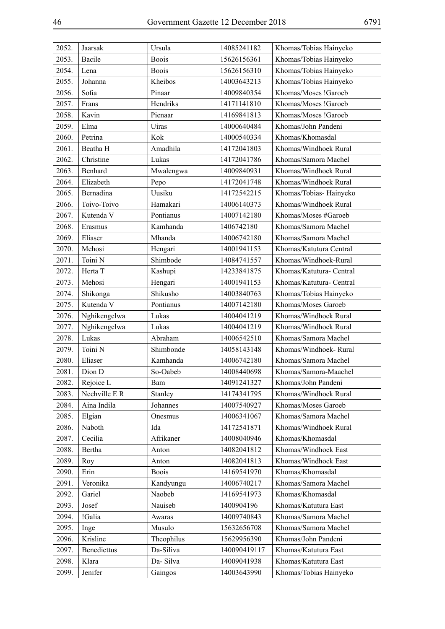| 2052. | Jaarsak       | Ursula       | 14085241182  | Khomas/Tobias Hainyeko   |
|-------|---------------|--------------|--------------|--------------------------|
| 2053. | Bacile        | <b>Boois</b> | 15626156361  | Khomas/Tobias Hainyeko   |
| 2054. | Lena          | <b>Boois</b> | 15626156310  | Khomas/Tobias Hainyeko   |
| 2055. | Johanna       | Kheibos      | 14003643213  | Khomas/Tobias Hainyeko   |
| 2056. | Sofia         | Pinaar       | 14009840354  | Khomas/Moses !Garoeb     |
| 2057. | Frans         | Hendriks     | 14171141810  | Khomas/Moses !Garoeb     |
| 2058. | Kavin         | Pienaar      | 14169841813  | Khomas/Moses !Garoeb     |
| 2059. | Elma          | Uiras        | 14000640484  | Khomas/John Pandeni      |
| 2060. | Petrina       | Kok          | 14000540334  | Khomas/Khomasdal         |
| 2061. | Beatha H      | Amadhila     | 14172041803  | Khomas/Windhoek Rural    |
| 2062. | Christine     | Lukas        | 14172041786  | Khomas/Samora Machel     |
| 2063. | Benhard       | Mwalengwa    | 14009840931  | Khomas/Windhoek Rural    |
| 2064. | Elizabeth     | Pepo         | 14172041748  | Khomas/Windhoek Rural    |
| 2065. | Bernadina     | Uusiku       | 14172542215  | Khomas/Tobias-Hainyeko   |
| 2066. | Toivo-Toivo   | Hamakari     | 14006140373  | Khomas/Windhoek Rural    |
| 2067. | Kutenda V     | Pontianus    | 14007142180  | Khomas/Moses #Garoeb     |
| 2068. | Erasmus       | Kamhanda     | 1406742180   | Khomas/Samora Machel     |
| 2069. | Eliaser       | Mhanda       | 14006742180  | Khomas/Samora Machel     |
| 2070. | Mehosi        | Hengari      | 14001941153  | Khomas/Katutura Central  |
| 2071. | Toini N       | Shimbode     | 14084741557  | Khomas/Windhoek-Rural    |
| 2072. | Herta T       | Kashupi      | 14233841875  | Khomas/Katutura- Central |
| 2073. | Mehosi        | Hengari      | 14001941153  | Khomas/Katutura- Central |
| 2074. | Shikonga      | Shikusho     | 14003840763  | Khomas/Tobias Hainyeko   |
| 2075. | Kutenda V     | Pontianus    | 14007142180  | Khomas/Moses Garoeb      |
| 2076. | Nghikengelwa  | Lukas        | 14004041219  | Khomas/Windhoek Rural    |
| 2077. | Nghikengelwa  | Lukas        | 14004041219  | Khomas/Windhoek Rural    |
| 2078. | Lukas         | Abraham      | 14006542510  | Khomas/Samora Machel     |
| 2079. | Toini N       | Shimbonde    | 14058143148  | Khomas/Windhoek-Rural    |
| 2080. | Eliaser       | Kamhanda     | 14006742180  | Khomas/Samora Machel     |
| 2081. | Dion D        | So-Oabeb     | 14008440698  | Khomas/Samora-Maachel    |
| 2082. | Rejoice L     | Bam          | 14091241327  | Khomas/John Pandeni      |
| 2083. | Nechville E R | Stanley      | 14174341795  | Khomas/Windhoek Rural    |
| 2084. | Aina Indila   | Johannes     | 14007540927  | Khomas/Moses Garoeb      |
| 2085. | Elgian        | Onesmus      | 14006341067  | Khomas/Samora Machel     |
| 2086. | Naboth        | Ida          | 14172541871  | Khomas/Windhoek Rural    |
| 2087. | Cecilia       | Afrikaner    | 14008040946  | Khomas/Khomasdal         |
| 2088. | Bertha        | Anton        | 14082041812  | Khomas/Windhoek East     |
| 2089. | Roy           | Anton        | 14082041813  | Khomas/Windhoek East     |
| 2090. | Erin          | <b>Boois</b> | 14169541970  | Khomas/Khomasdal         |
| 2091. | Veronika      | Kandyungu    | 14006740217  | Khomas/Samora Machel     |
| 2092. | Gariel        | Naobeb       | 14169541973  | Khomas/Khomasdal         |
| 2093. | Josef         | Nauiseb      | 1400904196   | Khomas/Katutura East     |
| 2094. | !Galia        | Awaras       | 14009740843  | Khomas/Samora Machel     |
| 2095. | Inge          | Musulo       | 15632656708  | Khomas/Samora Machel     |
| 2096. | Krisline      | Theophilus   | 15629956390  | Khomas/John Pandeni      |
| 2097. | Benedicttus   | Da-Siliva    | 140090419117 | Khomas/Katutura East     |
| 2098. | Klara         | Da-Silva     | 14009041938  | Khomas/Katutura East     |
| 2099. | Jenifer       | Gaingos      | 14003643990  | Khomas/Tobias Hainyeko   |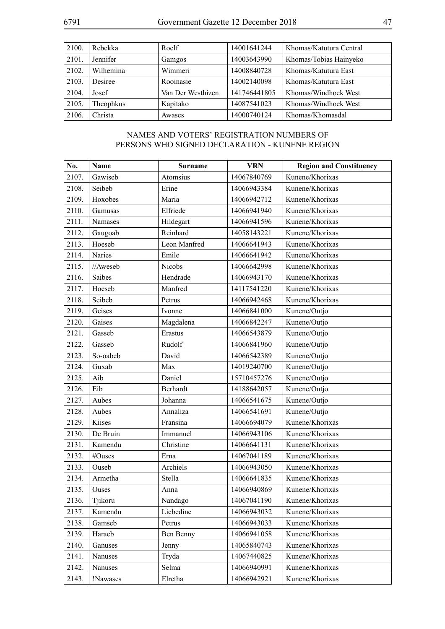| 2100. | Rebekka   | Roelf             | 14001641244  | Khomas/Katutura Central |
|-------|-----------|-------------------|--------------|-------------------------|
| 2101. | Jennifer  | Gamgos            | 14003643990  | Khomas/Tobias Hainyeko  |
| 2102. | Wilhemina | Wimmeri           | 14008840728  | Khomas/Katutura East    |
| 2103. | Desiree   | Rooinasie         | 14002140098  | Khomas/Katutura East    |
| 2104. | Josef     | Van Der Westhizen | 141746441805 | Khomas/Windhoek West    |
| 2105. | Theophkus | Kapitako          | 14087541023  | Khomas/Windhoek West    |
| 2106. | Christa   | Awases            | 14000740124  | Khomas/Khomasdal        |

## NAMES AND VOTERS' REGISTRATION NUMBERS OF PERSONS WHO SIGNED DECLARATION - KUNENE REGION

| No.   | Name     | <b>Surname</b> | <b>VRN</b>  | <b>Region and Constituency</b> |
|-------|----------|----------------|-------------|--------------------------------|
| 2107. | Gawiseb  | Atomsius       | 14067840769 | Kunene/Khorixas                |
| 2108. | Seibeb   | Erine          | 14066943384 | Kunene/Khorixas                |
| 2109. | Hoxobes  | Maria          | 14066942712 | Kunene/Khorixas                |
| 2110. | Gamusas  | Elfriede       | 14066941940 | Kunene/Khorixas                |
| 2111. | Namases  | Hildegart      | 14066941596 | Kunene/Khorixas                |
| 2112. | Gaugoab  | Reinhard       | 14058143221 | Kunene/Khorixas                |
| 2113. | Hoeseb   | Leon Manfred   | 14066641943 | Kunene/Khorixas                |
| 2114. | Naries   | Emile          | 14066641942 | Kunene/Khorixas                |
| 2115. | //Aweseb | Nicobs         | 14066642998 | Kunene/Khorixas                |
| 2116. | Saibes   | Hendrade       | 14066943170 | Kunene/Khorixas                |
| 2117. | Hoeseb   | Manfred        | 14117541220 | Kunene/Khorixas                |
| 2118. | Seibeb   | Petrus         | 14066942468 | Kunene/Khorixas                |
| 2119. | Geises   | Ivonne         | 14066841000 | Kunene/Outjo                   |
| 2120. | Gaises   | Magdalena      | 14066842247 | Kunene/Outjo                   |
| 2121. | Gasseb   | Erastus        | 14066543879 | Kunene/Outjo                   |
| 2122. | Gasseb   | Rudolf         | 14066841960 | Kunene/Outjo                   |
| 2123. | So-oabeb | David          | 14066542389 | Kunene/Outjo                   |
| 2124. | Guxab    | Max            | 14019240700 | Kunene/Outjo                   |
| 2125. | Aib      | Daniel         | 15710457276 | Kunene/Outjo                   |
| 2126. | Eib      | Berhardt       | 14188642057 | Kunene/Outjo                   |
| 2127. | Aubes    | Johanna        | 14066541675 | Kunene/Outjo                   |
| 2128. | Aubes    | Annaliza       | 14066541691 | Kunene/Outjo                   |
| 2129. | Kiises   | Fransina       | 14066694079 | Kunene/Khorixas                |
| 2130. | De Bruin | Immanuel       | 14066943106 | Kunene/Khorixas                |
| 2131. | Kamendu  | Christine      | 14066641131 | Kunene/Khorixas                |
| 2132. | #Ouses   | Erna           | 14067041189 | Kunene/Khorixas                |
| 2133. | Ouseb    | Archiels       | 14066943050 | Kunene/Khorixas                |
| 2134. | Armetha  | Stella         | 14066641835 | Kunene/Khorixas                |
| 2135. | Ouses    | Anna           | 14066940869 | Kunene/Khorixas                |
| 2136. | Tjikoru  | Nandago        | 14067041190 | Kunene/Khorixas                |
| 2137. | Kamendu  | Liebedine      | 14066943032 | Kunene/Khorixas                |
| 2138. | Gamseb   | Petrus         | 14066943033 | Kunene/Khorixas                |
| 2139. | Haraeb   | Ben Benny      | 14066941058 | Kunene/Khorixas                |
| 2140. | Ganuses  | Jenny          | 14065840743 | Kunene/Khorixas                |
| 2141. | Nanuses  | Tryda          | 14067440825 | Kunene/Khorixas                |
| 2142. | Nanuses  | Selma          | 14066940991 | Kunene/Khorixas                |
| 2143. | !Nawases | Elretha        | 14066942921 | Kunene/Khorixas                |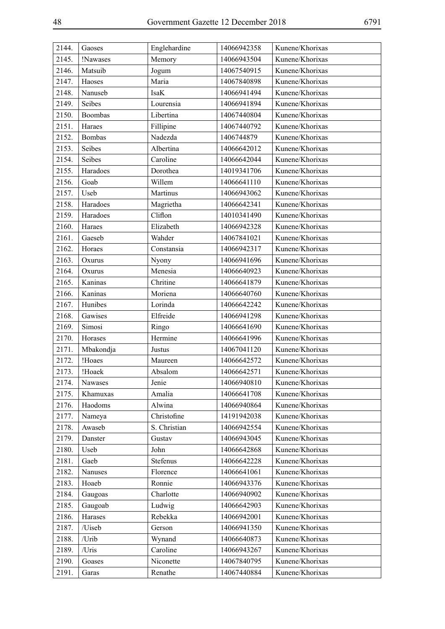| 2144. | Gaoses        | Englehardine | 14066942358 | Kunene/Khorixas |
|-------|---------------|--------------|-------------|-----------------|
| 2145. | !Nawases      | Memory       | 14066943504 | Kunene/Khorixas |
| 2146. | Matsuib       | Jogum        | 14067540915 | Kunene/Khorixas |
| 2147. | Haoses        | Maria        | 14067840898 | Kunene/Khorixas |
| 2148. | Nanuseb       | <b>IsaK</b>  | 14066941494 | Kunene/Khorixas |
| 2149. | Seibes        | Lourensia    | 14066941894 | Kunene/Khorixas |
| 2150. | Boombas       | Libertina    | 14067440804 | Kunene/Khorixas |
| 2151. | Haraes        | Fillipine    | 14067440792 | Kunene/Khorixas |
| 2152. | <b>Bombas</b> | Nadezda      | 1406744879  | Kunene/Khorixas |
| 2153. | Seibes        | Albertina    | 14066642012 | Kunene/Khorixas |
| 2154. | Seibes        | Caroline     | 14066642044 | Kunene/Khorixas |
| 2155. | Haradoes      | Dorothea     | 14019341706 | Kunene/Khorixas |
| 2156. | Goab          | Willem       | 14066641110 | Kunene/Khorixas |
| 2157. | Useb          | Martinus     | 14066943062 | Kunene/Khorixas |
| 2158. | Haradoes      | Magrietha    | 14066642341 | Kunene/Khorixas |
| 2159. | Haradoes      | Cliflon      | 14010341490 | Kunene/Khorixas |
| 2160. | Haraes        | Elizabeth    | 14066942328 | Kunene/Khorixas |
| 2161. | Gaeseb        | Wahder       | 14067841021 | Kunene/Khorixas |
| 2162. | Horaes        | Constansia   | 14066942317 | Kunene/Khorixas |
| 2163. | Oxurus        | Nyony        | 14066941696 | Kunene/Khorixas |
| 2164. | Oxurus        | Menesia      | 14066640923 | Kunene/Khorixas |
| 2165. | Kaninas       | Chritine     | 14066641879 | Kunene/Khorixas |
| 2166. | Kaninas       | Moriena      | 14066640760 | Kunene/Khorixas |
| 2167. | Hunibes       | Lorinda      | 14066642242 | Kunene/Khorixas |
| 2168. | Gawises       | Elfreide     | 14066941298 | Kunene/Khorixas |
| 2169. | Simosi        | Ringo        | 14066641690 | Kunene/Khorixas |
| 2170. | Horases       | Hermine      | 14066641996 | Kunene/Khorixas |
| 2171. | Mbakondja     | Justus       | 14067041120 | Kunene/Khorixas |
| 2172. | !Hoaes        | Maureen      | 14066642572 | Kunene/Khorixas |
| 2173. | !Hoaek        | Absalom      | 14066642571 | Kunene/Khorixas |
| 2174. | Nawases       | Jenie        | 14066940810 | Kunene/Khorixas |
| 2175. | Khamuxas      | Amalia       | 14066641708 | Kunene/Khorixas |
| 2176. | Haodoms       | Alwina       | 14066940864 | Kunene/Khorixas |
| 2177. | Nameya        | Christofine  | 14191942038 | Kunene/Khorixas |
| 2178. | Awaseb        | S. Christian | 14066942554 | Kunene/Khorixas |
| 2179. | Danster       | Gustav       | 14066943045 | Kunene/Khorixas |
| 2180. | Useb          | John         | 14066642868 | Kunene/Khorixas |
| 2181. | Gaeb          | Stefenus     | 14066642228 | Kunene/Khorixas |
| 2182. | Nanuses       | Florence     | 14066641061 | Kunene/Khorixas |
| 2183. | Hoaeb         | Ronnie       | 14066943376 | Kunene/Khorixas |
| 2184. | Gaugoas       | Charlotte    | 14066940902 | Kunene/Khorixas |
| 2185. | Gaugoab       | Ludwig       | 14066642903 | Kunene/Khorixas |
| 2186. | Harases       | Rebekka      | 14066942001 | Kunene/Khorixas |
| 2187. | /Uiseb        | Gerson       | 14066941350 | Kunene/Khorixas |
| 2188. | /Urib         | Wynand       | 14066640873 | Kunene/Khorixas |
| 2189. | /Uris         | Caroline     | 14066943267 | Kunene/Khorixas |
| 2190. | Goases        | Niconette    | 14067840795 | Kunene/Khorixas |
| 2191. | Garas         | Renathe      | 14067440884 | Kunene/Khorixas |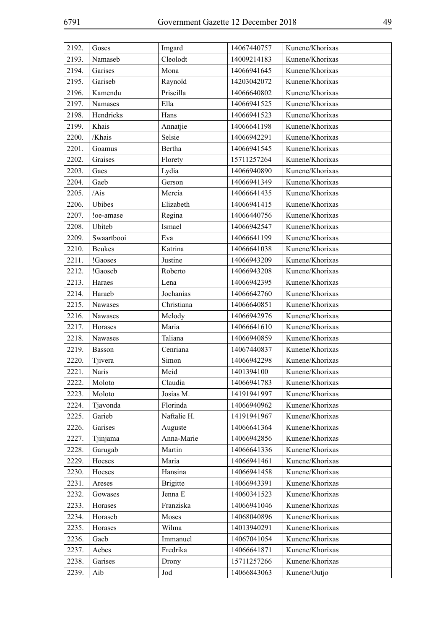| 2192. | Goses         | Imgard          | 14067440757 | Kunene/Khorixas |
|-------|---------------|-----------------|-------------|-----------------|
| 2193. | Namaseb       | Cleolodt        | 14009214183 | Kunene/Khorixas |
| 2194. | Garises       | Mona            | 14066941645 | Kunene/Khorixas |
| 2195. | Gariseb       | Raynold         | 14203042072 | Kunene/Khorixas |
| 2196. | Kamendu       | Priscilla       | 14066640802 | Kunene/Khorixas |
| 2197. | Namases       | Ella            | 14066941525 | Kunene/Khorixas |
| 2198. | Hendricks     | Hans            | 14066941523 | Kunene/Khorixas |
| 2199. | Khais         | Annatjie        | 14066641198 | Kunene/Khorixas |
| 2200. | /Khais        | Selsie          | 14066942291 | Kunene/Khorixas |
| 2201. | Goamus        | Bertha          | 14066941545 | Kunene/Khorixas |
| 2202. | Graises       | Florety         | 15711257264 | Kunene/Khorixas |
| 2203. | Gaes          | Lydia           | 14066940890 | Kunene/Khorixas |
| 2204. | Gaeb          | Gerson          | 14066941349 | Kunene/Khorixas |
| 2205. | /Ais          | Mercia          | 14066641435 | Kunene/Khorixas |
| 2206. | Ubibes        | Elizabeth       | 14066941415 | Kunene/Khorixas |
| 2207. | !oe-amase     | Regina          | 14066440756 | Kunene/Khorixas |
| 2208. | Ubiteb        | Ismael          | 14066942547 | Kunene/Khorixas |
| 2209. | Swaartbooi    | Eva             | 14066641199 | Kunene/Khorixas |
| 2210. | <b>Beukes</b> | Katrina         | 14066641038 | Kunene/Khorixas |
| 2211. | !Gaoses       | Justine         | 14066943209 | Kunene/Khorixas |
| 2212. | !Gaoseb       | Roberto         | 14066943208 | Kunene/Khorixas |
| 2213. | Haraes        | Lena            | 14066942395 | Kunene/Khorixas |
| 2214. | Haraeb        | Jochanias       | 14066642760 | Kunene/Khorixas |
| 2215. | Nawases       | Christiana      | 14066640851 | Kunene/Khorixas |
| 2216. | Nawases       | Melody          | 14066942976 | Kunene/Khorixas |
| 2217. | Horases       | Maria           | 14066641610 | Kunene/Khorixas |
| 2218. | Nawases       | Taliana         | 14066940859 | Kunene/Khorixas |
| 2219. | Basson        | Cenriana        | 14067440837 | Kunene/Khorixas |
| 2220. | Tjivera       | Simon           | 14066942298 | Kunene/Khorixas |
| 2221. | Naris         | Meid            | 1401394100  | Kunene/Khorixas |
| 2222. | Moloto        | Claudia         | 14066941783 | Kunene/Khorixas |
| 2223. | Moloto        | Josias M.       | 14191941997 | Kunene/Khorixas |
| 2224. | Tjavonda      | Florinda        | 14066940962 | Kunene/Khorixas |
| 2225. | Garieb        | Naftalie H.     | 14191941967 | Kunene/Khorixas |
| 2226. | Garises       | Auguste         | 14066641364 | Kunene/Khorixas |
| 2227. | Tjinjama      | Anna-Marie      | 14066942856 | Kunene/Khorixas |
| 2228. | Garugab       | Martin          | 14066641336 | Kunene/Khorixas |
| 2229. | Hoeses        | Maria           | 14066941461 | Kunene/Khorixas |
| 2230. | Hoeses        | Hansina         | 14066941458 | Kunene/Khorixas |
| 2231. | Areses        | <b>Brigitte</b> | 14066943391 | Kunene/Khorixas |
| 2232. | Gowases       | Jenna E         | 14060341523 | Kunene/Khorixas |
| 2233. | Horases       | Franziska       | 14066941046 | Kunene/Khorixas |
| 2234. | Horaseb       | Moses           | 14068040896 | Kunene/Khorixas |
| 2235. | Horases       | Wilma           | 14013940291 | Kunene/Khorixas |
| 2236. | Gaeb          | Immanuel        | 14067041054 | Kunene/Khorixas |
| 2237. | Aebes         | Fredrika        | 14066641871 | Kunene/Khorixas |
| 2238. | Garises       | Drony           | 15711257266 | Kunene/Khorixas |
| 2239. | Aib           | Jod             | 14066843063 | Kunene/Outjo    |
|       |               |                 |             |                 |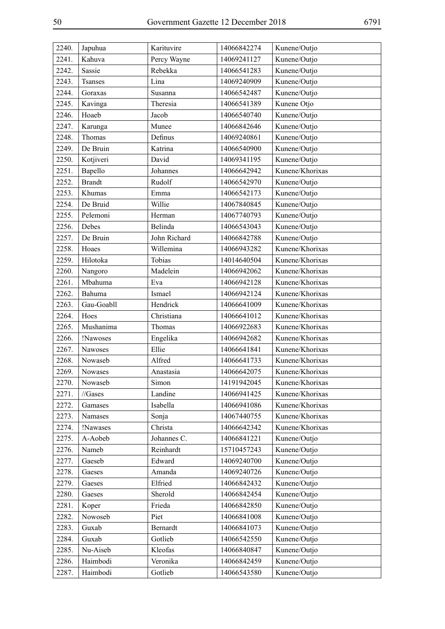| 2240. | Japuhua       | Karituvire   | 14066842274 | Kunene/Outjo    |
|-------|---------------|--------------|-------------|-----------------|
| 2241. | Kahuva        | Percy Wayne  | 14069241127 | Kunene/Outjo    |
| 2242. | Sassie        | Rebekka      | 14066541283 | Kunene/Outjo    |
| 2243. | Tsanses       | Lina         | 14069240909 | Kunene/Outjo    |
| 2244. | Goraxas       | Susanna      | 14066542487 | Kunene/Outjo    |
| 2245. | Kavinga       | Theresia     | 14066541389 | Kunene Otjo     |
| 2246. | Hoaeb         | Jacob        | 14066540740 | Kunene/Outjo    |
| 2247. | Karunga       | Munee        | 14066842646 | Kunene/Outjo    |
| 2248. | Thomas        | Definus      | 14069240861 | Kunene/Outjo    |
| 2249. | De Bruin      | Katrina      | 14066540900 | Kunene/Outjo    |
| 2250. | Kotjiveri     | David        | 14069341195 | Kunene/Outjo    |
| 2251. | Bapello       | Johannes     | 14066642942 | Kunene/Khorixas |
| 2252. | <b>Brandt</b> | Rudolf       | 14066542970 | Kunene/Outjo    |
| 2253. | Khumas        | Emma         | 14066542173 | Kunene/Outjo    |
| 2254. | De Bruid      | Willie       | 14067840845 | Kunene/Outjo    |
| 2255. | Pelemoni      | Herman       | 14067740793 | Kunene/Outjo    |
| 2256. | Debes         | Belinda      | 14066543043 | Kunene/Outjo    |
| 2257. | De Bruin      | John Richard | 14066842788 | Kunene/Outjo    |
| 2258. | Hoaes         | Willemina    | 14066943282 | Kunene/Khorixas |
| 2259. | Hilotoka      | Tobias       | 14014640504 | Kunene/Khorixas |
| 2260. | Nangoro       | Madelein     | 14066942062 | Kunene/Khorixas |
| 2261. | Mbahuma       | Eva          | 14066942128 | Kunene/Khorixas |
| 2262. | Bahuma        | Ismael       | 14066942124 | Kunene/Khorixas |
| 2263. | Gau-Goabll    | Hendrick     | 14066641009 | Kunene/Khorixas |
| 2264. | Hoes          | Christiana   | 14066641012 | Kunene/Khorixas |
| 2265. | Mushanima     | Thomas       | 14066922683 | Kunene/Khorixas |
| 2266. | !Nawoses      | Engelika     | 14066942682 | Kunene/Khorixas |
| 2267. | Nawoses       | Ellie        | 14066641841 | Kunene/Khorixas |
| 2268. | Nowaseb       | Alfred       | 14066641733 | Kunene/Khorixas |
| 2269. | Nowases       | Anastasia    | 14066642075 | Kunene/Khorixas |
| 2270. | Nowaseb       | Simon        | 14191942045 | Kunene/Khorixas |
| 2271. | //Gases       | Landine      | 14066941425 | Kunene/Khorixas |
| 2272. | Gamases       | Isabella     | 14066941086 | Kunene/Khorixas |
| 2273. | Namases       | Sonja        | 14067440755 | Kunene/Khorixas |
| 2274. | !Nawases      | Christa      | 14066642342 | Kunene/Khorixas |
| 2275. | A-Aobeb       | Johannes C.  | 14066841221 | Kunene/Outjo    |
| 2276. | Nameb         | Reinhardt    | 15710457243 | Kunene/Outjo    |
| 2277. | Gaeseb        | Edward       | 14069240700 | Kunene/Outjo    |
| 2278. | Gaeses        | Amanda       | 14069240726 | Kunene/Outjo    |
| 2279. | Gaeses        | Elfried      | 14066842432 | Kunene/Outjo    |
| 2280. | Gaeses        | Sherold      | 14066842454 | Kunene/Outjo    |
| 2281. | Koper         | Frieda       | 14066842850 | Kunene/Outjo    |
| 2282. | Nowoseb       | Piet         | 14066841008 | Kunene/Outjo    |
| 2283. | Guxab         | Bernardt     | 14066841073 | Kunene/Outjo    |
| 2284. | Guxab         | Gotlieb      | 14066542550 | Kunene/Outjo    |
| 2285. | Nu-Aiseb      | Kleofas      | 14066840847 | Kunene/Outjo    |
| 2286. | Haimbodi      | Veronika     | 14066842459 | Kunene/Outjo    |
| 2287. | Haimbodi      | Gotlieb      | 14066543580 | Kunene/Outjo    |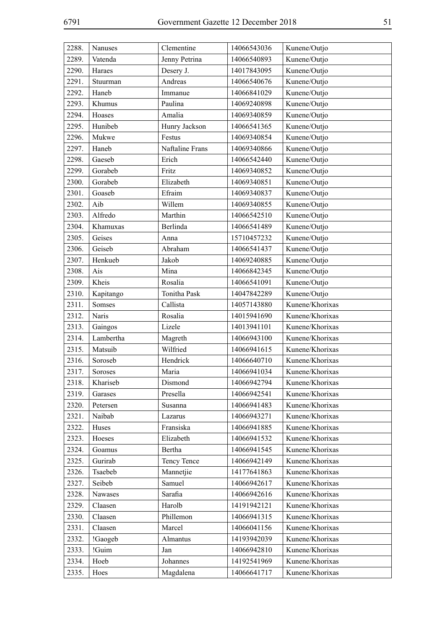| 2288. | Nanuses   | Clementine      | 14066543036 | Kunene/Outjo    |
|-------|-----------|-----------------|-------------|-----------------|
| 2289. | Vatenda   | Jenny Petrina   | 14066540893 | Kunene/Outjo    |
| 2290. | Haraes    | Desery J.       | 14017843095 | Kunene/Outjo    |
| 2291. | Stuurman  | Andreas         | 14066540676 | Kunene/Outjo    |
| 2292. | Haneb     | Immanue         | 14066841029 | Kunene/Outjo    |
| 2293. | Khumus    | Paulina         | 14069240898 | Kunene/Outjo    |
| 2294. | Hoases    | Amalia          | 14069340859 | Kunene/Outjo    |
| 2295. | Hunibeb   | Hunry Jackson   | 14066541365 | Kunene/Outjo    |
| 2296. | Mukwe     | Festus          | 14069340854 | Kunene/Outjo    |
| 2297. | Haneb     | Naftaline Frans | 14069340866 | Kunene/Outjo    |
| 2298. | Gaeseb    | Erich           | 14066542440 | Kunene/Outjo    |
| 2299. | Gorabeb   | Fritz           | 14069340852 | Kunene/Outjo    |
| 2300. | Gorabeb   | Elizabeth       | 14069340851 | Kunene/Outjo    |
| 2301. | Goaseb    | Efraim          | 14069340837 | Kunene/Outjo    |
| 2302. | Aib       | Willem          | 14069340855 | Kunene/Outjo    |
| 2303. | Alfredo   | Marthin         | 14066542510 | Kunene/Outjo    |
| 2304. | Khamuxas  | Berlinda        | 14066541489 | Kunene/Outjo    |
| 2305. | Geises    | Anna            | 15710457232 | Kunene/Outjo    |
| 2306. | Geiseb    | Abraham         | 14066541437 | Kunene/Outjo    |
| 2307. | Henkueb   | Jakob           | 14069240885 | Kunene/Outjo    |
| 2308. | Ais       | Mina            | 14066842345 | Kunene/Outjo    |
| 2309. | Kheis     | Rosalia         | 14066541091 | Kunene/Outjo    |
| 2310. | Kapitango | Tonitha Pask    | 14047842289 | Kunene/Outjo    |
| 2311. | Somses    | Callista        | 14057143880 | Kunene/Khorixas |
| 2312. | Naris     | Rosalia         | 14015941690 | Kunene/Khorixas |
| 2313. | Gaingos   | Lizele          | 14013941101 | Kunene/Khorixas |
| 2314. | Lambertha | Magreth         | 14066943100 | Kunene/Khorixas |
| 2315. | Matsuib   | Wilfried        | 14066941615 | Kunene/Khorixas |
| 2316. | Soroseb   | Hendrick        | 14066640710 | Kunene/Khorixas |
| 2317. | Soroses   | Maria           | 14066941034 | Kunene/Khorixas |
| 2318. | Khariseb  | Dismond         | 14066942794 | Kunene/Khorixas |
| 2319. | Garases   | Presella        | 14066942541 | Kunene/Khorixas |
| 2320. | Petersen  | Susanna         | 14066941483 | Kunene/Khorixas |
| 2321. | Naibab    | Lazarus         | 14066943271 | Kunene/Khorixas |
| 2322. | Huses     | Fransiska       | 14066941885 | Kunene/Khorixas |
| 2323. | Hoeses    | Elizabeth       | 14066941532 | Kunene/Khorixas |
| 2324. | Goamus    | Bertha          | 14066941545 | Kunene/Khorixas |
| 2325. | Gurirab   | Tency Tence     | 14066942149 | Kunene/Khorixas |
| 2326. | Tsaebeb   | Mannetjie       | 14177641863 | Kunene/Khorixas |
| 2327. | Seibeb    | Samuel          | 14066942617 | Kunene/Khorixas |
| 2328. | Nawases   | Sarafia         | 14066942616 | Kunene/Khorixas |
| 2329. | Claasen   | Harolb          | 14191942121 | Kunene/Khorixas |
| 2330. | Claasen   | Phillemon       | 14066941315 | Kunene/Khorixas |
| 2331. | Claasen   | Marcel          | 14066041156 | Kunene/Khorixas |
| 2332. | !Gaogeb   | Almantus        | 14193942039 | Kunene/Khorixas |
| 2333. | !Guim     | Jan             | 14066942810 | Kunene/Khorixas |
| 2334. | Hoeb      | Johannes        | 14192541969 | Kunene/Khorixas |
| 2335. | Hoes      | Magdalena       | 14066641717 | Kunene/Khorixas |
|       |           |                 |             |                 |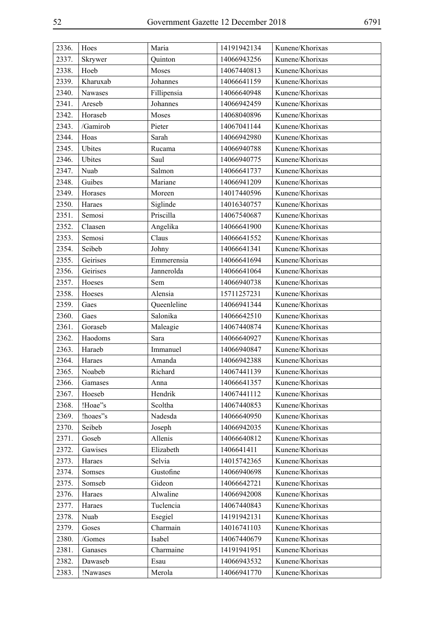| 2336. | Hoes     | Maria       | 14191942134 | Kunene/Khorixas |
|-------|----------|-------------|-------------|-----------------|
| 2337. | Skrywer  | Quinton     | 14066943256 | Kunene/Khorixas |
| 2338. | Hoeb     | Moses       | 14067440813 | Kunene/Khorixas |
| 2339. | Kharuxab | Johannes    | 14066641159 | Kunene/Khorixas |
| 2340. | Nawases  | Fillipensia | 14066640948 | Kunene/Khorixas |
| 2341. | Areseb   | Johannes    | 14066942459 | Kunene/Khorixas |
| 2342. | Horaseb  | Moses       | 14068040896 | Kunene/Khorixas |
| 2343. | /Gamirob | Pieter      | 14067041144 | Kunene/Khorixas |
| 2344. | Hoas     | Sarah       | 14066942980 | Kunene/Khorixas |
| 2345. | Ubites   | Rucama      | 14066940788 | Kunene/Khorixas |
| 2346. | Ubites   | Saul        | 14066940775 | Kunene/Khorixas |
| 2347. | Nuab     | Salmon      | 14066641737 | Kunene/Khorixas |
| 2348. | Guibes   | Mariane     | 14066941209 | Kunene/Khorixas |
| 2349. | Horases  | Moreen      | 14017440596 | Kunene/Khorixas |
| 2350. | Haraes   | Siglinde    | 14016340757 | Kunene/Khorixas |
| 2351. | Semosi   | Priscilla   | 14067540687 | Kunene/Khorixas |
| 2352. | Claasen  | Angelika    | 14066641900 | Kunene/Khorixas |
| 2353. | Semosi   | Claus       | 14066641552 | Kunene/Khorixas |
| 2354. | Seibeb   | Johny       | 14066641341 | Kunene/Khorixas |
| 2355. | Geirises | Emmerensia  | 14066641694 | Kunene/Khorixas |
| 2356. | Geirises | Jannerolda  | 14066641064 | Kunene/Khorixas |
| 2357. | Hoeses   | Sem         | 14066940738 | Kunene/Khorixas |
| 2358. | Hoeses   | Alensia     | 15711257231 | Kunene/Khorixas |
| 2359. | Gaes     | Queenleline | 14066941344 | Kunene/Khorixas |
| 2360. | Gaes     | Salonika    | 14066642510 | Kunene/Khorixas |
| 2361. | Goraseb  | Maleagie    | 14067440874 | Kunene/Khorixas |
| 2362. | Haodoms  | Sara        | 14066640927 | Kunene/Khorixas |
| 2363. | Haraeb   | Immanuel    | 14066940847 | Kunene/Khorixas |
| 2364. | Haraes   | Amanda      | 14066942388 | Kunene/Khorixas |
| 2365. | Noabeb   | Richard     | 14067441139 | Kunene/Khorixas |
| 2366. | Gamases  | Anna        | 14066641357 | Kunene/Khorixas |
| 2367. | Hoeseb   | Hendrik     | 14067441112 | Kunene/Khorixas |
| 2368. | !Hoae"s  | Scoltha     | 14067440853 | Kunene/Khorixas |
| 2369. | !hoaes"s | Nadesda     | 14066640950 | Kunene/Khorixas |
| 2370. | Seibeb   | Joseph      | 14066942035 | Kunene/Khorixas |
| 2371. | Goseb    | Allenis     | 14066640812 | Kunene/Khorixas |
| 2372. | Gawises  | Elizabeth   | 1406641411  | Kunene/Khorixas |
| 2373. | Haraes   | Selvia      | 14015742365 | Kunene/Khorixas |
| 2374. | Somses   | Gustofine   | 14066940698 | Kunene/Khorixas |
| 2375. | Somseb   | Gideon      | 14066642721 | Kunene/Khorixas |
| 2376. | Haraes   | Alwaline    | 14066942008 | Kunene/Khorixas |
| 2377. | Haraes   | Tuclencia   | 14067440843 | Kunene/Khorixas |
| 2378. | Nuab     | Esegiel     | 14191942131 | Kunene/Khorixas |
| 2379. | Goses    | Charmain    | 14016741103 | Kunene/Khorixas |
| 2380. | /Gomes   | Isabel      | 14067440679 | Kunene/Khorixas |
| 2381. | Ganases  | Charmaine   | 14191941951 | Kunene/Khorixas |
| 2382. | Dawaseb  | Esau        | 14066943532 | Kunene/Khorixas |
| 2383. | !Nawases | Merola      | 14066941770 | Kunene/Khorixas |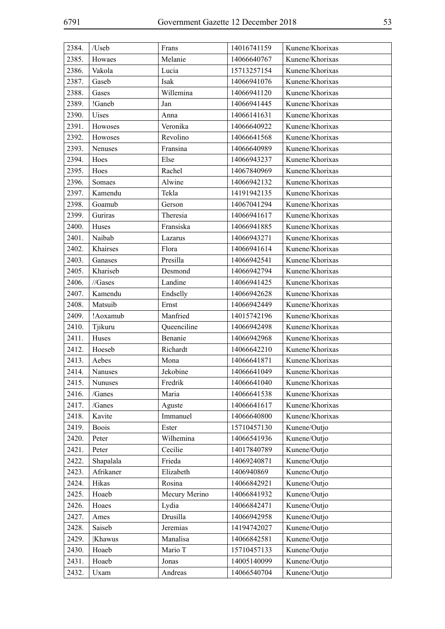| 2384. | /Useb                    | Frans         | 14016741159 | Kunene/Khorixas |
|-------|--------------------------|---------------|-------------|-----------------|
| 2385. | Howaes                   | Melanie       | 14066640767 | Kunene/Khorixas |
| 2386. | Vakola                   | Lucia         | 15713257154 | Kunene/Khorixas |
| 2387. | Gaseb                    | Isak          | 14066941076 | Kunene/Khorixas |
| 2388. | Gases                    | Willemina     | 14066941120 | Kunene/Khorixas |
| 2389. | !Ganeb                   | Jan           | 14066941445 | Kunene/Khorixas |
| 2390. | Uises                    | Anna          | 14066141631 | Kunene/Khorixas |
| 2391. | Howoses                  | Veronika      | 14066640922 | Kunene/Khorixas |
| 2392. | Howoses                  | Revolino      | 14066641568 | Kunene/Khorixas |
| 2393. | Nenuses                  | Fransina      | 14066640989 | Kunene/Khorixas |
| 2394. | Hoes                     | Else          | 14066943237 | Kunene/Khorixas |
| 2395. | Hoes                     | Rachel        | 14067840969 | Kunene/Khorixas |
| 2396. | Somaes                   | Alwine        | 14066942132 | Kunene/Khorixas |
| 2397. | Kamendu                  | Tekla         | 14191942135 | Kunene/Khorixas |
| 2398. | Goamub                   | Gerson        | 14067041294 | Kunene/Khorixas |
| 2399. | Guriras                  | Theresia      | 14066941617 | Kunene/Khorixas |
| 2400. | Huses                    | Fransiska     | 14066941885 | Kunene/Khorixas |
| 2401. | Naibab                   | Lazarus       | 14066943271 | Kunene/Khorixas |
| 2402. | Khairses                 | Flora         | 14066941614 | Kunene/Khorixas |
| 2403. | Ganases                  | Presilla      | 14066942541 | Kunene/Khorixas |
| 2405. | Khariseb                 | Desmond       | 14066942794 | Kunene/Khorixas |
| 2406. | $\frac{1}{\text{Gases}}$ | Landine       | 14066941425 | Kunene/Khorixas |
| 2407. | Kamendu                  | Endselly      | 14066942628 | Kunene/Khorixas |
| 2408. | Matsuib                  | Ernst         | 14066942449 | Kunene/Khorixas |
| 2409. | !Aoxamub                 | Manfried      | 14015742196 | Kunene/Khorixas |
| 2410. | Tjikuru                  | Queenciline   | 14066942498 | Kunene/Khorixas |
| 2411. | Huses                    | Benanie       | 14066942968 | Kunene/Khorixas |
| 2412. | Hoeseb                   | Richardt      | 14066642210 | Kunene/Khorixas |
| 2413. | Aebes                    | Mona          | 14066641871 | Kunene/Khorixas |
| 2414. | Nanuses                  | Jekobine      | 14066641049 | Kunene/Khorixas |
| 2415. | Nunuses                  | Fredrik       | 14066641040 | Kunene/Khorixas |
| 2416. | /Ganes                   | Maria         | 14066641538 | Kunene/Khorixas |
| 2417. | /Ganes                   | Aguste        | 14066641617 | Kunene/Khorixas |
| 2418. | Kavite                   | Immanuel      | 14066640800 | Kunene/Khorixas |
| 2419. | <b>Boois</b>             | Ester         | 15710457130 | Kunene/Outjo    |
| 2420. | Peter                    | Wilhemina     | 14066541936 | Kunene/Outjo    |
| 2421. | Peter                    | Cecilie       | 14017840789 | Kunene/Outjo    |
| 2422. | Shapalala                | Frieda        | 14069240871 | Kunene/Outjo    |
| 2423. | Afrikaner                | Elizabeth     | 1406940869  | Kunene/Outjo    |
| 2424. | Hikas                    | Rosina        | 14066842921 | Kunene/Outjo    |
| 2425. | Hoaeb                    | Mecury Merino | 14066841932 | Kunene/Outjo    |
| 2426. | Hoaes                    | Lydia         | 14066842471 | Kunene/Outjo    |
| 2427. | Ames                     | Drusilla      | 14066942958 | Kunene/Outjo    |
| 2428. | Saiseb                   | Jeremias      | 14194742027 | Kunene/Outjo    |
| 2429. | Khawus                   | Manalisa      | 14066842581 | Kunene/Outjo    |
| 2430. | Hoaeb                    | Mario T       | 15710457133 | Kunene/Outjo    |
| 2431. | Hoaeb                    | Jonas         | 14005140099 | Kunene/Outjo    |
| 2432. | Uxam                     | Andreas       | 14066540704 | Kunene/Outjo    |
|       |                          |               |             |                 |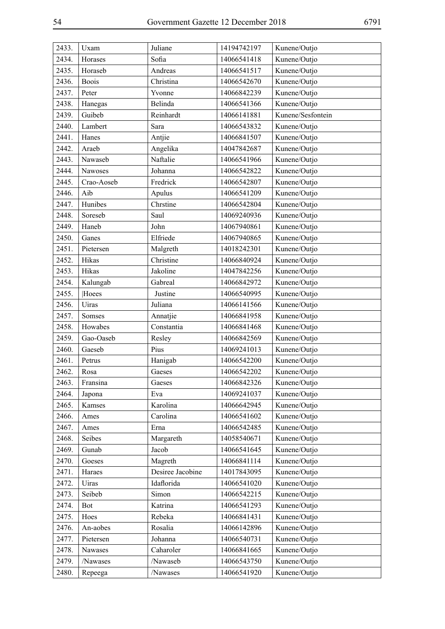| 2433. | Uxam         | Juliane          | 14194742197 | Kunene/Outjo      |
|-------|--------------|------------------|-------------|-------------------|
| 2434. | Horases      | Sofia            | 14066541418 | Kunene/Outjo      |
| 2435. | Horaseb      | Andreas          | 14066541517 | Kunene/Outjo      |
| 2436. | <b>Boois</b> | Christina        | 14066542670 | Kunene/Outjo      |
| 2437. | Peter        | Yvonne           | 14066842239 | Kunene/Outjo      |
| 2438. | Hanegas      | Belinda          | 14066541366 | Kunene/Outjo      |
| 2439. | Guibeb       | Reinhardt        | 14066141881 | Kunene/Sesfontein |
| 2440. | Lambert      | Sara             | 14066543832 | Kunene/Outjo      |
| 2441. | Hanes        | Antjie           | 14066841507 | Kunene/Outjo      |
| 2442. | Araeb        | Angelika         | 14047842687 | Kunene/Outjo      |
| 2443. | Nawaseb      | Naftalie         | 14066541966 | Kunene/Outjo      |
| 2444. | Nawoses      | Johanna          | 14066542822 | Kunene/Outjo      |
| 2445. | Crao-Aoseb   | Fredrick         | 14066542807 | Kunene/Outjo      |
| 2446. | Aib          | Apulus           | 14066541209 | Kunene/Outjo      |
| 2447. | Hunibes      | Chrstine         | 14066542804 | Kunene/Outjo      |
| 2448. | Soreseb      | Saul             | 14069240936 | Kunene/Outjo      |
| 2449. | Haneb        | John             | 14067940861 | Kunene/Outjo      |
| 2450. | Ganes        | Elfriede         | 14067940865 | Kunene/Outjo      |
| 2451. | Pietersen    | Malgreth         | 14018242301 | Kunene/Outjo      |
| 2452. | Hikas        | Christine        | 14066840924 | Kunene/Outjo      |
| 2453. | Hikas        | Jakoline         | 14047842256 | Kunene/Outjo      |
| 2454. | Kalungab     | Gabreal          | 14066842972 | Kunene/Outjo      |
| 2455. | Hoees        | Justine          | 14066540995 | Kunene/Outjo      |
| 2456. | Uiras        | Juliana          | 14066141566 | Kunene/Outjo      |
| 2457. | Somses       | Annatjie         | 14066841958 | Kunene/Outjo      |
| 2458. | Howabes      | Constantia       | 14066841468 | Kunene/Outjo      |
| 2459. | Gao-Oaseb    | Resley           | 14066842569 | Kunene/Outjo      |
| 2460. | Gaeseb       | Pius             | 14069241013 | Kunene/Outjo      |
| 2461. | Petrus       | Hanigab          | 14066542200 | Kunene/Outjo      |
| 2462. | Rosa         | Gaeses           | 14066542202 | Kunene/Outjo      |
| 2463. | Fransina     | Gaeses           | 14066842326 | Kunene/Outjo      |
| 2464. | Japona       | Eva              | 14069241037 | Kunene/Outjo      |
| 2465. | Kamses       | Karolina         | 14066642945 | Kunene/Outjo      |
| 2466. | Ames         | Carolina         | 14066541602 | Kunene/Outjo      |
| 2467. | Ames         | Erna             | 14066542485 | Kunene/Outjo      |
| 2468. | Seibes       | Margareth        | 14058540671 | Kunene/Outjo      |
| 2469. | Gunab        | Jacob            | 14066541645 | Kunene/Outjo      |
| 2470. | Goeses       | Magreth          | 14066841114 | Kunene/Outjo      |
| 2471. | Haraes       | Desiree Jacobine | 14017843095 | Kunene/Outjo      |
| 2472. | Uiras        | Idaflorida       | 14066541020 | Kunene/Outjo      |
| 2473. | Seibeb       | Simon            | 14066542215 | Kunene/Outjo      |
| 2474. | <b>Bot</b>   | Katrina          | 14066541293 | Kunene/Outjo      |
| 2475. | Hoes         | Rebeka           | 14066841431 | Kunene/Outjo      |
| 2476. | An-aobes     | Rosalia          | 14066142896 | Kunene/Outjo      |
| 2477. | Pietersen    | Johanna          | 14066540731 | Kunene/Outjo      |
| 2478. | Nawases      | Caharoler        | 14066841665 | Kunene/Outjo      |
| 2479. | /Nawases     | /Nawaseb         | 14066543750 | Kunene/Outjo      |
| 2480. | Repeega      | /Nawases         | 14066541920 | Kunene/Outjo      |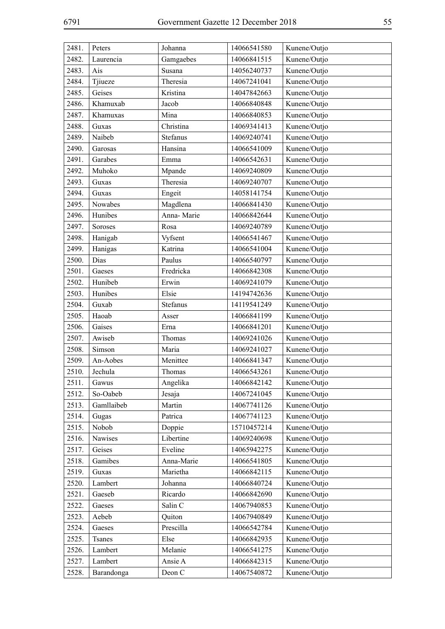| 2481. | Peters     | Johanna    | 14066541580 | Kunene/Outjo |
|-------|------------|------------|-------------|--------------|
| 2482. | Laurencia  | Gamgaebes  | 14066841515 | Kunene/Outjo |
| 2483. | Ais        | Susana     | 14056240737 | Kunene/Outjo |
| 2484. | Tjiueze    | Theresia   | 14067241041 | Kunene/Outjo |
| 2485. | Geises     | Kristina   | 14047842663 | Kunene/Outjo |
| 2486. | Khamuxab   | Jacob      | 14066840848 | Kunene/Outjo |
| 2487. | Khamuxas   | Mina       | 14066840853 | Kunene/Outjo |
| 2488. | Guxas      | Christina  | 14069341413 | Kunene/Outjo |
| 2489. | Naibeb     | Stefanus   | 14069240741 | Kunene/Outjo |
| 2490. | Garosas    | Hansina    | 14066541009 | Kunene/Outjo |
| 2491. | Garabes    | Emma       | 14066542631 | Kunene/Outjo |
| 2492. | Muhoko     | Mpande     | 14069240809 | Kunene/Outjo |
| 2493. | Guxas      | Theresia   | 14069240707 | Kunene/Outjo |
| 2494. | Guxas      | Engeit     | 14058141754 | Kunene/Outjo |
| 2495. | Nowabes    | Magdlena   | 14066841430 | Kunene/Outjo |
| 2496. | Hunibes    | Anna-Marie | 14066842644 | Kunene/Outjo |
| 2497. | Soroses    | Rosa       | 14069240789 | Kunene/Outjo |
| 2498. | Hanigab    | Vyfsent    | 14066541467 | Kunene/Outjo |
| 2499. | Hanigas    | Katrina    | 14066541004 | Kunene/Outjo |
| 2500. | Dias       | Paulus     | 14066540797 | Kunene/Outjo |
| 2501. | Gaeses     | Fredricka  | 14066842308 | Kunene/Outjo |
| 2502. | Hunibeb    | Erwin      | 14069241079 | Kunene/Outjo |
| 2503. | Hunibes    | Elsie      | 14194742636 | Kunene/Outjo |
| 2504. | Guxab      | Stefanus   | 14119541249 | Kunene/Outjo |
| 2505. | Haoab      | Asser      | 14066841199 | Kunene/Outjo |
| 2506. | Gaises     | Erna       | 14066841201 | Kunene/Outjo |
| 2507. | Awiseb     | Thomas     | 14069241026 | Kunene/Outjo |
| 2508. | Simson     | Maria      | 14069241027 | Kunene/Outjo |
| 2509. | An-Aobes   | Menittee   | 14066841347 | Kunene/Outjo |
| 2510. | Jechula    | Thomas     | 14066543261 | Kunene/Outjo |
| 2511. | Gawus      | Angelika   | 14066842142 | Kunene/Outjo |
| 2512. | So-Oabeb   | Jesaja     | 14067241045 | Kunene/Outjo |
| 2513. | Gamllaibeb | Martin     | 14067741126 | Kunene/Outjo |
| 2514. | Gugas      | Patrica    | 14067741123 | Kunene/Outjo |
| 2515. | Nobob      | Doppie     | 15710457214 | Kunene/Outjo |
| 2516. | Nawises    | Libertine  | 14069240698 | Kunene/Outjo |
| 2517. | Geises     | Eveline    | 14065942275 | Kunene/Outjo |
| 2518. | Gamibes    | Anna-Marie | 14066541805 | Kunene/Outjo |
| 2519. | Guxas      | Marietha   | 14066842115 | Kunene/Outjo |
| 2520. | Lambert    | Johanna    | 14066840724 | Kunene/Outjo |
| 2521. | Gaeseb     | Ricardo    | 14066842690 | Kunene/Outjo |
| 2522. | Gaeses     | Salin C    | 14067940853 | Kunene/Outjo |
| 2523. | Aebeb      | Quiton     | 14067940849 | Kunene/Outjo |
| 2524. | Gaeses     | Prescilla  | 14066542784 | Kunene/Outjo |
| 2525. | Tsanes     | Else       | 14066842935 | Kunene/Outjo |
| 2526. | Lambert    | Melanie    | 14066541275 | Kunene/Outjo |
| 2527. | Lambert    | Ansie A    | 14066842315 | Kunene/Outjo |
| 2528. | Barandonga | Deon C     | 14067540872 | Kunene/Outjo |
|       |            |            |             |              |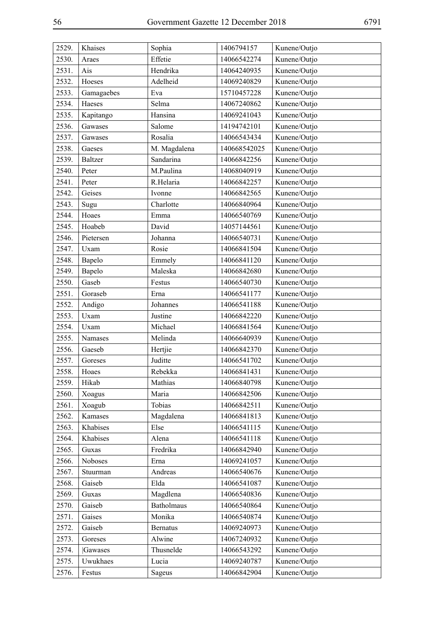| 2529. | Khaises        | Sophia          | 1406794157   | Kunene/Outjo |
|-------|----------------|-----------------|--------------|--------------|
| 2530. | Araes          | Effetie         | 14066542274  | Kunene/Outjo |
| 2531. | Ais            | Hendrika        | 14064240935  | Kunene/Outjo |
| 2532. | Hoeses         | Adelheid        | 14069240829  | Kunene/Outjo |
| 2533. | Gamagaebes     | Eva             | 15710457228  | Kunene/Outjo |
| 2534. | Haeses         | Selma           | 14067240862  | Kunene/Outjo |
| 2535. | Kapitango      | Hansina         | 14069241043  | Kunene/Outjo |
| 2536. | Gawases        | Salome          | 14194742101  | Kunene/Outjo |
| 2537. | Gawases        | Rosalia         | 14066543434  | Kunene/Outjo |
| 2538. | Gaeses         | M. Magdalena    | 140668542025 | Kunene/Outjo |
| 2539. | <b>Baltzer</b> | Sandarina       | 14066842256  | Kunene/Outjo |
| 2540. | Peter          | M.Paulina       | 14068040919  | Kunene/Outjo |
| 2541. | Peter          | R.Helaria       | 14066842257  | Kunene/Outjo |
| 2542. | Geises         | Ivonne          | 14066842565  | Kunene/Outjo |
| 2543. | Sugu           | Charlotte       | 14066840964  | Kunene/Outjo |
| 2544. | Hoaes          | Emma            | 14066540769  | Kunene/Outjo |
| 2545. | Hoabeb         | David           | 14057144561  | Kunene/Outjo |
| 2546. | Pietersen      | Johanna         | 14066540731  | Kunene/Outjo |
| 2547. | Uxam           | Rosie           | 14066841504  | Kunene/Outjo |
| 2548. | Bapelo         | Emmely          | 14066841120  | Kunene/Outjo |
| 2549. | Bapelo         | Maleska         | 14066842680  | Kunene/Outjo |
| 2550. | Gaseb          | Festus          | 14066540730  | Kunene/Outjo |
| 2551. | Goraseb        | Erna            | 14066541177  | Kunene/Outjo |
| 2552. | Andigo         | Johannes        | 14066541188  | Kunene/Outjo |
| 2553. | Uxam           | Justine         | 14066842220  | Kunene/Outjo |
| 2554. | Uxam           | Michael         | 14066841564  | Kunene/Outjo |
| 2555. | Namases        | Melinda         | 14066640939  | Kunene/Outjo |
| 2556. | Gaeseb         | Hertjie         | 14066842370  | Kunene/Outjo |
| 2557. | Goreses        | Juditte         | 14066541702  | Kunene/Outjo |
| 2558. | Hoaes          | Rebekka         | 14066841431  | Kunene/Outjo |
| 2559. | Hikab          | Mathias         | 14066840798  | Kunene/Outjo |
| 2560. | Xoagus         | Maria           | 14066842506  | Kunene/Outjo |
| 2561. | Xoagub         | Tobias          | 14066842511  | Kunene/Outjo |
| 2562. | Kamases        | Magdalena       | 14066841813  | Kunene/Outjo |
| 2563. | Khabises       | Else            | 14066541115  | Kunene/Outjo |
| 2564. | Khabises       | Alena           | 14066541118  | Kunene/Outjo |
| 2565. | Guxas          | Fredrika        | 14066842940  | Kunene/Outjo |
| 2566. | Noboses        | Erna            | 14069241057  | Kunene/Outjo |
| 2567. | Stuurman       | Andreas         | 14066540676  | Kunene/Outjo |
| 2568. | Gaiseb         | Elda            | 14066541087  | Kunene/Outjo |
| 2569. | Guxas          | Magdlena        | 14066540836  | Kunene/Outjo |
| 2570. | Gaiseb         | Batholmaus      | 14066540864  | Kunene/Outjo |
| 2571. | Gaises         | Monika          | 14066540874  | Kunene/Outjo |
| 2572. | Gaiseb         | <b>Bernatus</b> | 14069240973  | Kunene/Outjo |
| 2573. | Goreses        | Alwine          | 14067240932  | Kunene/Outjo |
| 2574. | Gawases        | Thusnelde       | 14066543292  | Kunene/Outjo |
| 2575. | Uwukhaes       | Lucia           | 14069240787  | Kunene/Outjo |
| 2576. | Festus         | Sageus          | 14066842904  | Kunene/Outjo |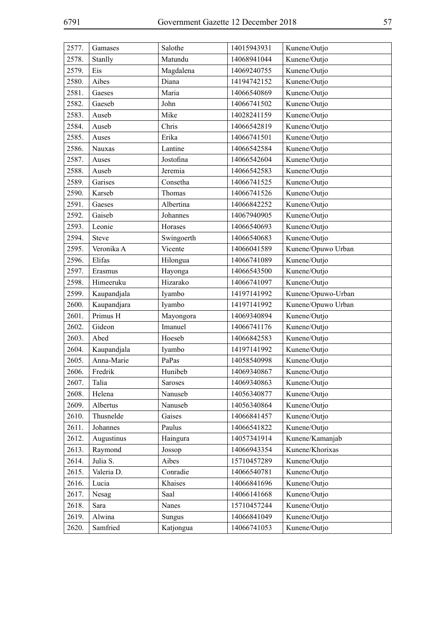| 2577. | Gamases     | Salothe    | 14015943931 | Kunene/Outjo       |
|-------|-------------|------------|-------------|--------------------|
| 2578. | Stanlly     | Matundu    | 14068941044 | Kunene/Outjo       |
| 2579. | Eis         | Magdalena  | 14069240755 | Kunene/Outjo       |
| 2580. | Aibes       | Diana      | 14194742152 | Kunene/Outjo       |
| 2581. | Gaeses      | Maria      | 14066540869 | Kunene/Outjo       |
| 2582. | Gaeseb      | John       | 14066741502 | Kunene/Outjo       |
| 2583. | Auseb       | Mike       | 14028241159 | Kunene/Outjo       |
| 2584. | Auseb       | Chris      | 14066542819 | Kunene/Outjo       |
| 2585. | Auses       | Erika      | 14066741501 | Kunene/Outjo       |
| 2586. | Nauxas      | Lantine    | 14066542584 | Kunene/Outjo       |
| 2587. | Auses       | Jostofina  | 14066542604 | Kunene/Outjo       |
| 2588. | Auseb       | Jeremia    | 14066542583 | Kunene/Outjo       |
| 2589. | Garises     | Consetha   | 14066741525 | Kunene/Outjo       |
| 2590. | Karseb      | Thomas     | 14066741526 | Kunene/Outjo       |
| 2591. | Gaeses      | Albertina  | 14066842252 | Kunene/Outjo       |
| 2592. | Gaiseb      | Johannes   | 14067940905 | Kunene/Outjo       |
| 2593. | Leonie      | Horases    | 14066540693 | Kunene/Outjo       |
| 2594. | Steve       | Swingoerth | 14066540683 | Kunene/Outjo       |
| 2595. | Veronika A  | Vicente    | 14066041589 | Kunene/Opuwo Urban |
| 2596. | Elifas      | Hilongua   | 14066741089 | Kunene/Outjo       |
| 2597. | Erasmus     | Hayonga    | 14066543500 | Kunene/Outjo       |
| 2598. | Himeeruku   | Hizarako   | 14066741097 | Kunene/Outjo       |
| 2599. | Kaupandjala | Iyambo     | 14197141992 | Kunene/Opuwo-Urban |
| 2600. | Kaupandjara | Iyambo     | 14197141992 | Kunene/Opuwo Urban |
| 2601. | Primus H    | Mayongora  | 14069340894 | Kunene/Outjo       |
| 2602. | Gideon      | Imanuel    | 14066741176 | Kunene/Outjo       |
| 2603. | Abed        | Hoeseb     | 14066842583 | Kunene/Outjo       |
| 2604. | Kaupandjala | Iyambo     | 14197141992 | Kunene/Outjo       |
| 2605. | Anna-Marie  | PaPas      | 14058540998 | Kunene/Outjo       |
| 2606. | Fredrik     | Hunibeb    | 14069340867 | Kunene/Outjo       |
| 2607. | Talia       | Saroses    | 14069340863 | Kunene/Outjo       |
| 2608. | Helena      | Nanuseb    | 14056340877 | Kunene/Outjo       |
| 2609. | Albertus    | Nanuseb    | 14056340864 | Kunene/Outjo       |
| 2610. | Thusnelde   | Gaises     | 14066841457 | Kunene/Outjo       |
| 2611. | Johannes    | Paulus     | 14066541822 | Kunene/Outjo       |
| 2612. | Augustinus  | Haingura   | 14057341914 | Kunene/Kamanjab    |
| 2613. | Raymond     | Jossop     | 14066943354 | Kunene/Khorixas    |
| 2614. | Julia S.    | Aibes      | 15710457289 | Kunene/Outjo       |
| 2615. | Valeria D.  | Conradie   | 14066540781 | Kunene/Outjo       |
| 2616. | Lucia       | Khaises    | 14066841696 | Kunene/Outjo       |
| 2617. | Nesag       | Saal       | 14066141668 | Kunene/Outjo       |
| 2618. | Sara        | Nanes      | 15710457244 | Kunene/Outjo       |
| 2619. | Alwina      | Sungus     | 14066841049 | Kunene/Outjo       |
| 2620. | Samfried    | Katjongua  | 14066741053 | Kunene/Outjo       |
|       |             |            |             |                    |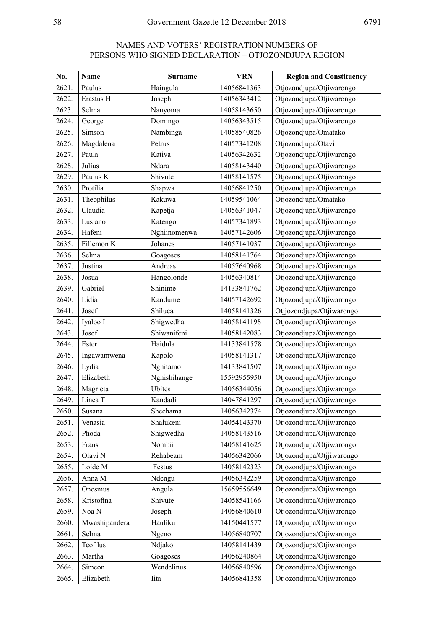## NAMES AND VOTERS' REGISTRATION NUMBERS OF PERSONS WHO SIGNED DECLARATION – OTJOZONDJUPA REGION

| No.   | Name          | <b>Surname</b> | <b>VRN</b>  | <b>Region and Constituency</b> |
|-------|---------------|----------------|-------------|--------------------------------|
| 2621. | Paulus        | Haingula       | 14056841363 | Otjozondjupa/Otjiwarongo       |
| 2622. | Erastus H     | Joseph         | 14056343412 | Otjozondjupa/Otjiwarongo       |
| 2623. | Selma         | Nauyoma        | 14058143650 | Otjozondjupa/Otjiwarongo       |
| 2624. | George        | Domingo        | 14056343515 | Otjozondjupa/Otjiwarongo       |
| 2625. | Simson        | Nambinga       | 14058540826 | Otjozondjupa/Omatako           |
| 2626. | Magdalena     | Petrus         | 14057341208 | Otjozondjupa/Otavi             |
| 2627. | Paula         | Kativa         | 14056342632 | Otjozondjupa/Otjiwarongo       |
| 2628. | Julius        | Ndara          | 14058143440 | Otjozondjupa/Otjiwarongo       |
| 2629. | Paulus K      | Shivute        | 14058141575 | Otjozondjupa/Otjiwarongo       |
| 2630. | Protilia      | Shapwa         | 14056841250 | Otjozondjupa/Otjiwarongo       |
| 2631. | Theophilus    | Kakuwa         | 14059541064 | Otjozondjupa/Omatako           |
| 2632. | Claudia       | Kapetja        | 14056341047 | Otjozondjupa/Otjiwarongo       |
| 2633. | Lusiano       | Katengo        | 14057341893 | Otjozondjupa/Otjiwarongo       |
| 2634. | Hafeni        | Nghiinomenwa   | 14057142606 | Otjozondjupa/Otjiwarongo       |
| 2635. | Fillemon K    | Johanes        | 14057141037 | Otjozondjupa/Otjiwarongo       |
| 2636. | Selma         | Goagoses       | 14058141764 | Otjozondjupa/Otjiwarongo       |
| 2637. | Justina       | Andreas        | 14057640968 | Otjozondjupa/Otjiwarongo       |
| 2638. | Josua         | Hangolonde     | 14056340814 | Otjozondjupa/Otjiwarongo       |
| 2639. | Gabriel       | Shinime        | 14133841762 | Otjozondjupa/Otjiwarongo       |
| 2640. | Lidia         | Kandume        | 14057142692 | Otjozondjupa/Otjiwarongo       |
| 2641. | Josef         | Shiluca        | 14058141326 | Otjjozondjupa/Otjiwarongo      |
| 2642. | Iyaloo I      | Shigwedha      | 14058141198 | Otjozondjupa/Otjiwarongo       |
| 2643. | Josef         | Shiwanifeni    | 14058142083 | Otjozondjupa/Otjiwarongo       |
| 2644. | Ester         | Haidula        | 14133841578 | Otjozondjupa/Otjiwarongo       |
| 2645. | Ingawamwena   | Kapolo         | 14058141317 | Otjozondjupa/Otjiwarongo       |
| 2646. | Lydia         | Nghitamo       | 14133841507 | Otjozondjupa/Otjiwarongo       |
| 2647. | Elizabeth     | Nghishihange   | 15592955950 | Otjozondjupa/Otjiwarongo       |
| 2648. | Magrieta      | Ubites         | 14056344056 | Otjozondjupa/Otjiwarongo       |
| 2649. | Linea T       | Kandadi        | 14047841297 | Otjozondjupa/Otjiwarongo       |
| 2650. | Susana        | Sheehama       | 14056342374 | Otjozondjupa/Otjiwarongo       |
| 2651. | Venasia       | Shalukeni      | 14054143370 | Otjozondjupa/Otjiwarongo       |
| 2652. | Phoda         | Shigwedha      | 14058143516 | Otjozondjupa/Otjiwarongo       |
| 2653. | Frans         | Nombii         | 14058141625 | Otjozondjupa/Otjiwarongo       |
| 2654. | Olavi N       | Rehabeam       | 14056342066 | Otjozondjupa/Otjjiwarongo      |
| 2655. | Loide M       | Festus         | 14058142323 | Otjozondjupa/Otjiwarongo       |
| 2656. | Anna M        | Ndengu         | 14056342259 | Otjozondjupa/Otjiwarongo       |
| 2657. | Onesmus       | Angula         | 15659556649 | Otjozondjupa/Otjiwarongo       |
| 2658. | Kristofina    | Shivute        | 14058541166 | Otjozondjupa/Otjiwarongo       |
| 2659. | Noa N         | Joseph         | 14056840610 | Otjozondjupa/Otjiwarongo       |
| 2660. | Mwashipandera | Haufiku        | 14150441577 | Otjozondjupa/Otjiwarongo       |
| 2661. | Selma         | Ngeno          | 14056840707 | Otjozondjupa/Otjiwarongo       |
| 2662. | Teofilus      | Ndjako         | 14058141439 | Otjozondjupa/Otjiwarongo       |
| 2663. | Martha        | Goagoses       | 14056240864 | Otjozondjupa/Otjiwarongo       |
| 2664. | Simeon        | Wendelinus     | 14056840596 | Otjozondjupa/Otjiwarongo       |
| 2665. | Elizabeth     | Iita           | 14056841358 | Otjozondjupa/Otjiwarongo       |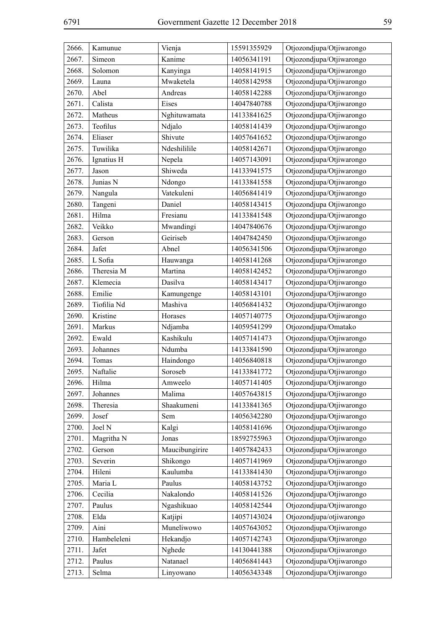| 2666. | Kamunue     | Vienja         | 15591355929 | Otjozondjupa/Otjiwarongo |
|-------|-------------|----------------|-------------|--------------------------|
| 2667. | Simeon      | Kanime         | 14056341191 | Otjozondjupa/Otjiwarongo |
| 2668. | Solomon     | Kanyinga       | 14058141915 | Otjozondjupa/Otjiwarongo |
| 2669. | Launa       | Mwaketela      | 14058142958 | Otjozondjupa/Otjiwarongo |
| 2670. | Abel        | Andreas        | 14058142288 | Otjozondjupa/Otjiwarongo |
| 2671. | Calista     | Eises          | 14047840788 | Otjozondjupa/Otjiwarongo |
| 2672. | Matheus     | Nghituwamata   | 14133841625 | Otjozondjupa/Otjiwarongo |
| 2673. | Teofilus    | Ndjalo         | 14058141439 | Otjozondjupa/Otjiwarongo |
| 2674. | Eliaser     | Shivute        | 14057641652 | Otjozondjupa/Otjiwarongo |
| 2675. | Tuwilika    | Ndeshililile   | 14058142671 | Otjozondjupa/Otjiwarongo |
| 2676. | Ignatius H  | Nepela         | 14057143091 | Otjozondjupa/Otjiwarongo |
| 2677. | Jason       | Shiweda        | 14133941575 | Otjozondjupa/Otjiwarongo |
| 2678. | Junias N    | Ndongo         | 14133841558 | Otjozondjupa/Otjiwarongo |
| 2679. | Nangula     | Vatekuleni     | 14056841419 | Otjozondjupa/Otjiwarongo |
| 2680. | Tangeni     | Daniel         | 14058143415 | Otjozondjupa Otjiwarongo |
| 2681. | Hilma       | Fresianu       | 14133841548 | Otjozondjupa/Otjiwarongo |
| 2682. | Veikko      | Mwandingi      | 14047840676 | Otjozondjupa/Otjiwarongo |
| 2683. | Gerson      | Geiriseb       | 14047842450 | Otjozondjupa/Otjiwarongo |
| 2684. | Jafet       | Abnel          | 14056341506 | Otjozondjupa/Otjiwarongo |
| 2685. | L Sofia     | Hauwanga       | 14058141268 | Otjozondjupa/Otjiwarongo |
| 2686. | Theresia M  | Martina        | 14058142452 | Otjozondjupa/Otjiwarongo |
| 2687. | Klemecia    | Dasilva        | 14058143417 | Otjozondjupa/Otjiwarongo |
| 2688. | Emilie      | Kamungenge     | 14058143101 | Otjozondjupa/Otjiwarongo |
| 2689. | Tiofilia Nd | Mashiva        | 14056841432 | Otjozondjupa/Otjiwarongo |
| 2690. | Kristine    | Horases        | 14057140775 | Otjozondjupa/Otjiwarongo |
| 2691. | Markus      | Ndjamba        | 14059541299 | Otjozondjupa/Omatako     |
| 2692. | Ewald       | Kashikulu      | 14057141473 | Otjozondjupa/Otjiwarongo |
| 2693. | Johannes    | Ndumba         | 14133841590 | Otjozondjupa/Otjiwarongo |
| 2694. | Tomas       | Haindongo      | 14056840818 | Otjozondjupa/Otjiwarongo |
| 2695. | Naftalie    | Soroseb        | 14133841772 | Otjozondjupa/Otjiwarongo |
| 2696. | Hilma       | Amweelo        | 14057141405 | Otjozondjupa/Otjiwarongo |
| 2697. | Johannes    | Malima         | 14057643815 | Otjozondjupa/Otjiwarongo |
| 2698. | Theresia    | Shaakumeni     | 14133841365 | Otjozondjupa/Otjiwarongo |
| 2699. | Josef       | Sem            | 14056342280 | Otjozondjupa/Otjiwarongo |
| 2700. | Joel N      | Kalgi          | 14058141696 | Otjozondjupa/Otjiwarongo |
| 2701. | Magritha N  | Jonas          | 18592755963 | Otjozondjupa/Otjiwarongo |
| 2702. | Gerson      | Maucibungirire | 14057842433 | Otjozondjupa/Otjiwarongo |
| 2703. | Severin     | Shikongo       | 14057141969 | Otjozondjupa/Otjiwarongo |
| 2704. | Hileni      | Kaulumba       | 14133841430 | Otjozondjupa/Otjiwarongo |
| 2705. | Maria L     | Paulus         | 14058143752 | Otjozondjupa/Otjiwarongo |
| 2706. | Cecilia     | Nakalondo      | 14058141526 | Otjozondjupa/Otjiwarongo |
| 2707. | Paulus      | Ngashikuao     | 14058142544 | Otjozondjupa/Otjiwarongo |
| 2708. | Elda        | Katjipi        | 14057143024 | Otjozondjupa/otjiwarongo |
| 2709. | Aini        | Muneliwowo     | 14057643052 | Otjozondjupa/Otjiwarongo |
| 2710. | Hambeleleni | Hekandjo       | 14057142743 | Otjozondjupa/Otjiwarongo |
| 2711. | Jafet       | Nghede         | 14130441388 | Otjozondjupa/Otjiwarongo |
| 2712. | Paulus      | Natanael       | 14056841443 | Otjozondjupa/Otjiwarongo |
| 2713. | Selma       | Linyowano      | 14056343348 | Otjozondjupa/Otjiwarongo |
|       |             |                |             |                          |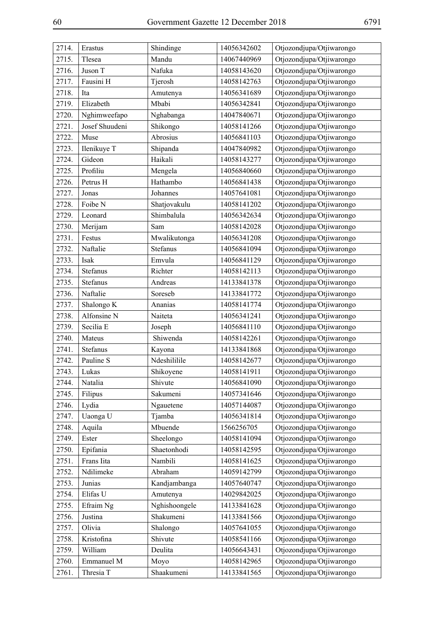| 2714. | Erastus        | Shindinge     | 14056342602 | Otjozondjupa/Otjiwarongo |
|-------|----------------|---------------|-------------|--------------------------|
| 2715. | Tlesea         | Mandu         | 14067440969 | Otjozondjupa/Otjiwarongo |
| 2716. | Juson T        | Nafuka        | 14058143620 | Otjozondjupa/Otjiwarongo |
| 2717. | Fausini H      | Tjerosh       | 14058142763 | Otjozondjupa/Otjiwarongo |
| 2718. | Ita            | Amutenya      | 14056341689 | Otjozondjupa/Otjiwarongo |
| 2719. | Elizabeth      | Mbabi         | 14056342841 | Otjozondjupa/Otjiwarongo |
| 2720. | Nghimweefapo   | Nghabanga     | 14047840671 | Otjozondjupa/Otjiwarongo |
| 2721. | Josef Shuudeni | Shikongo      | 14058141266 | Otjozondjupa/Otjiwarongo |
| 2722. | Muse           | Abrosius      | 14056841103 | Otjozondjupa/Otjiwarongo |
| 2723. | Ilenikuye T    | Shipanda      | 14047840982 | Otjozondjupa/Otjiwarongo |
| 2724. | Gideon         | Haikali       | 14058143277 | Otjozondjupa/Otjiwarongo |
| 2725. | Profiliu       | Mengela       | 14056840660 | Otjozondjupa/Otjiwarongo |
| 2726. | Petrus H       | Hathambo      | 14056841438 | Otjozondjupa/Otjiwarongo |
| 2727. | Jonas          | Johannes      | 14057641081 | Otjozondjupa/Otjiwarongo |
| 2728. | Foibe N        | Shatjovakulu  | 14058141202 | Otjozondjupa/Otjiwarongo |
| 2729. | Leonard        | Shimbalula    | 14056342634 | Otjozondjupa/Otjiwarongo |
| 2730. | Merijam        | Sam           | 14058142028 | Otjozondjupa/Otjiwarongo |
| 2731. | Festus         | Mwalikutonga  | 14056341208 | Otjozondjupa/Otjiwarongo |
| 2732. | Naftalie       | Stefanus      | 14056841094 | Otjozondjupa/Otjiwarongo |
| 2733. | Isak           | Emvula        | 14056841129 | Otjozondjupa/Otjiwarongo |
| 2734. | Stefanus       | Richter       | 14058142113 | Otjozondjupa/Otjiwarongo |
| 2735. | Stefanus       | Andreas       | 14133841378 | Otjozondjupa/Otjiwarongo |
| 2736. | Naftalie       | Soreseb       | 14133841772 | Otjozondjupa/Otjiwarongo |
| 2737. | Shalongo K     | Ananias       | 14058141774 | Otjozondjupa/Otjiwarongo |
| 2738. | Alfonsine N    | Naiteta       | 14056341241 | Otjozondjupa/Otjiwarongo |
| 2739. | Secilia E      | Joseph        | 14056841110 | Otjozondjupa/Otjiwarongo |
| 2740. | Mateus         | Shiwenda      | 14058142261 | Otjozondjupa/Otjiwarongo |
| 2741. | Stefanus       | Kayona        | 14133841868 | Otjozondjupa/Otjiwarongo |
| 2742. | Pauline S      | Ndeshililile  | 14058142677 | Otjozondjupa/Otjiwarongo |
| 2743. | Lukas          | Shikoyene     | 14058141911 | Otjozondjupa/Otjiwarongo |
| 2744. | Natalia        | Shivute       | 14056841090 | Otjozondjupa/Otjiwarongo |
| 2745. | Filipus        | Sakumeni      | 14057341646 | Otjozondjupa/Otjiwarongo |
| 2746. | Lydia          | Ngauetene     | 14057144087 | Otjozondjupa/Otjiwarongo |
| 2747. | Uaonga U       | Tjamba        | 14056341814 | Otjozondjupa/Otjiwarongo |
| 2748. | Aquila         | Mbuende       | 1566256705  | Otjozondjupa/Otjiwarongo |
| 2749. | Ester          | Sheelongo     | 14058141094 | Otjozondjupa/Otjiwarongo |
| 2750. | Epifania       | Shaetonhodi   | 14058142595 | Otjozondjupa/Otjiwarongo |
| 2751. | Frans Iita     | Nambili       | 14058141625 | Otjozondjupa/Otjiwarongo |
| 2752. | Ndilimeke      | Abraham       | 14059142799 | Otjozondjupa/Otjiwarongo |
| 2753. | Junias         | Kandjambanga  | 14057640747 | Otjozondjupa/Otjiwarongo |
| 2754. | Elifas U       | Amutenya      | 14029842025 | Otjozondjupa/Otjiwarongo |
| 2755. | Efraim Ng      | Nghishoongele | 14133841628 | Otjozondjupa/Otjiwarongo |
| 2756. | Justina        | Shakumeni     | 14133841566 | Otjozondjupa/Otjiwarongo |
| 2757. | Olivia         | Shalongo      | 14057641055 | Otjozondjupa/Otjiwarongo |
| 2758. | Kristofina     | Shivute       | 14058541166 | Otjozondjupa/Otjiwarongo |
| 2759. | William        | Deulita       | 14056643431 | Otjozondjupa/Otjiwarongo |
| 2760. | Emmanuel M     | Moyo          | 14058142965 | Otjozondjupa/Otjiwarongo |
| 2761. | Thresia T      | Shaakumeni    | 14133841565 | Otjozondjupa/Otjiwarongo |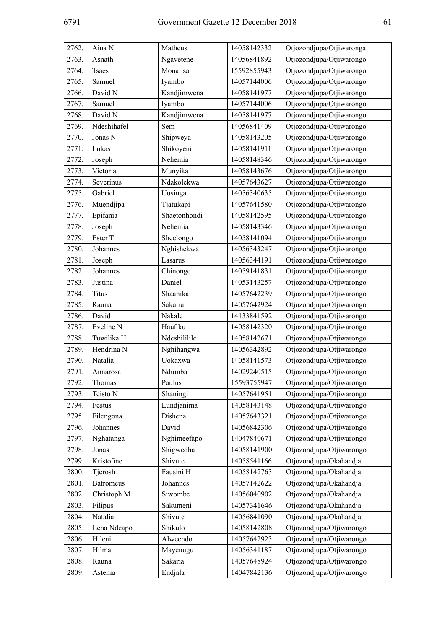| 2762. | Aina N           | Matheus      | 14058142332 | Otjozondjupa/Otjiwaronga |
|-------|------------------|--------------|-------------|--------------------------|
| 2763. | Asnath           | Ngavetene    | 14056841892 | Otjozondjupa/Otjiwarongo |
| 2764. | <b>Tsaes</b>     | Monalisa     | 15592855943 | Otjozondjupa/Otjiwarongo |
| 2765. | Samuel           | Iyambo       | 14057144006 | Otjozondjupa/Otjiwarongo |
| 2766. | David N          | Kandjimwena  | 14058141977 | Otjozondjupa/Otjiwarongo |
| 2767. | Samuel           | Iyambo       | 14057144006 | Otjozondjupa/Otjiwarongo |
| 2768. | David N          | Kandjimwena  | 14058141977 | Otjozondjupa/Otjiwarongo |
| 2769. | Ndeshihafel      | Sem          | 14056841409 | Otjozondjupa/Otjiwarongo |
| 2770. | Jonas N          | Shipweya     | 14058143205 | Otjozondjupa/Otjiwarongo |
| 2771. | Lukas            | Shikoyeni    | 14058141911 | Otjozondjupa/Otjiwarongo |
| 2772. | Joseph           | Nehemia      | 14058148346 | Otjozondjupa/Otjiwarongo |
| 2773. | Victoria         | Munyika      | 14058143676 | Otjozondjupa/Otjiwarongo |
| 2774. | Severinus        | Ndakolekwa   | 14057643627 | Otjozondjupa/Otjiwarongo |
| 2775. | Gabriel          | Uusinga      | 14056340635 | Otjozondjupa/Otjiwarongo |
| 2776. | Muendjipa        | Tjatukapi    | 14057641580 | Otjozondjupa/Otjiwarongo |
| 2777. | Epifania         | Shaetonhondi | 14058142595 | Otjozondjupa/Otjiwarongo |
| 2778. | Joseph           | Nehemia      | 14058143346 | Otjozondjupa/Otjiwarongo |
| 2779. | Ester T          | Sheelongo    | 14058141094 | Otjozondjupa/Otjiwarongo |
| 2780. | Johannes         | Nghishekwa   | 14056343247 | Otjozondjupa/Otjiwarongo |
| 2781. | Joseph           | Lasarus      | 14056344191 | Otjozondjupa/Otjiwarongo |
| 2782. | Johannes         | Chinonge     | 14059141831 | Otjozondjupa/Otjiwarongo |
| 2783. | Justina          | Daniel       | 14053143257 | Otjozondjupa/Otjiwarongo |
| 2784. | Titus            | Shaanika     | 14057642239 | Otjozondjupa/Otjiwarongo |
| 2785. | Rauna            | Sakaria      | 14057642924 | Otjozondjupa/Otjiwarongo |
| 2786. | David            | Nakale       | 14133841592 | Otjozondjupa/Otjiwarongo |
| 2787. | Eveline N        | Haufiku      | 14058142320 | Otjozondjupa/Otjiwarongo |
| 2788. | Tuwilika H       | Ndeshililile | 14058142671 | Otjozondjupa/Otjiwarongo |
| 2789. | Hendrina N       | Nghihangwa   | 14056342892 | Otjozondjupa/Otjiwarongo |
| 2790. | Natalia          | Uokaxwa      | 14058141573 | Otjozondjupa/Otjiwarongo |
| 2791. | Annarosa         | Ndumba       | 14029240515 | Otjozondjupa/Otjiwarongo |
| 2792. | Thomas           | Paulus       | 15593755947 | Otjozondjupa/Otjiwarongo |
| 2793. | Teisto N         | Shaningi     | 14057641951 | Otjozondjupa/Otjiwarongo |
| 2794. | Festus           | Lundjanima   | 14058143148 | Otjozondjupa/Otjiwarongo |
| 2795. | Filengona        | Dishena      | 14057643321 | Otjozondjupa/Otjiwarongo |
| 2796. | Johannes         | David        | 14056842306 | Otjozondjupa/Otjiwarongo |
| 2797. | Nghatanga        | Nghimeefapo  | 14047840671 | Otjozondjupa/Otjiwarongo |
| 2798. | Jonas            | Shigwedha    | 14058141900 | Otjozondjupa/Otjiwarongo |
| 2799. | Kristofine       | Shivute      | 14058541166 | Otjozondjupa/Okahandja   |
| 2800. | Tjerosh          | Fausini H    | 14058142763 | Otjozondjupa/Okahandja   |
| 2801. | <b>Batromeus</b> | Johannes     | 14057142622 | Otjozondjupa/Okahandja   |
| 2802. | Christoph M      | Siwombe      | 14056040902 | Otjozondjupa/Okahandja   |
| 2803. | Filipus          | Sakumeni     | 14057341646 | Otjozondjupa/Okahandja   |
| 2804. | Natalia          | Shivute      | 14056841090 | Otjozondjupa/Okahandja   |
| 2805. | Lena Ndeapo      | Shikulo      | 14058142808 | Otjozondjupa/Otjiwarongo |
| 2806. | Hileni           | Alweendo     | 14057642923 | Otjozondjupa/Otjiwarongo |
| 2807. | Hilma            | Mayenugu     | 14056341187 | Otjozondjupa/Otjiwarongo |
| 2808. | Rauna            | Sakaria      | 14057648924 | Otjozondjupa/Otjiwarongo |
| 2809. | Astenia          | Endjala      | 14047842136 | Otjozondjupa/Otjiwarongo |
|       |                  |              |             |                          |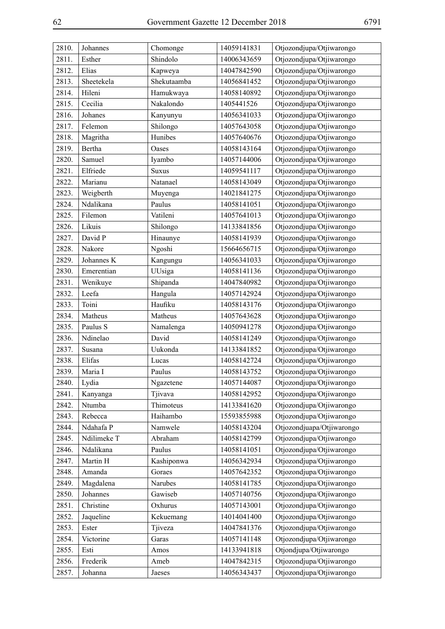| 2810. | Johannes    | Chomonge     | 14059141831 | Otjozondjupa/Otjiwarongo  |
|-------|-------------|--------------|-------------|---------------------------|
| 2811. | Esther      | Shindolo     | 14006343659 | Otjozondjupa/Otjiwarongo  |
| 2812. | Elias       | Kapweya      | 14047842590 | Otjozondjupa/Otjiwarongo  |
| 2813. | Sheetekela  | Shekutaamba  | 14056841452 | Otjozondjupa/Otjiwarongo  |
| 2814. | Hileni      | Hamukwaya    | 14058140892 | Otjozondjupa/Otjiwarongo  |
| 2815. | Cecilia     | Nakalondo    | 1405441526  | Otjozondjupa/Otjiwarongo  |
| 2816. | Johanes     | Kanyunyu     | 14056341033 | Otjozondjupa/Otjiwarongo  |
| 2817. | Felemon     | Shilongo     | 14057643058 | Otjozondjupa/Otjiwarongo  |
| 2818. | Magritha    | Hunibes      | 14057640676 | Otjozondjupa/Otjiwarongo  |
| 2819. | Bertha      | Oases        | 14058143164 | Otjozondjupa/Otjiwarongo  |
| 2820. | Samuel      | Iyambo       | 14057144006 | Otjozondjupa/Otjiwarongo  |
| 2821. | Elfriede    | <b>Suxus</b> | 14059541117 | Otjozondjupa/Otjiwarongo  |
| 2822. | Marianu     | Natanael     | 14058143049 | Otjozondjupa/Otjiwarongo  |
| 2823. | Weigberth   | Muyenga      | 14021841275 | Otjozondjupa/Otjiwarongo  |
| 2824. | Ndalikana   | Paulus       | 14058141051 | Otjozondjupa/Otjiwarongo  |
| 2825. | Filemon     | Vatileni     | 14057641013 | Otjozondjupa/Otjiwarongo  |
| 2826. | Likuis      | Shilongo     | 14133841856 | Otjozondjupa/Otjiwarongo  |
| 2827. | David P     | Hinaunye     | 14058141939 | Otjozondjupa/Otjiwarongo  |
| 2828. | Nakore      | Ngoshi       | 15664656715 | Otjozondjupa/Otjiwarongo  |
| 2829. | Johannes K  | Kangungu     | 14056341033 | Otjozondjupa/Otjiwarongo  |
| 2830. | Emerentian  | UUsiga       | 14058141136 | Otjozondjupa/Otjiwarongo  |
| 2831. | Wenikuye    | Shipanda     | 14047840982 | Otjozondjupa/Otjiwarongo  |
| 2832. | Leefa       | Hangula      | 14057142924 | Otjozondjupa/Otjiwarongo  |
| 2833. | Toini       | Haufiku      | 14058143176 | Otjozondjupa/Otjiwarongo  |
| 2834. | Matheus     | Matheus      | 14057643628 | Otjozondjupa/Otjiwarongo  |
| 2835. | Paulus S    | Namalenga    | 14050941278 | Otjozondjupa/Otjiwarongo  |
| 2836. | Ndinelao    | David        | 14058141249 | Otjozondjupa/Otjiwarongo  |
| 2837. | Susana      | Uukonda      | 14133841852 | Otjozondjupa/Otjiwarongo  |
| 2838. | Elifas      | Lucas        | 14058142724 | Otjozondjupa/Otjiwarongo  |
| 2839. | Maria I     | Paulus       | 14058143752 | Otjozondjupa/Otjiwarongo  |
| 2840. | Lydia       | Ngazetene    | 14057144087 | Otjozondjupa/Otjiwarongo  |
| 2841. | Kanyanga    | Tjivava      | 14058142952 | Otjozondjupa/Otjiwarongo  |
| 2842. | Ntumba      | Thimoteus    | 14133841620 | Otjozondjupa/Otjiwarongo  |
| 2843. | Rebecca     | Haihambo     | 15593855988 | Otjozondjupa/Otjiwarongo  |
| 2844. | Ndahafa P   | Namwele      | 14058143204 | Otjozondjuapa/Otjiwarongo |
| 2845. | Ndilimeke T | Abraham      | 14058142799 | Otjozondjupa/Otjiwarongo  |
| 2846. | Ndalikana   | Paulus       | 14058141051 | Otjozondjupa/Otjiwarongo  |
| 2847. | Martin H    | Kashiponwa   | 14056342934 | Otjozondjupa/Otjiwarongo  |
| 2848. | Amanda      | Goraes       | 14057642352 | Otjozondjupa/Otjiwarongo  |
| 2849. | Magdalena   | Narubes      | 14058141785 | Otjozondjupa/Otjiwarongo  |
| 2850. | Johannes    | Gawiseb      | 14057140756 | Otjozondjupa/Otjiwarongo  |
| 2851. | Christine   | Oxhurus      | 14057143001 | Otjozondjupa/Otjiwarongo  |
| 2852. | Jaqueline   | Kekuemang    | 14014041400 | Otjozondjupa/Otjiwarongo  |
| 2853. | Ester       | Tjiveza      | 14047841376 | Otjozondjupa/Otjiwarongo  |
| 2854. | Victorine   | Garas        | 14057141148 | Otjozondjupa/Otjiwarongo  |
| 2855. | Esti        | Amos         | 14133941818 | Otjondjupa/Otjiwarongo    |
| 2856. | Frederik    | Ameb         | 14047842315 | Otjozondjupa/Otjiwarongo  |
| 2857. | Johanna     | Jaeses       | 14056343437 | Otjozondjupa/Otjiwarongo  |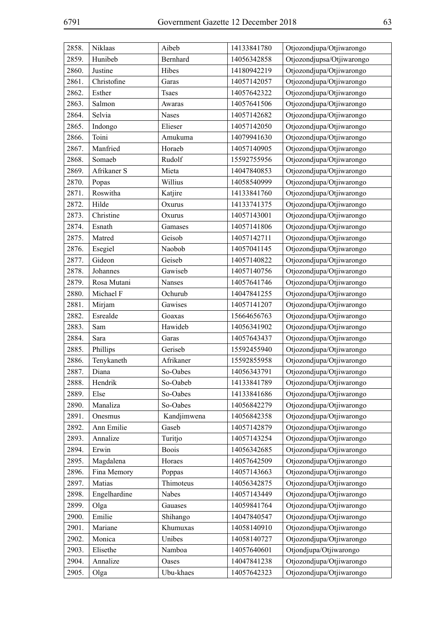| 2858.          | Niklaas      | Aibeb        | 14133841780 | Otjozondjupa/Otjiwarongo  |
|----------------|--------------|--------------|-------------|---------------------------|
| 2859.          | Hunibeb      | Bernhard     | 14056342858 | Otjozondjupsa/Otjiwarongo |
| 2860.          | Justine      | Hibes        | 14180942219 | Otjozondjupa/Otjiwarongo  |
| 2861.          | Christofine  | Garas        | 14057142057 | Otjozondjupa/Otjiwarongo  |
| 2862.          | Esther       | <b>Tsaes</b> | 14057642322 | Otjozondjupa/Otjiwarongo  |
| 2863.          | Salmon       | Awaras       | 14057641506 | Otjozondjupa/Otjiwarongo  |
| 2864.          | Selvia       | Nases        | 14057142682 | Otjozondjupa/Otjiwarongo  |
| 2865.          | Indongo      | Elieser      | 14057142050 | Otjozondjupa/Otjiwarongo  |
| 2866.          | Toini        | Amukuma      | 14079941630 | Otjozondjupa/Otjiwarongo  |
| 2867.          | Manfried     | Horaeb       | 14057140905 | Otjozondjupa/Otjiwarongo  |
| 2868.          | Somaeb       | Rudolf       | 15592755956 | Otjozondjupa/Otjiwarongo  |
| 2869.          | Afrikaner S  | Mieta        | 14047840853 | Otjozondjupa/Otjiwarongo  |
| 2870.          | Popas        | Willius      | 14058540999 | Otjozondjupa/Otjiwarongo  |
| 2871.          | Roswitha     | Katjire      | 14133841760 | Otjozondjupa/Otjiwarongo  |
| 2872.          | Hilde        | Oxurus       | 14133741375 | Otjozondjupa/Otjiwarongo  |
| 2873.          | Christine    | Oxurus       | 14057143001 | Otjozondjupa/Otjiwarongo  |
| 2874.          | Esnath       | Gamases      | 14057141806 | Otjozondjupa/Otjiwarongo  |
| 2875.          | Matred       | Geisob       | 14057142711 | Otjozondjupa/Otjiwarongo  |
| 2876.          | Esegiel      | Naobob       | 14057041145 | Otjozondjupa/Otjiwarongo  |
| 2877.          | Gideon       | Geiseb       | 14057140822 | Otjozondjupa/Otjiwarongo  |
| 2878.          | Johannes     | Gawiseb      | 14057140756 | Otjozondjupa/Otjiwarongo  |
|                | Rosa Mutani  | Nanses       | 14057641746 | Otjozondjupa/Otjiwarongo  |
| 2879.<br>2880. | Michael F    | Ochurub      |             |                           |
|                |              |              | 14047841255 | Otjozondjupa/Otjiwarongo  |
| 2881.          | Mirjam       | Gawises      | 14057141207 | Otjozondjupa/Otjiwarongo  |
| 2882.          | Esrealde     | Goaxas       | 15664656763 | Otjozondjupa/Otjiwarongo  |
| 2883.          | Sam          | Hawideb      | 14056341902 | Otjozondjupa/Otjiwarongo  |
| 2884.          | Sara         | Garas        | 14057643437 | Otjozondjupa/Otjiwarongo  |
| 2885.          | Phillips     | Geriseb      | 15592455940 | Otjozondjupa/Otjiwarongo  |
| 2886.          | Tenykaneth   | Afrikaner    | 15592855958 | Otjozondjupa/Otjiwarongo  |
| 2887.          | Diana        | So-Oabes     | 14056343791 | Otjozondjupa/Otjiwarongo  |
| 2888.          | Hendrik      | So-Oabeb     | 14133841789 | Otjozondjupa/Otjiwarongo  |
| 2889.          | Else         | So-Oabes     | 14133841686 | Otjozondjupa/Otjiwarongo  |
| 2890.          | Manaliza     | So-Oabes     | 14056842279 | Otjozondjupa/Otjiwarongo  |
| 2891.          | Onesmus      | Kandjimwena  | 14056842358 | Otjozondjupa/Otjiwarongo  |
| 2892.          | Ann Emilie   | Gaseb        | 14057142879 | Otjozondjupa/Otjiwarongo  |
| 2893.          | Annalize     | Turitjo      | 14057143254 | Otjozondjupa/Otjiwarongo  |
| 2894.          | Erwin        | <b>Boois</b> | 14056342685 | Otjozondjupa/Otjiwarongo  |
| 2895.          | Magdalena    | Horaes       | 14057642509 | Otjozondjupa/Otjiwarongo  |
| 2896.          | Fina Memory  | Poppas       | 14057143663 | Otjozondjupa/Otjiwarongo  |
| 2897.          | Matias       | Thimoteus    | 14056342875 | Otjozondjupa/Otjiwarongo  |
| 2898.          | Engelhardine | Nabes        | 14057143449 | Otjozondjupa/Otjiwarongo  |
| 2899.          | Olga         | Gauases      | 14059841764 | Otjozondjupa/Otjiwarongo  |
| 2900.          | Emilie       | Shihango     | 14047840547 | Otjozondjupa/Otjiwarongo  |
| 2901.          | Mariane      | Khumuxas     | 14058140910 | Otjozondjupa/Otjiwarongo  |
| 2902.          | Monica       | Unibes       | 14058140727 | Otjozondjupa/Otjiwarongo  |
| 2903.          | Elisethe     | Namboa       | 14057640601 | Otjondjupa/Otjiwarongo    |
| 2904.          | Annalize     | Oases        | 14047841238 | Otjozondjupa/Otjiwarongo  |
| 2905.          | Olga         | Ubu-khaes    | 14057642323 | Otjozondjupa/Otjiwarongo  |
|                |              |              |             |                           |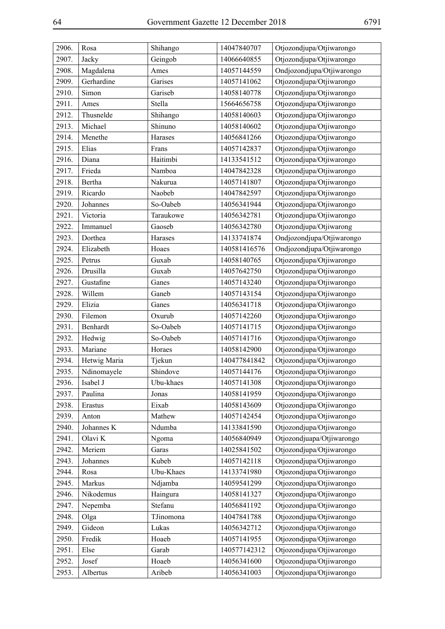| 2906. | Rosa         | Shihango  | 14047840707  | Otjozondjupa/Otjiwarongo  |
|-------|--------------|-----------|--------------|---------------------------|
| 2907. | Jacky        | Geingob   | 14066640855  | Otjozondjupa/Otjiwarongo  |
| 2908. | Magdalena    | Ames      | 14057144559  | Ondjozondjupa/Otjiwarongo |
| 2909. | Gerhardine   | Garises   | 14057141062  | Otjozondjupa/Otjiwarongo  |
| 2910. | Simon        | Gariseb   | 14058140778  | Otjozondjupa/Otjiwarongo  |
| 2911. | Ames         | Stella    | 15664656758  | Otjozondjupa/Otjiwarongo  |
| 2912. | Thusnelde    | Shihango  | 14058140603  | Otjozondjupa/Otjiwarongo  |
| 2913. | Michael      | Shinuno   | 14058140602  | Otjozondjupa/Otjiwarongo  |
| 2914. | Menethe      | Harases   | 14056841266  | Otjozondjupa/Otjiwarongo  |
| 2915. | Elias        | Frans     | 14057142837  | Otjozondjupa/Otjiwarongo  |
| 2916. | Diana        | Haitimbi  | 14133541512  | Otjozondjupa/Otjiwarongo  |
| 2917. | Frieda       | Namboa    | 14047842328  | Otjozondjupa/Otjiwarongo  |
| 2918. | Bertha       | Nakurua   | 14057141807  | Otjozondjupa/Otjiwarongo  |
| 2919. | Ricardo      | Naobeb    | 14047842597  | Otjozondjupa/Otjiwarongo  |
| 2920. | Johannes     | So-Oabeb  | 14056341944  | Otjozondjupa/Otjiwarongo  |
| 2921. | Victoria     | Taraukowe | 14056342781  | Otjozondjupa/Otjiwarongo  |
| 2922. | Immanuel     | Gaoseb    | 14056342780  | Otjozondjupa/Otjiwarong   |
| 2923. | Dorthea      | Harases   | 14133741874  | Ondjozondjupa/Otjiwarongo |
| 2924. | Elizabeth    | Hoaes     | 140581416576 | Ondjozondjupa/Otjiwarongo |
| 2925. | Petrus       | Guxab     | 14058140765  | Otjozondjupa/Otjiwarongo  |
| 2926. | Drusilla     | Guxab     | 14057642750  | Otjozondjupa/Otjiwarongo  |
| 2927. | Gustafine    | Ganes     | 14057143240  | Otjozondjupa/Otjiwarongo  |
| 2928. | Willem       | Ganeb     | 14057143154  | Otjozondjupa/Otjiwarongo  |
| 2929. | Elizia       | Ganes     | 14056341718  | Otjozondjupa/Otjiwarongo  |
| 2930. | Filemon      | Oxurub    | 14057142260  | Otjozondjupa/Otjiwarongo  |
| 2931. | Benhardt     | So-Oabeb  | 14057141715  | Otjozondjupa/Otjiwarongo  |
| 2932. | Hedwig       | So-Oabeb  | 14057141716  | Otjozondjupa/Otjiwarongo  |
| 2933. | Mariane      | Horaes    | 14058142900  | Otjozondjupa/Otjiwarongo  |
| 2934. | Hetwig Maria | Tjekun    | 140477841842 | Otjozondjupa/Otjiwarongo  |
| 2935. | Ndinomayele  | Shindove  | 14057144176  | Otjozondjupa/Otjiwarongo  |
| 2936. | Isabel J     | Ubu-khaes | 14057141308  | Otjozondjupa/Otjiwarongo  |
| 2937. | Paulina      | Jonas     | 14058141959  | Otjozondjupa/Otjiwarongo  |
| 2938. | Erastus      | Eixab     | 14058143609  | Otjozondjupa/Otjiwarongo  |
| 2939. | Anton        | Mathew    | 14057142454  | Otjozondjupa/Otjiwarongo  |
| 2940. | Johannes K   | Ndumba    | 14133841590  | Otjozondjupa/Otjiwarongo  |
| 2941. | Olavi K      | Ngoma     | 14056840949  | Otjozondjuapa/Otjiwarongo |
| 2942. | Meriem       | Garas     | 14025841502  | Otjozondjupa/Otjiwarongo  |
| 2943. | Johannes     | Kubeb     | 14057142118  | Otjozondjupa/Otjiwarongo  |
| 2944. | Rosa         | Ubu-Khaes | 14133741980  | Otjozondjupa/Otjiwarongo  |
| 2945. | Markus       | Ndjamba   | 14059541299  | Otjozondjupa/Otjiwarongo  |
| 2946. | Nikodemus    | Haingura  | 14058141327  | Otjozondjupa/Otjiwarongo  |
| 2947. | Nepemba      | Stefanu   | 14056841192  | Otjozondjupa/Otjiwarongo  |
| 2948. | Olga         | TJinomona | 14047841788  | Otjozondjupa/Otjiwarongo  |
| 2949. | Gideon       | Lukas     | 14056342712  | Otjozondjupa/Otjiwarongo  |
| 2950. | Fredik       | Hoaeb     | 14057141955  | Otjozondjupa/Otjiwarongo  |
| 2951. | Else         | Garab     | 140577142312 | Otjozondjupa/Otjiwarongo  |
| 2952. | Josef        | Hoaeb     | 14056341600  | Otjozondjupa/Otjiwarongo  |
| 2953. | Albertus     | Aribeb    | 14056341003  | Otjozondjupa/Otjiwarongo  |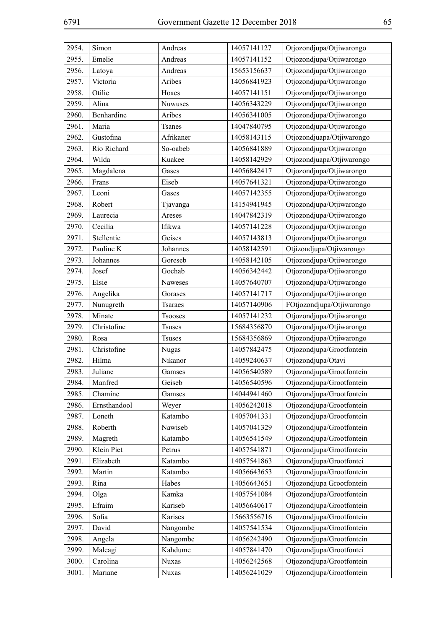| 2954. | Simon        | Andreas        | 14057141127 | Otjozondjupa/Otjiwarongo  |
|-------|--------------|----------------|-------------|---------------------------|
| 2955. | Emelie       | Andreas        | 14057141152 | Otjozondjupa/Otjiwarongo  |
| 2956. | Latoya       | Andreas        | 15653156637 | Otjozondjupa/Otjiwarongo  |
| 2957. | Victoria     | Aribes         | 14056841923 | Otjozondjupa/Otjiwarongo  |
| 2958. | Otilie       | Hoaes          | 14057141151 | Otjozondjupa/Otjiwarongo  |
| 2959. | Alina        | Nuwuses        | 14056343229 | Otjozondjupa/Otjiwarongo  |
| 2960. | Benhardine   | Aribes         | 14056341005 | Otjozondjupa/Otjiwarongo  |
| 2961. | Maria        | <b>Tsanes</b>  | 14047840795 | Otjozondjupa/Otjiwarongo  |
| 2962. | Gustofina    | Afrikaner      | 14058143115 | Otjozondjuapa/Otjiwarongo |
| 2963. | Rio Richard  | So-oabeb       | 14056841889 | Otjozondjupa/Otjiwarongo  |
| 2964. | Wilda        | Kuakee         | 14058142929 | Otjozondjuapa/Otjiwarongo |
| 2965. | Magdalena    | Gases          | 14056842417 | Otjozondjupa/Otjiwarongo  |
| 2966. | Frans        | Eiseb          | 14057641321 | Otjozondjupa/Otjiwarongo  |
| 2967. | Leoni        | Gases          | 14057142355 | Otjozondjupa/Otjiwarongo  |
| 2968. | Robert       | Tjavanga       | 14154941945 | Otjozondjupa/Otjiwarongo  |
| 2969. | Laurecia     | Areses         | 14047842319 | Otjozondjupa/Otjiwarongo  |
| 2970. | Cecilia      | Ifikwa         | 14057141228 | Otjozondjupa/Otjiwarongo  |
| 2971. | Stellentie   | Geises         | 14057143813 | Otjozondjupa/Otjiwarongo  |
| 2972. | Pauline K    | Johannes       | 14058142591 | Otjizondjupa/Otjiwarongo  |
| 2973. | Johannes     | Goreseb        | 14058142105 | Otjozondjupa/Otjiwarongo  |
| 2974. | Josef        | Gochab         | 14056342442 | Otjozondjupa/Otjiwarongo  |
| 2975. | Elsie        | Naweses        | 14057640707 | Otjozondjupa/Otjiwarongo  |
| 2976. | Angelika     | Gorases        | 14057141717 | Otjozondjupa/Otjiwarongo  |
| 2977. | Nunugreth    | <b>Tsaraes</b> | 14057140906 | FOtjozondjupa/Otjiwarongo |
| 2978. | Minate       | Tsooses        | 14057141232 | Otjozondjupa/Otjiwarongo  |
| 2979. | Christofine  | <b>Tsuses</b>  | 15684356870 | Otjozondjupa/Otjiwarongo  |
| 2980. | Rosa         | <b>Tsuses</b>  | 15684356869 | Otjozondjupa/Otjiwarongo  |
| 2981. | Christofine  | Nugas          | 14057842475 | Otjozondjupa/Grootfontein |
| 2982. | Hilma        | Nikanor        | 14059240637 | Otjozondjupa/Otavi        |
| 2983. | Juliane      | Gamses         | 14056540589 | Otjozondjupa/Grootfontein |
| 2984. | Manfred      | Geiseb         | 14056540596 | Otjozondjupa/Grootfontein |
| 2985. | Chamine      | Gamses         | 14044941460 | Otjozondjupa/Grootfontein |
| 2986. | Ernsthandool | Weyer          | 14056242018 | Otjozondjupa/Grootfontein |
| 2987. | Loneth       | Katambo        | 14057041331 | Otjozondjupa/Grootfontein |
| 2988. | Roberth      | Nawiseb        | 14057041329 | Otjozondjupa/Grootfontein |
| 2989. | Magreth      | Katambo        | 14056541549 | Otjozondjupa/Grootfontein |
| 2990. | Klein Piet   | Petrus         | 14057541871 | Otjozondjupa/Grootfontein |
| 2991. | Elizabeth    | Katambo        | 14057541863 | Otjozondjupa/Grootfontei  |
| 2992. | Martin       | Katambo        | 14056643653 | Otjozondjupa/Grootfontein |
| 2993. | Rina         | Habes          | 14056643651 | Otjozondjupa Grootfontein |
| 2994. | Olga         | Kamka          | 14057541084 | Otjozondjupa/Grootfontein |
| 2995. | Efraim       | Kariseb        | 14056640617 | Otjozondjupa/Grootfontein |
| 2996. | Sofia        | Karises        | 15663556716 | Otjozondjupa/Grootfontein |
| 2997. | David        | Nangombe       | 14057541534 | Otjozondjupa/Grootfontein |
| 2998. | Angela       | Nangombe       | 14056242490 | Otjozondjupa/Grootfontein |
| 2999. | Maleagi      | Kahdume        | 14057841470 | Otjozondjupa/Grootfontei  |
| 3000. | Carolina     | <b>Nuxas</b>   | 14056242568 | Otjozondjupa/Grootfontein |
| 3001. | Mariane      | <b>Nuxas</b>   | 14056241029 | Otjozondjupa/Grootfontein |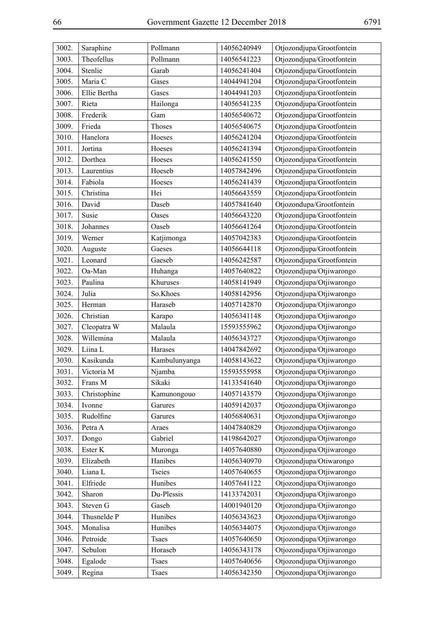| 3002. | Saraphine    | Pollmann      | 14056240949 | Otjozondjupa/Grootfontein |
|-------|--------------|---------------|-------------|---------------------------|
| 3003. | Theofellus   | Pollmann      | 14056541223 | Otjozondjupa/Grootfontein |
| 3004. | Stenlie      | Garab         | 14056241404 | Otjozondjupa/Grootfontein |
| 3005. | Maria C      | Gases         | 14044941204 | Otjozondjupa/Grootfontein |
| 3006. | Ellie Bertha | Gases         | 14044941203 | Otjozondjupa/Grootfontein |
| 3007. | Rieta        | Hailonga      | 14056541235 | Otjozondjupa/Grootfontein |
| 3008. | Frederik     | Gam           | 14056540672 | Otjozondjupa/Grootfontein |
| 3009. | Frieda       | Thoses        | 14056540675 | Otjozondjupa/Grootfontein |
| 3010. | Hanelora     | Hoeses        | 14056241204 | Otjozondjupa/Grootfontein |
| 3011. | Jortina      | Hoeses        | 14056241394 | Otjozondjupa/Grootfontein |
| 3012. | Dorthea      | Hoeses        | 14056241550 | Otjozondjupa/Grootfontein |
| 3013. | Laurentius   | Hoeseb        | 14057842496 | Otjozondjupa/Grootfontein |
| 3014. | Fabiola      | Hoeses        | 14056241439 | Otjozondjupa/Grootfontein |
| 3015. | Christina    | Hei           | 14056643559 | Otjozondjupa/Grootfontein |
| 3016. | David        | Daseb         | 14057841640 | Otjozondupa/Grootfontein  |
| 3017. | Susie        | Oases         | 14056643220 | Otjozondjupa/Grootfontein |
| 3018. | Johannes     | Oaseb         | 14056641264 | Otjozondjupa/Grootfontein |
| 3019. | Werner       | Katjimonga    | 14057042383 | Otjozondjupa/Grootfontein |
| 3020. | Auguste      | Gaeses        | 14056644118 | Otjozondjupa/Grootfontein |
| 3021. | Leonard      | Gaeseb        | 14056242587 | Otjozondjupa/Grootfontein |
| 3022. | Oa-Man       | Huhanga       | 14057640822 | Otjozondjupa/Otjiwarongo  |
| 3023. | Paulina      | Khuruses      | 14058141949 | Otjozondjupa/Otjiwarongo  |
| 3024. | Julia        | So.Khoes      | 14058142956 | Otjozondjupa/Otjiwarongo  |
| 3025. | Herman       | Haraseb       | 14057142870 | Otjozondjupa/Otjiwarongo  |
| 3026. | Christian    | Karapo        | 14056341148 | Otjozondjupa/Otjiwarongo  |
| 3027. | Cleopatra W  | Malaula       | 15593555962 | Otjozondjupa/Otjiwarongo  |
| 3028. | Willemina    | Malaula       | 14056343727 | Otjozondjupa/Otjiwarongo  |
| 3029. | Liina L      | Harases       | 14047842692 | Otjozondjupa/Otjiwarongo  |
| 3030. | Kasikunda    | Kambulunyanga | 14058143622 | Otjozondjupa/Otjiwarongo  |
| 3031. | Victoria M   | Njamba        | 15593555958 | Otjozondjupa/Otjiwarongo  |
| 3032. | Frans M      | Sikaki        | 14133541640 | Otjozondjupa/Otjiwarongo  |
| 3033. | Christophine | Kamunongouo   | 14057143579 | Otjozondjupa/Otjiwarongo  |
| 3034. | Ivonne       | Garures       | 14059142037 | Otjozondjupa/Otjiwarongo  |
| 3035. | Rudolfine    | Garures       | 14056840631 | Otjozondjupa/Otjiwarongo  |
| 3036. | Petra A      | Araes         | 14047840829 | Otjozondjupa/Otjiwarongo  |
| 3037. | Dongo        | Gabriel       | 14198642027 | Otjozondjupa/Otjiwarongo  |
| 3038. | Ester K      | Muronga       | 14057640880 | Otjozondjupa/Otjiwarongo  |
| 3039. | Elizabeth    | Hanibes       | 14056340970 | Otjozondjupa/Otiwarongo   |
| 3040. | Liana L      | <b>Tseies</b> | 14057640655 | Otjozondjupa/Otjiwarongo  |
| 3041. | Elfriede     | Hunibes       | 14057641122 | Otjozondjupa/Otjiwarongo  |
| 3042. | Sharon       | Du-Plessis    | 14133742031 | Otjozondjupa/Otjiwarongo  |
| 3043. | Steven G     | Gaseb         | 14001940120 | Otjozondjupa/Otjiwarongo  |
| 3044. | Thusnelde P  | Hunibes       | 14056343623 | Otjozondjupa/Otjiwarongo  |
| 3045. | Monalisa     | Hunibes       | 14056344075 | Otjozondjupa/Otjiwarongo  |
| 3046. | Petroide     | <b>Tsaes</b>  | 14057640650 | Otjozondjupa/Otjiwarongo  |
| 3047. | Sebulon      | Horaseb       | 14056343178 | Otjozondjupa/Otjiwarongo  |
| 3048. | Egalode      | <b>Tsaes</b>  | 14057640656 | Otjozondjupa/Otjiwarongo  |
| 3049. | Regina       | <b>Tsaes</b>  | 14056342350 | Otjozondjupa/Otjiwarongo  |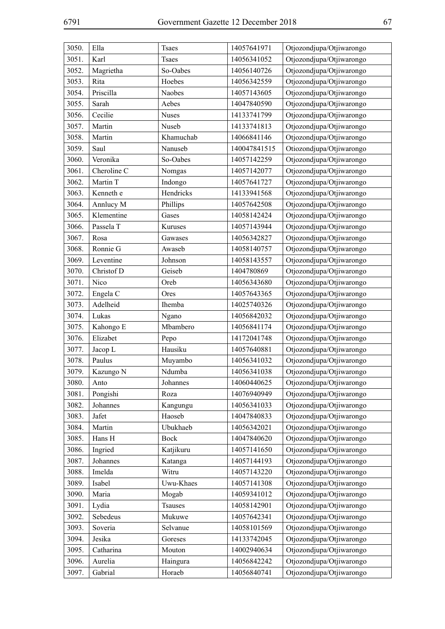| 3050. | Ella        | <b>Tsaes</b> | 14057641971  | Otjozondjupa/Otjiwarongo |
|-------|-------------|--------------|--------------|--------------------------|
| 3051. | Karl        | <b>Tsaes</b> | 14056341052  | Otjozondjupa/Otjiwarongo |
| 3052. | Magrietha   | So-Oabes     | 14056140726  | Otjozondjupa/Otjiwarongo |
| 3053. | Rita        | Hoebes       | 14056342559  | Otjozondjupa/Otjiwarongo |
| 3054. | Priscilla   | Naobes       | 14057143605  | Otjozondjupa/Otjiwarongo |
| 3055. | Sarah       | Aebes        | 14047840590  | Otjozondjupa/Otjiwarongo |
| 3056. | Cecilie     | <b>Nuses</b> | 14133741799  | Otjozondjupa/Otjiwarongo |
| 3057. | Martin      | Nuseb        | 14133741813  | Otjozondjupa/Otjiwarongo |
| 3058. | Martin      | Khamuchab    | 14066841146  | Otjozondjupa/Otjiwarongo |
| 3059. | Saul        | Nanuseb      | 140047841515 | Otiozondjupa/Otjiwarongo |
| 3060. | Veronika    | So-Oabes     | 14057142259  | Otjozondjupa/Otjiwarongo |
| 3061. | Cheroline C | Nomgas       | 14057142077  | Otjozondjupa/Otjiwarongo |
| 3062. | Martin T    | Indongo      | 14057641727  | Otjozondjupa/Otjiwarongo |
| 3063. | Kenneth e   | Hendricks    | 14133941568  | Otjozondjupa/Otjiwarongo |
| 3064. | Annlucy M   | Phillips     | 14057642508  | Otjozondjupa/Otjiwarongo |
| 3065. | Klementine  | Gases        | 14058142424  | Otjozondjupa/Otjiwarongo |
| 3066. | Passela T   | Kuruses      | 14057143944  | Otjozondjupa/Otjiwarongo |
| 3067. | Rosa        | Gawases      | 14056342827  | Otjozondjupa/Otjiwarongo |
| 3068. | Ronnie G    | Awaseb       | 14058140757  | Otjozondjupa/Otjiwarongo |
| 3069. | Leventine   | Johnson      | 14058143557  | Otjozondjupa/Otjiwarongo |
| 3070. | Christof D  | Geiseb       | 1404780869   | Otjozondjupa/Otjiwarongo |
| 3071. | Nico        | Oreb         | 14056343680  | Otjozondjupa/Otjiwarongo |
| 3072. | Engela C    | Ores         | 14057643365  | Otjozondjupa/Otjiwarongo |
| 3073. | Adelheid    | Ihemba       | 14025740326  | Otjozondjupa/Otjiwarongo |
| 3074. | Lukas       | Ngano        | 14056842032  | Otjozondjupa/Otjiwarongo |
| 3075. | Kahongo E   | Mbambero     | 14056841174  | Otjozondjupa/Otjiwarongo |
| 3076. | Elizabet    | Pepo         | 14172041748  | Otjozondjupa/Otjiwarongo |
| 3077. | Jacop L     | Hausiku      | 14057640881  | Otjozondjupa/Otjiwarongo |
| 3078. | Paulus      | Muyambo      | 14056341032  | Otjozondjupa/Otjiwarongo |
| 3079. | Kazungo N   | Ndumba       | 14056341038  | Otjozondjupa/Otjiwarongo |
| 3080. | Anto        | Johannes     | 14060440625  | Otjozondjupa/Otjiwarongo |
| 3081. | Pongishi    | Roza         | 14076940949  | Otjozondjupa/Otjiwarongo |
| 3082. | Johannes    | Kangungu     | 14056341033  | Otjozondjupa/Otjiwarongo |
| 3083. | Jafet       | Haoseb       | 14047840833  | Otjozondjupa/Otjiwarongo |
| 3084. | Martin      | Ubukhaeb     | 14056342021  | Otjozondjupa/Otjiwarongo |
| 3085. | Hans H      | <b>Bock</b>  | 14047840620  | Otjozondjupa/Otjiwarongo |
| 3086. | Ingried     | Katjikuru    | 14057141650  | Otjozondjupa/Otjiwarongo |
| 3087. | Johannes    | Katanga      | 14057144193  | Otjozondjupa/Otjiwarongo |
| 3088. | Imelda      | Witru        | 14057143220  | Otjozondjupa/Otjiwarongo |
| 3089. | Isabel      | Uwu-Khaes    | 14057141308  | Otjozondjupa/Otjiwarongo |
| 3090. | Maria       | Mogab        | 14059341012  | Otjozondjupa/Otjiwarongo |
| 3091. | Lydia       | Tsauses      | 14058142901  | Otjozondjupa/Otjiwarongo |
| 3092. | Sebedeus    | Mukuwe       | 14057642341  | Otjozondjupa/Otjiwarongo |
| 3093. | Soveria     | Selvanue     | 14058101569  | Otjozondjupa/Otjiwarongo |
| 3094. | Jesika      | Goreses      | 14133742045  | Otjozondjupa/Otjiwarongo |
| 3095. | Catharina   | Mouton       | 14002940634  | Otjozondjupa/Otjiwarongo |
| 3096. | Aurelia     | Haingura     | 14056842242  | Otjozondjupa/Otjiwarongo |
| 3097. | Gabrial     | Horaeb       | 14056840741  | Otjozondjupa/Otjiwarongo |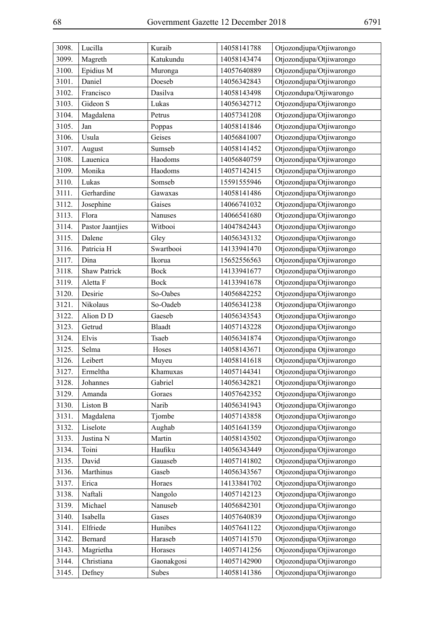| 3098. | Lucilla          | Kuraib        | 14058141788 | Otjozondjupa/Otjiwarongo |
|-------|------------------|---------------|-------------|--------------------------|
| 3099. | Magreth          | Katukundu     | 14058143474 | Otjozondjupa/Otjiwarongo |
| 3100. | Epidius M        | Muronga       | 14057640889 | Otjozondjupa/Otjiwarongo |
| 3101. | Daniel           | Doeseb        | 14056342843 | Otjozondjupa/Otjiwarongo |
| 3102. | Francisco        | Dasilva       | 14058143498 | Otjozondupa/Otjiwarongo  |
| 3103. | Gideon S         | Lukas         | 14056342712 | Otjozondjupa/Otjiwarongo |
| 3104. | Magdalena        | Petrus        | 14057341208 | Otjozondjupa/Otjiwarongo |
| 3105. | Jan              | Poppas        | 14058141846 | Otjozondjupa/Otjiwarongo |
| 3106. | Usula            | Geises        | 14056841007 | Otjozondjupa/Otjiwarongo |
| 3107. | August           | Sumseb        | 14058141452 | Otjozondjupa/Otjiwarongo |
| 3108. | Lauenica         | Haodoms       | 14056840759 | Otjozondjupa/Otjiwarongo |
| 3109. | Monika           | Haodoms       | 14057142415 | Otjozondjupa/Otjiwarongo |
| 3110. | Lukas            | Somseb        | 15591555946 | Otjozondjupa/Otjiwarongo |
| 3111. | Gerhardine       | Gawaxas       | 14058141486 | Otjozondjupa/Otjiwarongo |
| 3112. | Josephine        | Gaises        | 14066741032 | Otjozondjupa/Otjiwarongo |
| 3113. | Flora            | Nanuses       | 14066541680 | Otjozondjupa/Otjiwarongo |
| 3114. | Pastor Jaantjies | Witbooi       | 14047842443 | Otjozondjupa/Otjiwarongo |
| 3115. | Dalene           | Gley          | 14056343132 | Otjozondjupa/Otjiwarongo |
| 3116. | Patricia H       | Swartbooi     | 14133941470 | Otjozondjupa/Otjiwarongo |
| 3117. | Dina             | Ikorua        | 15652556563 | Otjozondjupa/Otjiwarongo |
| 3118. | Shaw Patrick     | <b>Bock</b>   | 14133941677 | Otjozondjupa/Otjiwarongo |
| 3119. | Aletta F         | <b>Bock</b>   | 14133941678 | Otjozondjupa/Otjiwarongo |
| 3120. | Desirie          | So-Oabes      | 14056842252 | Otjozondjupa/Otjiwarongo |
| 3121. | Nikolaus         | So-Oadeb      | 14056341238 | Otjozondjupa/Otjiwarongo |
| 3122. | Alion D D        | Gaeseb        | 14056343543 | Otjozondjupa/Otjiwarongo |
| 3123. | Getrud           | <b>Blaadt</b> | 14057143228 | Otjozondjupa/Otjiwarongo |
| 3124. | Elvis            | Tsaeb         | 14056341874 | Otjozondjupa/Otjiwarongo |
| 3125. | Selma            | Hoses         | 14058143671 | Otjozondjupa Otjiwarongo |
| 3126. | Leibert          | Muyeu         | 14058141618 | Otjozondjupa/Otjiwarongo |
| 3127. | Ermeltha         | Khamuxas      | 14057144341 | Otjozondjupa/Otjiwarongo |
| 3128. | Johannes         | Gabriel       | 14056342821 | Otjozondjupa/Otjiwarongo |
| 3129. | Amanda           | Goraes        | 14057642352 | Otjozondjupa/Otjiwarongo |
| 3130. | Liston B         | Narib         | 14056341943 | Otjozondjupa/Otjiwarongo |
| 3131. | Magdalena        | Tjombe        | 14057143858 | Otjozondjupa/Otjiwarongo |
| 3132. | Liselote         | Aughab        | 14051641359 | Otjozondjupa/Otjiwarongo |
| 3133. | Justina N        | Martin        | 14058143502 | Otjozondjupa/Otjiwarongo |
| 3134. | Toini            | Haufiku       | 14056343449 | Otjozondjupa/Otjiwarongo |
| 3135. | David            | Gauaseb       | 14057141802 | Otjozondjupa/Otjiwarongo |
| 3136. | Marthinus        | Gaseb         | 14056343567 | Otjozondjupa/Otjiwarongo |
| 3137. | Erica            | Horaes        | 14133841702 | Otjozondjupa/Otjiwarongo |
| 3138. | Naftali          | Nangolo       | 14057142123 | Otjozondjupa/Otjiwarongo |
| 3139. | Michael          | Nanuseb       | 14056842301 | Otjozondjupa/Otjiwarongo |
| 3140. | Isabella         | Gases         | 14057640839 | Otjozondjupa/Otjiwarongo |
| 3141. | Elfriede         | Hunibes       | 14057641122 | Otjozondjupa/Otjiwarongo |
| 3142. | Bernard          | Haraseb       | 14057141570 | Otjozondjupa/Otjiwarongo |
| 3143. | Magrietha        | Horases       | 14057141256 | Otjozondjupa/Otjiwarongo |
| 3144. | Christiana       | Gaonakgosi    | 14057142900 | Otjozondjupa/Otjiwarongo |
| 3145. | Defney           | Subes         | 14058141386 | Otjozondjupa/Otjiwarongo |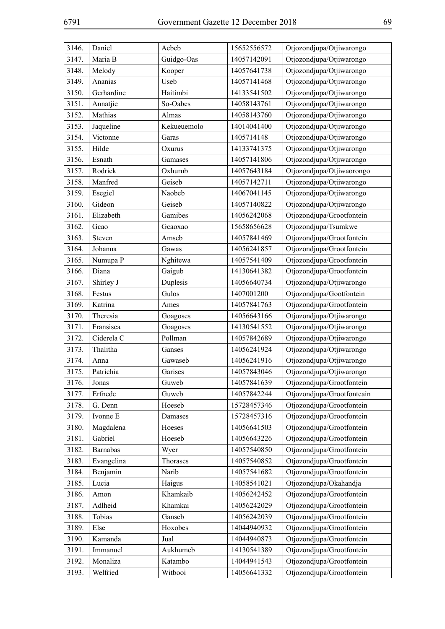| 3146. | Daniel          | Aebeb               | 15652556572 | Otjozondjupa/Otjiwarongo                             |
|-------|-----------------|---------------------|-------------|------------------------------------------------------|
| 3147. | Maria B         | Guidgo-Oas          | 14057142091 | Otjozondjupa/Otjiwarongo                             |
| 3148. | Melody          | Kooper              | 14057641738 | Otjozondjupa/Otjiwarongo                             |
| 3149. | Ananias         | Useb                | 14057141468 | Otjozondjupa/Otjiwarongo                             |
| 3150. | Gerhardine      | Haitimbi            | 14133541502 | Otjozondjupa/Otjiwarongo                             |
| 3151. | Annatjie        | So-Oabes            | 14058143761 | Otjozondjupa/Otjiwarongo                             |
| 3152. | Mathias         | Almas               | 14058143760 | Otjozondjupa/Otjiwarongo                             |
| 3153. | Jaqueline       | Kekueuemolo         | 14014041400 | Otjozondjupa/Otjiwarongo                             |
| 3154. | Victonne        | Garas               | 1405714148  | Otjozondjupa/Otjiwarongo                             |
| 3155. | Hilde           | Oxurus              | 14133741375 | Otjozondjupa/Otjiwarongo                             |
| 3156. | Esnath          | Gamases             | 14057141806 | Otjozondjupa/Otjiwarongo                             |
| 3157. | Rodrick         | Oxhurub             | 14057643184 | Otjozondjupa/Otjiwaorongo                            |
| 3158. | Manfred         | Geiseb              | 14057142711 | Otjozondjupa/Otjiwarongo                             |
| 3159. | Esegiel         | Naobeb              | 14067041145 | Otjozondjupa/Otjiwarongo                             |
| 3160. | Gideon          | Geiseb              | 14057140822 | Otjozondjupa/Otjiwarongo                             |
| 3161. | Elizabeth       | Gamibes             | 14056242068 | Otjozondjupa/Grootfontein                            |
| 3162. | Gcao            | Gcaoxao             | 15658656628 | Otjozondjupa/Tsumkwe                                 |
| 3163. | Steven          | Amseb               | 14057841469 | Otjozondjupa/Grootfontein                            |
| 3164. | Johanna         | Gawas               | 14056241857 | Otjozondjupa/Grootfontein                            |
| 3165. | Numupa P        | Nghitewa            | 14057541409 | Otjozondjupa/Grootfontein                            |
| 3166. | Diana           | Gaigub              | 14130641382 | Otjozondjupa/Grootfontein                            |
| 3167. | Shirley J       | Duplesis            | 14056640734 | Otjozondjupa/Otjiwarongo                             |
| 3168. | Festus          | Gulos               | 1407001200  | Otjozondjupa/Gootfontein                             |
| 3169. | Katrina         | Ames                | 14057841763 | Otjozondjupa/Grootfontein                            |
| 3170. | Theresia        |                     | 14056643166 | Otjozondjupa/Otjiwarongo                             |
|       | Fransisca       | Goagoses            | 14130541552 |                                                      |
| 3171. | Ciderela C      | Goagoses<br>Pollman | 14057842689 | Otjozondjupa/Otjiwarongo                             |
| 3172. |                 |                     | 14056241924 | Otjozondjupa/Otjiwarongo                             |
| 3173. | Thalitha        | Ganses<br>Gawaseb   | 14056241916 | Otjozondjupa/Otjiwarongo<br>Otjozondjupa/Otjiwarongo |
| 3174. | Anna            |                     |             |                                                      |
| 3175. | Patrichia       | Garises             | 14057843046 | Otjozondjupa/Otjiwarongo                             |
| 3176. | Jonas           | Guweb               | 14057841639 | Otjozondjupa/Grootfontein                            |
| 3177. | Erfnede         | Guweb               | 14057842244 | Otjozondjupa/Grootfonteain                           |
| 3178. | G. Denn         | Hoeseb              | 15728457346 | Otjozondjupa/Grootfontein                            |
| 3179. | Ivonne E        | Damases             | 15728457316 | Otjozondjupa/Grootfontein                            |
| 3180. | Magdalena       | Hoeses              | 14056641503 | Otjozondjupa/Grootfontein                            |
| 3181. | Gabriel         | Hoeseb              | 14056643226 | Otjozondjupa/Grootfontein                            |
| 3182. | <b>Barnabas</b> | Wyer                | 14057540850 | Otjozondjupa/Grootfontein                            |
| 3183. | Evangelina      | Thorases            | 14057540852 | Otjozondjupa/Grootfontein                            |
| 3184. | Benjamin        | Narib               | 14057541682 | Otjozondjupa/Grootfontein                            |
| 3185. | Lucia           | Haigus              | 14058541021 | Otjozondjupa/Okahandja                               |
| 3186. | Amon            | Khamkaib            | 14056242452 | Otjozondjupa/Grootfontein                            |
| 3187. | Adlheid         | Khamkai             | 14056242029 | Otjozondjupa/Grootfontein                            |
| 3188. | Tobias          | Ganseb              | 14056242039 | Otjozondjupa/Grootfontein                            |
| 3189. | Else            | Hoxobes             | 14044940932 | Otjozondjupa/Grootfontein                            |
| 3190. | Kamanda         | Jual                | 14044940873 | Otjozondjupa/Grootfontein                            |
| 3191. | Immanuel        | Aukhumeb            | 14130541389 | Otjozondjupa/Grootfontein                            |
| 3192. | Monaliza        | Katambo             | 14044941543 | Otjozondjupa/Grootfontein                            |
| 3193. | Welfried        | Witbooi             | 14056641332 | Otjozondjupa/Grootfontein                            |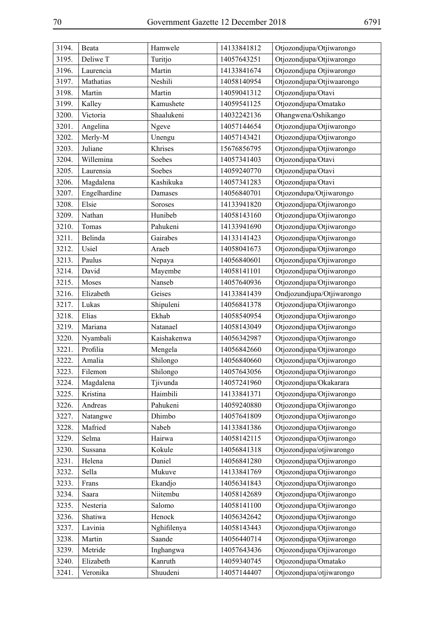| 3194. | Beata        | Hamwele     | 14133841812 | Otjozondjupa/Otjiwarongo  |
|-------|--------------|-------------|-------------|---------------------------|
| 3195. | Deliwe T     | Turitjo     | 14057643251 | Otjozondjupa/Otjiwarongo  |
| 3196. | Laurencia    | Martin      | 14133841674 | Otjozondjupa Otjiwarongo  |
| 3197. | Mathatias    | Neshili     | 14058140954 | Otjozondjupa/Otjiwaarongo |
| 3198. | Martin       | Martin      | 14059041312 | Otjozondjupa/Otavi        |
| 3199. | Kalley       | Kamushete   | 14059541125 | Otjozondjupa/Omatako      |
| 3200. | Victoria     | Shaalukeni  | 14032242136 | Ohangwena/Oshikango       |
| 3201. | Angelina     | Ngeve       | 14057144654 | Otjozondjupa/Otjiwarongo  |
| 3202. | Merly-M      | Unengu      | 14057143421 | Otjozondjupa/Otjiwarongo  |
| 3203. | Juliane      | Khrises     | 15676856795 | Otjozondjupa/Otjiwarongo  |
| 3204. | Willemina    | Soebes      | 14057341403 | Otjozondjupa/Otavi        |
| 3205. | Laurensia    | Soebes      | 14059240770 | Otjozondjupa/Otavi        |
| 3206. | Magdalena    | Kashikuka   | 14057341283 | Otjozondjupa/Otavi        |
| 3207. | Engelhardine | Damases     | 14056840701 | Otjozondupa/Otjiwarongo   |
| 3208. | Elsie        | Soroses     | 14133941820 | Otjozondjupa/Otjiwarongo  |
| 3209. | Nathan       | Hunibeb     | 14058143160 | Otjozondjupa/Otjiwarongo  |
| 3210. | Tomas        | Pahukeni    | 14133941690 | Otjozondjupa/Otjiwarongo  |
| 3211. | Belinda      | Gairabes    | 14133141423 | Otjozondjupa/Otjiwarongo  |
| 3212. | Usiel        | Araeb       | 14058041673 | Otjozondjupa/Otjiwarongo  |
| 3213. | Paulus       | Nepaya      | 14056840601 | Otjozondjupa/Otjiwarongo  |
| 3214. | David        | Mayembe     | 14058141101 | Otjozondjupa/Otjiwarongo  |
| 3215. | Moses        | Nanseb      | 14057640936 | Otjozondjupa/Otjiwarongo  |
| 3216. | Elizabeth    | Geises      | 14133841439 | Ondjozundjupa/Otjiwarongo |
| 3217. | Lukas        | Shipuleni   | 14056841378 | Otjozondjupa/Otjiwarongo  |
| 3218. | Elias        | Ekhab       | 14058540954 | Otjozondjupa/Otjiwarongo  |
| 3219. | Mariana      | Natanael    | 14058143049 | Otjozondjupa/Otjiwarongo  |
| 3220. | Nyambali     | Kaishakenwa | 14056342987 | Otjozondjupa/Otjiwarongo  |
| 3221. | Profilia     | Mengela     | 14056842660 | Otjozondjupa/Otjiwarongo  |
| 3222. | Amalia       | Shilongo    | 14056840660 | Otjozondjupa/Otjiwarongo  |
| 3223. | Filemon      | Shilongo    | 14057643056 | Otjozondjupa/Otjiwarongo  |
| 3224. | Magdalena    | Tjivunda    | 14057241960 | Otjozondjupa/Okakarara    |
| 3225. | Kristina     | Haimbili    | 14133841371 | Otjozondjupa/Otjiwarongo  |
| 3226. | Andreas      | Pahukeni    | 14059240880 | Otjozondjupa/Otjiwarongo  |
| 3227. | Natangwe     | Dhimbo      | 14057641809 | Otjozondjupa/Otjiwarongo  |
| 3228. | Mafried      | Nabeb       | 14133841386 | Otjozondjupa/Otjiwarongo  |
| 3229. | Selma        | Hairwa      | 14058142115 | Otjozondjupa/Otjiwarongo  |
| 3230. | Sussana      | Kokule      | 14056841318 | Otjozondjupa/otjiwarongo  |
| 3231. | Helena       | Daniel      | 14056841280 | Otjozondjupa/Otjiwarongo  |
| 3232. | Sella        | Mukuve      | 14133841769 | Otjozondjupa/Otjiwarongo  |
| 3233. | Frans        | Ekandjo     | 14056341843 | Otjozondjupa/Otjiwarongo  |
| 3234. | Saara        | Niitembu    | 14058142689 | Otjozondjupa/Otjiwarongo  |
| 3235. | Nesteria     | Salomo      | 14058141100 | Otjozondjupa/Otjiwarongo  |
| 3236. | Shatiwa      | Henock      | 14056342642 | Otjozondjupa/Otjiwarongo  |
| 3237. | Lavinia      | Nghifilenya | 14058143443 | Otjozondjupa/Otjiwarongo  |
| 3238. | Martin       | Saande      | 14056440714 | Otjozondjupa/Otjiwarongo  |
| 3239. | Metride      | Inghangwa   | 14057643436 | Otjozondjupa/Otjiwarongo  |
| 3240. | Elizabeth    | Kanruth     | 14059340745 | Otjozondjupa/Omatako      |
| 3241. | Veronika     | Shuudeni    | 14057144407 | Otjozondjupa/otjiwarongo  |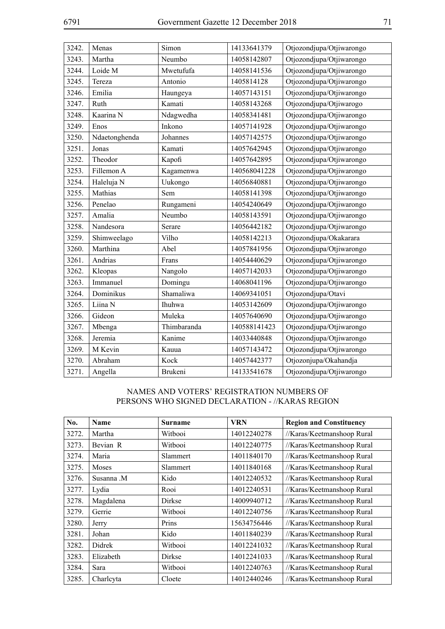| 3242. | Menas         | Simon          | 14133641379  | Otjozondjupa/Otjiwarongo |
|-------|---------------|----------------|--------------|--------------------------|
| 3243. | Martha        | Neumbo         | 14058142807  | Otjozondjupa/Otjiwarongo |
| 3244. | Loide M       | Mwetufufa      | 14058141536  | Otjozondjupa/Otjiwarongo |
| 3245. | Tereza        | Antonio        | 1405814128   | Otjozondjupa/Otjiwarongo |
| 3246. | Emilia        | Haungeya       | 14057143151  | Otjozondjupa/Otjiwarongo |
| 3247. | Ruth          | Kamati         | 14058143268  | Otjozondjupa/Otjiwarogo  |
| 3248. | Kaarina N     | Ndagwedha      | 14058341481  | Otjozondjupa/Otjiwarongo |
| 3249. | Enos          | Inkono         | 14057141928  | Otjozondjupa/Otjiwarongo |
| 3250. | Ndaetonghenda | Johannes       | 14057142575  | Otjozondjupa/Otjiwarongo |
| 3251. | Jonas         | Kamati         | 14057642945  | Otjozondjupa/Otjiwarongo |
| 3252. | Theodor       | Kapofi         | 14057642895  | Otjozondjupa/Otjiwarongo |
| 3253. | Fillemon A    | Kagamenwa      | 140568041228 | Otjozondjupa/Otjiwarongo |
| 3254. | Haleluja N    | Uukongo        | 14056840881  | Otjozondjupa/Otjiwarongo |
| 3255. | Mathias       | Sem            | 14058141398  | Otjozondjupa/Otjiwarongo |
| 3256. | Penelao       | Rungameni      | 14054240649  | Otjozondjupa/Otjiwarongo |
| 3257. | Amalia        | Neumbo         | 14058143591  | Otjozondjupa/Otjiwarongo |
| 3258. | Nandesora     | Serare         | 14056442182  | Otjozondjupa/Otjiwarongo |
| 3259. | Shimweelago   | Vilho          | 14058142213  | Otjozondjupa/Okakarara   |
| 3260. | Marthina      | Abel           | 14057841956  | Otjozondjupa/Otjiwarongo |
| 3261. | Andrias       | Frans          | 14054440629  | Otjozondjupa/Otjiwarongo |
| 3262. | Kleopas       | Nangolo        | 14057142033  | Otjozondjupa/Otjiwarongo |
| 3263. | Immanuel      | Domingu        | 14068041196  | Otjozondjupa/Otjiwarongo |
| 3264. | Dominikus     | Shamaliwa      | 14069341051  | Otjozondjupa/Otavi       |
| 3265. | Liina N       | Ihuhwa         | 14053142609  | Otjozondjupa/Otjiwarongo |
| 3266. | Gideon        | Muleka         | 14057640690  | Otjozondjupa/Otjiwarongo |
| 3267. | Mbenga        | Thimbaranda    | 140588141423 | Otjozondjupa/Otjiwarongo |
| 3268. | Jeremia       | Kanime         | 14033440848  | Otjozondjupa/Otjiwarongo |
| 3269. | M Kevin       | Kauua          | 14057143472  | Otjozondjupa/Otjiwarongo |
| 3270. | Abraham       | Kock           | 14057442377  | Otjozonjupa/Okahandja    |
| 3271. | Angella       | <b>Brukeni</b> | 14133541678  | Otjozondjupa/Otjiwarongo |

## NAMES AND VOTERS' REGISTRATION NUMBERS OF PERSONS WHO SIGNED DECLARATION - //KARAS REGION

| No.   | <b>Name</b> | <b>Surname</b>  | <b>VRN</b>  | <b>Region and Constituency</b> |
|-------|-------------|-----------------|-------------|--------------------------------|
| 3272. | Martha      | Withooi         | 14012240278 | //Karas/Keetmanshoop Rural     |
| 3273. | Bevian R    | Witbooi         | 14012240775 | //Karas/Keetmanshoop Rural     |
| 3274. | Maria       | <b>Slammert</b> | 14011840170 | //Karas/Keetmanshoop Rural     |
| 3275. | Moses       | <b>Slammert</b> | 14011840168 | //Karas/Keetmanshoop Rural     |
| 3276. | Susanna M   | Kido            | 14012240532 | //Karas/Keetmanshoop Rural     |
| 3277. | Lydia       | Rooi            | 14012240531 | //Karas/Keetmanshoop Rural     |
| 3278. | Magdalena   | <b>Dirkse</b>   | 14009940712 | //Karas/Keetmanshoop Rural     |
| 3279. | Gerrie      | Witbooi         | 14012240756 | //Karas/Keetmanshoop Rural     |
| 3280. | Jerry       | Prins           | 15634756446 | //Karas/Keetmanshoop Rural     |
| 3281. | Johan       | Kido            | 14011840239 | //Karas/Keetmanshoop Rural     |
| 3282. | Didrek      | Withooi         | 14012241032 | //Karas/Keetmanshoop Rural     |
| 3283. | Elizabeth   | Dirkse          | 14012241033 | //Karas/Keetmanshoop Rural     |
| 3284. | Sara        | Witbooi         | 14012240763 | //Karas/Keetmanshoop Rural     |
| 3285. | Charlcyta   | Cloete          | 14012440246 | //Karas/Keetmanshoop Rural     |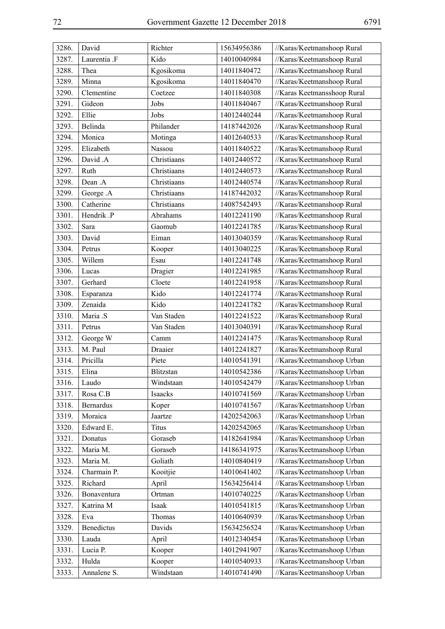| 3286. | David            | Richter     | 15634956386 | //Karas/Keetmanshoop Rural  |
|-------|------------------|-------------|-------------|-----------------------------|
| 3287. | Laurentia .F     | Kido        | 14010040984 | //Karas/Keetmanshoop Rural  |
| 3288. | Thea             | Kgosikoma   | 14011840472 | //Karas/Keetmanshoop Rural  |
| 3289. | Minna            | Kgosikoma   | 14011840470 | //Karas/Keetmanshoop Rural  |
| 3290. | Clementine       | Coetzee     | 14011840308 | //Karas Keetmansshoop Rural |
| 3291. | Gideon           | Jobs        | 14011840467 | //Karas/Keetmanshoop Rural  |
| 3292. | Ellie            | Jobs        | 14012440244 | //Karas/Keetmanshoop Rural  |
| 3293. | Belinda          | Philander   | 14187442026 | //Karas/Keetmanshoop Rural  |
| 3294. | Monica           | Motinga     | 14012640533 | //Karas/Keetmanshoop Rural  |
| 3295. | Elizabeth        | Nassou      | 14011840522 | //Karas/Keetmanshoop Rural  |
| 3296. | David .A         | Christiaans | 14012440572 | //Karas/Keetmanshoop Rural  |
| 3297. | Ruth             | Christiaans | 14012440573 | //Karas/Keetmanshoop Rural  |
| 3298. | Dean .A          | Christiaans | 14012440574 | //Karas/Keetmanshoop Rural  |
| 3299. | George .A        | Christiaans | 14187442032 | //Karas/Keetmanshoop Rural  |
| 3300. | Catherine        | Christiaans | 14087542493 | //Karas/Keetmanshoop Rural  |
| 3301. | Hendrik .P       | Abrahams    | 14012241190 | //Karas/Keetmanshoop Rural  |
| 3302. | Sara             | Gaomub      | 14012241785 | //Karas/Keetmanshoop Rural  |
| 3303. | David            | Eiman       | 14013040359 | //Karas/Keetmanshoop Rural  |
| 3304. | Petrus           | Kooper      | 14013040225 | //Karas/Keetmanshoop Rural  |
| 3305. | Willem           | Esau        | 14012241748 | //Karas/Keetmanshoop Rural  |
| 3306. | Lucas            | Dragier     | 14012241985 | //Karas/Keetmanshoop Rural  |
| 3307. | Gerhard          | Cloete      | 14012241958 | //Karas/Keetmanshoop Rural  |
| 3308. | Esparanza        | Kido        | 14012241774 | //Karas/Keetmanshoop Rural  |
| 3309. | Zenaida          | Kido        | 14012241782 | //Karas/Keetmanshoop Rural  |
| 3310. | Maria .S         | Van Staden  | 14012241522 | //Karas/Keetmanshoop Rural  |
| 3311. | Petrus           | Van Staden  | 14013040391 | //Karas/Keetmanshoop Rural  |
| 3312. | George W         | Camm        | 14012241475 | //Karas/Keetmanshoop Rural  |
| 3313. | M. Paul          | Draaier     | 14012241827 | //Karas/Keetmanshoop Rural  |
| 3314. | Pricilla         | Piete       | 14010541391 | //Karas/Keetmanshoop Urban  |
| 3315. | Elina            | Blitzstan   | 14010542386 | //Karas/Keetmanshoop Urban  |
| 3316. | Laudo            | Windstaan   | 14010542479 | //Karas/Keetmanshoop Urban  |
| 3317. | Rosa C.B         | Isaacks     | 14010741569 | //Karas/Keetmanshoop Urban  |
| 3318. | <b>Bernardus</b> | Koper       | 14010741567 | //Karas/Keetmanshoop Urban  |
| 3319. | Moraica          | Jaartze     | 14202542063 | //Karas/Keetmanshoop Urban  |
| 3320. | Edward E.        | Titus       | 14202542065 | //Karas/Keetmanshoop Urban  |
| 3321. | Donatus          | Goraseb     | 14182641984 | //Karas/Keetmanshoop Urban  |
| 3322. | Maria M.         | Goraseb     | 14186341975 | //Karas/Keetmanshoop Urban  |
| 3323. | Maria M.         | Goliath     | 14010840419 | //Karas/Keetmanshoop Urban  |
| 3324. | Charmain P.      | Kooitjie    | 14010641402 | //Karas/Keetmanshoop Urban  |
| 3325. | Richard          | April       | 15634256414 | //Karas/Keetmanshoop Urban  |
| 3326. | Bonaventura      | Ortman      | 14010740225 | //Karas/Keetmanshoop Urban  |
| 3327. | Katrina M        | Isaak       | 14010541815 | //Karas/Keetmanshoop Urban  |
| 3328. | Eva              | Thomas      | 14010640939 | //Karas/Keetmanshoop Urban  |
| 3329. | Benedictus       | Davids      | 15634256524 | //Karas/Keetmanshoop Urban  |
| 3330. | Lauda            | April       | 14012340454 | //Karas/Keetmanshoop Urban  |
| 3331. | Lucia P.         | Kooper      | 14012941907 | //Karas/Keetmanshoop Urban  |
| 3332. | Hulda            | Kooper      | 14010540933 | //Karas/Keetmanshoop Urban  |
| 3333. | Annalene S.      | Windstaan   | 14010741490 | //Karas/Keetmanshoop Urban  |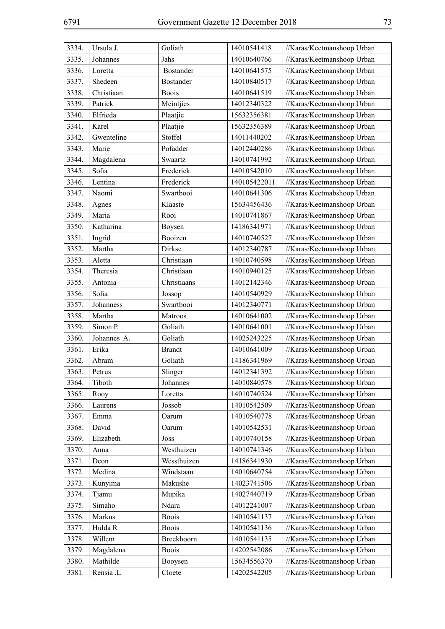| 3334. | Ursula J.   | Goliath          | 14010541418  | //Karas/Keetmanshoop Urban |
|-------|-------------|------------------|--------------|----------------------------|
| 3335. | Johannes    | Jahs             | 14010640766  | //Karas/Keetmanshoop Urban |
| 3336. | Loretta     | <b>Bostander</b> | 14010641575  | //Karas/Keetmanshoop Urban |
| 3337. | Shedeen     | <b>Bostander</b> | 14010840517  | //Karas/Keetmanshoop Urban |
| 3338. | Christiaan  | <b>Boois</b>     | 14010641519  | //Karas/Keetmanshoop Urban |
| 3339. | Patrick     | Meintjies        | 14012340322  | //Karas/Keetmanshoop Urban |
| 3340. | Elfrieda    | Plaatjie         | 15632356381  | //Karas/Keetmanshoop Urban |
| 3341. | Karel       | Plaatjie         | 15632356389  | //Karas/Keetmanshoop Urban |
| 3342. | Gwenteline  | Stoffel          | 14011440202  | //Karas/Keetmanshoop Urban |
| 3343. | Marie       | Pofadder         | 14012440286  | //Karas/Keetmanshoop Urban |
| 3344. | Magdalena   | Swaartz          | 14010741992  | //Karas/Keetmanshoop Urban |
| 3345. | Sofia       | Frederick        | 14010542010  | //Karas/Keetmanshoop Urban |
| 3346. | Lentina     | Frederick        | 140105422011 | //Karas/Keetmanshoop Urban |
| 3347. | Naomi       | Swartbooi        | 14010641306  | //Karas Keetmabshoop Urban |
| 3348. | Agnes       | Klaaste          | 15634456436  | //Karas/Keetmanshoop Urban |
| 3349. | Maria       | Rooi             | 14010741867  | //Karas/Keetmanshoop Urban |
| 3350. | Katharina   | Boysen           | 14186341971  | //Karas/Keetmanshoop Urban |
| 3351. | Ingrid      | Booizen          | 14010740527  | //Karas/Keetmanshoop Urban |
| 3352. | Martha      | Dirkse           | 14012340787  | //Karas/Keetmanshoop Urban |
| 3353. | Aletta      | Christiaan       | 14010740598  | //Karas/Keetmanshoop Urban |
| 3354. | Theresia    | Christiaan       | 14010940125  | //Karas/Keetmanshoop Urban |
| 3355. | Antonia     | Christiaans      | 14012142346  | //Karas/Keetmanshoop Urban |
| 3356. | Sofia       | Jossop           | 14010540929  | //Karas/Keetmanshoop Urban |
| 3357. | Johanness   | Swartbooi        | 14012340771  | //Karas/Keetmanshoop Urban |
| 3358. | Martha      | Matroos          | 14010641002  | //Karas/Keetmanshoop Urban |
| 3359. | Simon P.    | Goliath          | 14010641001  | //Karas/Keetmanshoop Urban |
| 3360. | Johannes A. | Goliath          | 14025243225  | //Karas/Keetmanshoop Urban |
| 3361. | Erika       | <b>Brandt</b>    | 14010641009  | //Karas/Keetmanshoop Urban |
| 3362. | Abram       | Goliath          | 14186341969  | //Karas/Keetmanshoop Urban |
| 3363. | Petrus      | Slinger          | 14012341392  | //Karas/Keetmanshoop Urban |
| 3364. | Tiboth      | Johannes         | 14010840578  | //Karas/Keetmanshoop Urban |
| 3365. | Rooy        | Loretta          | 14010740524  | //Karas/Keetmanshoop Urban |
| 3366. | Laurens     | Jossob           | 14010542509  | //Karas/Keetmanshoop Urban |
| 3367. | Emma        | Oarum            | 14010540778  | //Karas/Keetmanshoop Urban |
| 3368. | David       | Oarum            | 14010542531  | //Karas/Keetmanshoop Urban |
| 3369. | Elizabeth   | Joss             | 14010740158  | //Karas/Keetmanshoop Urban |
| 3370. | Anna        | Westhuizen       | 14010741346  | //Karas/Keetmanshoop Urban |
| 3371. | Deon        | Wessthuizen      | 14186341930  | //Karas/Keetmanshoop Urban |
| 3372. | Medina      | Windstaan        | 14010640754  | //Karas/Keetmanshoop Urban |
| 3373. | Kunyima     | Makushe          | 14023741506  | //Karas/Keetmanshoop Urban |
| 3374. | Tjamu       | Mupika           | 14027440719  | //Karas/Keetmanshoop Urban |
| 3375. | Simaho      | Ndara            | 14012241007  | //Karas/Keetmanshoop Urban |
| 3376. | Markus      | <b>Boois</b>     | 14010541137  | //Karas/Keetmanshoop Urban |
| 3377. | Hulda R     | <b>Boois</b>     | 14010541136  | //Karas/Keetmanshoop Urban |
| 3378. | Willem      | Breekhoorn       | 14010541135  | //Karas/Keetmanshoop Urban |
| 3379. | Magdalena   | <b>Boois</b>     | 14202542086  | //Karas/Keetmanshoop Urban |
| 3380. | Mathilde    | Booysen          | 15634556370  | //Karas/Keetmanshoop Urban |
| 3381. | Rensia .L   | Cloete           | 14202542205  | //Karas/Keetmanshoop Urban |
|       |             |                  |              |                            |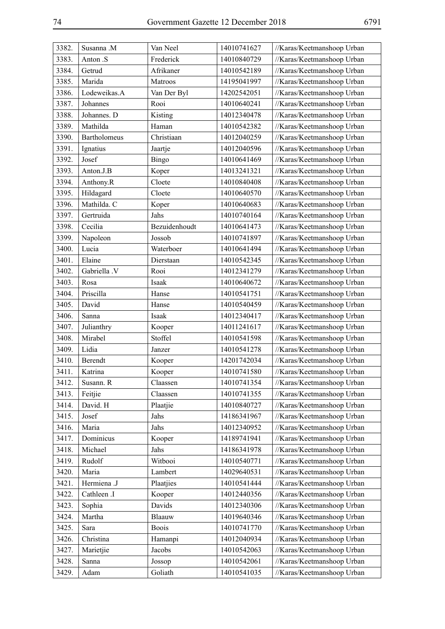| 3382. | Susanna .M          | Van Neel      | 14010741627 | //Karas/Keetmanshoop Urban |
|-------|---------------------|---------------|-------------|----------------------------|
| 3383. | Anton .S            | Frederick     | 14010840729 | //Karas/Keetmanshoop Urban |
| 3384. | Getrud              | Afrikaner     | 14010542189 | //Karas/Keetmanshoop Urban |
| 3385. | Marida              | Matroos       | 14195041997 | //Karas/Keetmanshoop Urban |
| 3386. | Lodeweikas.A        | Van Der Byl   | 14202542051 | //Karas/Keetmanshoop Urban |
| 3387. | Johannes            | Rooi          | 14010640241 | //Karas/Keetmanshoop Urban |
| 3388. | Johannes. D         | Kisting       | 14012340478 | //Karas/Keetmanshoop Urban |
| 3389. | Mathilda            | Haman         | 14010542382 | //Karas/Keetmanshoop Urban |
| 3390. | <b>Bartholomeus</b> | Christiaan    | 14012040259 | //Karas/Keetmanshoop Urban |
| 3391. | Ignatius            | Jaartje       | 14012040596 | //Karas/Keetmanshoop Urban |
| 3392. | Josef               | <b>Bingo</b>  | 14010641469 | //Karas/Keetmanshoop Urban |
| 3393. | Anton.J.B           | Koper         | 14013241321 | //Karas/Keetmanshoop Urban |
| 3394. | Anthony.R           | Cloete        | 14010840408 | //Karas/Keetmanshoop Urban |
| 3395. | Hildagard           | Cloete        | 14010640570 | //Karas/Keetmanshoop Urban |
| 3396. | Mathilda. C         | Koper         | 14010640683 | //Karas/Keetmanshoop Urban |
| 3397. | Gertruida           | Jahs          | 14010740164 | //Karas/Keetmanshoop Urban |
| 3398. | Cecilia             | Bezuidenhoudt | 14010641473 | //Karas/Keetmanshoop Urban |
| 3399. | Napoleon            | Jossob        | 14010741897 | //Karas/Keetmanshoop Urban |
| 3400. | Lucia               | Waterboer     | 14010641494 | //Karas/Keetmanshoop Urban |
| 3401. | Elaine              | Dierstaan     | 14010542345 | //Karas/Keetmanshoop Urban |
| 3402. | Gabriella .V        | Rooi          | 14012341279 | //Karas/Keetmanshoop Urban |
| 3403. | Rosa                | Isaak         | 14010640672 | //Karas/Keetmanshoop Urban |
| 3404. | Priscilla           | Hanse         | 14010541751 | //Karas/Keetmanshoop Urban |
| 3405. | David               | Hanse         | 14010540459 | //Karas/Keetmanshoop Urban |
| 3406. | Sanna               | Isaak         | 14012340417 | //Karas/Keetmanshoop Urban |
| 3407. | Julianthry          | Kooper        | 14011241617 | //Karas/Keetmanshoop Urban |
| 3408. | Mirabel             | Stoffel       | 14010541598 | //Karas/Keetmanshoop Urban |
| 3409. | Lidia               | Janzer        | 14010541278 | //Karas/Keetmanshoop Urban |
| 3410. | Berendt             | Kooper        | 14201742034 | //Karas/Keetmanshoop Urban |
| 3411. | Katrina             | Kooper        | 14010741580 | //Karas/Keetmanshoop Urban |
| 3412. | Susann. R           | Claassen      | 14010741354 | //Karas/Keetmanshoop Urban |
| 3413. | Feitjie             | Claassen      | 14010741355 | //Karas/Keetmanshoop Urban |
| 3414. | David. H            | Plaatjie      | 14010840727 | //Karas/Keetmanshoop Urban |
| 3415. | Josef               | Jahs          | 14186341967 | //Karas/Keetmanshoop Urban |
| 3416. | Maria               | Jahs          | 14012340952 | //Karas/Keetmanshoop Urban |
| 3417. | Dominicus           | Kooper        | 14189741941 | //Karas/Keetmanshoop Urban |
| 3418. | Michael             | Jahs          | 14186341978 | //Karas/Keetmanshoop Urban |
| 3419. | Rudolf              | Witbooi       | 14010540771 | //Karas/Keetmanshoop Urban |
| 3420. | Maria               | Lambert       | 14029640531 | //Karas/Keetmanshoop Urban |
| 3421. | Hermiena .J         | Plaatjies     | 14010541444 | //Karas/Keetmanshoop Urban |
| 3422. | Cathleen .I         | Kooper        | 14012440356 | //Karas/Keetmanshoop Urban |
| 3423. | Sophia              | Davids        | 14012340306 | //Karas/Keetmanshoop Urban |
| 3424. | Martha              | Blaauw        | 14019640346 | //Karas/Keetmanshoop Urban |
| 3425. | Sara                | <b>Boois</b>  | 14010741770 | //Karas/Keetmanshoop Urban |
| 3426. | Christina           | Hamanpi       | 14012040934 | //Karas/Keetmanshoop Urban |
| 3427. | Marietjie           | Jacobs        | 14010542063 | //Karas/Keetmanshoop Urban |
| 3428. | Sanna               | Jossop        | 14010542061 | //Karas/Keetmanshoop Urban |
| 3429. | Adam                | Goliath       | 14010541035 | //Karas/Keetmanshoop Urban |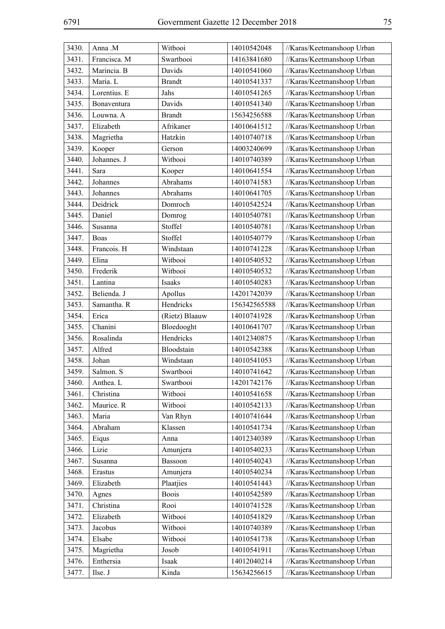| 3430. | Anna .M      | Witbooi        | 14010542048  | //Karas/Keetmanshoop Urban |
|-------|--------------|----------------|--------------|----------------------------|
| 3431. | Francisca. M | Swartbooi      | 14163841680  | //Karas/Keetmanshoop Urban |
| 3432. | Marincia. B  | Davids         | 14010541060  | //Karas/Keetmanshoop Urban |
| 3433. | Maria. L     | <b>Brandt</b>  | 14010541337  | //Karas/Keetmanshoop Urban |
| 3434. | Lorentius. E | Jahs           | 14010541265  | //Karas/Keetmanshoop Urban |
| 3435. | Bonaventura  | Davids         | 14010541340  | //Karas/Keetmanshoop Urban |
| 3436. | Louwna. A    | <b>Brandt</b>  | 15634256588  | //Karas/Keetmanshoop Urban |
| 3437. | Elizabeth    | Afrikaner      | 14010641512  | //Karas/Keetmanshoop Urban |
| 3438. | Magrietha    | Hatzkin        | 14010740718  | //Karas/Keetmanshoop Urban |
| 3439. | Kooper       | Gerson         | 14003240699  | //Karas/Keetmanshoop Urban |
| 3440. | Johannes. J  | Witbooi        | 14010740389  | //Karas/Keetmanshoop Urban |
| 3441. | Sara         | Kooper         | 14010641554  | //Karas/Keetmanshoop Urban |
| 3442. | Johannes     | Abrahams       | 14010741583  | //Karas/Keetmanshoop Urban |
| 3443. | Johannes     | Abrahams       | 14010641705  | //Karas/Keetmanshoop Urban |
| 3444. | Deidrick     | Domroch        | 14010542524  | //Karas/Keetmanshoop Urban |
| 3445. | Daniel       | Domrog         | 14010540781  | //Karas/Keetmanshoop Urban |
| 3446. | Susanna      | Stoffel        | 14010540781  | //Karas/Keetmanshoop Urban |
| 3447. | Boas         | Stoffel        | 14010540779  | //Karas/Keetmanshoop Urban |
| 3448. | Francois. H  | Windstaan      | 14010741228  | //Karas/Keetmanshoop Urban |
| 3449. | Elina        | Witbooi        | 14010540532  | //Karas/Keetmanshoop Urban |
| 3450. | Frederik     | Witbooi        | 14010540532  | //Karas/Keetmanshoop Urban |
| 3451. | Lantina      | Isaaks         | 14010540283  | //Karas/Keetmanshoop Urban |
| 3452. | Belienda. J  | Apollus        | 14201742039  | //Karas/Keetmanshoop Urban |
| 3453. | Samantha. R  | Hendricks      | 156342565588 | //Karas/Keetmanshoop Urban |
| 3454. | Erica        | (Rietz) Blaauw | 14010741928  | //Karas/Keetmanshoop Urban |
| 3455. | Chanini      | Bloedooght     | 14010641707  | //Karas/Keetmanshoop Urban |
| 3456. | Rosalinda    | Hendricks      | 14012340875  | //Karas/Keetmanshoop Urban |
| 3457. | Alfred       | Bloodstain     | 14010542388  | //Karas/Keetmanshoop Urban |
| 3458. | Johan        | Windstaan      | 14010541053  | //Karas/Keetmanshoop Urban |
| 3459. | Salmon. S    | Swartbooi      | 14010741642  | //Karas/Keetmanshoop Urban |
| 3460. | Anthea. L    | Swartbooi      | 14201742176  | //Karas/Keetmanshoop Urban |
| 3461. | Christina    | Witbooi        | 14010541658  | //Karas/Keetmanshoop Urban |
| 3462. | Maurice. R   | Witbooi        | 14010542133  | //Karas/Keetmanshoop Urban |
| 3463. | Maria        | Van Rhyn       | 14010741644  | //Karas/Keetmanshoop Urban |
| 3464. | Abraham      | Klassen        | 14010541734  | //Karas/Keetmanshoop Urban |
| 3465. | Eiqus        | Anna           | 14012340389  | //Karas/Keetmanshoop Urban |
| 3466. | Lizie        | Amunjera       | 14010540233  | //Karas/Keetmanshoop Urban |
| 3467. | Susanna      | Bassoon        | 14010540243  | //Karas/Keetmanshoop Urban |
| 3468. | Erastus      | Amunjera       | 14010540234  | //Karas/Keetmanshoop Urban |
| 3469. | Elizabeth    | Plaatjies      | 14010541443  | //Karas/Keetmanshoop Urban |
| 3470. | Agnes        | <b>Boois</b>   | 14010542589  | //Karas/Keetmanshoop Urban |
| 3471. | Christina    | Rooi           | 14010741528  | //Karas/Keetmanshoop Urban |
| 3472. | Elizabeth    | Witbooi        | 14010541829  | //Karas/Keetmanshoop Urban |
| 3473. | Jacobus      | Witbooi        | 14010740389  | //Karas/Keetmanshoop Urban |
| 3474. | Elsabe       | Witbooi        | 14010541738  | //Karas/Keetmanshoop Urban |
| 3475. | Magrietha    | Josob          | 14010541911  | //Karas/Keetmanshoop Urban |
| 3476. | Enthersia    | Isaak          | 14012040214  | //Karas/Keetmanshoop Urban |
| 3477. | Ilse. J      | Kinda          | 15634256615  | //Karas/Keetmanshoop Urban |
|       |              |                |              |                            |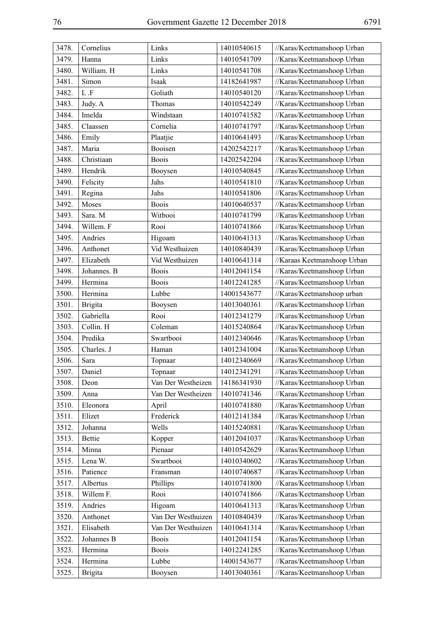| 3478. | Cornelius      | Links              | 14010540615 | //Karas/Keetmanshoop Urban  |
|-------|----------------|--------------------|-------------|-----------------------------|
| 3479. | Hanna          | Links              | 14010541709 | //Karas/Keetmanshoop Urban  |
| 3480. | William. H     | Links              | 14010541708 | //Karas/Keetmanshoop Urban  |
| 3481. | Simon          | Isaak              | 14182641987 | //Karas/Keetmanshoop Urban  |
| 3482. | $\mathbf L$ .F | Goliath            | 14010540120 | //Karas/Keetmanshoop Urban  |
| 3483. | Judy. A        | Thomas             | 14010542249 | //Karas/Keetmanshoop Urban  |
| 3484. | Imelda         | Windstaan          | 14010741582 | //Karas/Keetmanshoop Urban  |
| 3485. | Claassen       | Cornelia           | 14010741797 | //Karas/Keetmanshoop Urban  |
| 3486. | Emily          | Plaatjie           | 14010641493 | //Karas/Keetmanshoop Urban  |
| 3487. | Maria          | Booisen            | 14202542217 | //Karas/Keetmanshoop Urban  |
| 3488. | Christiaan     | <b>Boois</b>       | 14202542204 | //Karas/Keetmanshoop Urban  |
| 3489. | Hendrik        | Booysen            | 14010540845 | //Karas/Keetmanshoop Urban  |
| 3490. | Felicity       | Jahs               | 14010541810 | //Karas/Keetmanshoop Urban  |
| 3491. | Regina         | Jahs               | 14010541806 | //Karas/Keetmanshoop Urban  |
| 3492. | Moses          | <b>Boois</b>       | 14010640537 | //Karas/Keetmanshoop Urban  |
| 3493. | Sara. M        | Witbooi            | 14010741799 | //Karas/Keetmanshoop Urban  |
| 3494. | Willem. F      | Rooi               | 14010741866 | //Karas/Keetmanshoop Urban  |
| 3495. | Andries        | Higoam             | 14010641313 | //Karas/Keetmanshoop Urban  |
| 3496. | Anthonet       | Vid Westhuizen     | 14010840439 | //Karas/Keetmanshoop Urban  |
| 3497. | Elizabeth      | Vid Westhuizen     | 14010641314 | //Karaas Keetmanshoop Urban |
| 3498. | Johannes. B    | <b>Boois</b>       | 14012041154 | //Karas/Keetmanshoop Urban  |
| 3499. | Hermina        | <b>Boois</b>       | 14012241285 | //Karas/Keetmanshoop Urban  |
| 3500. | Hermina        | Lubbe              | 14001543677 | //Karas/Keetmanshoop urban  |
| 3501. | <b>Brigita</b> | Booysen            | 14013040361 | //Karas/Keetmanshoop Urban  |
| 3502. | Gabriella      | Rooi               | 14012341279 | //Karas/Keetmanshoop Urban  |
| 3503. | Collin. H      | Coleman            | 14015240864 | //Karas/Keetmanshoop Urban  |
| 3504. | Predika        | Swartbooi          | 14012340646 | //Karas/Keetmanshoop Urban  |
| 3505. | Charles. J     | Haman              | 14012341004 | //Karas/Keetmanshoop Urban  |
| 3506. | Sara           | Topnaar            | 14012340669 | //Karas/Keetmanshoop Urban  |
| 3507. | Daniel         | Topnaar            | 14012341291 | //Karas/Keetmanshoop Urban  |
| 3508. | Deon           | Van Der Westheizen | 14186341930 | //Karas/Keetmanshoop Urban  |
| 3509. | Anna           | Van Der Westheizen | 14010741346 | //Karas/Keetmanshoop Urban  |
| 3510. | Eleonora       | April              | 14010741880 | //Karas/Keetmanshoop Urban  |
| 3511. | Elizet         | Frederick          | 14012141384 | //Karas/Keetmanshoop Urban  |
| 3512. | Johanna        | Wells              | 14015240881 | //Karas/Keetmanshoop Urban  |
| 3513. | Bettie         | Kopper             | 14012041037 | //Karas/Keetmanshoop Urban  |
| 3514. | Minna          | Pienaar            | 14010542629 | //Karas/Keetmanshoop Urban  |
| 3515. | Lena W.        | Swartbooi          | 14010340602 | //Karas/Keetmanshoop Urban  |
| 3516. | Patience       | Fransman           | 14010740687 | //Karas/Keetmanshoop Urban  |
| 3517. | Albertus       | Phillips           | 14010741800 | //Karas/Keetmanshoop Urban  |
| 3518. | Willem F.      | Rooi               | 14010741866 | //Karas/Keetmanshoop Urban  |
| 3519. | Andries        | Higoam             | 14010641313 | //Karas/Keetmanshoop Urban  |
| 3520. | Anthonet       | Van Der Westhuizen | 14010840439 | //Karas/Keetmanshoop Urban  |
| 3521. | Elisabeth      | Van Der Westhuizen | 14010641314 | //Karas/Keetmanshoop Urban  |
| 3522. | Johannes B     | <b>Boois</b>       | 14012041154 | //Karas/Keetmanshoop Urban  |
| 3523. | Hermina        | <b>Boois</b>       | 14012241285 | //Karas/Keetmanshoop Urban  |
| 3524. | Hermina        | Lubbe              | 14001543677 | //Karas/Keetmanshoop Urban  |
| 3525. | <b>Brigita</b> | Booysen            | 14013040361 | //Karas/Keetmanshoop Urban  |
|       |                |                    |             |                             |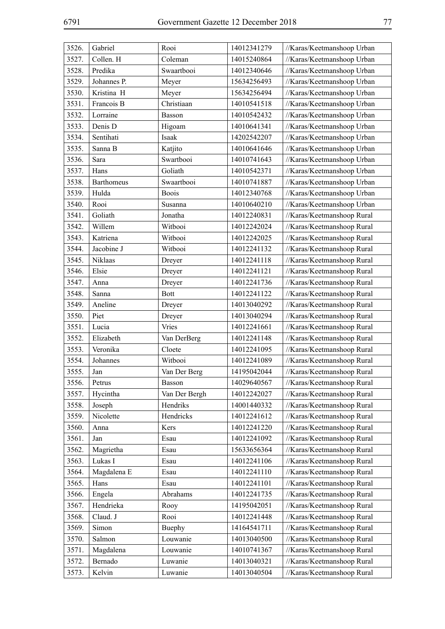| 3526. | Gabriel           | Rooi          | 14012341279 | //Karas/Keetmanshoop Urban |
|-------|-------------------|---------------|-------------|----------------------------|
| 3527. | Collen. H         | Coleman       | 14015240864 | //Karas/Keetmanshoop Urban |
| 3528. | Predika           | Swaartbooi    | 14012340646 | //Karas/Keetmanshoop Urban |
| 3529. | Johannes P.       | Meyer         | 15634256493 | //Karas/Keetmanshoop Urban |
| 3530. | Kristina H        | Meyer         | 15634256494 | //Karas/Keetmanshoop Urban |
| 3531. | Francois B        | Christiaan    | 14010541518 | //Karas/Keetmanshoop Urban |
| 3532. | Lorraine          | Basson        | 14010542432 | //Karas/Keetmanshoop Urban |
| 3533. | Denis D           | Higoam        | 14010641341 | //Karas/Keetmanshoop Urban |
| 3534. | Sentihati         | Isaak         | 14202542207 | //Karas/Keetmanshoop Urban |
| 3535. | Sanna B           | Katjito       | 14010641646 | //Karas/Keetmanshoop Urban |
| 3536. | Sara              | Swartbooi     | 14010741643 | //Karas/Keetmanshoop Urban |
| 3537. | Hans              | Goliath       | 14010542371 | //Karas/Keetmanshoop Urban |
| 3538. | <b>Barthomeus</b> | Swaartbooi    | 14010741887 | //Karas/Keetmanshoop Urban |
| 3539. | Hulda             | <b>Boois</b>  | 14012340768 | //Karas/Keetmanshoop Urban |
| 3540. | Rooi              | Susanna       | 14010640210 | //Karas/Keetmanshoop Urban |
| 3541. | Goliath           | Jonatha       | 14012240831 | //Karas/Keetmanshoop Rural |
| 3542. | Willem            | Witbooi       | 14012242024 | //Karas/Keetmanshoop Rural |
| 3543. | Katriena          | Witbooi       | 14012242025 | //Karas/Keetmanshoop Rural |
| 3544. | Jacobine J        | Witbooi       | 14012241132 | //Karas/Keetmanshoop Rural |
| 3545. | Niklaas           | Dreyer        | 14012241118 | //Karas/Keetmanshoop Rural |
| 3546. | Elsie             | Dreyer        | 14012241121 | //Karas/Keetmanshoop Rural |
| 3547. | Anna              | Dreyer        | 14012241736 | //Karas/Keetmanshoop Rural |
| 3548. | Sanna             | <b>Bott</b>   | 14012241122 | //Karas/Keetmanshoop Rural |
| 3549. | Aneline           | Dreyer        | 14013040292 | //Karas/Keetmanshoop Rural |
| 3550. | Piet              | Dreyer        | 14013040294 | //Karas/Keetmanshoop Rural |
| 3551. | Lucia             | Vries         | 14012241661 | //Karas/Keetmanshoop Rural |
| 3552. | Elizabeth         | Van DerBerg   | 14012241148 | //Karas/Keetmanshoop Rural |
| 3553. | Veronika          | Cloete        | 14012241095 | //Karas/Keetmanshoop Rural |
| 3554. | Johannes          | Witbooi       | 14012241089 | //Karas/Keetmanshoop Rural |
| 3555. | Jan               | Van Der Berg  | 14195042044 | //Karas/Keetmanshoop Rural |
| 3556. | Petrus            | <b>Basson</b> | 14029640567 | //Karas/Keetmanshoop Rural |
| 3557. | Hycintha          | Van Der Bergh | 14012242027 | //Karas/Keetmanshoop Rural |
| 3558. | Joseph            | Hendriks      | 14001440332 | //Karas/Keetmanshoop Rural |
| 3559. | Nicolette         | Hendricks     | 14012241612 | //Karas/Keetmanshoop Rural |
| 3560. | Anna              | Kers          | 14012241220 | //Karas/Keetmanshoop Rural |
| 3561. | Jan               | Esau          | 14012241092 | //Karas/Keetmanshoop Rural |
| 3562. | Magrietha         | Esau          | 15633656364 | //Karas/Keetmanshoop Rural |
| 3563. | Lukas I           | Esau          | 14012241106 | //Karas/Keetmanshoop Rural |
| 3564. | Magdalena E       | Esau          | 14012241110 | //Karas/Keetmanshoop Rural |
| 3565. | Hans              | Esau          | 14012241101 | //Karas/Keetmanshoop Rural |
| 3566. | Engela            | Abrahams      | 14012241735 | //Karas/Keetmanshoop Rural |
| 3567. | Hendrieka         | Rooy          | 14195042051 | //Karas/Keetmanshoop Rural |
| 3568. | Claud. J          | Rooi          | 14012241448 | //Karas/Keetmanshoop Rural |
| 3569. | Simon             | Buephy        | 14164541711 | //Karas/Keetmanshoop Rural |
| 3570. | Salmon            | Louwanie      | 14013040500 | //Karas/Keetmanshoop Rural |
| 3571. | Magdalena         | Louwanie      | 14010741367 | //Karas/Keetmanshoop Rural |
| 3572. | Bernado           | Luwanie       | 14013040321 | //Karas/Keetmanshoop Rural |
| 3573. | Kelvin            | Luwanie       | 14013040504 | //Karas/Keetmanshoop Rural |
|       |                   |               |             |                            |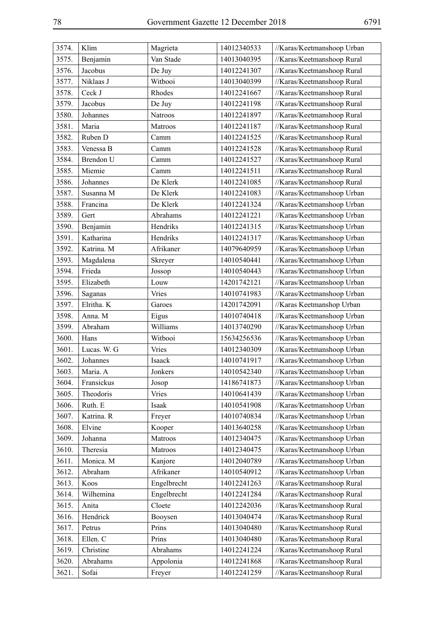| 3574. | Klim        | Magrieta    | 14012340533 | //Karas/Keetmanshoop Urban |
|-------|-------------|-------------|-------------|----------------------------|
| 3575. | Benjamin    | Van Stade   | 14013040395 | //Karas/Keetmanshoop Rural |
| 3576. | Jacobus     | De Juy      | 14012241307 | //Karas/Keetmanshoop Rural |
| 3577. | Niklaas J   | Witbooi     | 14013040399 | //Karas/Keetmanshoop Rural |
| 3578. | Ceck J      | Rhodes      | 14012241667 | //Karas/Keetmanshoop Rural |
| 3579. | Jacobus     | De Juy      | 14012241198 | //Karas/Keetmanshoop Rural |
| 3580. | Johannes    | Natroos     | 14012241897 | //Karas/Keetmanshoop Rural |
| 3581. | Maria       | Matroos     | 14012241187 | //Karas/Keetmanshoop Rural |
| 3582. | Ruben D     | Camm        | 14012241525 | //Karas/Keetmanshoop Rural |
| 3583. | Venessa B   | Camm        | 14012241528 | //Karas/Keetmanshoop Rural |
| 3584. | Brendon U   | Camm        | 14012241527 | //Karas/Keetmanshoop Rural |
| 3585. | Miemie      | Camm        | 14012241511 | //Karas/Keetmanshoop Rural |
| 3586. | Johannes    | De Klerk    | 14012241085 | //Karas/Keetmanshoop Rural |
| 3587. | Susanna M   | De Klerk    | 14012241083 | //Karas/Keetmanshoop Urban |
| 3588. | Francina    | De Klerk    | 14012241324 | //Karas/Keetmanshoop Urban |
| 3589. | Gert        | Abrahams    | 14012241221 | //Karas/Keetmanshoop Urban |
| 3590. | Benjamin    | Hendriks    | 14012241315 | //Karas/Keetmanshoop Urban |
| 3591. | Katharina   | Hendriks    | 14012241317 | //Karas/Keetmanshoop Urban |
| 3592. | Katrina. M  | Afrikaner   | 14079640959 | //Karas/Keetmanshoop Urban |
| 3593. | Magdalena   | Skreyer     | 14010540441 | //Karas/Keetmanshoop Urban |
| 3594. | Frieda      | Jossop      | 14010540443 | //Karas/Keetmanshoop Urban |
| 3595. | Elizabeth   | Louw        | 14201742121 | //Karas/Keetmanshoop Urban |
| 3596. | Saganas     | Vries       | 14010741983 | //Karas/Keetmanshoop Urban |
| 3597. | Elritha. K  | Garoes      | 14201742091 | //Karas Keetmanshop Urban  |
| 3598. | Anna. M     | Eigus       | 14010740418 | //Karas/Keetmanshoop Urban |
| 3599. | Abraham     | Williams    | 14013740290 | //Karas/Keetmanshoop Urban |
| 3600. | Hans        | Witbooi     | 15634256536 | //Karas/Keetmanshoop Urban |
| 3601. | Lucas. W. G | Vries       | 14012340309 | //Karas/Keetmanshoop Urban |
| 3602. | Johannes    | Isaack      | 14010741917 | //Karas/Keetmanshoop Urban |
| 3603. | Maria. A    | Jonkers     | 14010542340 | //Karas/Keetmanshoop Urban |
| 3604. | Fransickus  | Josop       | 14186741873 | //Karas/Keetmanshoop Urban |
| 3605. | Theodoris   | Vries       | 14010641439 | //Karas/Keetmanshoop Urban |
| 3606. | Ruth. E     | Isaak       | 14010541908 | //Karas/Keetmanshoop Urban |
| 3607. | Katrina. R  | Freyer      | 14010740834 | //Karas/Keetmanshoop Urban |
| 3608. | Elvine      | Kooper      | 14013640258 | //Karas/Keetmanshoop Urban |
| 3609. | Johanna     | Matroos     | 14012340475 | //Karas/Keetmanshoop Urban |
| 3610. | Theresia    | Matroos     | 14012340475 | //Karas/Keetmanshoop Urban |
| 3611. | Monica. M   | Kanjore     | 14012040789 | //Karas/Keetmanshoop Urban |
| 3612. | Abraham     | Afrikaner   | 14010540912 | //Karas/Keetmanshoop Urban |
| 3613. | Koos        | Engelbrecht | 14012241263 | //Karas/Keetmanshoop Rural |
| 3614. | Wilhemina   | Engelbrecht | 14012241284 | //Karas/Keetmanshoop Rural |
| 3615. | Anita       | Cloete      | 14012242036 | //Karas/Keetmanshoop Rural |
| 3616. | Hendrick    | Booysen     | 14013040474 | //Karas/Keetmanshoop Rural |
| 3617. | Petrus      | Prins       | 14013040480 | //Karas/Keetmanshoop Rural |
| 3618. | Ellen. C    | Prins       | 14013040480 | //Karas/Keetmanshoop Rural |
| 3619. | Christine   | Abrahams    | 14012241224 | //Karas/Keetmanshoop Rural |
| 3620. | Abrahams    | Appolonia   | 14012241868 | //Karas/Keetmanshoop Rural |
| 3621. | Sofai       | Freyer      | 14012241259 | //Karas/Keetmanshoop Rural |
|       |             |             |             |                            |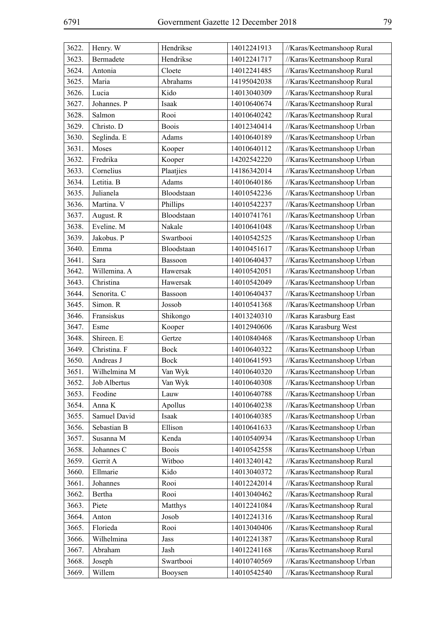| 3622. | Henry. W     | Hendrikse    | 14012241913 | //Karas/Keetmanshoop Rural |
|-------|--------------|--------------|-------------|----------------------------|
| 3623. | Bermadete    | Hendrikse    | 14012241717 | //Karas/Keetmanshoop Rural |
| 3624. | Antonia      | Cloete       | 14012241485 | //Karas/Keetmanshoop Rural |
| 3625. | Maria        | Abrahams     | 14195042038 | //Karas/Keetmanshoop Rural |
| 3626. | Lucia        | Kido         | 14013040309 | //Karas/Keetmanshoop Rural |
| 3627. | Johannes. P  | Isaak        | 14010640674 | //Karas/Keetmanshoop Rural |
| 3628. | Salmon       | Rooi         | 14010640242 | //Karas/Keetmanshoop Rural |
| 3629. | Christo. D   | <b>Boois</b> | 14012340414 | //Karas/Keetmanshoop Urban |
| 3630. | Seglinda. E  | Adams        | 14010640189 | //Karas/Keetmanshoop Urban |
| 3631. | Moses        | Kooper       | 14010640112 | //Karas/Keetmanshoop Urban |
| 3632. | Fredrika     | Kooper       | 14202542220 | //Karas/Keetmanshoop Urban |
| 3633. | Cornelius    | Plaatjies    | 14186342014 | //Karas/Keetmanshoop Urban |
| 3634. | Letitia. B   | Adams        | 14010640186 | //Karas/Keetmanshoop Urban |
| 3635. | Julianela    | Bloodstaan   | 14010542236 | //Karas/Keetmanshoop Urban |
| 3636. | Martina. V   | Phillips     | 14010542237 | //Karas/Keetmanshoop Urban |
| 3637. | August. R    | Bloodstaan   | 14010741761 | //Karas/Keetmanshoop Urban |
| 3638. | Eveline. M   | Nakale       | 14010641048 | //Karas/Keetmanshoop Urban |
| 3639. | Jakobus. P   | Swartbooi    | 14010542525 | //Karas/Keetmanshoop Urban |
| 3640. | Emma         | Bloodstaan   | 14010451617 | //Karas/Keetmanshoop Urban |
| 3641. | Sara         | Bassoon      | 14010640437 | //Karas/Keetmanshoop Urban |
| 3642. | Willemina. A | Hawersak     | 14010542051 | //Karas/Keetmanshoop Urban |
| 3643. | Christina    | Hawersak     | 14010542049 | //Karas/Keetmanshoop Urban |
| 3644. | Senorita. C  | Bassoon      | 14010640437 | //Karas/Keetmanshoop Urban |
| 3645. | Simon. R     | Jossob       | 14010541368 | //Karas/Keetmanshoop Urban |
| 3646. | Fransiskus   | Shikongo     | 14013240310 | //Karas Karasburg East     |
| 3647. | Esme         | Kooper       | 14012940606 | //Karas Karasburg West     |
| 3648. | Shireen. E   | Gertze       | 14010840468 | //Karas/Keetmanshoop Urban |
| 3649. | Christina. F | <b>Bock</b>  | 14010640322 | //Karas/Keetmanshoop Urban |
| 3650. | Andreas J    | <b>Bock</b>  | 14010641593 | //Karas/Keetmanshoop Urban |
| 3651. | Wilhelmina M | Van Wyk      | 14010640320 | //Karas/Keetmanshoop Urban |
| 3652. | Job Albertus | Van Wyk      | 14010640308 | //Karas/Keetmanshoop Urban |
| 3653. | Feodine      | Lauw         | 14010640788 | //Karas/Keetmanshoop Urban |
| 3654. | Anna K       | Apollus      | 14010640238 | //Karas/Keetmanshoop Urban |
| 3655. | Samuel David | Isaak        | 14010640385 | //Karas/Keetmanshoop Urban |
| 3656. | Sebastian B  | Ellison      | 14010641633 | //Karas/Keetmanshoop Urban |
| 3657. | Susanna M    | Kenda        | 14010540934 | //Karas/Keetmanshoop Urban |
| 3658. | Johannes C   | <b>Boois</b> | 14010542558 | //Karas/Keetmanshoop Urban |
| 3659. | Gerrit A     | Witboo       | 14013240142 | //Karas/Keetmanshoop Rural |
| 3660. | Ellmarie     | Kido         | 14013040372 | //Karas/Keetmanshoop Rural |
| 3661. | Johannes     | Rooi         | 14012242014 | //Karas/Keetmanshoop Rural |
| 3662. | Bertha       | Rooi         | 14013040462 | //Karas/Keetmanshoop Rural |
| 3663. | Piete        | Matthys      | 14012241084 | //Karas/Keetmanshoop Rural |
| 3664. | Anton        | Josob        | 14012241316 | //Karas/Keetmanshoop Rural |
| 3665. | Florieda     | Rooi         | 14013040406 | //Karas/Keetmanshoop Rural |
| 3666. | Wilhelmina   | Jass         | 14012241387 | //Karas/Keetmanshoop Rural |
| 3667. | Abraham      | Jash         | 14012241168 | //Karas/Keetmanshoop Rural |
| 3668. | Joseph       | Swartbooi    | 14010740569 | //Karas/Keetmanshoop Urban |
| 3669. | Willem       | Booysen      | 14010542540 | //Karas/Keetmanshoop Rural |
|       |              |              |             |                            |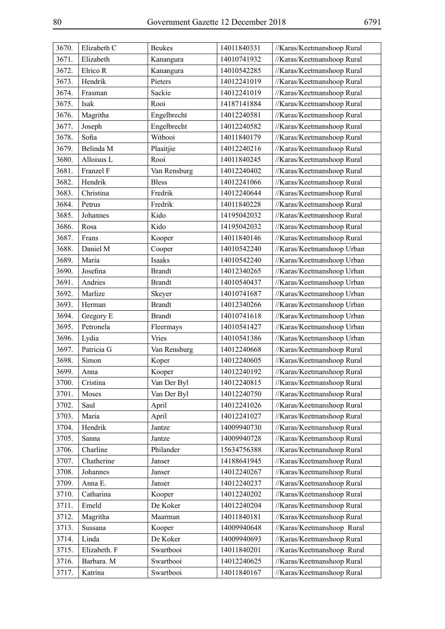| 3670. | Elizabeth C  | <b>Beukes</b> | 14011840331 | //Karas/Keetmanshoop Rural |
|-------|--------------|---------------|-------------|----------------------------|
| 3671. | Elizabeth    | Kanangura     | 14010741932 | //Karas/Keetmanshoop Rural |
| 3672. | Elrico R     | Kanangura     | 14010542285 | //Karas/Keetmanshoop Rural |
| 3673. | Hendrik      | Pieters       | 14012241019 | //Karas/Keetmanshoop Rural |
| 3674. | Frasman      | Sackie        | 14012241019 | //Karas/Keetmanshoop Rural |
| 3675. | Isak         | Rooi          | 14187141884 | //Karas/Keetmanshoop Rural |
| 3676. | Magritha     | Engelbrecht   | 14012240581 | //Karas/Keetmanshoop Rural |
| 3677. | Joseph       | Engelbrecht   | 14012240582 | //Karas/Keetmanshoop Rural |
| 3678. | Sofia        | Witbooi       | 14011840179 | //Karas/Keetmanshoop Rural |
| 3679. | Belinda M    | Plaaitjie     | 14012240216 | //Karas/Keetmanshoop Rural |
| 3680. | Alloisus L   | Rooi          | 14011840245 | //Karas/Keetmanshoop Rural |
| 3681. | Franzel F    | Van Rensburg  | 14012240402 | //Karas/Keetmanshoop Rural |
| 3682. | Hendrik      | <b>Bless</b>  | 14012241066 | //Karas/Keetmanshoop Rural |
| 3683. | Christina    | Fredrik       | 14012240644 | //Karas/Keetmanshoop Rural |
| 3684. | Petrus       | Fredrik       | 14011840228 | //Karas/Keetmanshoop Rural |
| 3685. | Johannes     | Kido          | 14195042032 | //Karas/Keetmanshoop Rural |
| 3686. | Rosa         | Kido          | 14195042032 | //Karas/Keetmanshoop Rural |
| 3687. | Frans        | Kooper        | 14011840146 | //Karas/Keetmanshoop Rural |
| 3688. | Daniel M     | Cooper        | 14010542240 | //Karas/Keetmanshoop Urban |
| 3689. | Maria        | Isaaks        | 14010542240 | //Karas/Keetmanshoop Urban |
| 3690. | Josefina     | <b>Brandt</b> | 14012340265 | //Karas/Keetmanshoop Urban |
| 3691. | Andries      | <b>Brandt</b> | 14010540437 | //Karas/Keetmanshoop Urban |
| 3692. | Marlize      | Skeyer        | 14010741687 | //Karas/Keetmanshoop Urban |
| 3693. | Herman       | <b>Brandt</b> | 14012340266 | //Karas/Keetmanshoop Urban |
| 3694. | Gregory E    | <b>Brandt</b> | 14010741618 | //Karas/Keetmanshoop Urban |
| 3695. | Petronela    | Fleermays     | 14010541427 | //Karas/Keetmanshoop Urban |
| 3696. | Lydia        | Vries         | 14010541386 | //Karas/Keetmanshoop Urban |
| 3697. | Patricia G   | Van Rensburg  | 14012240668 | //Karas/Keetmanshoop Rural |
| 3698. | Simon        | Koper         | 14012240605 | //Karas/Keetmanshoop Rural |
| 3699. | Anna         | Kooper        | 14012240192 | //Karas/Keetmanshoop Rural |
| 3700. | Cristina     | Van Der Byl   | 14012240815 | //Karas/Keetmanshoop Rural |
| 3701. | Moses        | Van Der Byl   | 14012240750 | //Karas/Keetmanshoop Rural |
| 3702. | Saul         | April         | 14012241026 | //Karas/Keetmanshoop Rural |
| 3703. | Maria        | April         | 14012241027 | //Karas/Keetmanshoop Rural |
| 3704. | Hendrik      | Jantze        | 14009940730 | //Karas/Keetmanshoop Rural |
| 3705. | Sanna        | Jantze        | 14009940728 | //Karas/Keetmanshoop Rural |
| 3706. | Charline     | Philander     | 15634756388 | //Karas/Keetmanshoop Rural |
| 3707. | Chatherine   | Janser        | 14188641945 | //Karas/Keetmanshoop Rural |
| 3708. | Johannes     | Janser        | 14012240267 | //Karas/Keetmanshoop Rural |
| 3709. | Anna E.      | Janser        | 14012240237 | //Karas/Keetmanshoop Rural |
| 3710. | Catharina    | Kooper        | 14012240202 | //Karas/Keetmanshoop Rural |
| 3711. | Emeld        | De Koker      | 14012240204 | //Karas/Keetmanshoop Rural |
| 3712. | Magritha     | Maarman       | 14011840181 | //Karas/Keetmanshoop Rural |
| 3713. | Sussana      | Kooper        | 14009940648 | //Karas/Keetmanshoop Rural |
| 3714. | Linda        | De Koker      | 14009940693 | //Karas/Keetmanshoop Rural |
| 3715. | Elizabeth. F | Swartbooi     | 14011840201 | //Karas/Keetmanshoop Rural |
| 3716. | Barbara. M   | Swartbooi     | 14012240625 | //Karas/Keetmanshoop Rural |
| 3717. | Katrina      | Swartbooi     | 14011840167 | //Karas/Keetmanshoop Rural |
|       |              |               |             |                            |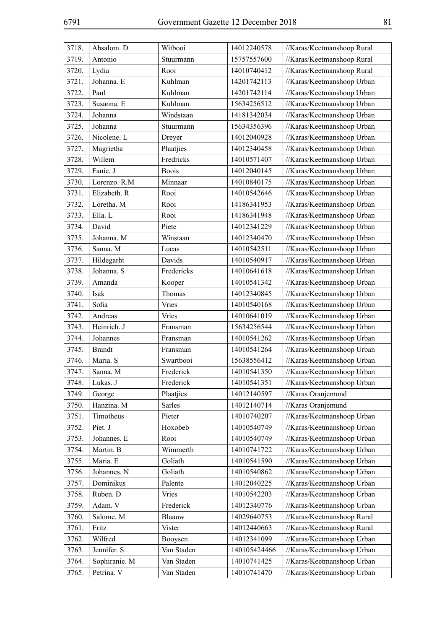| 3718. | Absalom. D    | Witbooi       | 14012240578  | //Karas/Keetmanshoop Rural |
|-------|---------------|---------------|--------------|----------------------------|
| 3719. | Antonio       | Stuurmann     | 15757557600  | //Karas/Keetmanshoop Rural |
| 3720. | Lydia         | Rooi          | 14010740412  | //Karas/Keetmanshoop Rural |
| 3721. | Johanna. E    | Kuhlman       | 14201742113  | //Karas/Keetmanshoop Urban |
| 3722. | Paul          | Kuhlman       | 14201742114  | //Karas/Keetmanshoop Urban |
| 3723. | Susanna. E    | Kuhlman       | 15634256512  | //Karas/Keetmanshoop Urban |
| 3724. | Johanna       | Windstaan     | 14181342034  | //Karas/Keetmanshoop Urban |
| 3725. | Johanna       | Stuurmann     | 15634356396  | //Karas/Keetmanshoop Urban |
| 3726. | Nicolene. L   | Dreyer        | 14012040928  | //Karas/Keetmanshoop Urban |
| 3727. | Magrietha     | Plaatjies     | 14012340458  | //Karas/Keetmanshoop Urban |
| 3728. | Willem        | Fredricks     | 14010571407  | //Karas/Keetmanshoop Urban |
| 3729. | Fanie. J      | <b>Boois</b>  | 14012040145  | //Karas/Keetmanshoop Urban |
| 3730. | Lorenzo. R.M  | Minnaar       | 14010840175  | //Karas/Keetmanshoop Urban |
| 3731. | Elizabeth. R  | Rooi          | 14010542646  | //Karas/Keetmanshoop Urban |
| 3732. | Loretha. M    | Rooi          | 14186341953  | //Karas/Keetmanshoop Urban |
| 3733. | Ella. L       | Rooi          | 14186341948  | //Karas/Keetmanshoop Urban |
| 3734. | David         | Piete         | 14012341229  | //Karas/Keetmanshoop Urban |
| 3735. | Johanna. M    | Winstaan      | 14012340470  | //Karas/Keetmanshoop Urban |
| 3736. | Sanna. M      | Lucas         | 14010542511  | //Karas/Keetmanshoop Urban |
| 3737. | Hildegarht    | Davids        | 14010540917  | //Karas/Keetmanshoop Urban |
| 3738. | Johanna. S    | Fredericks    | 14010641618  | //Karas/Keetmanshoop Urban |
| 3739. | Amanda        | Kooper        | 14010541342  | //Karas/Keetmanshoop Urban |
| 3740. | Isak          | Thomas        | 14012340845  | //Karas/Keetmanshoop Urban |
| 3741. | Sofia         | Vries         | 14010540168  | //Karas/Keetmanshoop Urban |
| 3742. | Andreas       | Vries         | 14010641019  | //Karas/Keetmanshoop Urban |
| 3743. | Heinrich. J   | Fransman      | 15634256544  | //Karas/Keetmanshoop Urban |
| 3744. | Johannes      | Fransman      | 14010541262  | //Karas/Keetmanshoop Urban |
| 3745. | <b>Brandt</b> | Fransman      | 14010541264  | //Karas/Keetmanshoop Urban |
| 3746. | Maria. S      | Swartbooi     | 15638556412  | //Karas/Keetmanshoop Urban |
| 3747. | Sanna. M      | Frederick     | 14010541350  | //Karas/Keetmanshoop Urban |
| 3748. | Lukas. J      | Frederick     | 14010541351  | //Karas/Keetmanshoop Urban |
| 3749. | George        | Plaatjies     | 14012140597  | //Karas Oranjemund         |
| 3750. | Hanzina. M    | <b>Sarles</b> | 14012140714  | //Karas Oranjemund         |
| 3751. | Timotheus     | Pieter        | 14010740207  | //Karas/Keetmanshoop Urban |
| 3752. | Piet. J       | Hoxobeb       | 14010540749  | //Karas/Keetmanshoop Urban |
| 3753. | Johannes. E   | Rooi          | 14010540749  | //Karas/Keetmanshoop Urban |
| 3754. | Martin. B     | Wimmerth      | 14010741722  | //Karas/Keetmanshoop Urban |
| 3755. | Maria. E      | Goliath       | 14010541590  | //Karas/Keetmanshoop Urban |
| 3756. | Johannes. N   | Goliath       | 14010540862  | //Karas/Keetmanshoop Urban |
| 3757. | Dominikus     | Palente       | 14012040225  | //Karas/Keetmanshoop Urban |
| 3758. | Ruben. D      | Vries         | 14010542203  | //Karas/Keetmanshoop Urban |
| 3759. | Adam. V       | Frederick     | 14012340776  | //Karas/Keetmanshoop Urban |
| 3760. | Salome. M     | Blaauw        | 14029640753  | //Karas/Keetmanshoop Rural |
| 3761. | Fritz         | Vister        | 14012440663  | //Karas/Keetmanshoop Rural |
| 3762. | Wilfred       | Booysen       | 14012341099  | //Karas/Keetmanshoop Urban |
| 3763. | Jennifer. S   | Van Staden    | 140105424466 | //Karas/Keetmanshoop Urban |
| 3764. | Sophiranie. M | Van Staden    | 14010741425  | //Karas/Keetmanshoop Urban |
| 3765. | Petrina. V    | Van Staden    | 14010741470  | //Karas/Keetmanshoop Urban |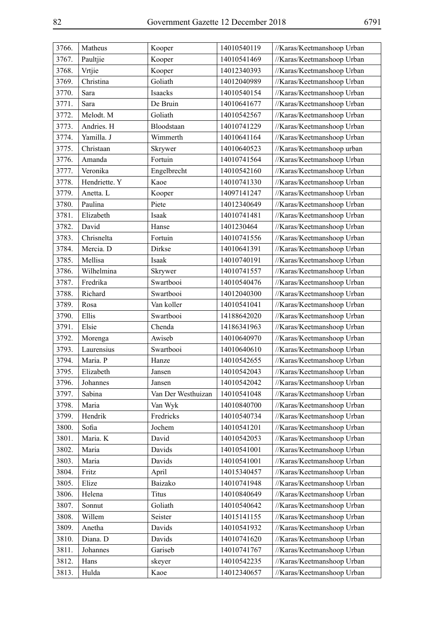| 3766. | Matheus       | Kooper             | 14010540119 | //Karas/Keetmanshoop Urban |
|-------|---------------|--------------------|-------------|----------------------------|
| 3767. | Paultjie      | Kooper             | 14010541469 | //Karas/Keetmanshoop Urban |
| 3768. | Vrtjie        | Kooper             | 14012340393 | //Karas/Keetmanshoop Urban |
| 3769. | Christina     | Goliath            | 14012040989 | //Karas/Keetmanshoop Urban |
| 3770. | Sara          | Isaacks            | 14010540154 | //Karas/Keetmanshoop Urban |
| 3771. | Sara          | De Bruin           | 14010641677 | //Karas/Keetmanshoop Urban |
| 3772. | Melodt. M     | Goliath            | 14010542567 | //Karas/Keetmanshoop Urban |
| 3773. | Andries. H    | Bloodstaan         | 14010741229 | //Karas/Keetmanshoop Urban |
| 3774. | Yamilla. J    | Wimmerth           | 14010641164 | //Karas/Keetmanshoop Urban |
| 3775. | Christaan     | Skrywer            | 14010640523 | //Karas/Keetmanshoop urban |
| 3776. | Amanda        | Fortuin            | 14010741564 | //Karas/Keetmanshoop Urban |
| 3777. | Veronika      | Engelbrecht        | 14010542160 | //Karas/Keetmanshoop Urban |
| 3778. | Hendriette. Y | Kaoe               | 14010741330 | //Karas/Keetmanshoop Urban |
| 3779. | Anetta. L     | Kooper             | 14097141247 | //Karas/Keetmanshoop Urban |
| 3780. | Paulina       | Piete              | 14012340649 | //Karas/Keetmanshoop Urban |
| 3781. | Elizabeth     | Isaak              | 14010741481 | //Karas/Keetmanshoop Urban |
| 3782. | David         | Hanse              | 1401230464  | //Karas/Keetmanshoop Urban |
| 3783. | Chrisnelta    | Fortuin            | 14010741556 | //Karas/Keetmanshoop Urban |
| 3784. | Mercia. D     | Dirkse             | 14010641391 | //Karas/Keetmanshoop Urban |
| 3785. | Mellisa       | Isaak              | 14010740191 | //Karas/Keetmanshoop Urban |
| 3786. | Wilhelmina    | Skrywer            | 14010741557 | //Karas/Keetmanshoop Urban |
| 3787. | Fredrika      | Swartbooi          | 14010540476 | //Karas/Keetmanshoop Urban |
| 3788. | Richard       | Swartbooi          | 14012040300 | //Karas/Keetmanshoop Urban |
| 3789. | Rosa          | Van koller         | 14010541041 | //Karas/Keetmanshoop Urban |
| 3790. | Ellis         | Swartbooi          | 14188642020 | //Karas/Keetmanshoop Urban |
| 3791. | Elsie         | Chenda             | 14186341963 | //Karas/Keetmanshoop Urban |
| 3792. | Morenga       | Awiseb             | 14010640970 | //Karas/Keetmanshoop Urban |
| 3793. | Laurensius    | Swartbooi          | 14010640610 | //Karas/Keetmanshoop Urban |
| 3794. | Maria. P      | Hanze              | 14010542655 | //Karas/Keetmanshoop Urban |
| 3795. | Elizabeth     | Jansen             | 14010542043 | //Karas/Keetmanshoop Urban |
| 3796. | Johannes      | Jansen             | 14010542042 | //Karas/Keetmanshoop Urban |
| 3797. | Sabina        | Van Der Westhuizan | 14010541048 | //Karas/Keetmanshoop Urban |
| 3798. | Maria         | Van Wyk            | 14010840700 | //Karas/Keetmanshoop Urban |
| 3799. | Hendrik       | Fredricks          | 14010540734 | //Karas/Keetmanshoop Urban |
| 3800. | Sofia         | Jochem             | 14010541201 | //Karas/Keetmanshoop Urban |
| 3801. | Maria. K      | David              | 14010542053 | //Karas/Keetmanshoop Urban |
| 3802. | Maria         | Davids             | 14010541001 | //Karas/Keetmanshoop Urban |
| 3803. | Maria         | Davids             | 14010541001 | //Karas/Keetmanshoop Urban |
| 3804. | Fritz         | April              | 14015340457 | //Karas/Keetmanshoop Urban |
| 3805. | Elize         | Baizako            | 14010741948 | //Karas/Keetmanshoop Urban |
| 3806. | Helena        | <b>Titus</b>       | 14010840649 | //Karas/Keetmanshoop Urban |
| 3807. | Sonnut        | Goliath            | 14010540642 | //Karas/Keetmanshoop Urban |
| 3808. | Willem        | Seister            | 14015141155 | //Karas/Keetmanshoop Urban |
| 3809. | Anetha        | Davids             | 14010541932 | //Karas/Keetmanshoop Urban |
| 3810. | Diana. D      | Davids             | 14010741620 | //Karas/Keetmanshoop Urban |
| 3811. | Johannes      | Gariseb            | 14010741767 | //Karas/Keetmanshoop Urban |
| 3812. | Hans          | skeyer             | 14010542235 | //Karas/Keetmanshoop Urban |
| 3813. | Hulda         | Kaoe               | 14012340657 | //Karas/Keetmanshoop Urban |
|       |               |                    |             |                            |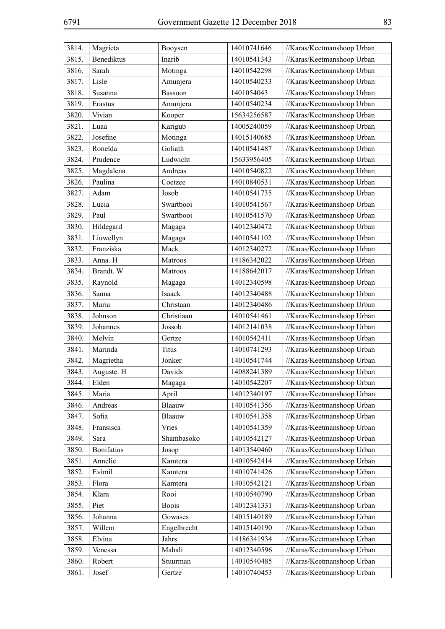| 3814. | Magrieta          | Booysen          | 14010741646 | //Karas/Keetmanshoop Urban |
|-------|-------------------|------------------|-------------|----------------------------|
| 3815. | Benediktus        | Inarib           | 14010541343 | //Karas/Keetmanshoop Urban |
| 3816. | Sarah             | Motinga          | 14010542298 | //Karas/Keetmanshoop Urban |
| 3817. | Lisle             | Amunjera         | 14010540233 | //Karas/Keetmanshoop Urban |
| 3818. | Susanna           | Bassoon          | 1401054043  | //Karas/Keetmanshoop Urban |
| 3819. | Erastus           | Amunjera         | 14010540234 | //Karas/Keetmanshoop Urban |
| 3820. | Vivian            | Kooper           | 15634256587 | //Karas/Keetmanshoop Urban |
| 3821. | Luaa              | Karigub          | 14005240059 | //Karas/Keetmanshoop Urban |
| 3822. | Josefine          | Motinga          | 14015140685 | //Karas/Keetmanshoop Urban |
| 3823. | Ronelda           | Goliath          | 14010541487 | //Karas/Keetmanshoop Urban |
| 3824. | Prudence          | Ludwicht         | 15633956405 | //Karas/Keetmanshoop Urban |
| 3825. | Magdalena         | Andreas          | 14010540822 | //Karas/Keetmanshoop Urban |
| 3826. | Paulina           | Coetzee          | 14010840531 | //Karas/Keetmanshoop Urban |
| 3827. | Adam              | Josob            | 14010541735 | //Karas/Keetmanshoop Urban |
| 3828. | Lucia             | Swartbooi        | 14010541567 | //Karas/Keetmanshoop Urban |
| 3829. | Paul              | Swartbooi        | 14010541570 | //Karas/Keetmanshoop Urban |
| 3830. | Hildegard         | Magaga           | 14012340472 | //Karas/Keetmanshoop Urban |
| 3831. | Liuwellyn         | Magaga           | 14010541102 | //Karas/Keetmanshoop Urban |
| 3832. | Franziska         | Mack             | 14012340272 | //Karas/Keetmanshoop Urban |
| 3833. | Anna. H           | Matroos          | 14186342022 | //Karas/Keetmanshoop Urban |
| 3834. | Brandt. W         | Matroos          | 14188642017 | //Karas/Keetmanshoop Urban |
| 3835. | Raynold           |                  | 14012340598 | //Karas/Keetmanshoop Urban |
| 3836. | Sanna             | Magaga<br>Isaack | 14012340488 | //Karas/Keetmanshoop Urban |
| 3837. | Maria             | Christaan        | 14012340486 |                            |
|       |                   | Christiaan       |             | //Karas/Keetmanshoop Urban |
| 3838. | Johnson           |                  | 14010541461 | //Karas/Keetmanshoop Urban |
| 3839. | Johannes          | Jossob           | 14012141038 | //Karas/Keetmanshoop Urban |
| 3840. | Melvin            | Gertze           | 14010542411 | //Karas/Keetmanshoop Urban |
| 3841. | Marinda           | Titus            | 14010741293 | //Karas/Keetmanshoop Urban |
| 3842. | Magrietha         | Jonker           | 14010541744 | //Karas/Keetmanshoop Urban |
| 3843. | Auguste. H        | Davids           | 14088241389 | //Karas/Keetmanshoop Urban |
| 3844. | Elden             | Magaga           | 14010542207 | //Karas/Keetmanshoop Urban |
| 3845. | Maria             | April            | 14012340197 | //Karas/Keetmanshoop Urban |
| 3846. | Andreas           | Blaauw           | 14010541356 | //Karas/Keetmanshoop Urban |
| 3847. | Sofia             | Blaauw           | 14010541358 | //Karas/Keetmanshoop Urban |
| 3848. | Fransisca         | Vries            | 14010541359 | //Karas/Keetmanshoop Urban |
| 3849. | Sara              | Shambasoko       | 14010542127 | //Karas/Keetmanshoop Urban |
| 3850. | <b>Bonifatius</b> | Josop            | 14013540460 | //Karas/Keetmanshoop Urban |
| 3851. | Annelie           | Kamtera          | 14010542414 | //Karas/Keetmanshoop Urban |
| 3852. | Evimil            | Kamtera          | 14010741426 | //Karas/Keetmanshoop Urban |
| 3853. | Flora             | Kamtera          | 14010542121 | //Karas/Keetmanshoop Urban |
| 3854. | Klara             | Rooi             | 14010540790 | //Karas/Keetmanshoop Urban |
| 3855. | Piet              | <b>Boois</b>     | 14012341331 | //Karas/Keetmanshoop Urban |
| 3856. | Johanna           | Gowases          | 14015140189 | //Karas/Keetmanshoop Urban |
| 3857. | Willem            | Engelbrecht      | 14015140190 | //Karas/Keetmanshoop Urban |
| 3858. | Elvina            | Jahrs            | 14186341934 | //Karas/Keetmanshoop Urban |
| 3859. | Venessa           | Mahali           | 14012340596 | //Karas/Keetmanshoop Urban |
| 3860. | Robert            | Stuurman         | 14010540485 | //Karas/Keetmanshoop Urban |
| 3861. | Josef             | Gertze           | 14010740453 | //Karas/Keetmanshoop Urban |
|       |                   |                  |             |                            |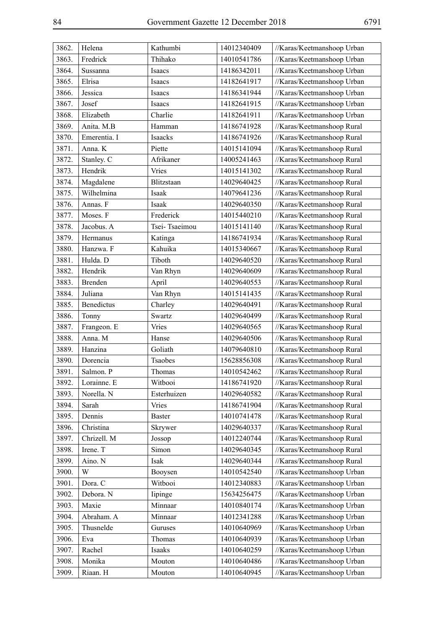| 3862. | Helena       | Kathumbi      | 14012340409 | //Karas/Keetmanshoop Urban |
|-------|--------------|---------------|-------------|----------------------------|
| 3863. | Fredrick     | Thihako       | 14010541786 | //Karas/Keetmanshoop Urban |
| 3864. | Sussanna     | Isaacs        | 14186342011 | //Karas/Keetmanshoop Urban |
| 3865. | Elrisa       | Isaacs        | 14182641917 | //Karas/Keetmanshoop Urban |
| 3866. | Jessica      | Isaacs        | 14186341944 | //Karas/Keetmanshoop Urban |
| 3867. | Josef        | Isaacs        | 14182641915 | //Karas/Keetmanshoop Urban |
| 3868. | Elizabeth    | Charlie       | 14182641911 | //Karas/Keetmanshoop Urban |
| 3869. | Anita. M.B   | Hamman        | 14186741928 | //Karas/Keetmanshoop Rural |
| 3870. | Emerentia. I | Isaacks       | 14186741926 | //Karas/Keetmanshoop Rural |
| 3871. | Anna. K      | Piette        | 14015141094 | //Karas/Keetmanshoop Rural |
| 3872. | Stanley. C   | Afrikaner     | 14005241463 | //Karas/Keetmanshoop Rural |
| 3873. | Hendrik      | Vries         | 14015141302 | //Karas/Keetmanshoop Rural |
| 3874. | Magdalene    | Blitzstaan    | 14029640425 | //Karas/Keetmanshoop Rural |
| 3875. | Wilhelmina   | Isaak         | 14079641236 | //Karas/Keetmanshoop Rural |
| 3876. | Annas. F     | Isaak         | 14029640350 | //Karas/Keetmanshoop Rural |
| 3877. | Moses. F     | Frederick     | 14015440210 | //Karas/Keetmanshoop Rural |
| 3878. | Jacobus. A   | Tsei-Tsaeimou | 14015141140 | //Karas/Keetmanshoop Rural |
| 3879. | Hermanus     | Katinga       | 14186741934 | //Karas/Keetmanshoop Rural |
| 3880. | Hanzwa. F    | Kahuika       | 14015340667 | //Karas/Keetmanshoop Rural |
| 3881. | Hulda. D     | Tiboth        | 14029640520 | //Karas/Keetmanshoop Rural |
| 3882. | Hendrik      | Van Rhyn      | 14029640609 | //Karas/Keetmanshoop Rural |
| 3883. | Brenden      | April         | 14029640553 | //Karas/Keetmanshoop Rural |
| 3884. | Juliana      | Van Rhyn      | 14015141435 | //Karas/Keetmanshoop Rural |
| 3885. | Benedictus   | Charley       | 14029640491 | //Karas/Keetmanshoop Rural |
| 3886. | Tonny        | Swartz        | 14029640499 | //Karas/Keetmanshoop Rural |
| 3887. | Frangeon. E  | <b>Vries</b>  | 14029640565 | //Karas/Keetmanshoop Rural |
| 3888. | Anna. M      | Hanse         | 14029640506 | //Karas/Keetmanshoop Rural |
| 3889. | Hanzina      | Goliath       | 14079640810 | //Karas/Keetmanshoop Rural |
| 3890. | Dorencia     | Tsaobes       | 15628856308 | //Karas/Keetmanshoop Rural |
| 3891. | Salmon. P    | Thomas        | 14010542462 | //Karas/Keetmanshoop Rural |
| 3892. | Lorainne. E  | Witbooi       | 14186741920 | //Karas/Keetmanshoop Rural |
| 3893. | Norella. N   | Esterhuizen   | 14029640582 | //Karas/Keetmanshoop Rural |
| 3894. | Sarah        | <b>Vries</b>  | 14186741904 | //Karas/Keetmanshoop Rural |
| 3895. | Dennis       | <b>Baster</b> | 14010741478 | //Karas/Keetmanshoop Rural |
| 3896. | Christina    | Skrywer       | 14029640337 | //Karas/Keetmanshoop Rural |
| 3897. | Chrizell. M  | Jossop        | 14012240744 | //Karas/Keetmanshoop Rural |
| 3898. | Irene. T     | Simon         | 14029640345 | //Karas/Keetmanshoop Rural |
| 3899. | Aino. N      | Isak          | 14029640344 | //Karas/Keetmanshoop Rural |
| 3900. | W            | Booysen       | 14010542540 | //Karas/Keetmanshoop Urban |
| 3901. | Dora. C      | Witbooi       | 14012340883 | //Karas/Keetmanshoop Urban |
| 3902. | Debora. N    | lipinge       | 15634256475 | //Karas/Keetmanshoop Urban |
| 3903. | Maxie        | Minnaar       | 14010840174 | //Karas/Keetmanshoop Urban |
| 3904. | Abraham. A   | Minnaar       | 14012341288 | //Karas/Keetmanshoop Urban |
| 3905. | Thusnelde    | Guruses       | 14010640969 | //Karas/Keetmanshoop Urban |
| 3906. | Eva          | Thomas        | 14010640939 | //Karas/Keetmanshoop Urban |
| 3907. | Rachel       | Isaaks        | 14010640259 | //Karas/Keetmanshoop Urban |
| 3908. | Monika       | Mouton        | 14010640486 | //Karas/Keetmanshoop Urban |
| 3909. | Riaan. H     | Mouton        | 14010640945 | //Karas/Keetmanshoop Urban |
|       |              |               |             |                            |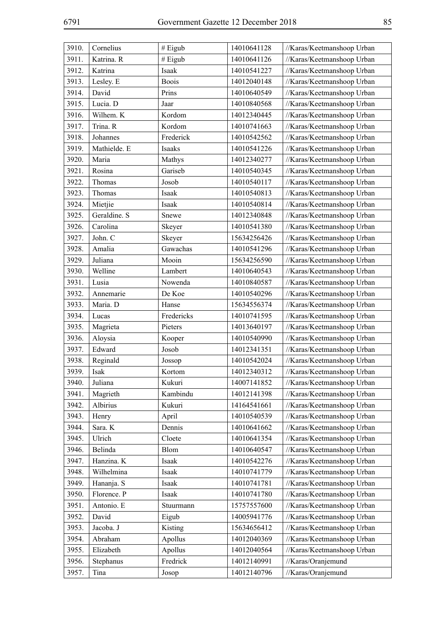| 3910. | Cornelius    | # Eigub      | 14010641128 | //Karas/Keetmanshoop Urban |
|-------|--------------|--------------|-------------|----------------------------|
| 3911. | Katrina. R   | # Eigub      | 14010641126 | //Karas/Keetmanshoop Urban |
| 3912. | Katrina      | Isaak        | 14010541227 | //Karas/Keetmanshoop Urban |
| 3913. | Lesley. E    | <b>Boois</b> | 14012040148 | //Karas/Keetmanshoop Urban |
| 3914. | David        | Prins        | 14010640549 | //Karas/Keetmanshoop Urban |
| 3915. | Lucia. D     | Jaar         | 14010840568 | //Karas/Keetmanshoop Urban |
| 3916. | Wilhem. K    | Kordom       | 14012340445 | //Karas/Keetmanshoop Urban |
| 3917. | Trina. R     | Kordom       | 14010741663 | //Karas/Keetmanshoop Urban |
| 3918. | Johannes     | Frederick    | 14010542562 | //Karas/Keetmanshoop Urban |
| 3919. | Mathielde. E | Isaaks       | 14010541226 | //Karas/Keetmanshoop Urban |
| 3920. | Maria        | Mathys       | 14012340277 | //Karas/Keetmanshoop Urban |
| 3921. | Rosina       | Gariseb      | 14010540345 | //Karas/Keetmanshoop Urban |
| 3922. | Thomas       | Josob        | 14010540117 | //Karas/Keetmanshoop Urban |
| 3923. | Thomas       | Isaak        | 14010540813 | //Karas/Keetmanshoop Urban |
| 3924. | Mietjie      | Isaak        | 14010540814 | //Karas/Keetmanshoop Urban |
| 3925. | Geraldine. S | Snewe        | 14012340848 | //Karas/Keetmanshoop Urban |
| 3926. | Carolina     | Skeyer       | 14010541380 | //Karas/Keetmanshoop Urban |
| 3927. | John. C      | Skeyer       | 15634256426 | //Karas/Keetmanshoop Urban |
| 3928. | Amalia       | Gawachas     | 14010541296 | //Karas/Keetmanshoop Urban |
| 3929. | Juliana      | Mooin        | 15634256590 | //Karas/Keetmanshoop Urban |
| 3930. | Welline      | Lambert      | 14010640543 | //Karas/Keetmanshoop Urban |
| 3931. | Lusia        | Nowenda      | 14010840587 | //Karas/Keetmanshoop Urban |
| 3932. | Annemarie    | De Koe       | 14010540296 | //Karas/Keetmanshoop Urban |
| 3933. | Maria. D     | Hanse        | 15634556374 | //Karas/Keetmanshoop Urban |
| 3934. | Lucas        | Fredericks   | 14010741595 | //Karas/Keetmanshoop Urban |
| 3935. | Magrieta     | Pieters      | 14013640197 | //Karas/Keetmanshoop Urban |
| 3936. | Aloysia      | Kooper       | 14010540990 | //Karas/Keetmanshoop Urban |
| 3937. | Edward       | Josob        | 14012341351 | //Karas/Keetmanshoop Urban |
| 3938. | Reginald     | Jossop       | 14010542024 | //Karas/Keetmanshoop Urban |
| 3939. | Isak         | Kortom       | 14012340312 | //Karas/Keetmanshoop Urban |
| 3940. | Juliana      | Kukuri       | 14007141852 | //Karas/Keetmanshoop Urban |
| 3941. | Magrieth     | Kambindu     | 14012141398 | //Karas/Keetmanshoop Urban |
| 3942. | Albirius     | Kukuri       | 14164541661 | //Karas/Keetmanshoop Urban |
| 3943. | Henry        | April        | 14010540539 | //Karas/Keetmanshoop Urban |
| 3944. | Sara. K      | Dennis       | 14010641662 | //Karas/Keetmanshoop Urban |
| 3945. | Ulrich       | Cloete       | 14010641354 | //Karas/Keetmanshoop Urban |
| 3946. | Belinda      | Blom         | 14010640547 | //Karas/Keetmanshoop Urban |
| 3947. | Hanzina. K   | Isaak        | 14010542276 | //Karas/Keetmanshoop Urban |
| 3948. | Wilhelmina   | Isaak        | 14010741779 | //Karas/Keetmanshoop Urban |
| 3949. | Hananja. S   | Isaak        | 14010741781 | //Karas/Keetmanshoop Urban |
| 3950. | Florence. P  | Isaak        | 14010741780 | //Karas/Keetmanshoop Urban |
| 3951. | Antonio. E   | Stuurmann    | 15757557600 | //Karas/Keetmanshoop Urban |
| 3952. | David        | Eigub        | 14005941776 | //Karas/Keetmanshoop Urban |
| 3953. | Jacoba. J    | Kisting      | 15634656412 | //Karas/Keetmanshoop Urban |
| 3954. | Abraham      | Apollus      | 14012040369 | //Karas/Keetmanshoop Urban |
| 3955. | Elizabeth    | Apollus      | 14012040564 | //Karas/Keetmanshoop Urban |
| 3956. | Stephanus    | Fredrick     | 14012140991 | //Karas/Oranjemund         |
| 3957. | Tina         | Josop        | 14012140796 | //Karas/Oranjemund         |
|       |              |              |             |                            |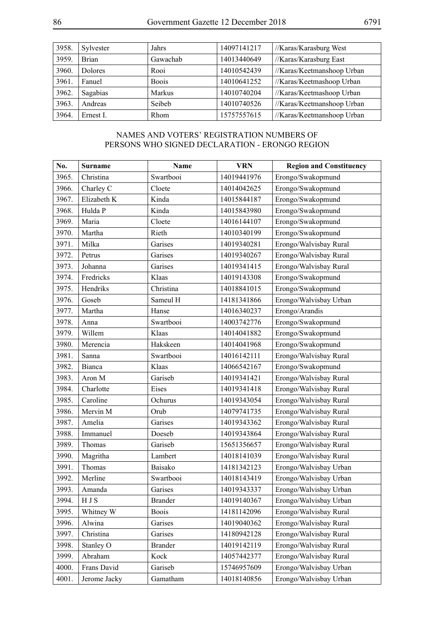| 3958. | Sylvester      | Jahrs         | 14097141217 | //Karas/Karasburg West     |
|-------|----------------|---------------|-------------|----------------------------|
| 3959. | <b>Brian</b>   | Gawachab      | 14013440649 | //Karas/Karasburg East     |
| 3960. | <b>Dolores</b> | Rooi          | 14010542439 | //Karas/Keetmanshoop Urban |
| 3961  | Fanuel         | <b>Boois</b>  | 14010641252 | //Karas/Keetmashoop Urban  |
| 3962. | Sagabias       | <b>Markus</b> | 14010740204 | //Karas/Keetmashoop Urban  |
| 3963. | Andreas        | Seibeb        | 14010740526 | //Karas/Keetmanshoop Urban |
| 3964. | Ernest L       | <b>Rhom</b>   | 15757557615 | //Karas/Keetmanshoop Urban |

## NAMES AND VOTERS' REGISTRATION NUMBERS OF PERSONS WHO SIGNED DECLARATION - ERONGO REGION

| No.   | <b>Surname</b> | Name           | <b>VRN</b>  | <b>Region and Constituency</b> |
|-------|----------------|----------------|-------------|--------------------------------|
| 3965. | Christina      | Swartbooi      | 14019441976 | Erongo/Swakopmund              |
| 3966. | Charley C      | Cloete         | 14014042625 | Erongo/Swakopmund              |
| 3967. | Elizabeth K    | Kinda          | 14015844187 | Erongo/Swakopmund              |
| 3968. | Hulda P        | Kinda          | 14015843980 | Erongo/Swakopmund              |
| 3969. | Maria          | Cloete         | 14016144107 | Erongo/Swakopmund              |
| 3970. | Martha         | Rieth          | 14010340199 | Erongo/Swakopmund              |
| 3971. | Milka          | Garises        | 14019340281 | Erongo/Walvisbay Rural         |
| 3972. | Petrus         | Garises        | 14019340267 | Erongo/Walvisbay Rural         |
| 3973. | Johanna        | Garises        | 14019341415 | Erongo/Walvisbay Rural         |
| 3974. | Fredricks      | Klaas          | 14019143308 | Erongo/Swakopmund              |
| 3975. | Hendriks       | Christina      | 14018841015 | Erongo/Swakopmund              |
| 3976. | Goseb          | Sameul H       | 14181341866 | Erongo/Walvisbay Urban         |
| 3977. | Martha         | Hanse          | 14016340237 | Erongo/Arandis                 |
| 3978. | Anna           | Swartbooi      | 14003742776 | Erongo/Swakopmund              |
| 3979. | Willem         | Klaas          | 14014041882 | Erongo/Swakopmund              |
| 3980. | Merencia       | Hakskeen       | 14014041968 | Erongo/Swakopmund              |
| 3981. | Sanna          | Swartbooi      | 14016142111 | Erongo/Walvisbay Rural         |
| 3982. | <b>Bianca</b>  | Klaas          | 14066542167 | Erongo/Swakopmund              |
| 3983. | Aron M         | Gariseb        | 14019341421 | Erongo/Walvisbay Rural         |
| 3984. | Charlotte      | Eises          | 14019341418 | Erongo/Walvisbay Rural         |
| 3985. | Caroline       | Ochurus        | 14019343054 | Erongo/Walvisbay Rural         |
| 3986. | Mervin M       | Orub           | 14079741735 | Erongo/Walvisbay Rural         |
| 3987. | Amelia         | Garises        | 14019343362 | Erongo/Walvisbay Rural         |
| 3988. | Immanuel       | Doeseb         | 14019343864 | Erongo/Walvisbay Rural         |
| 3989. | Thomas         | Gariseb        | 15651356657 | Erongo/Walvisbay Rural         |
| 3990. | Magritha       | Lambert        | 14018141039 | Erongo/Walvisbay Rural         |
| 3991. | Thomas         | Baisako        | 14181342123 | Erongo/Walvisbay Urban         |
| 3992. | Merline        | Swartbooi      | 14018143419 | Erongo/Walvisbay Urban         |
| 3993. | Amanda         | Garises        | 14019343337 | Erongo/Walvisbay Urban         |
| 3994. | H J S          | <b>Brander</b> | 14019140367 | Erongo/Walvisbay Urban         |
| 3995. | Whitney W      | <b>Boois</b>   | 14181142096 | Erongo/Walvisbay Rural         |
| 3996. | Alwina         | Garises        | 14019040362 | Erongo/Walvisbay Rural         |
| 3997. | Christina      | Garises        | 14180942128 | Erongo/Walvisbay Rural         |
| 3998. | Stanley O      | <b>Brander</b> | 14019142119 | Erongo/Walvisbay Rural         |
| 3999. | Abraham        | Kock           | 14057442377 | Erongo/Walvisbay Rural         |
| 4000. | Frans David    | Gariseb        | 15746957609 | Erongo/Walvisbay Urban         |
| 4001. | Jerome Jacky   | Gamatham       | 14018140856 | Erongo/Walvisbay Urban         |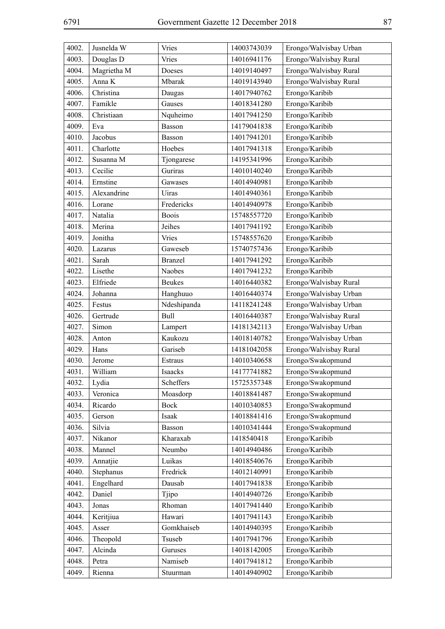| 4002. | Jusnelda W  | Vries          | 14003743039 | Erongo/Walvisbay Urban |
|-------|-------------|----------------|-------------|------------------------|
| 4003. | Douglas D   | Vries          | 14016941176 | Erongo/Walvisbay Rural |
| 4004. | Magrietha M | Doeses         | 14019140497 | Erongo/Walvisbay Rural |
| 4005. | Anna K      | Mbarak         | 14019143940 | Erongo/Walvisbay Rural |
| 4006. | Christina   | Daugas         | 14017940762 | Erongo/Karibib         |
| 4007. | Famikle     | Gauses         | 14018341280 | Erongo/Karibib         |
| 4008. | Christiaan  | Nquheimo       | 14017941250 | Erongo/Karibib         |
| 4009. | Eva         | Basson         | 14179041838 | Erongo/Karibib         |
| 4010. | Jacobus     | <b>Basson</b>  | 14017941201 | Erongo/Karibib         |
| 4011. | Charlotte   | Hoebes         | 14017941318 | Erongo/Karibib         |
| 4012. | Susanna M   | Tjongarese     | 14195341996 | Erongo/Karibib         |
| 4013. | Cecilie     | Guriras        | 14010140240 | Erongo/Karibib         |
| 4014. | Ernstine    | Gawases        | 14014940981 | Erongo/Karibib         |
| 4015. | Alexandrine | Uiras          | 14014940361 | Erongo/Karibib         |
| 4016. | Lorane      | Fredericks     | 14014940978 | Erongo/Karibib         |
| 4017. | Natalia     | <b>Boois</b>   | 15748557720 | Erongo/Karibib         |
| 4018. | Merina      | Jeihes         | 14017941192 | Erongo/Karibib         |
| 4019. | Jonitha     | <b>Vries</b>   | 15748557620 | Erongo/Karibib         |
| 4020. | Lazarus     | Gaweseb        | 15740757436 | Erongo/Karibib         |
| 4021. | Sarah       | <b>Branzel</b> | 14017941292 | Erongo/Karibib         |
| 4022. | Lisethe     | Naobes         | 14017941232 | Erongo/Karibib         |
| 4023. | Elfriede    | <b>Beukes</b>  | 14016440382 | Erongo/Walvisbay Rural |
| 4024. | Johanna     | Hanghuuo       | 14016440374 | Erongo/Walvisbay Urban |
| 4025. | Festus      | Ndeshipanda    | 14118241248 | Erongo/Walvisbay Urban |
| 4026. | Gertrude    | Bull           | 14016440387 | Erongo/Walvisbay Rural |
| 4027. | Simon       | Lampert        | 14181342113 | Erongo/Walvisbay Urban |
| 4028. | Anton       | Kaukozu        | 14018140782 | Erongo/Walvisbay Urban |
| 4029. | Hans        | Gariseb        | 14181042058 | Erongo/Walvisbay Rural |
| 4030. | Jerome      | Estraus        | 14010340658 | Erongo/Swakopmund      |
| 4031. | William     | Isaacks        | 14177741882 | Erongo/Swakopmund      |
| 4032. | Lydia       | Scheffers      | 15725357348 | Erongo/Swakopmund      |
| 4033. | Veronica    | Moasdorp       | 14018841487 | Erongo/Swakopmund      |
| 4034. | Ricardo     | Bock           | 14010340853 | Erongo/Swakopmund      |
| 4035. | Gerson      | Isaak          | 14018841416 | Erongo/Swakopmund      |
| 4036. | Silvia      | Basson         | 14010341444 | Erongo/Swakopmund      |
| 4037. | Nikanor     | Kharaxab       | 1418540418  | Erongo/Karibib         |
| 4038. | Mannel      | Neumbo         | 14014940486 | Erongo/Karibib         |
| 4039. | Annatjie    | Luikas         | 14018540676 | Erongo/Karibib         |
| 4040. | Stephanus   | Fredrick       | 14012140991 | Erongo/Karibib         |
| 4041. | Engelhard   | Dausab         | 14017941838 | Erongo/Karibib         |
| 4042. | Daniel      | Tjipo          | 14014940726 | Erongo/Karibib         |
| 4043. | Jonas       | Rhoman         | 14017941440 | Erongo/Karibib         |
| 4044. | Keritjiua   | Hawari         | 14017941143 | Erongo/Karibib         |
| 4045. | Asser       | Gomkhaiseb     | 14014940395 | Erongo/Karibib         |
| 4046. | Theopold    | Tsuseb         | 14017941796 | Erongo/Karibib         |
| 4047. | Alcinda     | Guruses        | 14018142005 | Erongo/Karibib         |
| 4048. | Petra       | Namiseb        | 14017941812 | Erongo/Karibib         |
| 4049. | Rienna      | Stuurman       | 14014940902 | Erongo/Karibib         |
|       |             |                |             |                        |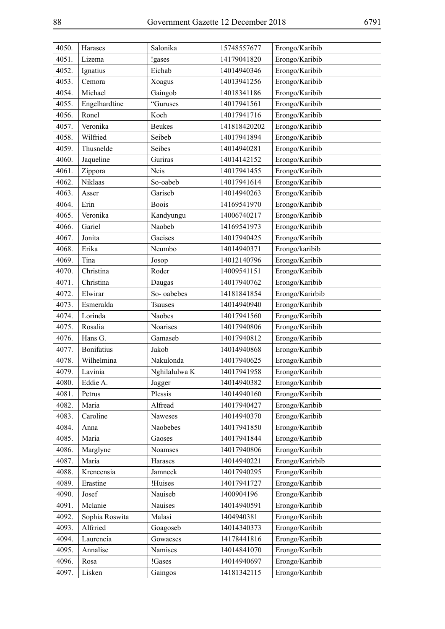| 4050. | Harases           | Salonika       | 15748557677  | Erongo/Karibib  |
|-------|-------------------|----------------|--------------|-----------------|
| 4051. | Lizema            | !gases         | 14179041820  | Erongo/Karibib  |
| 4052. | Ignatius          | Eichab         | 14014940346  | Erongo/Karibib  |
| 4053. | Cemora            | Xoagus         | 14013941256  | Erongo/Karibib  |
| 4054. | Michael           | Gaingob        | 14018341186  | Erongo/Karibib  |
| 4055. | Engelhardtine     | "Guruses       | 14017941561  | Erongo/Karibib  |
| 4056. | Ronel             | Koch           | 14017941716  | Erongo/Karibib  |
| 4057. | Veronika          | <b>Beukes</b>  | 141818420202 | Erongo/Karibib  |
| 4058. | Wilfried          | Seibeb         | 14017941894  | Erongo/Karibib  |
| 4059. | Thusnelde         | Seibes         | 14014940281  | Erongo/Karibib  |
| 4060. | Jaqueline         | Guriras        | 14014142152  | Erongo/Karibib  |
| 4061. | Zippora           | Neis           | 14017941455  | Erongo/Karibib  |
| 4062. | Niklaas           | So-oabeb       | 14017941614  | Erongo/Karibib  |
| 4063. | Asser             | Gariseb        | 14014940263  | Erongo/Karibib  |
| 4064. | Erin              | <b>Boois</b>   | 14169541970  | Erongo/Karibib  |
| 4065. | Veronika          | Kandyungu      | 14006740217  | Erongo/Karibib  |
| 4066. | Gariel            | Naobeb         | 14169541973  | Erongo/Karibib  |
| 4067. | Jonita            | Gaeises        | 14017940425  | Erongo/Karibib  |
| 4068. | Erika             | Neumbo         | 14014940371  | Erongo/karibib  |
| 4069. | Tina              | Josop          | 14012140796  | Erongo/Karibib  |
| 4070. | Christina         | Roder          | 14009541151  | Erongo/Karibib  |
| 4071. | Christina         | Daugas         | 14017940762  | Erongo/Karibib  |
| 4072. | Elwirar           | So-oabebes     | 14181841854  | Erongo/Karirbib |
| 4073. | Esmeralda         | <b>Tsauses</b> | 14014940940  | Erongo/Karibib  |
| 4074. | Lorinda           | Naobes         | 14017941560  | Erongo/Karibib  |
| 4075. | Rosalia           | Noarises       | 14017940806  | Erongo/Karibib  |
| 4076. | Hans G.           | Gamaseb        | 14017940812  | Erongo/Karibib  |
| 4077. | <b>Bonifatius</b> | Jakob          | 14014940868  | Erongo/Karibib  |
| 4078. | Wilhelmina        | Nakulonda      | 14017940625  | Erongo/Karibib  |
| 4079. | Lavinia           | Nghilalulwa K  | 14017941958  | Erongo/Karibib  |
| 4080. | Eddie A.          | Jagger         | 14014940382  | Erongo/Karibib  |
| 4081. | Petrus            | Plessis        | 14014940160  | Erongo/Karibib  |
| 4082. | Maria             | Alfread        | 14017940427  | Erongo/Karibib  |
| 4083. | Caroline          | Naweses        | 14014940370  | Erongo/Karibib  |
| 4084. | Anna              | Naobebes       | 14017941850  | Erongo/Karibib  |
| 4085. | Maria             | Gaoses         | 14017941844  | Erongo/Karibib  |
| 4086. | Marglyne          | Noamses        | 14017940806  | Erongo/Karibib  |
| 4087. | Maria             | Harases        | 14014940221  | Erongo/Karirbib |
| 4088. | Krencensia        | Jamneck        | 14017940295  | Erongo/Karibib  |
| 4089. | Erastine          | !Huises        | 14017941727  | Erongo/Karibib  |
| 4090. | Josef             | Nauiseb        | 1400904196   | Erongo/Karibib  |
| 4091. | Mclanie           | Nauises        | 14014940591  | Erongo/Karibib  |
| 4092. | Sophia Roswita    | Malasi         | 1404940381   | Erongo/Karibib  |
| 4093. | Alfrried          | Goagoseb       | 14014340373  | Erongo/Karibib  |
| 4094. | Laurencia         | Gowaeses       | 14178441816  | Erongo/Karibib  |
| 4095. | Annalise          | Namises        | 14014841070  | Erongo/Karibib  |
| 4096. | Rosa              | !Gases         | 14014940697  | Erongo/Karibib  |
| 4097. | Lisken            | Gaingos        | 14181342115  | Erongo/Karibib  |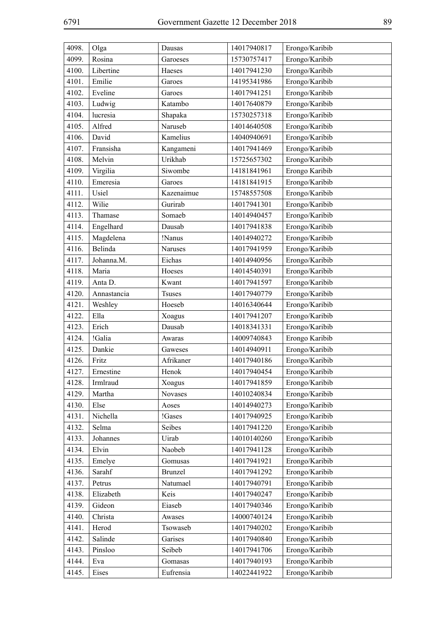| 4098. | Olga        | Dausas         | 14017940817 | Erongo/Karibib |
|-------|-------------|----------------|-------------|----------------|
| 4099. | Rosina      | Garoeses       | 15730757417 | Erongo/Karibib |
| 4100. | Libertine   | Haeses         | 14017941230 | Erongo/Karibib |
| 4101. | Emilie      | Garoes         | 14195341986 | Erongo/Karibib |
| 4102. | Eveline     | Garoes         | 14017941251 | Erongo/Karibib |
| 4103. | Ludwig      | Katambo        | 14017640879 | Erongo/Karibib |
| 4104. | lucresia    | Shapaka        | 15730257318 | Erongo/Karibib |
| 4105. | Alfred      | Naruseb        | 14014640508 | Erongo/Karibib |
| 4106. | David       | Kamelius       | 14040940691 | Erongo/Karibib |
| 4107. | Fransisha   | Kangameni      | 14017941469 | Erongo/Karibib |
| 4108. | Melvin      | Urikhab        | 15725657302 | Erongo/Karibib |
| 4109. | Virgilia    | Siwombe        | 14181841961 | Erongo Karibib |
| 4110. | Emeresia    | Garoes         | 14181841915 | Erongo/Karibib |
| 4111. | Usiel       | Kazenaimue     | 15748557508 | Erongo/Karibib |
| 4112. | Wilie       | Gurirab        | 14017941301 | Erongo/Karibib |
| 4113. | Thamase     | Somaeb         | 14014940457 | Erongo/Karibib |
| 4114. | Engelhard   | Dausab         | 14017941838 | Erongo/Karibib |
| 4115. | Magdelena   | !Nanus         | 14014940272 | Erongo/Karibib |
| 4116. | Belinda     | Naruses        | 14017941959 | Erongo/Karibib |
| 4117. | Johanna.M.  | Eichas         | 14014940956 | Erongo/Karibib |
| 4118. | Maria       | Hoeses         | 14014540391 | Erongo/Karibib |
| 4119. | Anta D.     | Kwant          | 14017941597 | Erongo/Karibib |
| 4120. | Annastancia | <b>Tsuses</b>  | 14017940779 | Erongo/Karibib |
| 4121. | Weshley     | Hoeseb         | 14016340644 | Erongo/Karibib |
| 4122. | Ella        | Xoagus         | 14017941207 | Erongo/Karibib |
| 4123. | Erich       | Dausab         | 14018341331 | Erongo/Karibib |
| 4124. | !Galia      | Awaras         | 14009740843 | Erongo Karibib |
| 4125. | Dankie      | Gaweses        | 14014940911 | Erongo/Karibib |
| 4126. | Fritz       | Afrikaner      | 14017940186 | Erongo/Karibib |
| 4127. | Ernestine   | Henok          | 14017940454 | Erongo/Karibib |
| 4128. | Irmlraud    | Xoagus         | 14017941859 | Erongo/Karibib |
| 4129. | Martha      | <b>Novases</b> | 14010240834 | Erongo/Karibib |
| 4130. | Else        | Aoses          | 14014940273 | Erongo/Karibib |
| 4131. | Nichella    | !Gases         | 14017940925 | Erongo/Karibib |
| 4132. | Selma       | Seibes         | 14017941220 | Erongo/Karibib |
| 4133. | Johannes    | Uirab          | 14010140260 | Erongo/Karibib |
| 4134. | Elvin       | Naobeb         | 14017941128 | Erongo/Karibib |
| 4135. | Emelye      | Gomusas        | 14017941921 | Erongo/Karibib |
| 4136. | Sarahf      | Brunzel        | 14017941292 | Erongo/Karibib |
| 4137. | Petrus      | Natumael       | 14017940791 | Erongo/Karibib |
| 4138. | Elizabeth   | Keis           | 14017940247 | Erongo/Karibib |
| 4139. | Gideon      | Eiaseb         | 14017940346 | Erongo/Karibib |
| 4140. | Christa     | Awases         | 14000740124 | Erongo/Karibib |
| 4141. | Herod       | Tsowaseb       | 14017940202 | Erongo/Karibib |
| 4142. | Salinde     | Garises        | 14017940840 | Erongo/Karibib |
| 4143. | Pinsloo     | Seibeb         | 14017941706 | Erongo/Karibib |
| 4144. | Eva         | Gomasas        | 14017940193 | Erongo/Karibib |
| 4145. | Eises       | Eufrensia      | 14022441922 | Erongo/Karibib |
|       |             |                |             |                |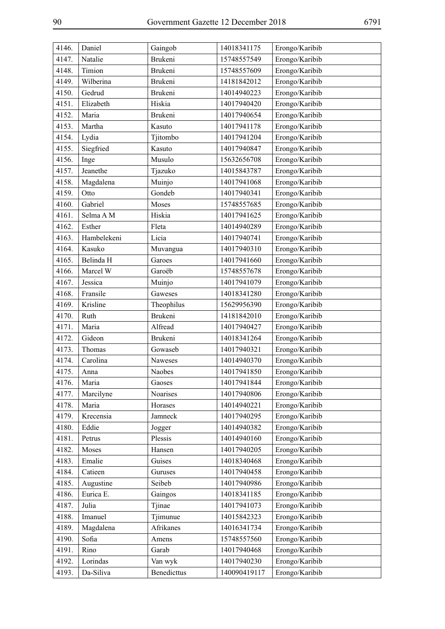| 4146. | Daniel      | Gaingob        | 14018341175  | Erongo/Karibib |
|-------|-------------|----------------|--------------|----------------|
| 4147. | Natalie     | Brukeni        | 15748557549  | Erongo/Karibib |
| 4148. | Timion      | Brukeni        | 15748557609  | Erongo/Karibib |
| 4149. | Wilberina   | Brukeni        | 14181842012  | Erongo/Karibib |
| 4150. | Gedrud      | Brukeni        | 14014940223  | Erongo/Karibib |
| 4151. | Elizabeth   | Hiskia         | 14017940420  | Erongo/Karibib |
| 4152. | Maria       | <b>Brukeni</b> | 14017940654  | Erongo/Karibib |
| 4153. | Martha      | Kasuto         | 14017941178  | Erongo/Karibib |
| 4154. | Lydia       | Tjitombo       | 14017941204  | Erongo/Karibib |
| 4155. | Siegfried   | Kasuto         | 14017940847  | Erongo/Karibib |
| 4156. | Inge        | Musulo         | 15632656708  | Erongo/Karibib |
| 4157. | Jeanethe    | Tjazuko        | 14015843787  | Erongo/Karibib |
| 4158. | Magdalena   | Muinjo         | 14017941068  | Erongo/Karibib |
| 4159. | Otto        | Gondeb         | 14017940341  | Erongo/Karibib |
| 4160. | Gabriel     | Moses          | 15748557685  | Erongo/Karibib |
| 4161. | Selma A M   | Hiskia         | 14017941625  | Erongo/Karibib |
| 4162. | Esther      | Fleta          | 14014940289  | Erongo/Karibib |
| 4163. | Hambelekeni | Licia          | 14017940741  | Erongo/Karibib |
| 4164. | Kasuko      | Muvangua       | 14017940310  | Erongo/Karibib |
| 4165. | Belinda H   | Garoes         | 14017941660  | Erongo/Karibib |
| 4166. | Marcel W    | Garoëb         | 15748557678  | Erongo/Karibib |
| 4167. | Jessica     | Muinjo         | 14017941079  | Erongo/Karibib |
| 4168. | Fransile    | Gaweses        | 14018341280  | Erongo/Karibib |
| 4169. | Krisline    | Theophilus     | 15629956390  | Erongo/Karibib |
| 4170. | Ruth        | <b>Brukeni</b> | 14181842010  | Erongo/Karibib |
| 4171. | Maria       | Alfread        | 14017940427  | Erongo/Karibib |
| 4172. | Gideon      | Brukeni        | 14018341264  | Erongo/Karibib |
| 4173. | Thomas      | Gowaseb        | 14017940321  | Erongo/Karibib |
| 4174. | Carolina    | Naweses        | 14014940370  | Erongo/Karibib |
| 4175. | Anna        | Naobes         | 14017941850  | Erongo/Karibib |
| 4176. | Maria       | Gaoses         | 14017941844  | Erongo/Karibib |
| 4177. | Marcilyne   | Noarises       | 14017940806  | Erongo/Karibib |
| 4178. | Maria       | Horases        | 14014940221  | Erongo/Karibib |
| 4179. | Krecensia   | Jamneck        | 14017940295  | Erongo/Karibib |
| 4180. | Eddie       | Jogger         | 14014940382  | Erongo/Karibib |
| 4181. | Petrus      | Plessis        | 14014940160  | Erongo/Karibib |
| 4182. | Moses       | Hansen         | 14017940205  | Erongo/Karibib |
| 4183. | Emalie      | Guises         | 14018340468  | Erongo/Karibib |
| 4184. | Catieen     | Guruses        | 14017940458  | Erongo/Karibib |
| 4185. | Augustine   | Seibeb         | 14017940986  | Erongo/Karibib |
| 4186. | Eurica E.   | Gaingos        | 14018341185  | Erongo/Karibib |
| 4187. | Julia       | Tjinae         | 14017941073  | Erongo/Karibib |
| 4188. | Imanuel     | Tjimunue       | 14015842323  | Erongo/Karibib |
| 4189. | Magdalena   | Afrikanes      | 14016341734  | Erongo/Karibib |
| 4190. | Sofia       | Amens          | 15748557560  | Erongo/Karibib |
| 4191. | Rino        | Garab          | 14017940468  | Erongo/Karibib |
| 4192. | Lorindas    | Van wyk        | 14017940230  | Erongo/Karibib |
| 4193. | Da-Siliva   | Benedicttus    | 140090419117 | Erongo/Karibib |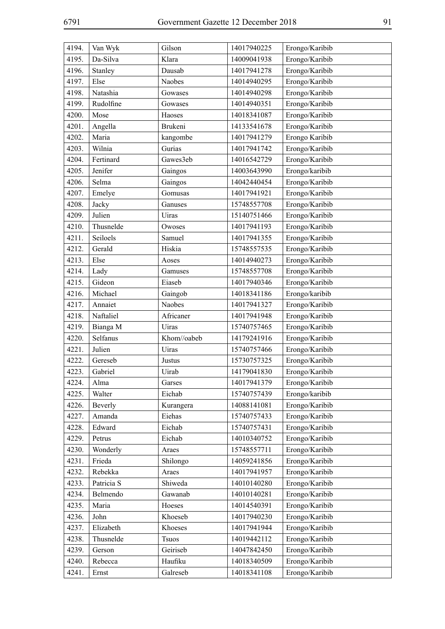| 4194. | Van Wyk    | Gilson       | 14017940225 | Erongo/Karibib |
|-------|------------|--------------|-------------|----------------|
| 4195. | Da-Silva   | Klara        | 14009041938 | Erongo/Karibib |
| 4196. | Stanley    | Dausab       | 14017941278 | Erongo/Karibib |
| 4197. | Else       | Naobes       | 14014940295 | Erongo/Karibib |
| 4198. | Natashia   | Gowases      | 14014940298 | Erongo/Karibib |
| 4199. | Rudolfine  | Gowases      | 14014940351 | Erongo/Karibib |
| 4200. | Mose       | Haoses       | 14018341087 | Erongo/Karibib |
| 4201. | Angella    | Brukeni      | 14133541678 | Erongo/Karibib |
| 4202. | Maria      | kangombe     | 14017941279 | Erongo Karibib |
| 4203. | Wilnia     | Gurias       | 14017941742 | Erongo/Karibib |
| 4204. | Fertinard  | Gawes3eb     | 14016542729 | Erongo/Karibib |
| 4205. | Jenifer    | Gaingos      | 14003643990 | Erongo/karibib |
| 4206. | Selma      | Gaingos      | 14042440454 | Erongo/Karibib |
| 4207. | Emelye     | Gomusas      | 14017941921 | Erongo/Karibib |
| 4208. | Jacky      | Ganuses      | 15748557708 | Erongo/Karibib |
| 4209. | Julien     | Uiras        | 15140751466 | Erongo/Karibib |
| 4210. | Thusnelde  | Owoses       | 14017941193 | Erongo/Karibib |
| 4211. | Seiloels   | Samuel       | 14017941355 | Erongo/Karibib |
| 4212. | Gerald     | Hiskia       | 15748557535 | Erongo/Karibib |
| 4213. | Else       | Aoses        | 14014940273 | Erongo/Karibib |
| 4214. | Lady       | Gamuses      | 15748557708 | Erongo/Karibib |
| 4215. | Gideon     | Eiaseb       | 14017940346 | Erongo/Karibib |
| 4216. | Michael    | Gaingob      | 14018341186 | Erongo/karibib |
| 4217. | Annaiet    | Naobes       | 14017941327 | Erongo/Karibib |
| 4218. | Naftaliel  | Africaner    | 14017941948 | Erongo/Karibib |
| 4219. | Bianga M   | Uiras        | 15740757465 | Erongo/Karibib |
| 4220. | Selfanus   | Khom//oabeb  | 14179241916 | Erongo/Karibib |
| 4221. | Julien     | Uiras        | 15740757466 | Erongo/Karibib |
| 4222. | Gereseb    | Justus       | 15730757325 | Erongo/Karibib |
| 4223. | Gabriel    | Uirab        | 14179041830 | Erongo/Karibib |
| 4224. | Alma       | Garses       | 14017941379 | Erongo/Karibib |
| 4225. | Walter     | Eichab       | 15740757439 | Erongo/karibib |
| 4226. | Beverly    | Kurangera    | 14088141081 | Erongo/Karibib |
| 4227. | Amanda     | Eiehas       | 15740757433 | Erongo/Karibib |
| 4228. | Edward     | Eichab       | 15740757431 | Erongo/Karibib |
| 4229. | Petrus     | Eichab       | 14010340752 | Erongo/Karibib |
| 4230. | Wonderly   | Araes        | 15748557711 | Erongo/Karibib |
| 4231. | Frieda     | Shilongo     | 14059241856 | Erongo/Karibib |
| 4232. | Rebekka    | Araes        | 14017941957 | Erongo/Karibib |
| 4233. | Patricia S | Shiweda      | 14010140280 | Erongo/Karibib |
| 4234. | Belmendo   | Gawanab      | 14010140281 | Erongo/Karibib |
| 4235. | Maria      | Hoeses       | 14014540391 | Erongo/Karibib |
| 4236. | John       | Khoeseb      | 14017940230 | Erongo/Karibib |
| 4237. | Elizabeth  | Khoeses      | 14017941944 | Erongo/Karibib |
| 4238. | Thusnelde  | <b>Tsuos</b> | 14019442112 | Erongo/Karibib |
| 4239. | Gerson     | Geiriseb     | 14047842450 | Erongo/Karibib |
| 4240. | Rebecca    | Haufiku      | 14018340509 | Erongo/Karibib |
| 4241. | Ernst      | Galreseb     | 14018341108 | Erongo/Karibib |
|       |            |              |             |                |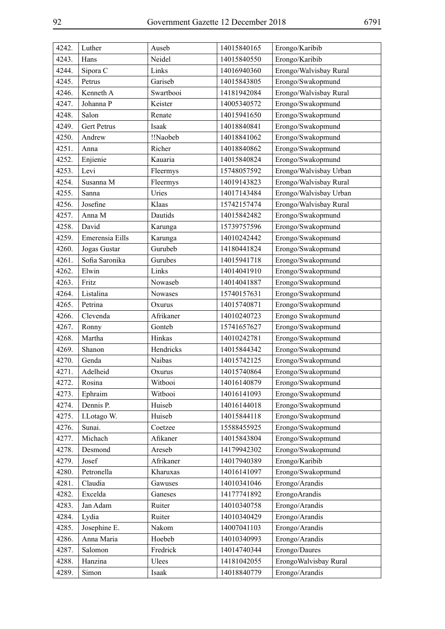| 4242. | Luther          | Auseb     | 14015840165 | Erongo/Karibib         |
|-------|-----------------|-----------|-------------|------------------------|
| 4243. | Hans            | Neidel    | 14015840550 | Erongo/Karibib         |
| 4244. | Sipora C        | Links     | 14016940360 | Erongo/Walvisbay Rural |
| 4245. | Petrus          | Gariseb   | 14015843805 | Erongo/Swakopmund      |
| 4246. | Kenneth A       | Swartbooi | 14181942084 | Erongo/Walvisbay Rural |
| 4247. | Johanna P       | Keister   | 14005340572 | Erongo/Swakopmund      |
| 4248. | Salon           | Renate    | 14015941650 | Erongo/Swakopmund      |
| 4249. | Gert Petrus     | Isaak     | 14018840841 | Erongo/Swakopmund      |
| 4250. | Andrew          | !!Naobeb  | 14018841062 | Erongo/Swakopmund      |
| 4251. | Anna            | Richer    | 14018840862 | Erongo/Swakopmund      |
| 4252. | Enjienie        | Kauaria   | 14015840824 | Erongo/Swakopmund      |
| 4253. | Levi            | Fleermys  | 15748057592 | Erongo/Walvisbay Urban |
| 4254. | Susanna M       | Fleermys  | 14019143823 | Erongo/Walvisbay Rural |
| 4255. | Sanna           | Uries     | 14017143484 | Erongo/Walvisbay Urban |
| 4256. | Josefine        | Klaas     | 15742157474 | Erongo/Walvisbay Rural |
| 4257. | Anna M          | Dautids   | 14015842482 | Erongo/Swakopmund      |
| 4258. | David           | Karunga   | 15739757596 | Erongo/Swakopmund      |
| 4259. | Emerensia Eills | Karunga   | 14010242442 | Erongo/Swakopmund      |
| 4260. | Jogas Gustar    | Gurubeb   | 14180441824 | Erongo/Swakopmund      |
| 4261. | Sofia Saronika  | Gurubes   | 14015941718 | Erongo/Swakopmund      |
| 4262. | Elwin           | Links     | 14014041910 | Erongo/Swakopmund      |
| 4263. | Fritz           | Nowaseb   | 14014041887 | Erongo/Swakopmund      |
| 4264. | Listalina       | Nowases   | 15740157631 | Erongo/Swakopmund      |
| 4265. | Petrina         | Oxurus    | 14015740871 | Erongo/Swakopmund      |
| 4266. | Clevenda        | Afrikaner | 14010240723 | Erongo Swakopmund      |
| 4267. | Ronny           | Gonteb    | 15741657627 | Erongo/Swakopmund      |
| 4268. | Martha          | Hinkas    | 14010242781 | Erongo/Swakopmund      |
| 4269. | Shanon          | Hendricks | 14015844342 | Erongo/Swakopmund      |
| 4270. | Genda           | Naibas    | 14015742125 | Erongo/Swakopmund      |
| 4271. | Adelheid        | Oxurus    | 14015740864 | Erongo/Swakopmund      |
| 4272. | Rosina          | Witbooi   | 14016140879 | Erongo/Swakopmund      |
| 4273. | Ephraim         | Witbooi   | 14016141093 | Erongo/Swakopmund      |
| 4274. | Dennis P.       | Huiseb    | 14016144018 | Erongo/Swakopmund      |
| 4275. | I.Lotago W.     | Huiseb    | 14015844118 | Erongo/Swakopmund      |
| 4276. | Sunai.          | Coetzee   | 15588455925 | Erongo/Swakopmund      |
| 4277. | Michach         | Afikaner  | 14015843804 | Erongo/Swakopmund      |
| 4278. | Desmond         | Areseb    | 14179942302 | Erongo/Swakopmund      |
| 4279. | Josef           | Afrikaner | 14017940389 | Erongo/Karibib         |
| 4280. | Petronella      | Kharuxas  | 14016141097 | Erongo/Swakopmund      |
| 4281. | Claudia         | Gawuses   | 14010341046 | Erongo/Arandis         |
| 4282. | Excelda         | Ganeses   | 14177741892 | ErongoArandis          |
| 4283. | Jan Adam        | Ruiter    | 14010340758 | Erongo/Arandis         |
| 4284. | Lydia           | Ruiter    | 14010340429 | Erongo/Arandis         |
| 4285. | Josephine E.    | Nakom     | 14007041103 | Erongo/Arandis         |
| 4286. | Anna Maria      | Hoebeb    | 14010340993 | Erongo/Arandis         |
| 4287. | Salomon         | Fredrick  | 14014740344 | Erongo/Daures          |
| 4288. | Hanzina         | Ulees     | 14181042055 | ErongoWalvisbay Rural  |
| 4289. | Simon           | Isaak     | 14018840779 | Erongo/Arandis         |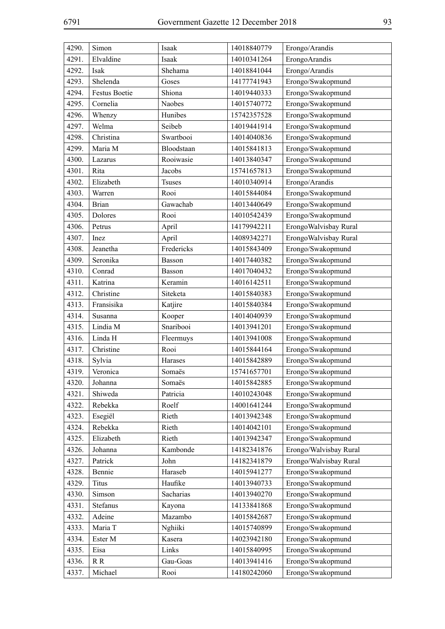| 4290. | Simon                | Isaak         | 14018840779 | Erongo/Arandis         |
|-------|----------------------|---------------|-------------|------------------------|
| 4291. | Elvaldine            | Isaak         | 14010341264 | ErongoArandis          |
| 4292. | Isak                 | Shehama       | 14018841044 | Erongo/Arandis         |
| 4293. | Shelenda             | Goses         | 14177741943 | Erongo/Swakopmund      |
| 4294. | <b>Festus Boetie</b> | Shiona        | 14019440333 | Erongo/Swakopmund      |
| 4295. | Cornelia             | <b>Naobes</b> | 14015740772 | Erongo/Swakopmund      |
| 4296. | Whenzy               | Hunibes       | 15742357528 | Erongo/Swakopmund      |
| 4297. | Welma                | Seibeb        | 14019441914 | Erongo/Swakopmund      |
| 4298. | Christina            | Swartbooi     | 14014040836 | Erongo/Swakopmund      |
| 4299. | Maria M              | Bloodstaan    | 14015841813 | Erongo/Swakopmund      |
| 4300. | Lazarus              | Rooiwasie     | 14013840347 | Erongo/Swakopmund      |
| 4301. | Rita                 | Jacobs        | 15741657813 | Erongo/Swakopmund      |
| 4302. | Elizabeth            | <b>Tsuses</b> | 14010340914 | Erongo/Arandis         |
| 4303. | Warren               | Rooi          | 14015844084 | Erongo/Swakopmund      |
| 4304. | <b>Brian</b>         | Gawachab      | 14013440649 | Erongo/Swakopmund      |
| 4305. | Dolores              | Rooi          | 14010542439 | Erongo/Swakopmund      |
| 4306. | Petrus               | April         | 14179942211 | ErongoWalvisbay Rural  |
| 4307. | Inez                 | April         | 14089342271 | ErongoWalvisbay Rural  |
| 4308. | Jeanetha             | Fredericks    | 14015843409 | Erongo/Swakopmund      |
| 4309. | Seronika             | Basson        | 14017440382 | Erongo/Swakopmund      |
| 4310. | Conrad               | Basson        | 14017040432 | Erongo/Swakopmund      |
| 4311. | Katrina              | Keramin       | 14016142511 | Erongo/Swakopmund      |
| 4312. | Christine            | Siteketa      | 14015840383 | Erongo/Swakopmund      |
| 4313. | Fransisika           | Katjire       | 14015840384 | Erongo/Swakopmund      |
| 4314. | Susanna              | Kooper        | 14014040939 | Erongo/Swakopmund      |
| 4315. | Lindia M             | Snaribooi     | 14013941201 | Erongo/Swakopmund      |
| 4316. | Linda H              | Fleermuys     | 14013941008 | Erongo/Swakopmund      |
| 4317. | Christine            | Rooi          | 14015844164 | Erongo/Swakopmund      |
| 4318. | Sylvia               | Harases       | 14015842889 | Erongo/Swakopmund      |
| 4319. | Veronica             | Somaës        | 15741657701 | Erongo/Swakopmund      |
| 4320. | Johanna              | Somaës        | 14015842885 | Erongo/Swakopmund      |
| 4321. | Shiweda              | Patricia      | 14010243048 | Erongo/Swakopmund      |
| 4322. | Rebekka              | Roelf         | 14001641244 | Erongo/Swakopmund      |
| 4323. | Esegiël              | Rieth         | 14013942348 | Erongo/Swakopmund      |
| 4324. | Rebekka              | Rieth         | 14014042101 | Erongo/Swakopmund      |
| 4325. | Elizabeth            | Rieth         | 14013942347 | Erongo/Swakopmund      |
| 4326. | Johanna              | Kambonde      | 14182341876 | Erongo/Walvisbay Rural |
| 4327. | Patrick              | John          | 14182341879 | Erongo/Walvisbay Rural |
| 4328. | Bennie               | Haraseb       | 14015941277 | Erongo/Swakopmund      |
| 4329. | Titus                | Haufike       | 14013940733 | Erongo/Swakopmund      |
| 4330. | Simson               | Sacharias     | 14013940270 | Erongo/Swakopmund      |
| 4331. | Stefanus             | Kayona        | 14133841868 | Erongo/Swakopmund      |
| 4332. | Adeine               | Mazambo       | 14015842687 | Erongo/Swakopmund      |
| 4333. | Maria T              | Nghiiki       | 14015740899 | Erongo/Swakopmund      |
| 4334. | Ester M              | Kasera        | 14023942180 | Erongo/Swakopmund      |
| 4335. | Eisa                 | Links         | 14015840995 | Erongo/Swakopmund      |
| 4336. | R R                  | Gau-Goas      | 14013941416 | Erongo/Swakopmund      |
| 4337. | Michael              | Rooi          | 14180242060 | Erongo/Swakopmund      |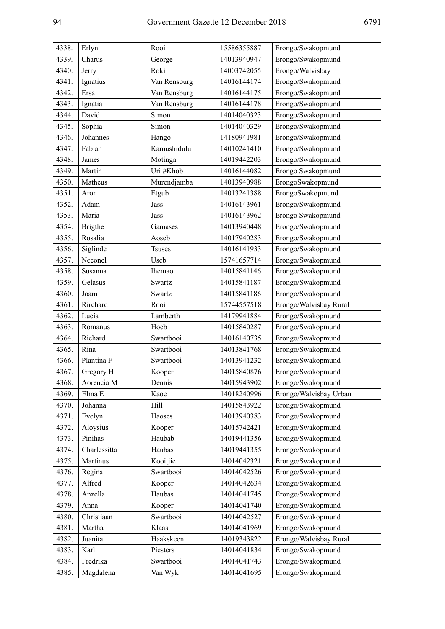| 4338. | Erlyn          | Rooi          | 15586355887 | Erongo/Swakopmund      |
|-------|----------------|---------------|-------------|------------------------|
| 4339. | Charus         | George        | 14013940947 | Erongo/Swakopmund      |
| 4340. | Jerry          | Roki          | 14003742055 | Erongo/Walvisbay       |
| 4341. | Ignatius       | Van Rensburg  | 14016144174 | Erongo/Swakopmund      |
| 4342. | Ersa           | Van Rensburg  | 14016144175 | Erongo/Swakopmund      |
| 4343. | Ignatia        | Van Rensburg  | 14016144178 | Erongo/Swakopmund      |
| 4344. | David          | Simon         | 14014040323 | Erongo/Swakopmund      |
| 4345. | Sophia         | Simon         | 14014040329 | Erongo/Swakopmund      |
| 4346. | Johannes       | Hango         | 14180941981 | Erongo/Swakopmund      |
| 4347. | Fabian         | Kamushidulu   | 14010241410 | Erongo/Swakopmund      |
| 4348. | James          | Motinga       | 14019442203 | Erongo/Swakopmund      |
| 4349. | Martin         | Uri #Khob     | 14016144082 | Erongo Swakopmund      |
| 4350. | Matheus        | Murendjamba   | 14013940988 | ErongoSwakopmund       |
| 4351. | Aron           | Etgub         | 14013241388 | ErongoSwakopmund       |
| 4352. | Adam           | Jass          | 14016143961 | Erongo/Swakopmund      |
| 4353. | Maria          | Jass          | 14016143962 | Erongo Swakopmund      |
| 4354. | <b>Brigthe</b> | Gamases       | 14013940448 | Erongo/Swakopmund      |
| 4355. | Rosalia        | Aoseb         | 14017940283 | Erongo/Swakopmund      |
| 4356. | Siglinde       | <b>Tsuses</b> | 14016141933 | Erongo/Swakopmund      |
| 4357. | Neconel        | Useb          | 15741657714 | Erongo/Swakopmund      |
| 4358. | Susanna        | Ihemao        | 14015841146 | Erongo/Swakopmund      |
| 4359. | Gelasus        | Swartz        | 14015841187 | Erongo/Swakopmund      |
| 4360. | Joam           | Swartz        | 14015841186 | Erongo/Swakopmund      |
| 4361. | Rirchard       | Rooi          | 15744557518 | Erongo/Walvisbay Rural |
| 4362. | Lucia          | Lamberth      | 14179941884 | Erongo/Swakopmund      |
| 4363. | Romanus        | Hoeb          | 14015840287 | Erongo/Swakopmund      |
| 4364. | Richard        | Swartbooi     | 14016140735 | Erongo/Swakopmund      |
| 4365. | Rina           | Swartbooi     | 14013841768 | Erongo/Swakopmund      |
| 4366. | Plantina F     | Swartbooi     | 14013941232 | Erongo/Swakopmund      |
| 4367. | Gregory H      | Kooper        | 14015840876 | Erongo/Swakopmund      |
| 4368. | Aorencia M     | Dennis        | 14015943902 | Erongo/Swakopmund      |
| 4369. | Elma E         | Kaoe          | 14018240996 | Erongo/Walvisbay Urban |
| 4370. | Johanna        | Hill          | 14015843922 | Erongo/Swakopmund      |
| 4371. | Evelyn         | Haoses        | 14013940383 | Erongo/Swakopmund      |
| 4372. | Aloysius       | Kooper        | 14015742421 | Erongo/Swakopmund      |
| 4373. | Pinihas        | Haubab        | 14019441356 | Erongo/Swakopmund      |
| 4374. | Charlessitta   | Haubas        | 14019441355 | Erongo/Swakopmund      |
| 4375. | Martinus       | Kooitjie      | 14014042321 | Erongo/Swakopmund      |
| 4376. | Regina         | Swartbooi     | 14014042526 | Erongo/Swakopmund      |
| 4377. | Alfred         | Kooper        | 14014042634 | Erongo/Swakopmund      |
| 4378. | Anzella        | Haubas        | 14014041745 | Erongo/Swakopmund      |
| 4379. | Anna           | Kooper        | 14014041740 | Erongo/Swakopmund      |
| 4380. | Christiaan     | Swartbooi     | 14014042527 | Erongo/Swakopmund      |
| 4381. | Martha         | Klaas         | 14014041969 | Erongo/Swakopmund      |
| 4382. | Juanita        | Haakskeen     | 14019343822 | Erongo/Walvisbay Rural |
| 4383. | Karl           | Piesters      | 14014041834 | Erongo/Swakopmund      |
| 4384. | Fredrika       | Swartbooi     | 14014041743 | Erongo/Swakopmund      |
| 4385. | Magdalena      | Van Wyk       | 14014041695 | Erongo/Swakopmund      |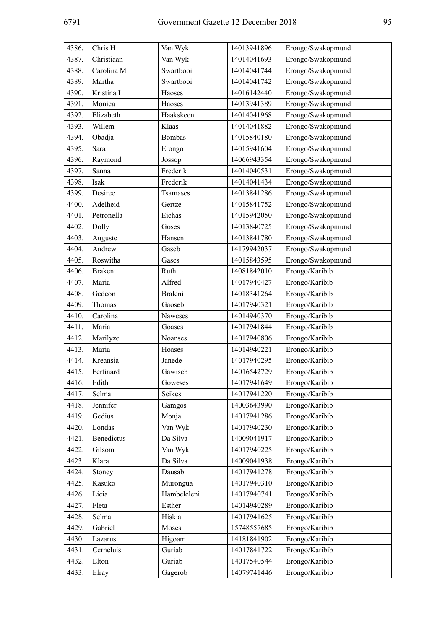| 4386. | Chris H    | Van Wyk       | 14013941896 | Erongo/Swakopmund |
|-------|------------|---------------|-------------|-------------------|
| 4387. | Christiaan | Van Wyk       | 14014041693 | Erongo/Swakopmund |
| 4388. | Carolina M | Swartbooi     | 14014041744 | Erongo/Swakopmund |
| 4389. | Martha     | Swartbooi     | 14014041742 | Erongo/Swakopmund |
| 4390. | Kristina L | Haoses        | 14016142440 | Erongo/Swakopmund |
| 4391. | Monica     | Haoses        | 14013941389 | Erongo/Swakopmund |
| 4392. | Elizabeth  | Haakskeen     | 14014041968 | Erongo/Swakopmund |
| 4393. | Willem     | Klaas         | 14014041882 | Erongo/Swakopmund |
| 4394. | Obadja     | <b>Bombas</b> | 14015840180 | Erongo/Swakopmund |
| 4395. | Sara       | Erongo        | 14015941604 | Erongo/Swakopmund |
| 4396. | Raymond    | Jossop        | 14066943354 | Erongo/Swakopmund |
| 4397. | Sanna      | Frederik      | 14014040531 | Erongo/Swakopmund |
| 4398. | Isak       | Frederik      | 14014041434 | Erongo/Swakopmund |
| 4399. | Desiree    | Tsamases      | 14013841286 | Erongo/Swakopmund |
| 4400. | Adelheid   | Gertze        | 14015841752 | Erongo/Swakopmund |
| 4401. | Petronella | Eichas        | 14015942050 | Erongo/Swakopmund |
| 4402. | Dolly      | Goses         | 14013840725 | Erongo/Swakopmund |
| 4403. | Auguste    | Hansen        | 14013841780 | Erongo/Swakopmund |
| 4404. | Andrew     | Gaseb         | 14179942037 | Erongo/Swakopmund |
| 4405. | Roswitha   | Gases         | 14015843595 | Erongo/Swakopmund |
| 4406. | Brakeni    | Ruth          | 14081842010 | Erongo/Karibib    |
| 4407. | Maria      | Alfred        | 14017940427 | Erongo/Karibib    |
| 4408. | Gedeon     | Braleni       | 14018341264 | Erongo/Karibib    |
| 4409. | Thomas     | Gaoseb        | 14017940321 | Erongo/Karibib    |
| 4410. | Carolina   | Naweses       | 14014940370 | Erongo/Karibib    |
| 4411. | Maria      | Goases        | 14017941844 | Erongo/Karibib    |
| 4412. | Marilyze   | Noanses       | 14017940806 | Erongo/Karibib    |
| 4413. | Maria      | Hoases        | 14014940221 | Erongo/Karibib    |
| 4414. | Kreansia   | Janede        | 14017940295 | Erongo/Karibib    |
| 4415. | Fertinard  | Gawiseb       | 14016542729 | Erongo/Karibib    |
| 4416. | Edith      | Goweses       | 14017941649 | Erongo/Karibib    |
| 4417. | Selma      | Seikes        | 14017941220 | Erongo/Karibib    |
| 4418. | Jennifer   | Gamgos        | 14003643990 | Erongo/Karibib    |
| 4419. | Gedius     | Monja         | 14017941286 | Erongo/Karibib    |
| 4420. | Londas     | Van Wyk       | 14017940230 | Erongo/Karibib    |
| 4421. | Benedictus | Da Silva      | 14009041917 | Erongo/Karibib    |
| 4422. | Gilsom     | Van Wyk       | 14017940225 | Erongo/Karibib    |
| 4423. | Klara      | Da Silva      | 14009041938 | Erongo/Karibib    |
| 4424. | Stoney     | Dausab        | 14017941278 | Erongo/Karibib    |
| 4425. | Kasuko     | Murongua      | 14017940310 | Erongo/Karibib    |
| 4426. | Licia      | Hambeleleni   | 14017940741 | Erongo/Karibib    |
| 4427. | Fleta      | Esther        | 14014940289 | Erongo/Karibib    |
| 4428. | Selma      | Hiskia        | 14017941625 | Erongo/Karibib    |
| 4429. | Gabriel    | Moses         | 15748557685 | Erongo/Karibib    |
| 4430. | Lazarus    | Higoam        | 14181841902 | Erongo/Karibib    |
| 4431. | Cerneluis  | Guriab        | 14017841722 | Erongo/Karibib    |
| 4432. | Elton      | Guriab        | 14017540544 | Erongo/Karibib    |
| 4433. | Elray      | Gagerob       | 14079741446 | Erongo/Karibib    |
|       |            |               |             |                   |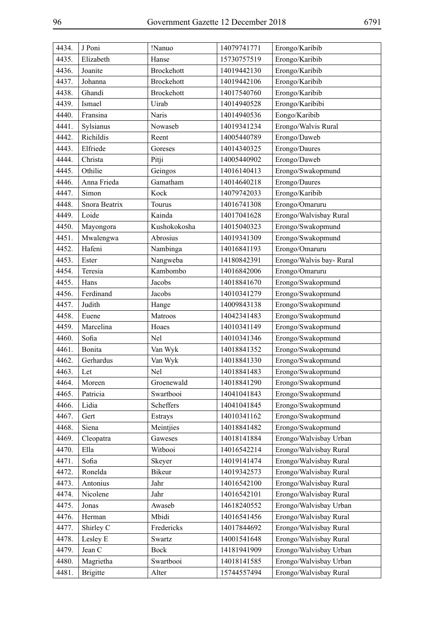| 4434. | J Poni          | !Nanuo            | 14079741771 | Erongo/Karibib          |
|-------|-----------------|-------------------|-------------|-------------------------|
| 4435. | Elizabeth       | Hanse             | 15730757519 | Erongo/Karibib          |
| 4436. | Joanite         | <b>Brockehott</b> | 14019442130 | Erongo/Karibib          |
| 4437. | Johanna         | <b>Brockehott</b> | 14019442106 | Erongo/Karibib          |
| 4438. | Ghandi          | <b>Brockehott</b> | 14017540760 | Erongo/Karibib          |
| 4439. | Ismael          | Uirab             | 14014940528 | Erongo/Karibibi         |
| 4440. | Fransina        | Naris             | 14014940536 | Eongo/Karibib           |
| 4441. | Sylsianus       | Nowaseb           | 14019341234 | Erongo/Walvis Rural     |
| 4442. | Richildis       | Reent             | 14005440789 | Erongo/Daweb            |
| 4443. | Elfriede        | Goreses           | 14014340325 | Erongo/Daures           |
| 4444. | Christa         | Pitji             | 14005440902 | Erongo/Daweb            |
| 4445. | Othilie         | Geingos           | 14016140413 | Erongo/Swakopmund       |
| 4446. | Anna Frieda     | Gamatham          | 14014640218 | Erongo/Daures           |
| 4447. | Simon           | Kock              | 14079742033 | Erongo/Karibib          |
| 4448. | Snora Beatrix   | Tourus            | 14016741308 | Erongo/Omaruru          |
| 4449. | Loide           | Kainda            | 14017041628 | Erongo/Walvisbay Rural  |
| 4450. | Mayongora       | Kushokokosha      | 14015040323 | Erongo/Swakopmund       |
| 4451. | Mwalengwa       | Abrosius          | 14019341309 | Erongo/Swakopmund       |
| 4452. | Hafeni          | Nambinga          | 14016841193 | Erongo/Omaruru          |
| 4453. | Ester           | Nangweba          | 14180842391 | Erongo/Walvis bay-Rural |
| 4454. | Teresia         | Kambombo          | 14016842006 | Erongo/Omaruru          |
| 4455. | Hans            | Jacobs            | 14018841670 | Erongo/Swakopmund       |
| 4456. | Ferdinand       | Jacobs            | 14010341279 | Erongo/Swakopmund       |
| 4457. | Judith          | Hange             | 14009843138 | Erongo/Swakopmund       |
| 4458. | Euene           | Matroos           | 14042341483 | Erongo/Swakopmund       |
| 4459. | Marcelina       | Hoaes             | 14010341149 | Erongo/Swakopmund       |
| 4460. | Sofia           | Nel               | 14010341346 | Erongo/Swakopmund       |
| 4461. | Bonita          | Van Wyk           | 14018841352 | Erongo/Swakopmund       |
| 4462. | Gerhardus       | Van Wyk           | 14018841330 | Erongo/Swakopmund       |
| 4463. | Let             | Nel               | 14018841483 | Erongo/Swakopmund       |
| 4464. | Moreen          | Groenewald        | 14018841290 | Erongo/Swakopmund       |
| 4465. | Patricia        | Swartbooi         | 14041041843 | Erongo/Swakopmund       |
| 4466. | Lidia           | Scheffers         | 14041041845 | Erongo/Swakopmund       |
| 4467. | Gert            | Estrays           | 14010341162 | Erongo/Swakopmund       |
| 4468. | Siena           | Meintjies         | 14018841482 | Erongo/Swakopmund       |
| 4469. | Cleopatra       | Gaweses           | 14018141884 | Erongo/Walvisbay Urban  |
| 4470. | Ella            | Witbooi           | 14016542214 | Erongo/Walvisbay Rural  |
| 4471. | Sofia           | Skeyer            | 14019141474 | Erongo/Walvisbay Rural  |
| 4472. | Ronelda         | Bikeur            | 14019342573 | Erongo/Walvisbay Rural  |
| 4473. | Antonius        | Jahr              | 14016542100 | Erongo/Walvisbay Rural  |
| 4474. | Nicolene        | Jahr              | 14016542101 | Erongo/Walvisbay Rural  |
| 4475. | Jonas           | Awaseb            | 14618240552 | Erongo/Walvisbay Urban  |
| 4476. | Herman          | Mbidi             | 14016541456 | Erongo/Walvisbay Rural  |
| 4477. | Shirley C       | Fredericks        | 14017844692 | Erongo/Walvisbay Rural  |
| 4478. | Lesley E        | Swartz            | 14001541648 | Erongo/Walvisbay Rural  |
| 4479. | Jean C          | <b>Bock</b>       | 14181941909 | Erongo/Walvisbay Urban  |
| 4480. | Magrietha       | Swartbooi         | 14018141585 | Erongo/Walvisbay Urban  |
| 4481. | <b>Brigitte</b> | Alter             | 15744557494 | Erongo/Walvisbay Rural  |